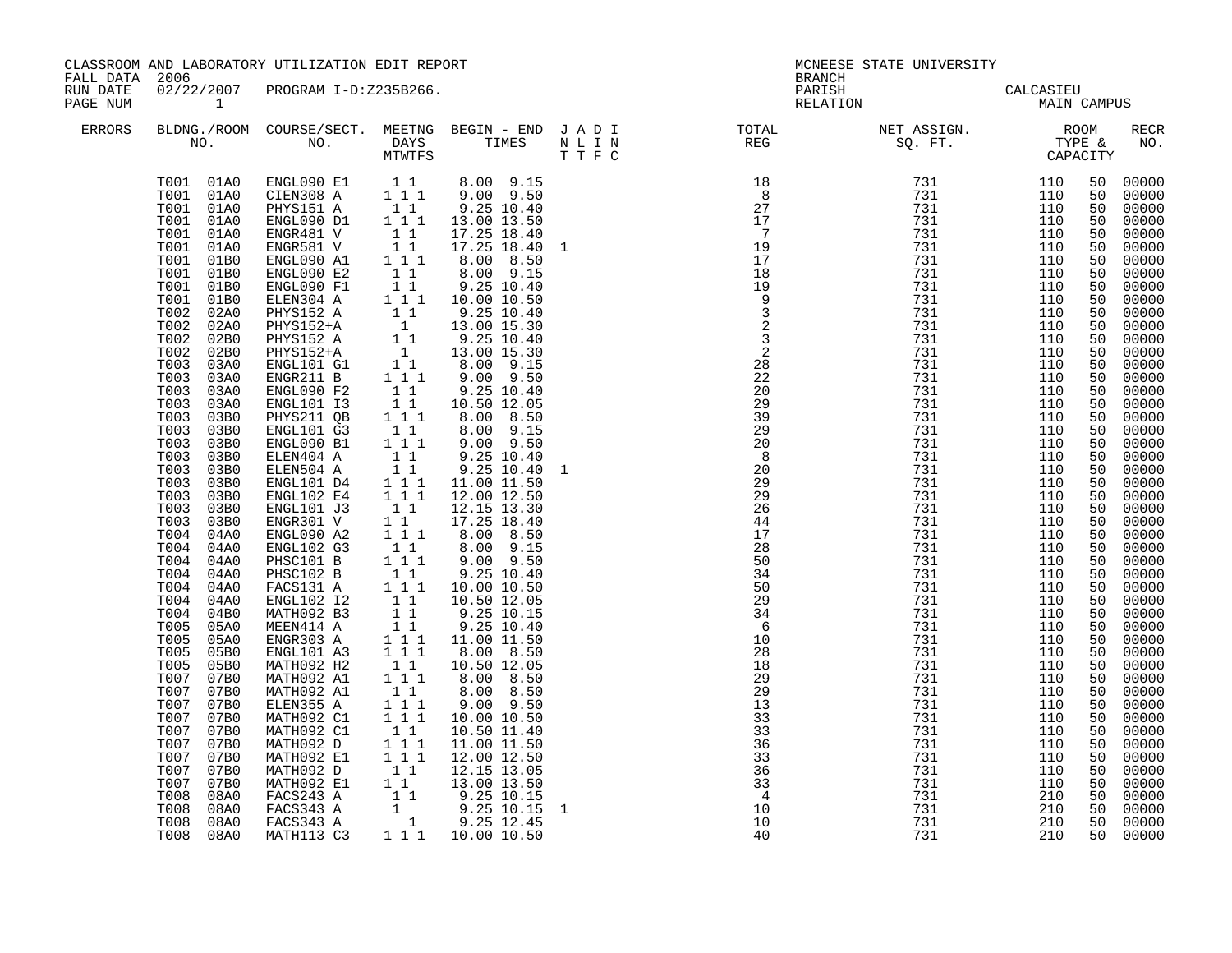| PARISH CALCASIEU<br>RELATION MAIN CAMPUS<br>PAGE NUM<br>$\begin{tabular}{lllllllllllllllllllll} \textsc{BLDNG.} \textsc{(ROM COURSE/SECT.}\textsc{MEETNG} & \textsc{BEGIN} & - & \textsc{END} & J & A & D & I & & & \textsc{TOTAL} & & & \textsc{NET ASSIGN.} & & & \textsc{ROM} \\ \textsc{NO.} & \textsc{NO.} & \textsc{DAYS} & \textsc{TIMES} & \textsc{N} & L & I & N & & \textsc{REG} & & \textsc{SQ. FT.} & & \textsc{TPFE & & \textsc{CAPACITY}} \\ & & & & & & & \textsc{TWTFS} & & & \textsc{T} & \textsc{F}$<br>ERRORS<br>RECR<br>$\begin{tabular}{cccc} T001 & 01A0 & ENGL090 E1 & 1 & 1 & 8.00 & 9.15 \\ T001 & 01A0 & CIEN308 A & 1 & 1 & 9.00 & 9.50 \\ T001 & 01A0 & PHYS151 A & 1 & 9.25 & 10.40 \\ T001 & 01A0 & ENGL090 D1 & 1 & 1 & 13.00 & 13.50 \\ \end{tabular}$<br>50 00000<br>00000<br>00000<br>00000<br>$\begin{bmatrix} 1 & 1 \\ 1 & 1 \\ 1 & 1 \\ 1 & 1 \end{bmatrix}$<br>17.25 18.40<br>17.25 18.40 1<br>00000<br>T001 01A0<br>ENGR481 V<br>ENGR581 V<br>ENGL090 A1<br>T001 01A0<br>00000<br>T001 01B0<br>8.00 8.50<br>00000<br>$\begin{bmatrix} 1 & 1 \\ 1 & 1 \end{bmatrix}$<br>$8.00$ $9.15$<br>$9.25$ 10.40<br>T001<br>00000<br>01B0<br>ENGL090 E2<br>ENGL090 F1<br>T001<br>01B0<br>00000<br>ENGL090 F1 1 1 9.25 10.40<br>ELENGIS2 A 1 1 1 10.00 10.50<br>PHYS152 A 1 1 9.25 10.40<br>PHYS152 A 1 1 9.25 10.40<br>PHYS152 A 1 9.25 10.40<br>PHYS152 A 1 1 9.25 10.40<br>ENGL101 G1 1 8.00 9.15<br>ENGL101 G1 1 8.00 9.15<br>ENGR211 B 1 1 9<br>T001<br>00000<br>01B0<br>T002<br>02A0<br>00000<br>T002<br>00000<br>02A0<br>T002<br>00000<br>02B0<br>T002<br>02B0<br>00000<br>T003<br>00000<br>03A0<br>T003<br>03A0<br>$00000$<br>$00000$<br>T003 03A0<br>$\begin{array}{cccc} 1 & 1 & 1 \\ & 1 & 1 \\ & 1 & 1 \\ & 1 & 1 \\ & 1 & 1 \\ & 1 & 1 \\ & 1 & 1 \\ & 1 & 1 \\ & 1 & 1 \\ & 1 & 1 \\ & 1 & 1 \\ & 1 & 1 \\ & 1 & 1 \\ & 1 & 1 \\ & 1 & 1 \\ & 1 & 1 \\ & 1 & 1 \\ & 1 & 1 \\ & 1 & 1 \\ & 1 & 1 \\ & 1 & 1 \\ & 1 & 1 \\ & 1 & 1 \\ & 1 & 1 \\ & 1 & 1 \\ & 1 & 1 \\ & 1 & 1 \\ & 1 & 1 \\ & 1 & 1 \\ & 1 & 1 \\ &$<br>ENGL090 F2<br>9.25 10.40<br>T003<br>03A0<br>ENGL101 I3<br>10.50 12.05<br>00000<br>T003<br>03B0<br>PHYS211 QB<br>8.00 8.50<br>00000<br>T003<br>8.00 9.15<br>9.00 9.50<br>9.25 10.40<br>00000<br>03B0<br>ENGL101 G3<br>00000<br>T003<br>ENGL090 B1<br>ELEN404 A<br>03B0<br>03B0<br>T003<br>00000<br>T003<br>00000<br>03B0<br>ELEN504 A<br>9.25 10.40<br>11.00 11.50<br>T003<br>03B0<br>ENGL101 D4<br>00000<br>T003<br>00000<br>03B0<br>ENGL102 E4<br>ENGL101 J3<br>$\begin{array}{cccc} & & & & & 10.40 \\ & & & & & 11.00 & 11.50 \\ & 1 & 1 & 12.00 & 12.50 \\ 1 & 1 & 12.15 & 13.30 \\ 1 & 1 & 17.25 & 18.40 \\ 1 & 1 & 8.00 & 8.50 \\ & 1 & 1 & 8 & 0 & 8.50 \\ & 1 & 1 & 8 & 0 & 8.50 \\ \end{array}$<br>T003<br>00000<br>03B0<br>T003<br>ENGR301 V<br>00000<br>03B0<br>T004<br>ENGL090 A2<br>00000<br>04A0<br>T004<br>ENGL102 G3<br>00000<br>04A0<br>$\begin{smallmatrix}&&1\\1&1&1\\1&1\end{smallmatrix}$<br>T004<br>PHSC101 B<br>PHSC102 B<br>00000<br>04A0<br>T004<br>9.25 10.40<br>00000<br>04A0<br>FACS131 A<br>$\begin{array}{cccc} 1&1&3\cdot .25&10\cdot .40\ 1&1&1&10\cdot .00&10\cdot .50\ 1&1&9\cdot .25&10\cdot .15\ 1&1&9\cdot .25&10\cdot .40\ 1&1&1&10&0&11\cdot .50\ 1&1&1&8\cdot .00&8\cdot .50\ \end{array}$<br>T004<br>00000<br>04A0<br>T004<br>$00000$<br>00000<br>04A0<br>ENGL102 I2<br>T004 04B0<br>MATH092 B3<br>T005<br>MEEN414 A<br>05A0<br>00000<br>T005<br>05A0<br>ENGR303 A<br>$00000$<br>$00000$<br>T005<br>05B0<br>ENGL101 A3<br>00000<br>T005<br>$\begin{smallmatrix}&&1\\&&1\\1&1&1\end{smallmatrix}$<br>05B0<br>MATH092 H2<br>10.50 12.05<br>8.00 8.50<br>00000<br>T007<br>07B0<br>MATH092 A1<br>T007 07B0<br>MATH092 A1<br>ELEN355 A<br>MATH092 C1<br>$\begin{bmatrix} 1 & 1 \\ 1 & 1 & 1 \\ 1 & 1 & 1 \end{bmatrix}$<br>8.00 8.50<br>9.00 9.50<br>00000<br>T007<br>00000<br>07B0<br>00000<br>T007 07B0<br>10.00 10.50<br>T007 07B0<br>$\begin{bmatrix} 1\\ 1\\ 1\\ 1\\ 1\\ 1 \end{bmatrix}$<br>00000<br>MATH092 C1<br>10.50 11.40<br>11.00 11.50<br>T007 07B0<br>MATH092 D<br>MATH092 E1<br>00000<br>T007<br>00000<br>07B0<br>12.00 12.50<br>MATH092 D 11 12.15 13.05<br>MATH092 E1 11 13.00 13.50<br>FACS243 A 11 9.25 10.15<br>FACS343 A 1 9.25 10.15 1<br>FACS343 A 1 9.25 12.45<br>T007<br>$00000$<br>00000<br>07B0<br>T007<br>07B0<br>$T008$<br>$T008$<br>00000<br>08A0<br>00000<br>08A0 | FALL DATA 2006<br>RUN DATE |              | CLASSROOM AND LABORATORY UTILIZATION EDIT REPORT<br>02/22/2007 PROGRAM I-D:Z235B266. |  | <b>BRANCH</b> | MCNEESE STATE UNIVERSITY |  |  |       |
|-----------------------------------------------------------------------------------------------------------------------------------------------------------------------------------------------------------------------------------------------------------------------------------------------------------------------------------------------------------------------------------------------------------------------------------------------------------------------------------------------------------------------------------------------------------------------------------------------------------------------------------------------------------------------------------------------------------------------------------------------------------------------------------------------------------------------------------------------------------------------------------------------------------------------------------------------------------------------------------------------------------------------------------------------------------------------------------------------------------------------------------------------------------------------------------------------------------------------------------------------------------------------------------------------------------------------------------------------------------------------------------------------------------------------------------------------------------------------------------------------------------------------------------------------------------------------------------------------------------------------------------------------------------------------------------------------------------------------------------------------------------------------------------------------------------------------------------------------------------------------------------------------------------------------------------------------------------------------------------------------------------------------------------------------------------------------------------------------------------------------------------------------------------------------------------------------------------------------------------------------------------------------------------------------------------------------------------------------------------------------------------------------------------------------------------------------------------------------------------------------------------------------------------------------------------------------------------------------------------------------------------------------------------------------------------------------------------------------------------------------------------------------------------------------------------------------------------------------------------------------------------------------------------------------------------------------------------------------------------------------------------------------------------------------------------------------------------------------------------------------------------------------------------------------------------------------------------------------------------------------------------------------------------------------------------------------------------------------------------------------------------------------------------------------------------------------------------------------------------------------------------------------------------------------------------------------------------------------------------------------------------------------------------------------------------------------------------------------------------------------------------------------------------------------------------------------------------------------------------------------------------------------------------------------------------------------------------------------------------------------------------------------------------------------------------------------------------------------------------------------------------------------------------------------------------------------------------------------------------------------------------------------------------------------------------------------------------------------------------------------------------------------------|----------------------------|--------------|--------------------------------------------------------------------------------------|--|---------------|--------------------------|--|--|-------|
| NO.                                                                                                                                                                                                                                                                                                                                                                                                                                                                                                                                                                                                                                                                                                                                                                                                                                                                                                                                                                                                                                                                                                                                                                                                                                                                                                                                                                                                                                                                                                                                                                                                                                                                                                                                                                                                                                                                                                                                                                                                                                                                                                                                                                                                                                                                                                                                                                                                                                                                                                                                                                                                                                                                                                                                                                                                                                                                                                                                                                                                                                                                                                                                                                                                                                                                                                                                                                                                                                                                                                                                                                                                                                                                                                                                                                                                                                                                                                                                                                                                                                                                                                                                                                                                                                                                                                                                                                                                 |                            |              |                                                                                      |  |               |                          |  |  |       |
|                                                                                                                                                                                                                                                                                                                                                                                                                                                                                                                                                                                                                                                                                                                                                                                                                                                                                                                                                                                                                                                                                                                                                                                                                                                                                                                                                                                                                                                                                                                                                                                                                                                                                                                                                                                                                                                                                                                                                                                                                                                                                                                                                                                                                                                                                                                                                                                                                                                                                                                                                                                                                                                                                                                                                                                                                                                                                                                                                                                                                                                                                                                                                                                                                                                                                                                                                                                                                                                                                                                                                                                                                                                                                                                                                                                                                                                                                                                                                                                                                                                                                                                                                                                                                                                                                                                                                                                                     |                            |              |                                                                                      |  |               |                          |  |  |       |
| T008 08A0 MATH113 C3 1 1 1 10.00 10.50<br>210<br>00000                                                                                                                                                                                                                                                                                                                                                                                                                                                                                                                                                                                                                                                                                                                                                                                                                                                                                                                                                                                                                                                                                                                                                                                                                                                                                                                                                                                                                                                                                                                                                                                                                                                                                                                                                                                                                                                                                                                                                                                                                                                                                                                                                                                                                                                                                                                                                                                                                                                                                                                                                                                                                                                                                                                                                                                                                                                                                                                                                                                                                                                                                                                                                                                                                                                                                                                                                                                                                                                                                                                                                                                                                                                                                                                                                                                                                                                                                                                                                                                                                                                                                                                                                                                                                                                                                                                                              |                            | T008<br>08A0 |                                                                                      |  |               |                          |  |  | 00000 |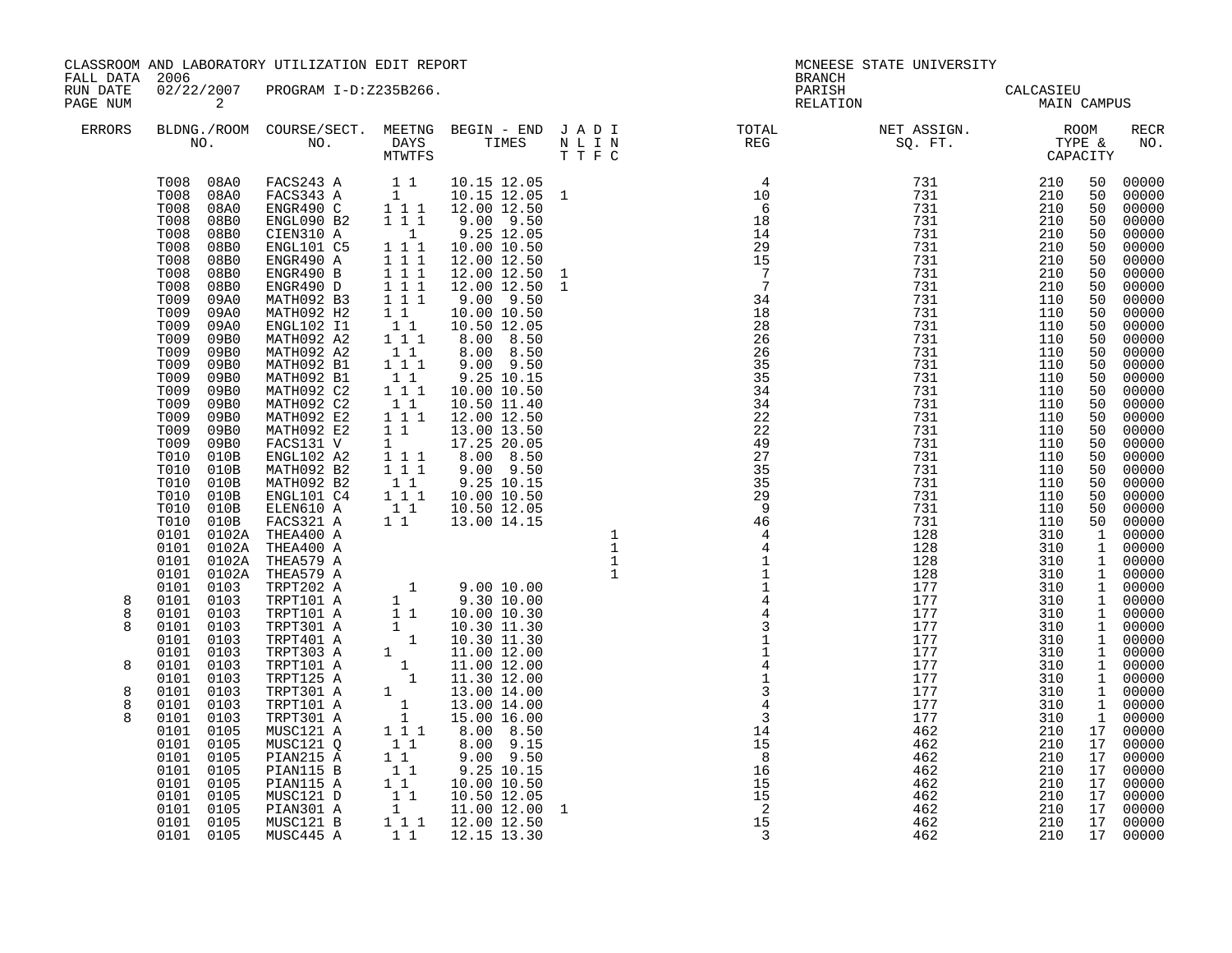| FALL DATA 2006         |                                                                                                                                                                                                                                                                                                                                                                                                                                                                       | CLASSROOM AND LABORATORY UTILIZATION EDIT REPORT                                                                                                                                                                                                                                                                                                                                                                                                                                                                                                                                                                                                                                                                                                                    |                                                                                                                                                                                                                                                                                                                    |                                                                                                                                                                                                                                                                                                                                                                                                                                                                                                                                                                                                                                                      | <b>BRANCH</b>                                                                                                                                                                                                                                                                                                                                                                                                                                  | MCNEESE STATE UNIVERSITY                 |               |                                                                                                                                                    |                                                                                                                                                                                                                                                                                                                             |
|------------------------|-----------------------------------------------------------------------------------------------------------------------------------------------------------------------------------------------------------------------------------------------------------------------------------------------------------------------------------------------------------------------------------------------------------------------------------------------------------------------|---------------------------------------------------------------------------------------------------------------------------------------------------------------------------------------------------------------------------------------------------------------------------------------------------------------------------------------------------------------------------------------------------------------------------------------------------------------------------------------------------------------------------------------------------------------------------------------------------------------------------------------------------------------------------------------------------------------------------------------------------------------------|--------------------------------------------------------------------------------------------------------------------------------------------------------------------------------------------------------------------------------------------------------------------------------------------------------------------|------------------------------------------------------------------------------------------------------------------------------------------------------------------------------------------------------------------------------------------------------------------------------------------------------------------------------------------------------------------------------------------------------------------------------------------------------------------------------------------------------------------------------------------------------------------------------------------------------------------------------------------------------|------------------------------------------------------------------------------------------------------------------------------------------------------------------------------------------------------------------------------------------------------------------------------------------------------------------------------------------------------------------------------------------------------------------------------------------------|------------------------------------------|---------------|----------------------------------------------------------------------------------------------------------------------------------------------------|-----------------------------------------------------------------------------------------------------------------------------------------------------------------------------------------------------------------------------------------------------------------------------------------------------------------------------|
| RUN DATE<br>PAGE NUM   | $\overline{\mathbf{c}}$                                                                                                                                                                                                                                                                                                                                                                                                                                               | 02/22/2007 PROGRAM I-D:Z235B266.                                                                                                                                                                                                                                                                                                                                                                                                                                                                                                                                                                                                                                                                                                                                    |                                                                                                                                                                                                                                                                                                                    |                                                                                                                                                                                                                                                                                                                                                                                                                                                                                                                                                                                                                                                      |                                                                                                                                                                                                                                                                                                                                                                                                                                                | PARISH CALCASIEU<br>RELATION MAIN CAMPUS |               |                                                                                                                                                    |                                                                                                                                                                                                                                                                                                                             |
| ERRORS                 |                                                                                                                                                                                                                                                                                                                                                                                                                                                                       |                                                                                                                                                                                                                                                                                                                                                                                                                                                                                                                                                                                                                                                                                                                                                                     |                                                                                                                                                                                                                                                                                                                    |                                                                                                                                                                                                                                                                                                                                                                                                                                                                                                                                                                                                                                                      | $\begin{tabular}{lllllllllllllllllllll} \textsc{BLONG.} \textsc{F100M.} & \textsc{COURSE/SECT.} & \textsc{METNG.} & \textsc{BEGIN - END.} & \textsc{J A D I} & \textsc{DTATM E} & \textsc{NET ASSIGN.} & \textsc{ROOM} \\ \textsc{NO.} & \textsc{NO.} & \textsc{DAYS} & \textsc{TIMES} & \textsc{N L I N} & \textsc{REG} & \textsc{SEG} & \textsc{ST.} & \textsc{STF.} & \textsc{CTPACITY} \\ & \textsc{MTVTFS} & \textsc{T T F C} & \textsc{$ |                                          |               |                                                                                                                                                    | <b>RECR</b><br>NO.                                                                                                                                                                                                                                                                                                          |
| 8                      | T008<br>08B0<br>T008<br>08B0<br>T008<br>08B0<br>T008<br>08B0<br>T008<br>08B0<br>T009<br>09A0<br>T009<br>09A0<br>T009<br>09A0<br>T009<br>09B0<br>T009<br>09B0<br>T009<br>09B0<br>T009<br>09B0<br>T009<br>09B0<br>T009<br>09B0<br>T009<br>09B0<br>T009<br>09B0<br>T009<br>09B0<br>T010<br>010B<br>T010<br>010B<br>T010<br>010B<br>T010<br>010B<br>T010 010B<br>T010 010B<br>0101 0102A THEA400 A<br>0101<br>0102A<br>0101 0102A<br>0101 0102A<br>0101 0103<br>0101 0103 | $\begin{tabular}{ccccc} T008 & 08A0 & FACS243 A & 11\\ T008 & 08A0 & FACS343 A & 1\\ T008 & 08A0 & ENGR490 C & 1111\\ T008 & 08B0 & ENGL090 B2 & 111 \end{tabular}$<br>CIEN310 A<br>ENGL101 C5<br>ENGR490 A<br>ENGR490 B<br>ENGR490 D<br>MATH092 B3<br>MATH092 H2<br>ENGL102 I1<br>MATH092 A2<br>MATH092 A2<br>MATH092 B1<br>MATH092 B1<br>MATH092 C2<br>MATH092 C2<br>MATH092 E2<br>MATH092 E2<br>FACS131 V<br>ENGL102 A2<br>MATH092 B2<br>MATH092 B2<br>ENGL101 C4<br>ELEN610 A<br>FACS321 A<br>FACS321 A 1 1 13.00 14.15<br>THEA400 A<br>THEA400 A<br>THEA400 A<br>THEA579 A<br>THEA579 A<br>TRPT202 A 1 9.00 10.00<br>TRPT101 A 1 9.30 10.00<br>TRPT101 A 1 10.30 11.30<br>TRPT301 A 1 10.30 11.30<br>TRPT303 A 1 11.00 12.00<br>TRPT101 A 1 11.00<br>THEA579 A | $\overline{1}$<br>$\overline{1}$ $\overline{1}$ $\overline{1}$<br>$1 1 1$<br>$\overline{1}$ $\overline{1}$ $\overline{1}$<br>$1 1 1$<br>$\begin{bmatrix} 1 & 1 & 1 \\ 1 & 1 & 1 \\ 1 & 1 & 1 \end{bmatrix}$<br>$1\quad1$<br>$1 \quad 1 \quad 1$<br>$1\quad1$<br>$1\quad1$<br>$\begin{bmatrix} 1 & 1 \end{bmatrix}$ | 10.15 12.05<br>10.15 12.05 1<br>12.00 12.50<br>9.00 9.50<br>9.25 12.05<br>1 1 1 10.00 10.50<br>12.00 12.50<br>12.00 12.50<br>12.00 12.50<br>$9.00$ $9.50$<br>$\begin{array}{ccc} \bar{1}\ \bar{1} & 10.00\ 10.50\ 1 & 10.50\ 12.05 \end{array}$<br>8.00 8.50<br>8.00 8.50<br>$9.00$ $9.50$<br>9.25 10.15<br>10.00 10.50<br>10.50 11.40<br>1 1 1 1 1 2.00 1 2.50<br>13.00 13.50<br>$\begin{array}{cccc} 1 & 17.25 & 20.05 \\ 1 & 17.25 & 20.05 \\ 1 & 1 & 8.00 & 8.50 \\ 1 & 1 & 9.00 & 9.50 \end{array}$<br>9.00 9.50<br>9.25 10.15<br>$\begin{array}{rrrr} 1 & 1 & 1 & 10.00 & 10.50 \\ 1 & 1 & 10.50 & 12.05 \\ 1 & 1 & 13.00 & 14.15 \end{array}$ |                                                                                                                                                                                                                                                                                                                                                                                                                                                |                                          |               | 50<br>50<br>50<br>50<br>50<br>50<br>50<br>50<br>50<br>50<br>50<br>50<br>50<br>50<br>50<br>50<br>50<br>50<br>50<br>50<br>50<br>50<br>50<br>50<br>50 | 00000<br>00000<br>00000<br>00000<br>00000<br>00000<br>00000<br>00000<br>00000<br>00000<br>00000<br>00000<br>00000<br>00000<br>00000<br>$00000$<br>$00000$<br>00000<br>00000<br>00000<br>00000<br>00000<br>00000<br>00000<br>50 00000<br>00000<br>50 00000<br>1 00000<br>1 00000<br>1 00000<br>1 00000<br>1 00000<br>1 00000 |
| 8<br>8<br>8            | 0101<br>0103<br>0101 0103<br>0101 0103<br>0101<br>0103<br>0101 0103                                                                                                                                                                                                                                                                                                                                                                                                   |                                                                                                                                                                                                                                                                                                                                                                                                                                                                                                                                                                                                                                                                                                                                                                     |                                                                                                                                                                                                                                                                                                                    |                                                                                                                                                                                                                                                                                                                                                                                                                                                                                                                                                                                                                                                      |                                                                                                                                                                                                                                                                                                                                                                                                                                                |                                          |               |                                                                                                                                                    | 1 00000<br>1 00000<br>1 00000<br>1 00000<br>1 00000                                                                                                                                                                                                                                                                         |
| 8<br>8<br>$\mathsf{R}$ | 0101 0103<br>0101 0103<br>0101<br>0103<br>0101 0103<br>0101 0105<br>0101 0105<br>0101 0105<br>0101 0105<br>0101 0105                                                                                                                                                                                                                                                                                                                                                  | MUSC121 Q<br>PIAN215 A<br>PIAN115 B<br>PIAN115 A                                                                                                                                                                                                                                                                                                                                                                                                                                                                                                                                                                                                                                                                                                                    | $\begin{bmatrix} 1 & 1 \\ 1 & 1 \end{bmatrix}$<br>$\begin{bmatrix} 1 \\ 1 \\ 1 \end{bmatrix}$                                                                                                                                                                                                                      | $8.00$ $9.15$<br>$9.00$ $9.50$<br>9.25 10.15<br>10.00 10.50                                                                                                                                                                                                                                                                                                                                                                                                                                                                                                                                                                                          |                                                                                                                                                                                                                                                                                                                                                                                                                                                |                                          |               | 17<br>17<br>17<br>17                                                                                                                               | 1 00000<br>1 00000<br>$\begin{bmatrix} 1 & 00000 \\ 1 & 00000 \end{bmatrix}$<br>17 00000<br>17 00000<br>$00000$<br>$00000$<br>$00000$                                                                                                                                                                                       |
|                        | 0101 0105<br>0101<br>0105<br>0101 0105                                                                                                                                                                                                                                                                                                                                                                                                                                | MUSC121 D<br>PIAN301 A<br>MUSC121 B                                                                                                                                                                                                                                                                                                                                                                                                                                                                                                                                                                                                                                                                                                                                 |                                                                                                                                                                                                                                                                                                                    | $\begin{bmatrix} 1 & 1 & 10.50 & 12.05 \\ 1 & 10.50 & 12.05 \\ 1 & 11.00 & 12.00 & 1 \end{bmatrix}$<br>1 1 1 1 1 1 2 0 1 2 5 0                                                                                                                                                                                                                                                                                                                                                                                                                                                                                                                       |                                                                                                                                                                                                                                                                                                                                                                                                                                                |                                          | 2.10 17 00000 | $\overline{17}$<br>17                                                                                                                              | 00000<br>00000<br>00000                                                                                                                                                                                                                                                                                                     |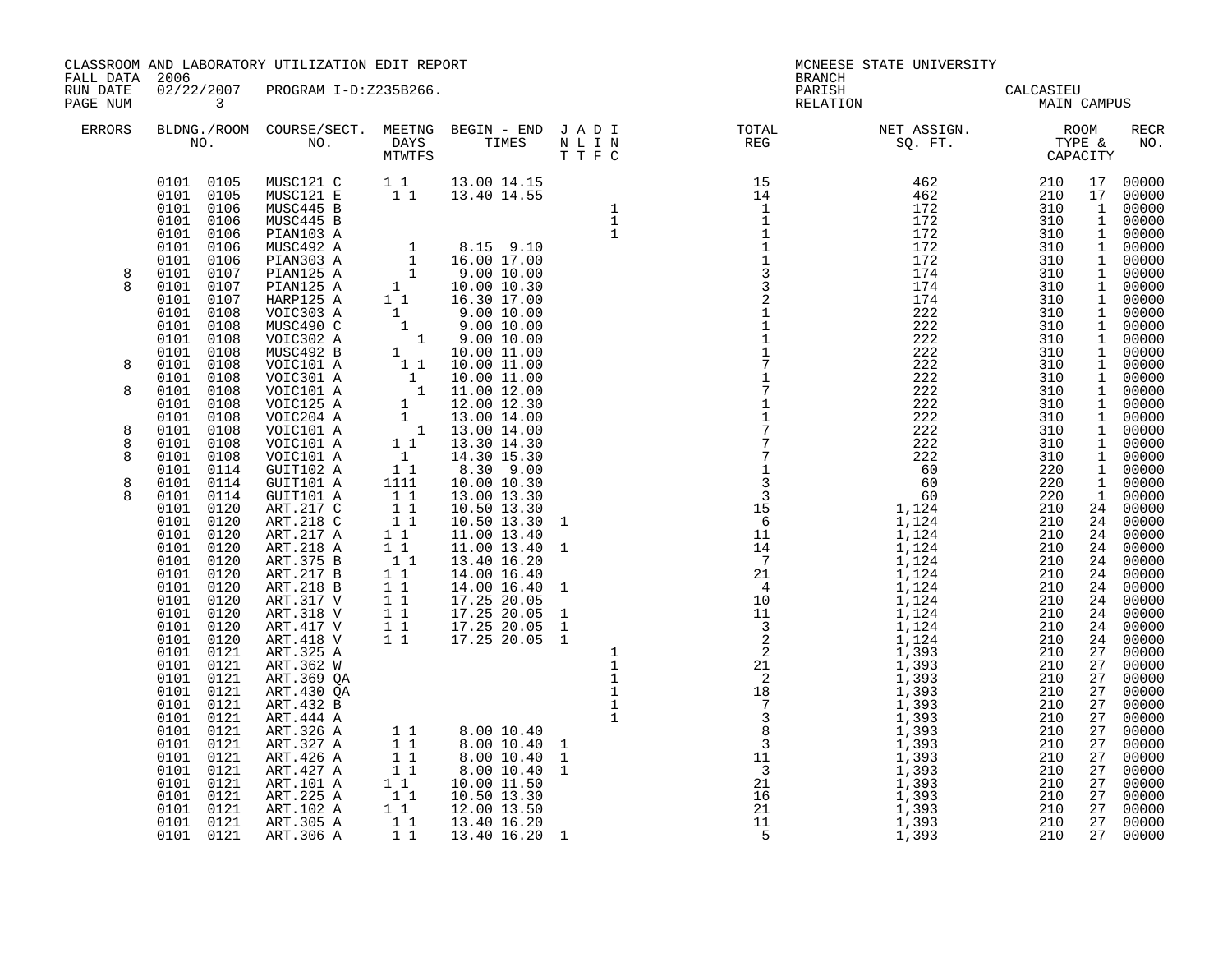| FALL DATA 2006       |                          | CLASSROOM AND LABORATORY UTILIZATION EDIT REPORT |  | <b>BRANCH</b> | MCNEESE STATE UNIVERSITY                 |     |             |
|----------------------|--------------------------|--------------------------------------------------|--|---------------|------------------------------------------|-----|-------------|
| RUN DATE<br>PAGE NUM | $\overline{\phantom{a}}$ | 02/22/2007 PROGRAM I-D:Z235B266.                 |  |               | PARISH CALCASIEU<br>RELATION MAIN CAMPUS |     |             |
| ERRORS               |                          |                                                  |  |               |                                          |     | RECR<br>NO. |
| 8<br>8<br>8          |                          |                                                  |  |               |                                          |     |             |
| 8<br>8<br>8<br>8     |                          |                                                  |  |               |                                          |     |             |
|                      |                          |                                                  |  |               |                                          | 210 |             |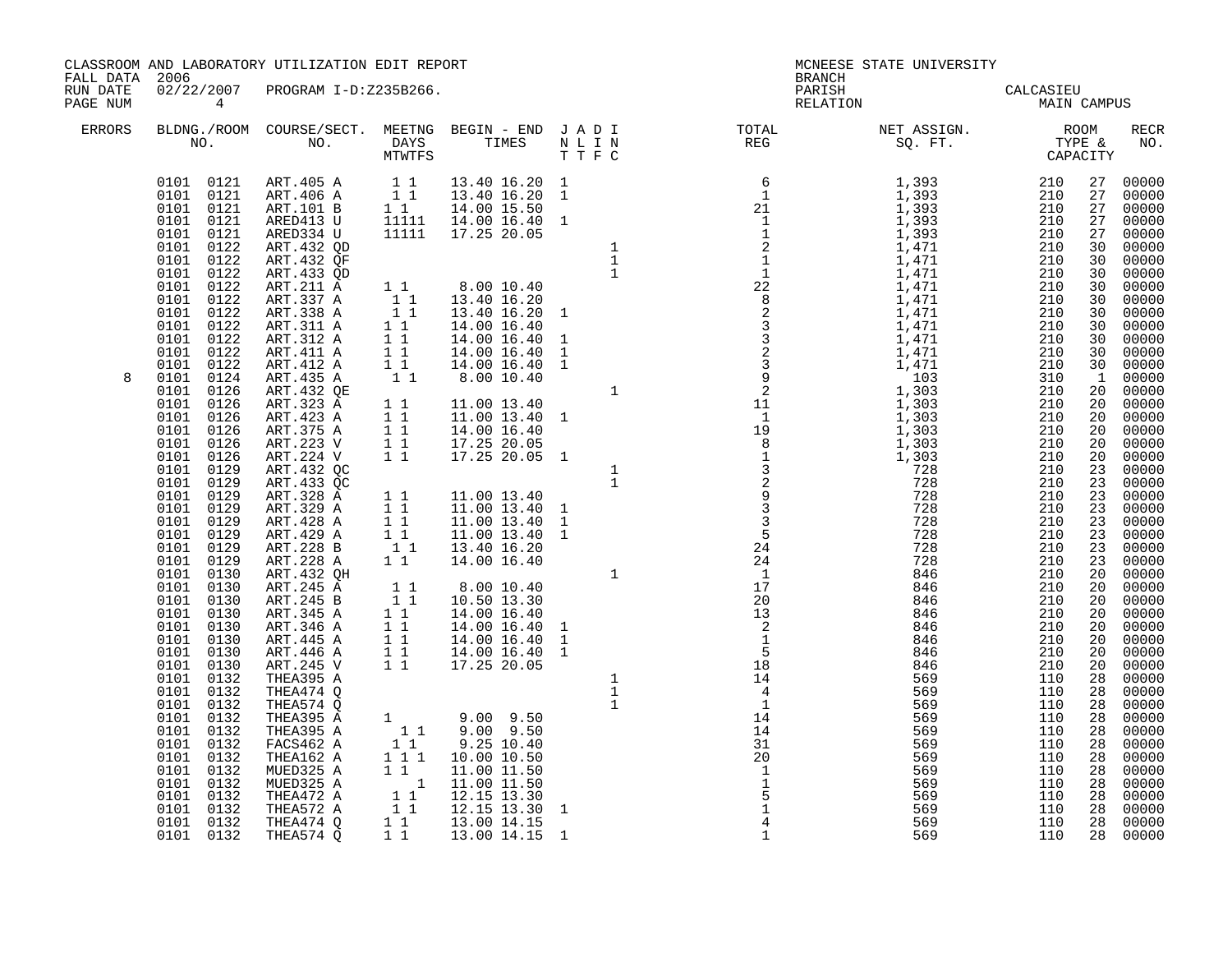CLASSROOM AND LABORATORY UTILIZATION EDIT REPORT NEWSLAMING STATE ON MCNEESE STATE UNIVERSITY

FALL DATA 2006 BRANCH

RUN DATE 02/22/2007 PROGRAM I-D:Z235B266.<br>PAGENUM 4 RELATION MAIN (MAIN)

| PAGE NUM      |                                                                                                                              |                                                                                                           |           |               |                                                                                                                                    |     |     |    |       |
|---------------|------------------------------------------------------------------------------------------------------------------------------|-----------------------------------------------------------------------------------------------------------|-----------|---------------|------------------------------------------------------------------------------------------------------------------------------------|-----|-----|----|-------|
| <b>ERRORS</b> |                                                                                                                              |                                                                                                           |           |               | BLDNG./ROOM COURSE/SECT. MEETNG BEGIN - END JADI TOTAL MET ASSIGN. MET ASSIGN. ROOM ROOM NO. DAYS TIMES NLIN REG REG SQ.FT. TYPE & |     |     |    |       |
|               | 0101 0121<br>0101 0121<br>0101 0121<br>0101<br>0121<br>0101<br>0121<br>0101<br>0122<br>0101<br>0122<br>0101<br>0122          | ART.405 A<br>ART.406 A<br>ART.101 B<br>ARED413 U<br>ARED334 U<br>ART. 432 QD<br>ART. 432 QF<br>ART.433 QD |           |               |                                                                                                                                    |     |     |    |       |
| 8             | 0101<br>0122<br>0122<br>0101<br>0101<br>0122<br>0101<br>0122<br>0101<br>0122<br>0101<br>0122<br>0101<br>0122<br>0101<br>0124 | ART.211 A<br>ART.337 A<br>ART.338 A<br>ART.311 A<br>ART.312 A<br>ART.411 A<br>ART.412 A<br>ART.435 A      |           |               |                                                                                                                                    |     |     |    |       |
|               | 0126<br>0101<br>0101<br>0126<br>0101<br>0126<br>0101<br>0126<br>0101<br>0126<br>0101<br>0126<br>0101<br>0129<br>0101<br>0129 | ART.432 QE<br>ART.323 A<br>ART.423 A<br>ART.375 A<br>ART.223 V<br>ART.224 V<br>ART. 432 QC<br>ART. 433 QC |           |               |                                                                                                                                    |     |     |    |       |
|               | 0101<br>0129<br>0101<br>0129<br>0129<br>0101<br>0101<br>0129<br>0101<br>0129<br>0129<br>0101<br>0101<br>0130                 | ART.328 A<br>ART.329 A<br>ART.428 A<br>ART.429 A<br>ART.228 B<br>ART.228 A<br>ART.432 QH                  |           |               |                                                                                                                                    |     |     |    |       |
|               | 0101<br>0130<br>0101<br>0130<br>0101<br>0130<br>0130<br>0101<br>0101<br>0130<br>0101<br>0130<br>0101<br>0130                 | ART.245 A<br>ART.245 B<br>ART.345 A<br>ART.346 A<br>ART.445 A<br>ART.446 A<br>ART.245 V                   |           |               |                                                                                                                                    |     |     |    |       |
|               | 0101<br>0132<br>0132<br>0101<br>0101<br>0132<br>0101<br>0132<br>0132<br>0101<br>0101<br>0132<br>0101<br>0132<br>0101<br>0132 | THEA395 A<br>THEA474 Q<br>THEA574 Q<br>THEA395 A<br>THEA395 A<br>FACS462 A<br>THEA162 A<br>MUED325 A      |           |               |                                                                                                                                    |     |     |    |       |
|               | 0101<br>0132<br>0101<br>0132<br>0101<br>0132<br>0101 0132<br>0101 0132                                                       | MUED325 A<br>THEA472 A<br>THEA572 A<br>THEA474 Q<br>THEA574 Q                                             | $1\quad1$ | 13.00 14.15 1 | $\mathbf{1}$                                                                                                                       | 569 | 110 | 28 | 00000 |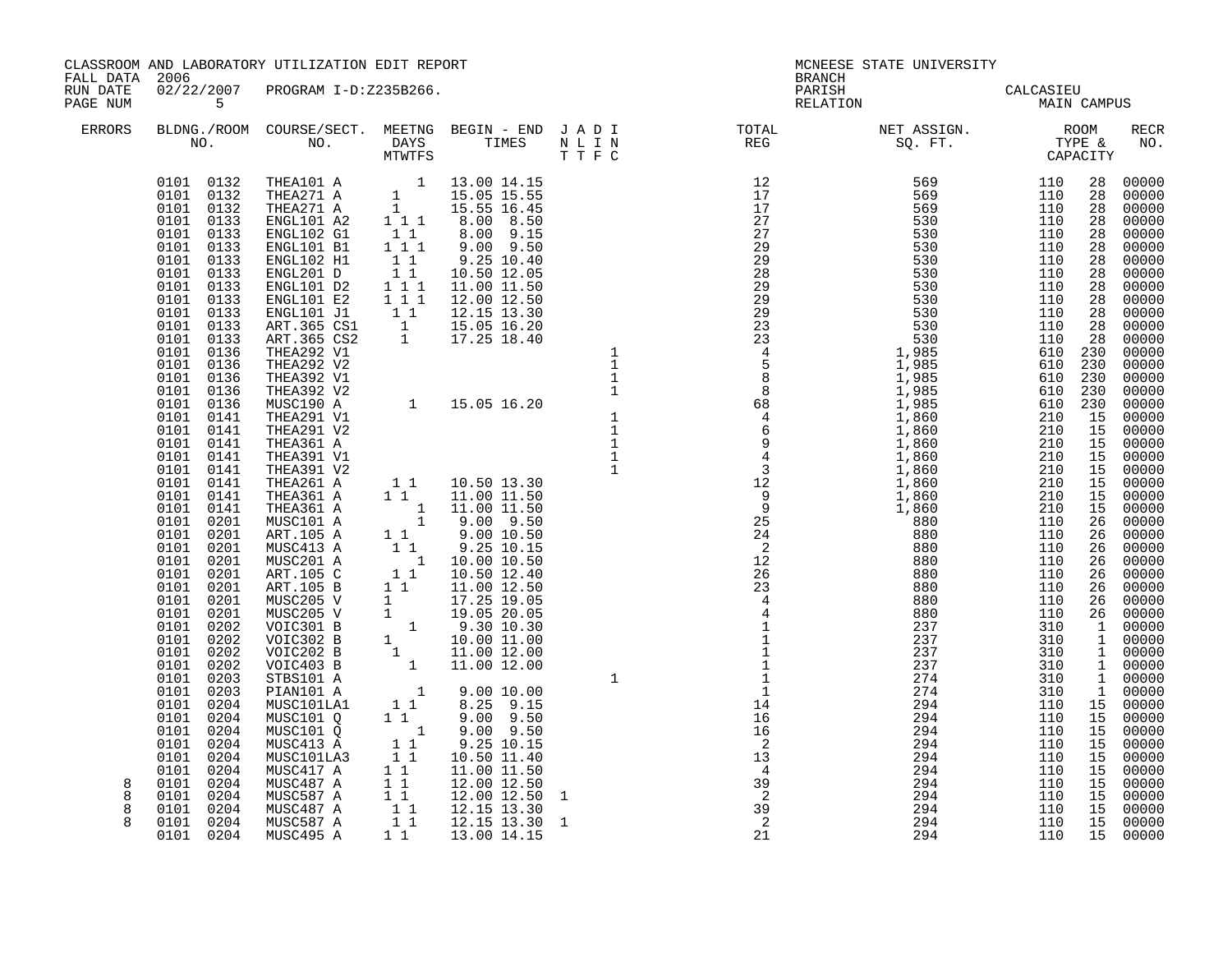| FALL DATA 2006       |                                                                                                                                                                                                                                                                                                                                                                                                                                                                                                                                                                                                                                       | CLASSROOM AND LABORATORY UTILIZATION EDIT REPORT                                                                                                                                                                                                                                                                                                                                                                                                                                                                                                                                                                                                                                      |                                                                                             |                                                                                                                                                                                                                                                                                                                                       |                                                | <b>BRANCH</b>                                                                                                                                                                                                                                                                             | MCNEESE STATE UNIVERSITY                                                                                                                                                                                                                                                                                                                                                                                                                                                                           |                                                                                                                            |                                                                                                                                                                                                                |
|----------------------|---------------------------------------------------------------------------------------------------------------------------------------------------------------------------------------------------------------------------------------------------------------------------------------------------------------------------------------------------------------------------------------------------------------------------------------------------------------------------------------------------------------------------------------------------------------------------------------------------------------------------------------|---------------------------------------------------------------------------------------------------------------------------------------------------------------------------------------------------------------------------------------------------------------------------------------------------------------------------------------------------------------------------------------------------------------------------------------------------------------------------------------------------------------------------------------------------------------------------------------------------------------------------------------------------------------------------------------|---------------------------------------------------------------------------------------------|---------------------------------------------------------------------------------------------------------------------------------------------------------------------------------------------------------------------------------------------------------------------------------------------------------------------------------------|------------------------------------------------|-------------------------------------------------------------------------------------------------------------------------------------------------------------------------------------------------------------------------------------------------------------------------------------------|----------------------------------------------------------------------------------------------------------------------------------------------------------------------------------------------------------------------------------------------------------------------------------------------------------------------------------------------------------------------------------------------------------------------------------------------------------------------------------------------------|----------------------------------------------------------------------------------------------------------------------------|----------------------------------------------------------------------------------------------------------------------------------------------------------------------------------------------------------------|
| RUN DATE<br>PAGE NUM | 5 <sub>5</sub>                                                                                                                                                                                                                                                                                                                                                                                                                                                                                                                                                                                                                        | 02/22/2007 PROGRAM I-D:Z235B266.                                                                                                                                                                                                                                                                                                                                                                                                                                                                                                                                                                                                                                                      |                                                                                             |                                                                                                                                                                                                                                                                                                                                       |                                                |                                                                                                                                                                                                                                                                                           | PARISH CALCASIEU<br>RELATION MAIN CAMPUS                                                                                                                                                                                                                                                                                                                                                                                                                                                           |                                                                                                                            |                                                                                                                                                                                                                |
| ERRORS               |                                                                                                                                                                                                                                                                                                                                                                                                                                                                                                                                                                                                                                       |                                                                                                                                                                                                                                                                                                                                                                                                                                                                                                                                                                                                                                                                                       |                                                                                             |                                                                                                                                                                                                                                                                                                                                       |                                                |                                                                                                                                                                                                                                                                                           | BLDNG./ROOM COURSE/SECT. MEETNG BEGIN – END JADI TOTAL NET ASSIGN. NET ASSIGN. ROOM ROOM COURSE WE BEGIN – END JADI TOTAL TOTAL NET ASSIGN. THE & CAPACITY NO. THE SUMPRES THE THE C                                                                                                                                                                                                                                                                                                               |                                                                                                                            | RECR<br>NO.                                                                                                                                                                                                    |
| 8<br>8<br>8<br>8     | 0101 0133<br>0101 0133<br>0101 0133<br>0101 0133<br>0101 0133<br>0101 0133<br>0101 0133<br>0101 0133<br>0101 0133<br>0101 0136<br>0101 0136<br>0101 0136<br>0101 0136<br>0101 0136<br>0101 0141<br>0101 0141<br>0101 0141<br>0101 0141<br>0101 0141<br>0101 0141<br>0101 0141<br>0101 0141<br>0101 0201<br>0101 0201<br>0101 0201<br>0101 0201<br>0101 0201<br>0101 0201<br>0101 0201<br>0101 0201<br>0101 0202<br>0101<br>0202<br>0101 0202<br>0101<br>0202<br>0101 0203<br>0101 0203<br>0101 0204<br>0101 0204<br>0101 0204<br>0101 0204<br>0101 0204<br>0101 0204<br>0101 0204<br>0101 0204<br>0101 0204<br>0101 0204<br>0101 0204 | $\begin{tabular}{cccccc} 0101 & 0132 & THEA101 & & & & & 1 & 13.00 & 14.15 \\ 0101 & 0132 & THEA271 & A & & & & 15.05 & 15.55 \\ 0101 & 0132 & THEA271 & A & & & & 15.55 & 16.45 \\ 0101 & 0133 & ENGL101 & A2 & & 1 & 1 & 8.00 & 8.50 \\ \end{tabular}$<br>ART.105 B 1 1 10.50 12.40<br>ART.105 B 1 1 11.00 12.50<br>MUSC205 V 1 17.25 19.05<br>MUSC205 V 1 19.05 20.05<br>VOIC301 B 1 9.30 10.30<br>VOIC302 B 1 10.00 11.00<br>VOIC202 B 1 11.00 12.00<br>VOIC403 B 1 11.00 12.00<br>STRS101 A 1 11.00 1<br>STBS101 A<br>PIAN101 A<br>MUSC101LA1<br>MUSC101 Q<br>MUSC101 Q<br>MUSC413 A<br>MUSC101LA3<br>MUSC417 A<br>MUSC487 A<br>MUSC587 A<br>MUSC487 A<br>MUSC587 A<br>MUSC495 A | $\begin{array}{rrrr} & & & 1 \\ & & 1 & 1 \\ & & 1 & 1 \\ & & & 1 \end{array}$<br>$1\quad1$ | $\begin{array}{cccc} & 1 & 9.00 & 10.00 \\ 1 & 1 & 8.25 & 9.15 \\ 1 & 1 & 9.00 & 9.50 \\ \end{array}$<br>9.00 9.50<br>9.25 10.15<br>10.50 11.40<br>11.00 11.50<br>$\begin{array}{rrrr} 1 & 1 & 12.00 & 12.50 \ 1 & 1 & 12.00 & 12.50 \ 1 & 1 & 12.15 & 13.30 \ 1 & 1 & 12.15 & 13.30 \ \end{array}$<br>12.00 12.50<br>1 1 13.00 14.15 | $\mathbf{1}$<br>$\mathbf{1}$<br>$\overline{1}$ | $\begin{array}{r} 28 \\ 23 \\ 4 \\ 4 \\ 1 \\ 1 \\ 1 \\ 1 \\ \end{array}$<br>$\mathbf{1}$<br>$1\overline{4}$<br>$\begin{array}{c}\n 16 \\  16 \\  16\n \end{array}$<br>$\overline{\phantom{0}}^2$<br>13<br>$\overline{4}$<br>39<br>$\begin{array}{c}\n 2 \\  39 \\  2\n \end{array}$<br>21 | $\begin{array}{l} \mbox{min111} \text{A} & \mbox{matrix 1} \text{A} & \mbox{matrix 2} \text{A} & \mbox{matrix 3} \text{A} & \mbox{matrix 4} \text{A} \\ \mbox{min211} \text{A} & 1 & 11 & 10 & 14 & 15 & 15 & 15 & 15 & 15 \\ \mbox{min212} \text{A} & 1 & 1 & 15 & 15 & 15 & 15 & 15 \\ \mbox{min212} \text{A} & 1 & 1 & 15 & 15 & 15 & 15 & 15 \\ \mbox{min212} \$<br>880<br>237<br>237<br>237<br>237<br>274<br>274<br>294<br>294<br>294<br>294<br>294<br>294<br>294<br>294<br>294<br>294<br>294 | 110<br>310<br>310<br>310<br>310<br>310<br>310<br>110<br>110<br>110<br>110<br>110<br>110<br>110<br>110<br>110<br>110<br>110 | 26 00000<br>1 00000<br>1 00000<br>1 00000<br>1 00000<br>1 00000<br>1 00000<br>15 00000<br>15 00000<br>15 00000<br>15 00000<br>15 00000<br>15 00000<br>15 00000<br>15 00000<br>15 00000<br>15 00000<br>15 00000 |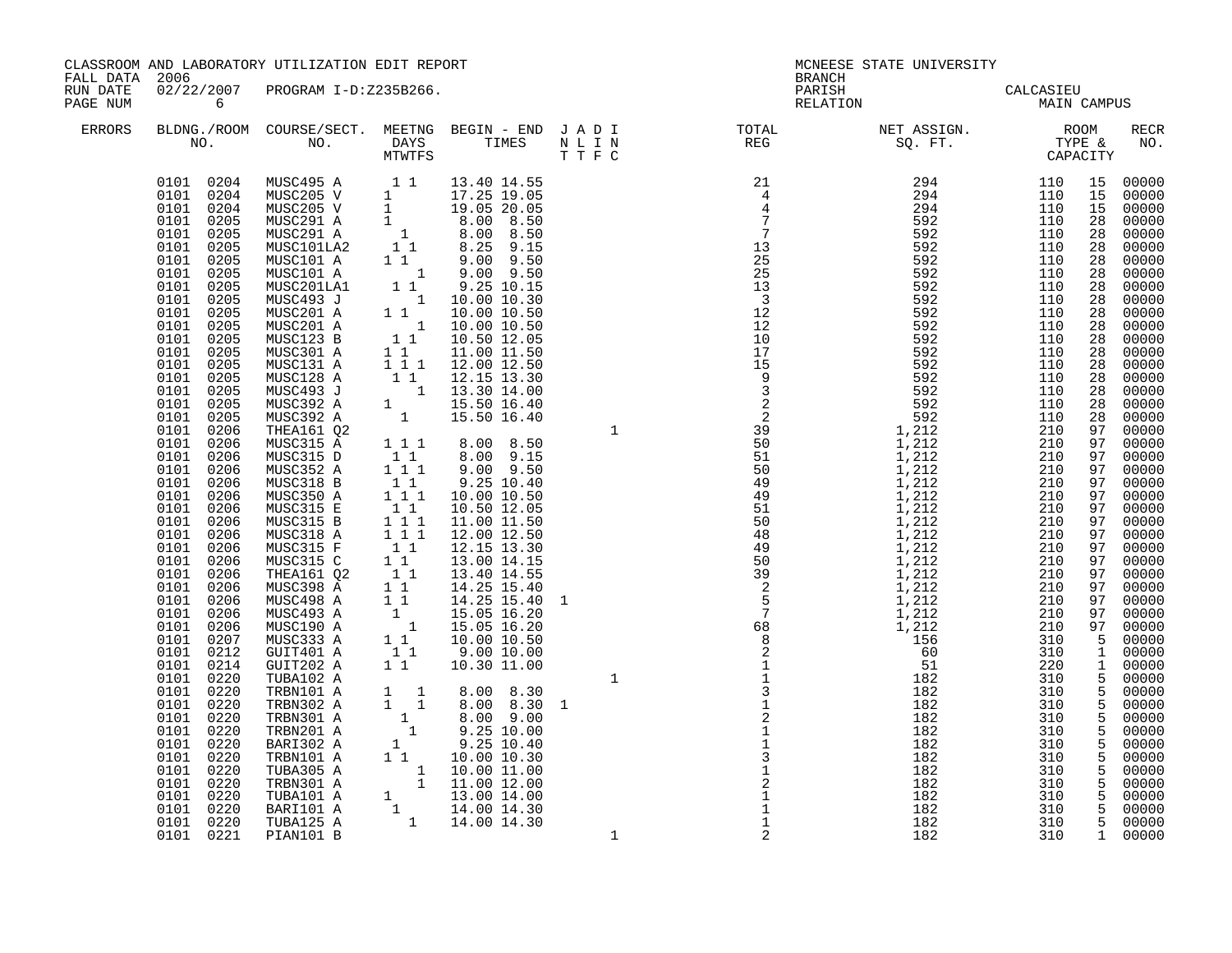| FALL DATA 2006       |                                                                                                                                                                                                                                                                                                                                                                                                                                                                                                                                                                                                                                                                                                                                                                 | CLASSROOM AND LABORATORY UTILIZATION EDIT REPORT                                                                                                                                                                                                                                                                                                                                                                                                                                                                                                                                                                                                                                                                                                      |                                                                                                                                                                                         |                                                                                                                                                                                                                                                                                                                                                                                                                                                                                                                                                                                                                                                                                                                                                                                                                                                                     |     | <b>BRANCH</b> | MCNEESE STATE UNIVERSITY                 |             |             |
|----------------------|-----------------------------------------------------------------------------------------------------------------------------------------------------------------------------------------------------------------------------------------------------------------------------------------------------------------------------------------------------------------------------------------------------------------------------------------------------------------------------------------------------------------------------------------------------------------------------------------------------------------------------------------------------------------------------------------------------------------------------------------------------------------|-------------------------------------------------------------------------------------------------------------------------------------------------------------------------------------------------------------------------------------------------------------------------------------------------------------------------------------------------------------------------------------------------------------------------------------------------------------------------------------------------------------------------------------------------------------------------------------------------------------------------------------------------------------------------------------------------------------------------------------------------------|-----------------------------------------------------------------------------------------------------------------------------------------------------------------------------------------|---------------------------------------------------------------------------------------------------------------------------------------------------------------------------------------------------------------------------------------------------------------------------------------------------------------------------------------------------------------------------------------------------------------------------------------------------------------------------------------------------------------------------------------------------------------------------------------------------------------------------------------------------------------------------------------------------------------------------------------------------------------------------------------------------------------------------------------------------------------------|-----|---------------|------------------------------------------|-------------|-------------|
| RUN DATE<br>PAGE NUM | $6\overline{6}$                                                                                                                                                                                                                                                                                                                                                                                                                                                                                                                                                                                                                                                                                                                                                 | 02/22/2007 PROGRAM I-D:Z235B266.                                                                                                                                                                                                                                                                                                                                                                                                                                                                                                                                                                                                                                                                                                                      |                                                                                                                                                                                         |                                                                                                                                                                                                                                                                                                                                                                                                                                                                                                                                                                                                                                                                                                                                                                                                                                                                     |     |               | PARISH CALCASIEU<br>RELATION MAIN CAMPUS |             |             |
| <b>ERRORS</b>        |                                                                                                                                                                                                                                                                                                                                                                                                                                                                                                                                                                                                                                                                                                                                                                 |                                                                                                                                                                                                                                                                                                                                                                                                                                                                                                                                                                                                                                                                                                                                                       |                                                                                                                                                                                         |                                                                                                                                                                                                                                                                                                                                                                                                                                                                                                                                                                                                                                                                                                                                                                                                                                                                     |     |               |                                          |             | RECR<br>NO. |
|                      | 0101 0204<br>0101 0204<br>0101 0204<br>0101 0205<br>0101 0205<br>0101<br>0205<br>0101 0205<br>0101 0205<br>0101 0205<br>0101 0205<br>0101 0205<br>0101 0205<br>0101 0205<br>0101 0205<br>$\begin{array}{cc} 0101 & 0205 \\ 0101 & 0205 \end{array}$<br>0101 0205<br>0101 0205<br>0101 0205<br>0101 0206<br>0101 0206<br>$0101$ $0206$<br>0101<br>0206<br>$0101$ 0206<br>0101<br>0206<br>0101<br>0206<br>0101<br>0206<br>0101 0206<br>0101<br>0206<br>0101 0206<br>0101 0206<br>0101 0206<br>0101 0206<br>0101 0206<br>0101 0206<br>$\begin{array}{cc} 0101 & 0207 \\ 0101 & 0212 \end{array}$<br>0101 0214<br>0101 0220<br>$\begin{array}{cc} 0101 & 0220 \\ 0101 & 0220 \end{array}$<br>0101<br>0220<br>0101 0220<br>0101<br>0220<br>0101 0220<br>0101<br>0220 | MUSC495 A 1 1 13.40 14.55<br>MUSC205 V 1 17.25 19.05<br>MUSC205 V 1 19.05 20.05<br>MUSC291 A 1 8.00 8.50<br>MUSC291 A 1 8.00 8.50<br>MUSC101<br>A 1 9.00 9.50<br>MUSC101 A 1 9.00 9.50<br>MUSC101 A 1 9.00 9.50<br>MUSC201<br>MUSC203 J 1 10.00 10<br>MUSC201 A<br>MUSC201 A<br>MUSC123 B<br>MUSC301 A<br>MUSC131 A<br>MUSC128 A<br>MUSC493 J<br>MUSC392 A<br>MUSC392 A<br>THEA161 Q2<br>MUSC315 A<br>MUSC315 D<br>MUSC352 A<br>MUSC318 B<br>MUSC350 A<br>MUSC315 E<br>MUSC315 B<br>MUSC318 A<br>MUSC315 F<br>MUSC315 C<br>THEA161 Q2<br>MUSC398 A<br>MUSC498 A<br>MUSC493 A<br>MUSC190 A<br>MUSC333 A<br>GUIT401 A<br>GUIT202 A<br>TUBA102 A<br>TRBN101 A<br>TRBN302 A<br>TRBN301 A<br>TRBN201 A<br>BARI302 A<br>TRBN101 A<br>TUBA305 A<br>TRBN301 A | $1 1 1$<br>$\begin{smallmatrix}1&1&1\\&1&1\end{smallmatrix}$<br>1 1 1<br>$\begin{array}{cccc}\n1 & 1 & 1 \\ 1 & 1 & 1 \\ 1 & 1 & 1 \\ 1 & 1 & 1 \\ 1 & 1 & 1 \\ 1 & 1 & 1\n\end{array}$ | $\begin{array}{cccc} 1 & 10.00 & 10.30\ 1 & 1 & 10.00 & 10.50\ 1 & 1 & 10.00 & 10.50\ 1 & 1 & 10.50 & 12.05\ 1 & 1 & 11.00 & 11.50\ 1 & 1 & 12.00 & 12.50\ 1 & 1 & 12.15 & 13.30 & 14.00\ 1 & 15.50 & 16.40\ 1 & 15.50 & 16.40\ \end{array}$<br>$1 \t1 \t3.00 \t8.50$<br>$1 \t1 \t8.00 \t9.15$<br>$9.00$ $9.50$<br>9.25 10.40<br>10.00 10.50<br>10.50 12.05<br>11.00 11.50<br>12.00 12.50<br>12.15 13.30<br>13.00 14.15<br>13.40 14.55<br>$1\overline{1}$ $14.25\overline{15.40}$<br>1 1 14.25 15.40 1<br>$\begin{array}{cccc} 1 & & 11.25 & 16.20 \ 1 & & 15.05 & 16.20 \ 1 & & 15.05 & 16.20 \ 1 & 1 & & 10.00 & 10.50 \ 1 & 1 & & 9.00 & 10.00 \ 1 & 1 & & 10.30 & 11.00 \end{array}$<br>$\begin{array}{cccc} 1 & 1 & 8.00 & 8.30 \\ 1 & 1 & 8.00 & 8.30 \\ 1 & 1 & 8.00 & 9.00 \\ 1 & 9.25 & 10.00 \\ 1 & 9.25 & 10.40 \\ 1 & 1 & 10.00 & 10.30 \\ \end{array}$ |     |               |                                          |             |             |
|                      | 0101 0220<br>0101 0220<br>0101 0220<br>0101 0220<br>0101 0221 PIAN101 B                                                                                                                                                                                                                                                                                                                                                                                                                                                                                                                                                                                                                                                                                         | TUBA101 A<br>BARI101 A<br>TUBA125 A                                                                                                                                                                                                                                                                                                                                                                                                                                                                                                                                                                                                                                                                                                                   |                                                                                                                                                                                         | $\begin{array}{rrrr} 1&1&10.00&10.30\ 1&10.00&11.00\ 1&11.00&12.00\ 1&13.00&14.00\ 1&14.00&14.30\ 1&14.00&14.30\ \end{array}$                                                                                                                                                                                                                                                                                                                                                                                                                                                                                                                                                                                                                                                                                                                                       | - 1 | 2             | 182                                      | 310 1 00000 |             |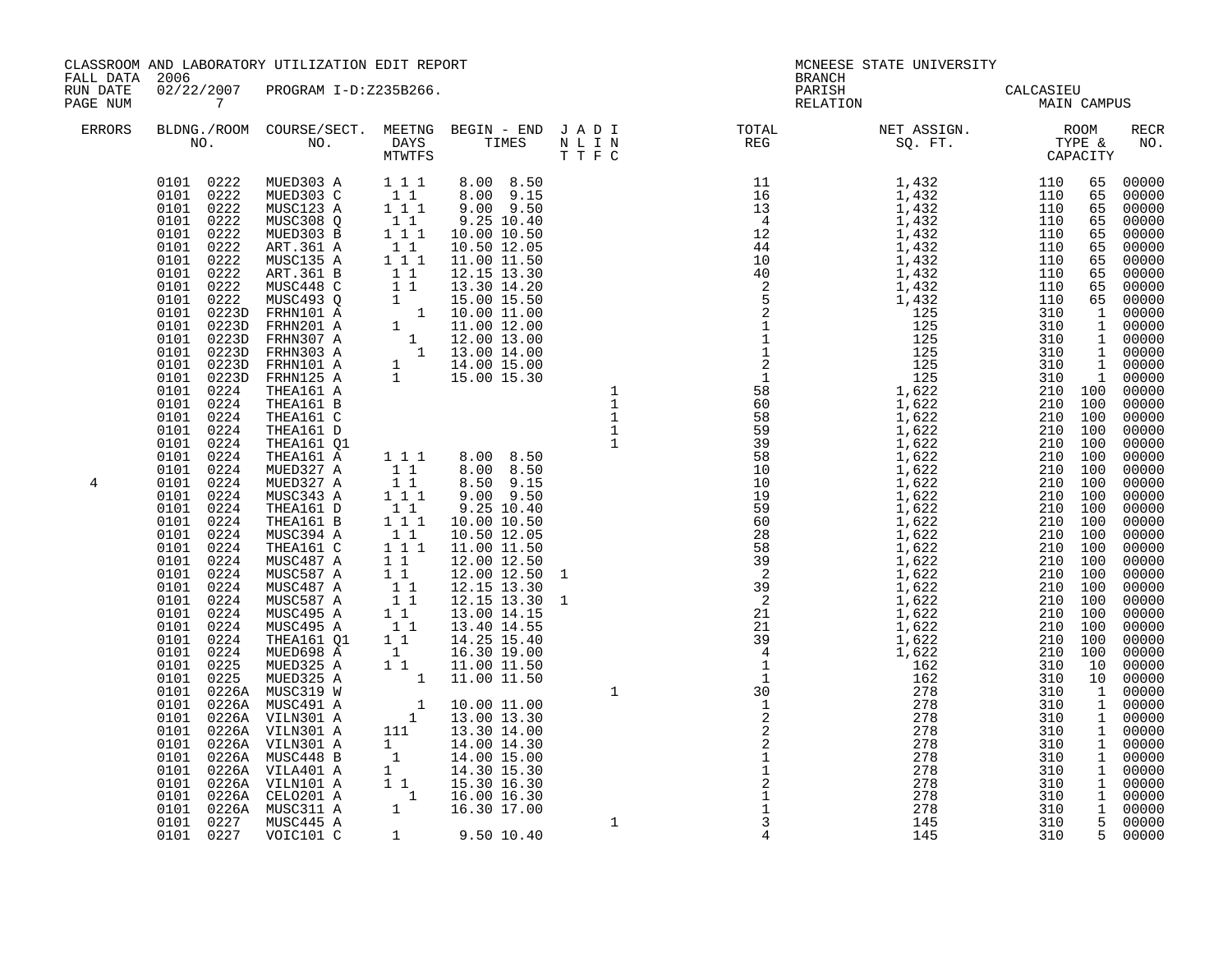| FALL DATA 2006       |                                                                                                                                                                                                                                                                                                                                                                                                       | CLASSROOM AND LABORATORY UTILIZATION EDIT REPORT                                                                                                                                                                                                                                                                                                                                                                                                                                                                                                                                                                   |           |                                                                                                                                                                                                                                                                                                                                                                                                                                                                                                                                                                                                                                                                                                                                |  | MCNEESE STATE UNIVERSITY<br><b>BRANCH</b>                                                                                                                                                                                                                                                                                                                                                                                                                |             |                                                                                                                                                                                                                                                                                                                                                                                                                                                                                                                 |
|----------------------|-------------------------------------------------------------------------------------------------------------------------------------------------------------------------------------------------------------------------------------------------------------------------------------------------------------------------------------------------------------------------------------------------------|--------------------------------------------------------------------------------------------------------------------------------------------------------------------------------------------------------------------------------------------------------------------------------------------------------------------------------------------------------------------------------------------------------------------------------------------------------------------------------------------------------------------------------------------------------------------------------------------------------------------|-----------|--------------------------------------------------------------------------------------------------------------------------------------------------------------------------------------------------------------------------------------------------------------------------------------------------------------------------------------------------------------------------------------------------------------------------------------------------------------------------------------------------------------------------------------------------------------------------------------------------------------------------------------------------------------------------------------------------------------------------------|--|----------------------------------------------------------------------------------------------------------------------------------------------------------------------------------------------------------------------------------------------------------------------------------------------------------------------------------------------------------------------------------------------------------------------------------------------------------|-------------|-----------------------------------------------------------------------------------------------------------------------------------------------------------------------------------------------------------------------------------------------------------------------------------------------------------------------------------------------------------------------------------------------------------------------------------------------------------------------------------------------------------------|
| RUN DATE<br>PAGE NUM | 02/22/2007 PROGRAM I-D:Z235B266.<br>$\overline{7}$                                                                                                                                                                                                                                                                                                                                                    |                                                                                                                                                                                                                                                                                                                                                                                                                                                                                                                                                                                                                    |           |                                                                                                                                                                                                                                                                                                                                                                                                                                                                                                                                                                                                                                                                                                                                |  | PARISH<br>CALCASIEU<br>MAIN C<br>RELATION                                                                                                                                                                                                                                                                                                                                                                                                                | MAIN CAMPUS |                                                                                                                                                                                                                                                                                                                                                                                                                                                                                                                 |
| <b>ERRORS</b>        |                                                                                                                                                                                                                                                                                                                                                                                                       |                                                                                                                                                                                                                                                                                                                                                                                                                                                                                                                                                                                                                    |           |                                                                                                                                                                                                                                                                                                                                                                                                                                                                                                                                                                                                                                                                                                                                |  | $\begin{tabular}{lllllllllllllllllllll} \textsc{BLING} & \textsc{COURSE/SECT}. & \textsc{MEETNG} & \textsc{BEGIN} & - & \textsc{END} & \textsc{J} & \textsc{A} & \textsc{D} & \textsc{I} & & & \textsc{TCTAL} & & \textsc{NET} & \textsc{ASIGN}. & & \textsc{ROOM} & \textsc{RECR} \\ \textsc{NO.} & \textsc{NO.} & \textsc{DAYS} & \textsc{TIMES} & \textsc{N} & \textsc{L} & \textsc{I} & & \textsc{NEG} & & \textsc{SEG} & & \textsc{ST} & & \textsc$ |             |                                                                                                                                                                                                                                                                                                                                                                                                                                                                                                                 |
| 4                    | $0101$ $0224$<br>$0101$ $0224$<br>$0101$ $0224$<br>0101 0224<br>$0101$ $0224$<br>0101 0224<br>0101 0224<br>0101 0224<br>0101 0224<br>0101 0224<br>0101 0224<br>0101 0224<br>0101 0224<br>0101 0224<br>0101 0224<br>0101 0224<br>0101 0224<br>0101 0224<br>0101 0224<br>$0101$ $0224$<br>0101 0224<br>0101 0225<br>$0101$ $0225$<br>0101 0226A MUSC319 W<br>0101 0227 MUSC445 A<br>0101 0227 VOIC101 C | $\begin{array}{cccc} 0101 & 0222 & \text{MUED303 A} & 1 & 1 & 1 \\ 0101 & 0222 & \text{MUED303 C} & 1 & 1 \\ 0101 & 0222 & \text{MUSC123 A} & 1 & 1 & 1 \\ 0101 & 0222 & \text{MUSC308 Q} & 1 & 1 \\ 0101 & 0222 & \text{MUED303 B} & 1 & 1 \\ 0101 & 0222 & \text{MUED303 B} & 1 & 1 \\ \end{array}$<br>THEA161 A<br>THEA161 B<br>THEA161 C<br>THEA161 D<br>THEA161 Q1<br>THEA161 A<br>MUED327 A<br>MUED327 A<br>MUSC343 A<br>THEA161 D<br>THEA161 B<br>MUSC394 A<br>THEA161 C<br>MUSC487 A<br>MUSC587 A<br>MUSC487 A<br>MUSC587 A<br>MUSC495 A<br>MUSC495 A<br>THEA161 Q1<br>MUED698 A<br>MUED325 A<br>MUED325 A | $1\quad1$ | 8.00 8.50<br>8.00 9.15<br>9.00 9.50<br>9.25 10.40<br>10.00 10.50<br>$\begin{array}{cccc} 1 & 13.00 & 13.30 \\ 1 & 1 & 8.00 & 8.50 \\ 1 & 1 & 8.00 & 8.50 \\ 1 & 1 & 8.00 & 8.50 \\ 1 & 1 & 8.50 & 9.15 \\ 1 & 1 & 9.00 & 9.50 \\ 1 & 1 & 9.25 & 10.40 \\ 1 & 1 & 10.00 & 10.50 \\ 1 & 1 & 10.50 & 12.05 \\ 1 & 1 & 11.00 & 11.50 \\ 1 & 12.00 & 12.50 \\ \end{array}$<br>$\begin{bmatrix} 1 & 1 & 12.00 & 12.50 & 1 \\ 1 & 12.00 & 12.50 & 1 \\ 1 & 1 & 12.15 & 13.30 & 1 \\ 1 & 1 & 12.15 & 13.30 & 1 \\ 1 & 1 & 13.00 & 14.15 & 1 \\ 1 & 13.40 & 14.55 & 1 \end{bmatrix}$<br>14.25 15.40<br>$\begin{bmatrix} 1 & 16.30 & 19.00 \\ 1 & 16.30 & 19.00 \\ 1 & 11.00 & 11.50 \\ 1 & 11.00 & 11.50 \end{bmatrix}$<br>1 9.50 10.40 |  | $\begin{smallmatrix} \text{1.} & \text{1.} & \text{1.} & \text{1.} & \text{1.} & \text{1.} & \text{1.} & \text{1.} & \text{1.} & \text{1.} & \text{1.} & \text{1.} & \text{1.} & \text{1.} & \text{1.} & \text{1.} & \text{1.} & \text{1.} & \text{1.} & \text{1.} & \text{1.} & \text{1.} & \text{1.} & \text{1.} & \text{1.} & \text{1.} & \text{1.} & \text{1.} & \text{1.} & \text{1.} & \text{1$<br>145                                             | 310         | 65 00000<br>65 00000<br>00000<br>00000<br>00000<br>00000<br>00000<br>00000<br>65 00000<br>65 00000<br>00000<br>00000<br>00000<br>1 00000<br>1 00000<br>1 00000<br>100 00000<br>100 00000<br>100 00000<br>00000<br>00000<br>00000<br>00000<br>00000<br>00000<br>00000<br>00000<br>00000<br>00000<br>00000<br>00000<br>00000<br>00000<br>00000<br>00000<br>00000<br>00000<br>00000<br>00000<br>00000<br>00000<br>1 00000<br>00000<br>00000<br>00000<br>1 00000<br>00000<br>1 00000<br>00000<br>5 00000<br>5 00000 |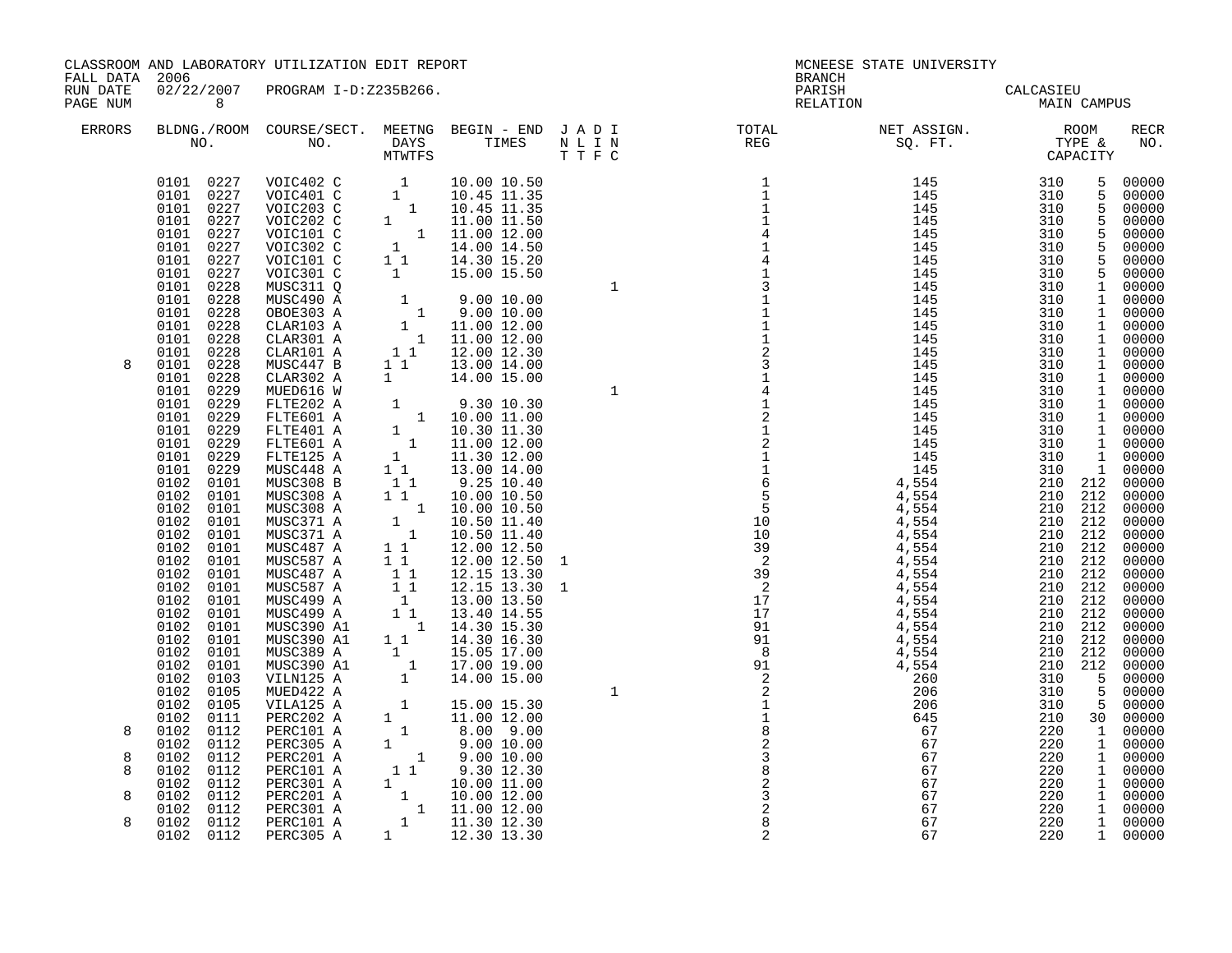|                                        |                                                                              | CLASSROOM AND LABORATORY UTILIZATION EDIT REPORT                                                                                                                                                                                                                                                                     |                                                                                                                                                                                                                                                                                                    |               | MCNEESE STATE UNIVERSITY                                                                                                                                                                                                                                                                                                                                                                                                             |     |                                |
|----------------------------------------|------------------------------------------------------------------------------|----------------------------------------------------------------------------------------------------------------------------------------------------------------------------------------------------------------------------------------------------------------------------------------------------------------------|----------------------------------------------------------------------------------------------------------------------------------------------------------------------------------------------------------------------------------------------------------------------------------------------------|---------------|--------------------------------------------------------------------------------------------------------------------------------------------------------------------------------------------------------------------------------------------------------------------------------------------------------------------------------------------------------------------------------------------------------------------------------------|-----|--------------------------------|
| FALL DATA 2006<br>RUN DATE<br>PAGE NUM | 8 <sup>8</sup>                                                               | 02/22/2007 PROGRAM I-D:Z235B266.                                                                                                                                                                                                                                                                                     |                                                                                                                                                                                                                                                                                                    | <b>BRANCH</b> | PARISH CALCASIEU<br>RELATION MAIN CAMPUS                                                                                                                                                                                                                                                                                                                                                                                             |     |                                |
| ERRORS                                 |                                                                              |                                                                                                                                                                                                                                                                                                                      |                                                                                                                                                                                                                                                                                                    |               |                                                                                                                                                                                                                                                                                                                                                                                                                                      |     | RECR<br>NO.                    |
|                                        |                                                                              | $\begin{tabular}{cccc} 0101 & 0227 & \text{VOIC402 C} & 1 & 10.00 10.50 \\ 0101 & 0227 & \text{VOIC401 C} & 1 & 10.45 11.35 \\ 0101 & 0227 & \text{VOIC203 C} & 1 & 10.45 11.35 \\ 0101 & 0227 & \text{VOIC202 C} & 1 & 11.00 11.50 \\ 0101 & 0227 & \text{VOIC101 C} & 1 & 11.00 12.00 \\ 0101 & 0227 & \text{VOIC$ |                                                                                                                                                                                                                                                                                                    |               |                                                                                                                                                                                                                                                                                                                                                                                                                                      |     | $\frac{5}{5}$ 00000<br>5 00000 |
|                                        | 0101 0228<br>0101 0228                                                       | MUSC311 Q<br>MUSC490 A                                                                                                                                                                                                                                                                                               |                                                                                                                                                                                                                                                                                                    |               |                                                                                                                                                                                                                                                                                                                                                                                                                                      |     |                                |
|                                        | 0101 0228<br>0101 0228<br>0101 0228<br>0101 0228                             | OBOE303 A<br>CLAR103 A<br>CLAR301 A<br>CLAR101 A                                                                                                                                                                                                                                                                     | $\begin{array}{cccc} 1 & 9.00 & 10.00 \\ 1 & 9.00 & 10.00 \\ 1 & 11.00 & 12.00 \\ 1 & 11.00 & 12.00 \\ 1 & 12.00 & 12.30 \\ \end{array}$                                                                                                                                                           |               |                                                                                                                                                                                                                                                                                                                                                                                                                                      |     |                                |
| 8                                      | 0101<br>0228<br>0101<br>0228<br>0101<br>0229<br>0101<br>0229<br>0101<br>0229 | MUSC447 B<br>CLAR302 A<br>MUED616 W<br>FLTE202 A<br>FLTE601 A                                                                                                                                                                                                                                                        | 1 1 1 13.00 14.00<br>1   14.00   15.00                                                                                                                                                                                                                                                             |               |                                                                                                                                                                                                                                                                                                                                                                                                                                      |     |                                |
|                                        | 0101<br>0229<br>0101<br>0229<br>0101<br>0229<br>0101<br>0229<br>0102 0101    | FLTE401 A<br>FLTE601 A<br>FLTE125 A<br>MUSC448 A<br>MUSC308 B                                                                                                                                                                                                                                                        |                                                                                                                                                                                                                                                                                                    |               |                                                                                                                                                                                                                                                                                                                                                                                                                                      |     |                                |
|                                        | 0102 0101<br>0102 0101<br>0102 0101<br>0102 0101                             | MUSC308 A<br>MUSC308 A<br>MUSC371 A<br>MUSC371 A                                                                                                                                                                                                                                                                     | $\begin{array}{cccc} 1 & 9.30 & 10.30 \\ 1 & 10.00 & 11.00 \\ 1 & 10.30 & 11.30 \\ 1 & 11.00 & 12.00 \\ 1 & 11.30 & 12.00 \\ 1 & 1 & 3.00 & 14.00 \\ 1 & 9.25 & 10.40 \\ 1 & 10.00 & 10.50 \\ 1 & 10.50 & 11.40 \\ 1 & 10.50 & 11.40 \\ 1 & 12.00 & 12.50 \\ 1 & 1 & 12.00 & 12.50 \\ \end{array}$ |               |                                                                                                                                                                                                                                                                                                                                                                                                                                      |     |                                |
|                                        | 0102<br>0101<br>0102 0101<br>0102 0101<br>0102 0101<br>0102 0101             | MUSC487 A<br>MUSC587 A<br>MUSC487 A<br>MUSC587 A<br>MUSC499 A                                                                                                                                                                                                                                                        | $\begin{array}{rrrr} 1&1&12.00&12.50\ 1&1&12.00&12.50\ 1&1&12.15&13.30\ 1&1&12.15&13.30\ 1&1&13.00&13.50\ 1&1&13.40&14.55\ 1&1&14.30&15.30\ \end{array}$                                                                                                                                           |               |                                                                                                                                                                                                                                                                                                                                                                                                                                      |     |                                |
|                                        | 0102 0101<br>0102 0101<br>0102 0101<br>0102<br>0101<br>0102 0101             | MUSC499 A<br>MUSC390 A1<br>MUSC390 A1<br>MUSC389 A<br>MUSC390 A1                                                                                                                                                                                                                                                     |                                                                                                                                                                                                                                                                                                    |               | $\begin{smallmatrix} \textbf{N} & \textbf{R} & \textbf{R} & \textbf{R} & \textbf{R} & \textbf{R} & \textbf{R} & \textbf{R} & \textbf{R} & \textbf{R} & \textbf{R} & \textbf{R} & \textbf{R} & \textbf{R} & \textbf{R} & \textbf{R} & \textbf{R} & \textbf{R} & \textbf{R} & \textbf{R} & \textbf{R} & \textbf{R} & \textbf{R} & \textbf{R} & \textbf{R} & \textbf{R} & \textbf{R} & \textbf{R} & \textbf{R} & \textbf{R} & \textbf{$ |     |                                |
|                                        | 0102 0103<br>0102 0105<br>0102<br>0105<br>0102<br>0111                       | VILN125 A<br>MUED422 A<br>VILA125 A<br>PERC202 A                                                                                                                                                                                                                                                                     |                                                                                                                                                                                                                                                                                                    |               |                                                                                                                                                                                                                                                                                                                                                                                                                                      |     |                                |
| 8<br>8<br>8                            | 0102<br>0112<br>0102<br>0112<br>0102<br>0112<br>0102<br>0112<br>0102<br>0112 | PERC101 A<br>PERC305 A<br>PERC201 A<br>PERC101 A<br>PERC301 A                                                                                                                                                                                                                                                        | $\begin{array}{cccc} 1 & 14.30 & 15.30 \\ 1 & 14.30 & 16.30 \\ 1 & 15.05 & 17.00 \\ 1 & 17.00 & 19.00 \\ 1 & 14.00 & 15.00 \\ 1 & 15.00 & 15.30 \\ 1 & 15.00 & 15.30 \\ 1 & 10.00 & 12.00 \\ 1 & 9.00 & 10.00 \\ 1 & 9.00 & 10.00 \\ 1 & 1 & 9.30 & 12.30 \\ 1 & 10.00 & 11.00 \\ 1 & 11.00$       |               |                                                                                                                                                                                                                                                                                                                                                                                                                                      |     |                                |
| 8<br>8                                 | 0102 0112<br>0102 0112<br>0102 0112                                          | PERC201 A<br>PERC301 A<br>PERC101 A<br>0102 0112 PERC305 A 1 12.30 13.30                                                                                                                                                                                                                                             |                                                                                                                                                                                                                                                                                                    | 2             | 67                                                                                                                                                                                                                                                                                                                                                                                                                                   | 220 | 1 00000                        |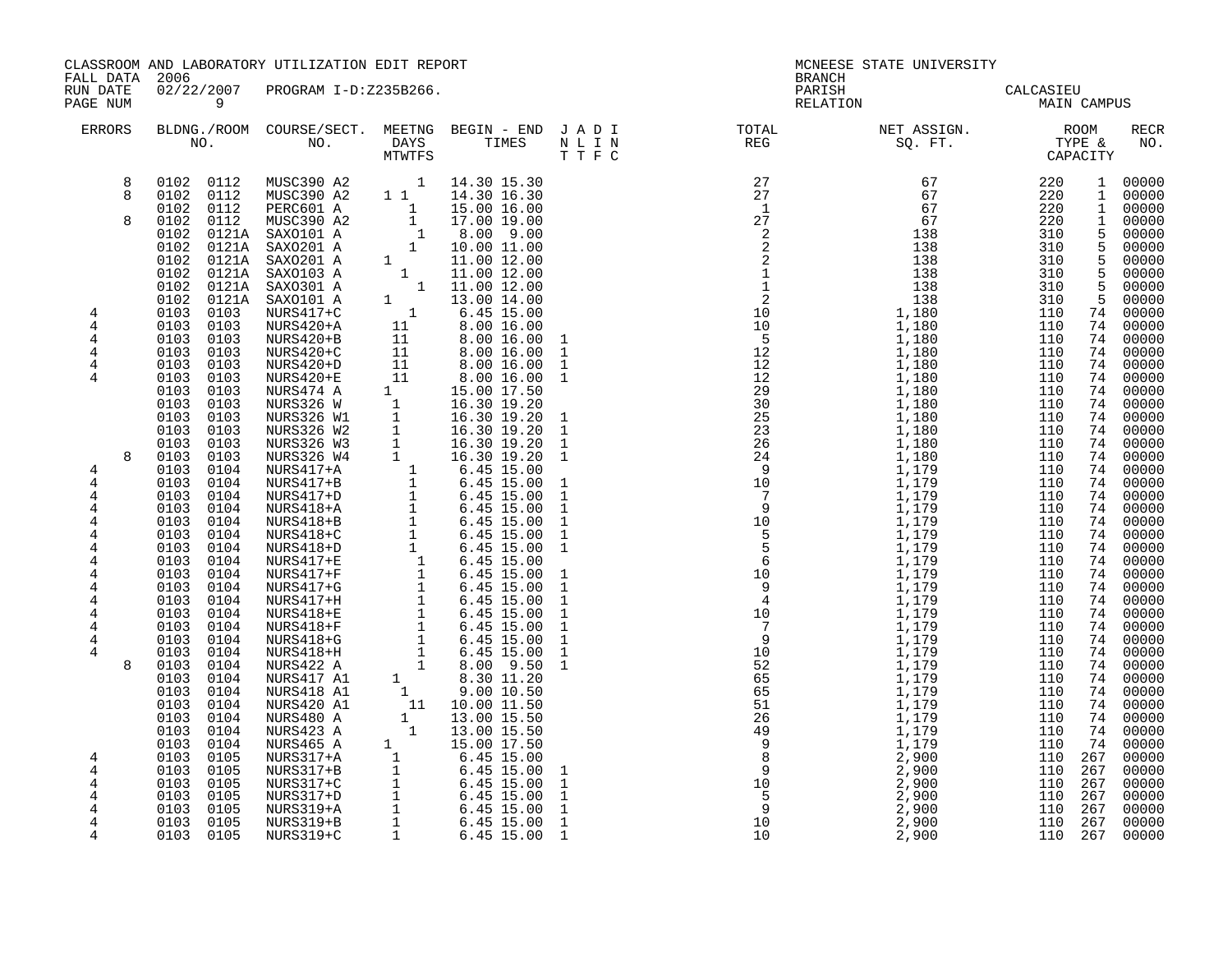| FALL DATA 2006                                                              |                                                                                                                                                                                           | CLASSROOM AND LABORATORY UTILIZATION EDIT REPORT                                                                                                                                                                                                                                                      |  |                                                                                                                                              | <b>BRANCH</b>      | MCNEESE STATE UNIVERSITY                                                                                                                                                                                                                                                                                                                                                                                                                                   |             |                                 |
|-----------------------------------------------------------------------------|-------------------------------------------------------------------------------------------------------------------------------------------------------------------------------------------|-------------------------------------------------------------------------------------------------------------------------------------------------------------------------------------------------------------------------------------------------------------------------------------------------------|--|----------------------------------------------------------------------------------------------------------------------------------------------|--------------------|------------------------------------------------------------------------------------------------------------------------------------------------------------------------------------------------------------------------------------------------------------------------------------------------------------------------------------------------------------------------------------------------------------------------------------------------------------|-------------|---------------------------------|
| RUN DATE<br>PAGE NUM                                                        | $\overline{9}$                                                                                                                                                                            | 02/22/2007 PROGRAM I-D:Z235B266.                                                                                                                                                                                                                                                                      |  |                                                                                                                                              | PARISH<br>RELATION | CALCASIEU<br>MAIN C                                                                                                                                                                                                                                                                                                                                                                                                                                        | MAIN CAMPUS |                                 |
| ERRORS                                                                      |                                                                                                                                                                                           |                                                                                                                                                                                                                                                                                                       |  |                                                                                                                                              |                    | $\begin{tabular}{lllllllllllllllllllll} \textsc{BLONG.} \textsc{F100M.} & \textsc{CUIRSE/SECT.} & \textsc{METING.} & \textsc{BEGIN - END.} & \textsc{J A D I} & \textsc{DTQTAL} & \textsc{NET ASSIGN.} & \textsc{ROOM} \\ \textsc{NO.} & \textsc{NO.} & \textsc{DAYS} & \textsc{TIMES} & \textsc{N L I N} & \textsc{REG} & \textsc{SEG} & \textsc{ST.} & \textsc{STQ.} & \textsc{TTP E} & \textsc{CAPACITY} \\ & \textsc{MTVTFS} & \textsc$                |             | RECR<br>NO.                     |
| 8<br>8<br>8                                                                 | 0102 0112<br>0102 0112<br>0102 0112<br>0102<br>0102<br>0102<br>0102<br>0102                                                                                                               | MUSC390 A2 1 14.30 15.30                                                                                                                                                                                                                                                                              |  |                                                                                                                                              |                    |                                                                                                                                                                                                                                                                                                                                                                                                                                                            |             | 1 00000<br>$500000$<br>$500000$ |
| 4<br>4<br>$\overline{4}$<br>4<br>4<br>4                                     | 0102<br>0102<br>0103<br>0103<br>0103<br>0103<br>0103<br>0103<br>0103<br>0103<br>0103<br>0103<br>0103                                                                                      | $\begin{tabular}{@{}c@{}}\n 0112 & MUSC390 & A2 & 1 & 14.30 & 15.30\\ \n 0112 & MUSC390 & A2 & 1 & 14.30 & 16.30\\ \n 0112 & PERC601 & A & 1 & 15.00 & 16.00\\ \n 0112 & MUSC390 & A2 & 1 & 17.00 & 19.00\\ \n 0121A & SAX0101 & 1 & 10.00 & 11.00\\ \n 0121A & SAX0201 & A & 1 & 11.00 & 12.00\\ \n$ |  | $\mathbf{1}$<br>$\mathbf 1$<br>$\mathbf{1}$<br>$\mathbf{1}$<br>$\mathbf 1$                                                                   |                    |                                                                                                                                                                                                                                                                                                                                                                                                                                                            |             |                                 |
| 8<br>4<br>4<br>$\overline{4}$<br>4<br>4<br>4<br>4<br>4                      | 0103<br>0103<br>0103<br>0103<br>0103 0103<br>0103 0104<br>0103 0104<br>0103<br>0104<br>0103<br>0104<br>0103<br>0104<br>0103<br>0104<br>0103<br>0104<br>0103<br>0104                       |                                                                                                                                                                                                                                                                                                       |  | $\mathbf{1}$<br>$\mathbf{1}$<br>$\mathbf{1}$<br>$\mathbf{1}$<br>$\mathbf{1}$<br>$\mathbf{1}$<br>$\mathbf{1}$<br>$\mathbf{1}$<br>$\mathbf{1}$ |                    |                                                                                                                                                                                                                                                                                                                                                                                                                                                            |             |                                 |
| 4<br>$\overline{4}$<br>4<br>$\overline{4}$<br>4<br>$\overline{4}$<br>4<br>8 | 0103<br>0104<br>0103<br>0104<br>0103<br>0104<br>0103<br>0104<br>0103<br>0104<br>0103<br>0104<br>0103 0104<br>0103<br>0104<br>0103<br>0104<br>0103<br>0104<br>0103<br>0104<br>0103<br>0104 |                                                                                                                                                                                                                                                                                                       |  | $\mathbf{1}$<br>$\mathbf{1}$<br>$\mathbf{1}$<br>$\mathbf{1}$<br>$\mathbf{1}$<br>$\mathbf{1}$<br>$\mathbf{1}$<br>$\mathbf{1}$                 |                    | $\begin{tabular}{0.5cm} \textbf{1.18}\footnote{ \textbf{1.19}\footnote{ \textbf{2.19}\footnote{ \textbf{2.19}\footnote{ \textbf{2.19}\footnote{ \textbf{2.19}\footnote{ \textbf{2.19}\footnote{ \textbf{2.19}\footnote{ \textbf{2.19}\footnote{ \textbf{2.19}\footnote{ \textbf{2.19}\footnote{ \textbf{2.19}\footnote{ \textbf{2.19}\footnote{ \textbf{2.19}\footnote{ \textbf{2.19}\footnote{ \textbf{2.19}\footnote{ \textbf{2.19}\footnote{ \textbf{2$ |             |                                 |
| 4<br>4<br>4<br>4<br>4<br>4<br>4                                             | 0103<br>0104<br>0103<br>0104<br>0103<br>0105<br>0103<br>0105<br>0103<br>0105<br>0103<br>0105<br>0103<br>0105<br>0103 0105<br>0103 0105                                                    |                                                                                                                                                                                                                                                                                                       |  | $\mathbf{1}$<br>$\mathbf{1}$<br>$\mathbf{1}$<br>$\mathbf 1$<br>$\mathbf 1$<br>$\mathbf{1}$                                                   |                    |                                                                                                                                                                                                                                                                                                                                                                                                                                                            |             |                                 |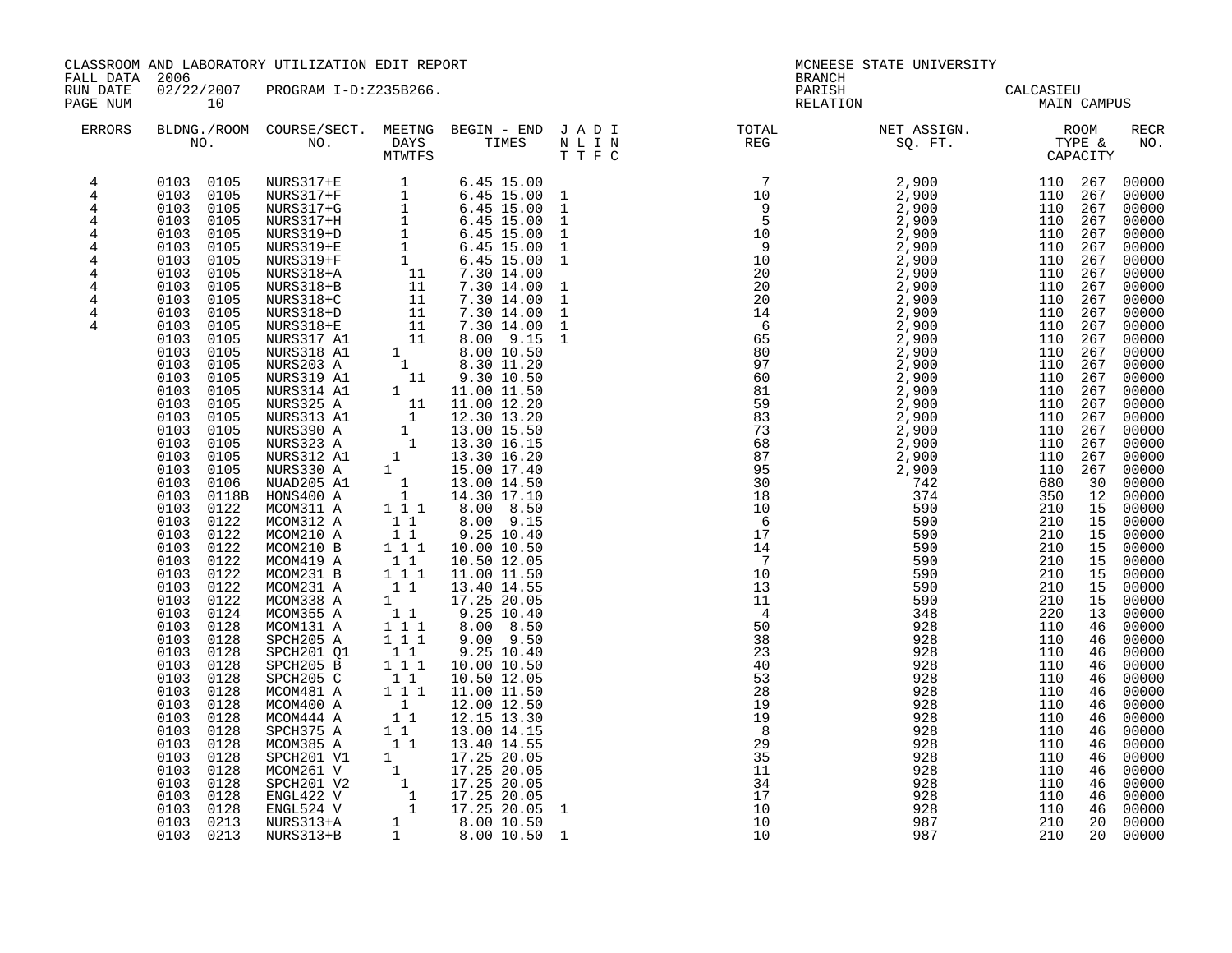| FALL DATA 2006<br><b>BRANCH</b><br>02/22/2007 PROGRAM I-D:Z235B266.<br>RUN DATE<br>PARISH CALCASIEU<br>RELATION MAIN CAMPUS<br>PAGE NUM<br>10<br>$\begin{tabular}{lllllllllllllllllllll} \textsc{BLONG.} \textsc{F100M.} & \textsc{CUIRSE/SECT.} & \textsc{METING.} & \textsc{BEGIN - END.} & \textsc{J A D I} & \textsc{DTQTAL} & \textsc{NET ASSIGN.} & \textsc{ROOM} \\ \textsc{NO.} & \textsc{NO.} & \textsc{DAYS} & \textsc{TIMES} & \textsc{N L I N} & \textsc{REG} & \textsc{SQ. FT.} & \textsc{TTPE & \texttt{C} \\ \textsc{MTVFTS} & \textsc{DTT T F C} & \textsc{STG} & \textsc{$<br>ERRORS<br>$\begin{smallmatrix} \textbf{A} & \textbf{B} & \textbf{B} & \textbf{B} & \textbf{B} & \textbf{B} & \textbf{B} & \textbf{B} & \textbf{B} & \textbf{B} \\ \textbf{B} & \textbf{B} & \textbf{B} & \textbf{B} & \textbf{B} & \textbf{B} & \textbf{B} & \textbf{B} & \textbf{B} & \textbf{B} \\ \textbf{B} & \textbf{B} & \textbf{B} & \textbf{B} & \textbf{B} & \textbf{B} & \textbf{B} & \textbf{B} & \textbf{B} & \textbf{B} \\ \textbf{$<br>0103 0105<br>$\overline{4}$<br>$\overline{4}$<br>0103 0105<br>0103 0105<br>4<br>0103 0105<br>4<br>0103 0105<br>4<br>0103 0105<br>$\overline{4}$<br>0103 0105<br>4<br>0103<br>4<br>0105<br>0103 0105<br>4<br>0103 0105<br>4<br>0103<br>4<br>0105<br>0103<br>0105<br>4<br>0103<br>0105<br>0103<br>0105<br>0103<br>0105<br>0103<br>0105<br>0103<br>0105<br>0103<br>0105<br>0103<br>0105<br>0103<br>0105<br>0103<br>0105<br>0103<br>0105<br>0103<br>0105<br>0103<br>0106<br>0103<br>0118B<br>0103 0122<br>0103 0122<br>$\begin{bmatrix} 1 & 1 \\ 1 & 1 \\ 1 & 1 \end{bmatrix}$<br>0103 0122<br>MCOM210 A<br>9.25 10.40<br>0103<br>MCOM210 B<br>10.00 10.50<br>0122<br>0103 0122<br>MCOM419 A<br>10.50 12.05 | CLASSROOM AND LABORATORY UTILIZATION EDIT REPORT |                          | MCNEESE STATE UNIVERSITY |                                                                                                                                                                                                                                                                                                                                                                                                                                                       |
|-------------------------------------------------------------------------------------------------------------------------------------------------------------------------------------------------------------------------------------------------------------------------------------------------------------------------------------------------------------------------------------------------------------------------------------------------------------------------------------------------------------------------------------------------------------------------------------------------------------------------------------------------------------------------------------------------------------------------------------------------------------------------------------------------------------------------------------------------------------------------------------------------------------------------------------------------------------------------------------------------------------------------------------------------------------------------------------------------------------------------------------------------------------------------------------------------------------------------------------------------------------------------------------------------------------------------------------------------------------------------------------------------------------------------------------------------------------------------------------------------------------------------------------------------------------------------------------------------------------------------------------------------------------------------------------------------------------------------------------------------------------|--------------------------------------------------|--------------------------|--------------------------|-------------------------------------------------------------------------------------------------------------------------------------------------------------------------------------------------------------------------------------------------------------------------------------------------------------------------------------------------------------------------------------------------------------------------------------------------------|
|                                                                                                                                                                                                                                                                                                                                                                                                                                                                                                                                                                                                                                                                                                                                                                                                                                                                                                                                                                                                                                                                                                                                                                                                                                                                                                                                                                                                                                                                                                                                                                                                                                                                                                                                                             |                                                  |                          |                          |                                                                                                                                                                                                                                                                                                                                                                                                                                                       |
|                                                                                                                                                                                                                                                                                                                                                                                                                                                                                                                                                                                                                                                                                                                                                                                                                                                                                                                                                                                                                                                                                                                                                                                                                                                                                                                                                                                                                                                                                                                                                                                                                                                                                                                                                             |                                                  |                          |                          | RECR<br>NO.                                                                                                                                                                                                                                                                                                                                                                                                                                           |
| $\begin{bmatrix} 1 & 1 \\ 1 & 1 \end{bmatrix}$<br>0103<br>0122<br>MCOM231 B<br>11.00 11.50<br>0103 0122<br>MCOM231 A<br>$\begin{bmatrix} 1 & 1 \end{bmatrix}$<br>13.40 14.55<br>0103<br>0122<br>MCOM338 A<br>17.25 20.05<br>$\begin{array}{rrrr} & 1 & 1 \\ 1 & 1 & 1 \\ 1 & 1 & 1 \end{array}$<br>0103 0124<br>MCOM355 A<br>$9.25$ $10.40$<br>0103<br>0128<br>MCOM131 A<br>8.00 8.50<br>0103<br>0128<br>SPCH205 A<br>$9.00\quad 9.50$<br>$\begin{bmatrix} 1 \\ 1 \end{bmatrix}$<br>0103<br>SPCH201 Q1<br>0128<br>9.25 10.40<br>$\begin{smallmatrix}1&&1\\&1\\1&&1\end{smallmatrix}$<br>0103<br>0128<br>SPCH205 B<br>10.00 10.50<br>SPCH205 C<br>0103<br>0128<br>10.50 12.05<br>$1 1 1$<br>0103<br>0128<br>MCOM481 A<br>11.00 11.50<br>0103<br>0128<br>MCOM481 A 1 1 11.00 11.50<br>MCOM440 A 1 12.00 12.50<br>MCOM444 A 1 12.00 12.50<br>SPCH375 A 11 13.00 14.15<br>MCOM385 A 1 1 13.40 14.55<br>SPCH201 V1 1 17.25 20.05<br>MCOM261 V 1 17.25 20.05<br>SPCH201 V2 1 17.25 20.05<br>ENGL422 V 1 17.<br>0103<br>0128<br>0103<br>0128<br>0103<br>0128<br>0103<br>0128<br>0103<br>0128<br>0103<br>0128<br>0103<br>0128<br>0103<br>0128<br>0103 0213<br>0103 0213 NURS313+B<br>987<br>10                                                                                                                                                                                                                                                                                                                                                                                                                                                                                                                                                                      |                                                  | 46 00000<br>210 20 00000 |                          | 00000<br>00000<br>00000<br>00000<br>00000<br>00000<br>00000<br>00000<br>00000<br>00000<br>00000<br>00000<br>00000<br>00000<br>00000<br>00000<br>00000<br>00000<br>00000<br>00000<br>00000<br>00000<br>00000<br>00000<br>00000<br>00000<br>00000<br>00000<br>00000<br>00000<br>00000<br>00000<br>00000<br>00000<br>00000<br>00000<br>00000<br>00000<br>00000<br>00000<br>00000<br>00000<br>00000<br>00000<br>00000<br>00000<br>00000<br>00000<br>00000 |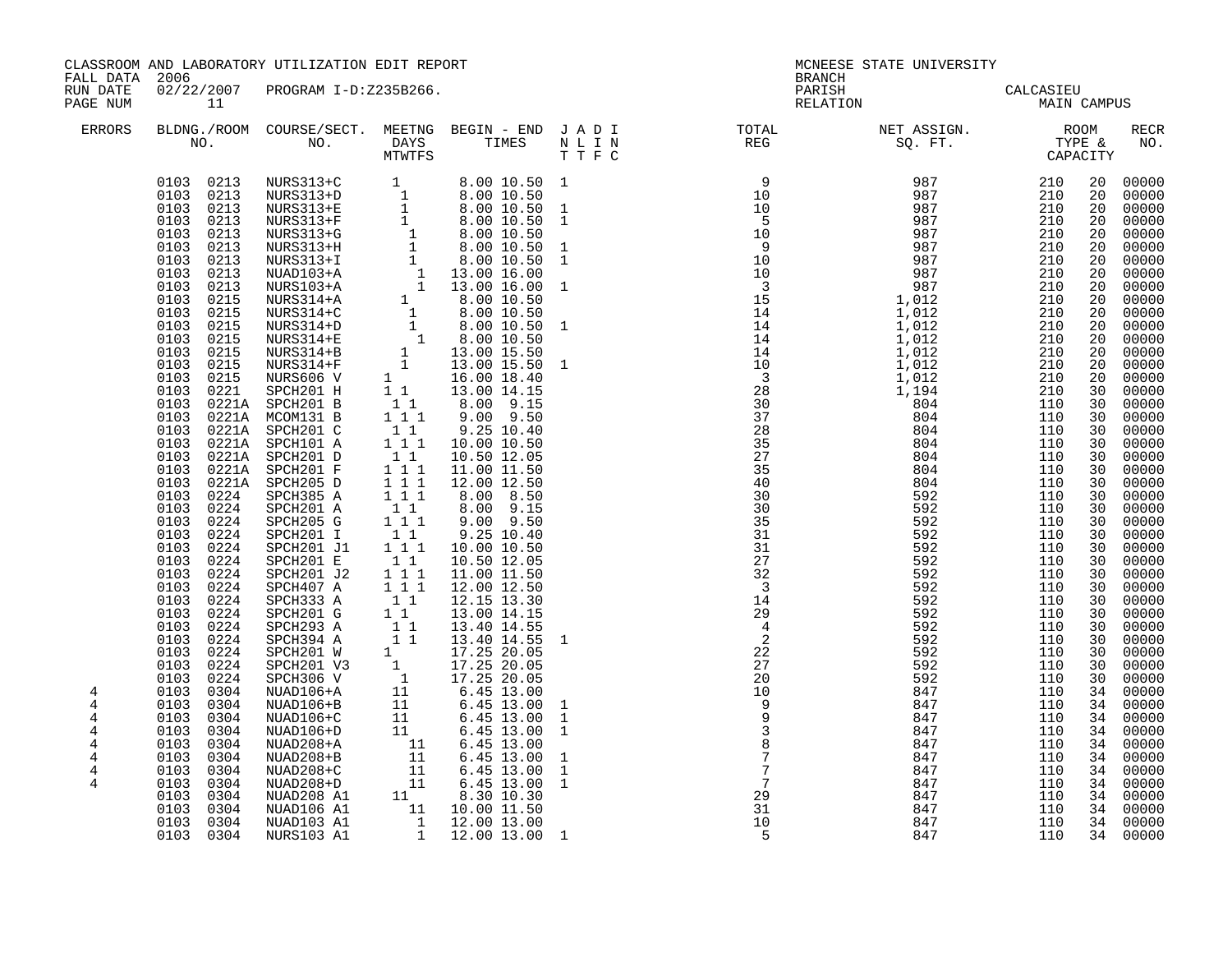CLASSROOM AND LABORATORY UTILIZATION EDIT REPORT NEWSLAMING STATE ON MCNEESE STATE UNIVERSITY

FALL DATA 2006 BRANCH

RUN DATE 02/22/2007 PROGRAM I-D:Z235B266. PARISH PARISH PARISH CALCASIEU

| PAGE NUM                                | 11                                                                                                                                                                                                                                                                                                                                                                                                                                                                                                                                                                                                                                                                      |                                                                                                                                                                                                                                                                                                                                                                                                                                                                                                                                                            |                                                                                                                                                                                                                                      |                                                                                                                                                                                                                                                                                                                                                                                                                                                                                                                                                                                                                                                                                                        |                                                                                                                        | RELATION                                                                                                                                                                                                                                                                                                                                                                                                                                             |                                                                                                                     | <b>MAIN CAMPUS</b>                                                                                                                                                                                                                                                                                        |                                                                                                                                                                                                                                                    |                                                                                                                                                                                                                                                                                                                                                                               |
|-----------------------------------------|-------------------------------------------------------------------------------------------------------------------------------------------------------------------------------------------------------------------------------------------------------------------------------------------------------------------------------------------------------------------------------------------------------------------------------------------------------------------------------------------------------------------------------------------------------------------------------------------------------------------------------------------------------------------------|------------------------------------------------------------------------------------------------------------------------------------------------------------------------------------------------------------------------------------------------------------------------------------------------------------------------------------------------------------------------------------------------------------------------------------------------------------------------------------------------------------------------------------------------------------|--------------------------------------------------------------------------------------------------------------------------------------------------------------------------------------------------------------------------------------|--------------------------------------------------------------------------------------------------------------------------------------------------------------------------------------------------------------------------------------------------------------------------------------------------------------------------------------------------------------------------------------------------------------------------------------------------------------------------------------------------------------------------------------------------------------------------------------------------------------------------------------------------------------------------------------------------------|------------------------------------------------------------------------------------------------------------------------|------------------------------------------------------------------------------------------------------------------------------------------------------------------------------------------------------------------------------------------------------------------------------------------------------------------------------------------------------------------------------------------------------------------------------------------------------|---------------------------------------------------------------------------------------------------------------------|-----------------------------------------------------------------------------------------------------------------------------------------------------------------------------------------------------------------------------------------------------------------------------------------------------------|----------------------------------------------------------------------------------------------------------------------------------------------------------------------------------------------------------------------------------------------------|-------------------------------------------------------------------------------------------------------------------------------------------------------------------------------------------------------------------------------------------------------------------------------------------------------------------------------------------------------------------------------|
| <b>ERRORS</b>                           |                                                                                                                                                                                                                                                                                                                                                                                                                                                                                                                                                                                                                                                                         |                                                                                                                                                                                                                                                                                                                                                                                                                                                                                                                                                            |                                                                                                                                                                                                                                      |                                                                                                                                                                                                                                                                                                                                                                                                                                                                                                                                                                                                                                                                                                        |                                                                                                                        |                                                                                                                                                                                                                                                                                                                                                                                                                                                      |                                                                                                                     |                                                                                                                                                                                                                                                                                                           |                                                                                                                                                                                                                                                    | <b>RECR</b><br>NO.                                                                                                                                                                                                                                                                                                                                                            |
| 4<br>4                                  | 0103 0213<br>0103<br>0213<br>0103<br>0213<br>0103<br>0213<br>0213<br>0103<br>0103<br>0213<br>0213<br>0103<br>0103<br>0213<br>0103<br>0213<br>0103<br>0215<br>0103<br>0215<br>0103<br>0215<br>0103<br>0215<br>0103<br>0215<br>0103<br>0215<br>0103<br>0215<br>0103<br>0221<br>0103<br>0221A<br>0103<br>0221A<br>0103<br>0103<br>0221A<br>0103<br>0221A<br>0103<br>0221A<br>0103<br>0221A<br>0103<br>0224<br>0224<br>0103<br>0103<br>0224<br>0103<br>0224<br>0103<br>0224<br>0103<br>0224<br>0103<br>0224<br>0103<br>0224<br>0103<br>0224<br>0103<br>0224<br>0103<br>0224<br>0103<br>0224<br>0103<br>0224<br>0103<br>0224<br>0103<br>0224<br>0103<br>0304<br>0103<br>0304 | NURS313+C<br>NURS313+D<br>NURS313+E<br>NURS313+F<br>NURS313+G<br>NURS313+H<br>NURS313+I<br>NUAD103+A<br>NURS103+A<br>NURS314+A<br>NURS314+C<br>NURS314+D<br>NURS314+E<br>NURS314+B<br>NURS314+F<br>NURS606 V<br>SPCH201 H<br>SPCH201 B<br>MCOM131 B<br>0221A SPCH201 C<br>SPCH101 A<br>SPCH201 D<br>SPCH201 F<br>SPCH205 D<br>SPCH385 A<br>SPCH201 A<br>SPCH205 G<br>SPCH201 I<br>SPCH201 J1<br>SPCH201 E<br>SPCH201 J2<br>SPCH407 A<br>SPCH333 A<br>SPCH201 G<br>SPCH293 A<br>SPCH394 A<br>SPCH201 W<br>SPCH201 V3<br>SPCH306 V<br>NUAD106+A<br>NUAD106+B | $1\quad1$<br>11<br>111<br>$1\quad1$<br>$1 1 1$<br>11<br>$1 1 1$<br>$1 1 1$<br>111<br>$1\quad1$<br>$1 1 1$<br>$1\quad1$<br>$1\hspace{0.1cm} 1\hspace{0.1cm} 1$<br>11<br>$1 1 1$<br>$1 1 1$<br>11<br>$1\quad1$<br>$1\quad1$<br>11<br>1 | $\begin{array}{cccc} 1 & 8.00 & 10.50 \\ 1 & 8.00 & 10.50 \\ 1 & 8.00 & 10.50 \\ 1 & 8.00 & 10.50 \\ 1 & 8.00 & 10.50 \\ 1 & 8.00 & 10.50 \\ 1 & 8.00 & 10.50 \\ 1 & 8.00 & 10.50 \\ 1 & 13.00 & 16.00 \\ 1 & 13.00 & 16.00 \\ 1 & 8.00 & 10.50 \\ 1 & 8.00 & 10.50 \\ 1 & 8.00 & 10.50 \\ 1 &$<br>8.00 10.50 1<br>13.00 14.15<br>8.00 9.15<br>$9.00$ $9.50$<br>9.25 10.40<br>10.00 10.50<br>10.50 12.05<br>11.00 11.50<br>12.00 12.50<br>8.00 8.50<br>$8.00$ $9.15$<br>$9.00$ $9.50$<br>9.25 10.40<br>10.00 10.50<br>10.50 12.05<br>11.00 11.50<br>12.00 12.50<br>12.15 13.30<br>13.00 14.15<br>13.40 14.55<br>13.40 14.55<br>17.25 20.05<br>17.25 20.05<br>17.25 20.05<br>$6.45$ 13.00<br>6.45 13.00 | $\mathbf{1}$<br>$\mathbf{1}$<br>$\mathbf{1}$<br>$\mathbf{1}$<br>$\mathbf{1}$<br>1<br>1<br>$\mathbf{1}$<br>$\mathbf{1}$ | $\begin{array}{cccc} 1 & 9 & 987 \\ -2. & 1 & 0 \\ 10 & 987 \\ 10 & 987 \\ 9 & 987 \\ 9 & 987 \\ 10 & 987 \\ 10 & 987 \\ 11 & 987 \\ 12 & 987 \\ 13 & 987 \\ 14 & 1,012 \\ 14 & 1,012 \\ 14 & 1,012 \\ 14 & 1,012 \\ 14 & 1,012 \\ 14 & 1,012 \\ 14 & 1,012 \\ 14 & 1,012 \\ 14 & 1,012 \\ 1,012 & 28 \\ 1,$<br>30<br>30<br>35<br>31<br>31<br>27<br>32<br>$\overline{\phantom{a}}$<br>$\frac{14}{12}$<br>29<br>$\frac{4}{2}$<br>22<br>27<br>20<br>10 | 592<br>592<br>592<br>592<br>592<br>592<br>592<br>592<br>592<br>592<br>592<br>592<br>592<br>592<br>592<br>847<br>847 | $\frac{210}{210}$<br>210<br>210<br>210<br>210<br>210<br>210<br>210<br>210<br>210<br>210<br>210<br>210<br>210<br>210<br>210<br>210<br>110<br>110<br>110<br>110<br>110<br>110<br>110<br>110<br>110<br>110<br>110<br>110<br>110<br>110<br>110<br>110<br>110<br>110<br>110<br>110<br>110<br>110<br>110<br>110 | 20<br>20<br>20<br>20<br>20<br>20<br>20<br>20<br>20<br>20<br>20<br>20<br>20<br>20<br>20<br>20<br>30<br>30<br>30<br>30<br>30<br>30<br>30<br>30<br>30<br>30<br>30<br>30<br>30<br>30<br>30<br>30<br>30<br>30<br>30<br>30<br>30<br>30<br>30<br>34<br>34 | 00000<br>00000<br>00000<br>00000<br>00000<br>00000<br>00000<br>00000<br>00000<br>00000<br>00000<br>00000<br>00000<br>00000<br>00000<br>00000<br>00000<br>00000<br>00000<br>00000<br>00000<br>00000<br>00000<br>00000<br>00000<br>00000<br>00000<br>00000<br>00000<br>00000<br>00000<br>00000<br>00000<br>00000<br>00000<br>00000<br>00000<br>00000<br>00000<br>00000<br>00000 |
| 4<br>4<br>4<br>$\overline{4}$<br>4<br>4 | 0103<br>0304<br>0304<br>0103<br>0103<br>0304<br>0103<br>0304<br>0304<br>0103<br>0103<br>0304                                                                                                                                                                                                                                                                                                                                                                                                                                                                                                                                                                            | NUAD106+C<br>NUAD106+D<br>NUAD208+A<br>$NUAD208+B$<br>NUAD208+C<br>NUAD208+D                                                                                                                                                                                                                                                                                                                                                                                                                                                                               | $\begin{bmatrix} 11\\ & 11\\ & 11\\ & 11\\ & 11\\ & 11\\ & & 11\\ \end{bmatrix}$                                                                                                                                                     | 6.45 13.00<br>6.45 13.00<br>6.45 13.00<br>6.45 13.00<br>6.45 13.00<br>6.45 13.00                                                                                                                                                                                                                                                                                                                                                                                                                                                                                                                                                                                                                       | $\mathbf{1}$<br>1<br>$\mathbf{1}$<br>$\mathbf{1}$<br>$\mathbf{1}$                                                      | $\begin{array}{c} 109 \\ 99 \\ 38 \\ 77 \\ 79 \\ 29 \\ 23 \end{array}$                                                                                                                                                                                                                                                                                                                                                                               | 847<br>847<br>847<br>847<br>847<br>847                                                                              | 110<br>110<br>110<br>110<br>110<br>110                                                                                                                                                                                                                                                                    | 34<br>34<br>34<br>34<br>34<br>34                                                                                                                                                                                                                   | 00000<br>00000<br>00000<br>00000<br>00000<br>00000                                                                                                                                                                                                                                                                                                                            |
|                                         | 0103<br>0304<br>0304<br>0103<br>0103<br>0304<br>0103 0304                                                                                                                                                                                                                                                                                                                                                                                                                                                                                                                                                                                                               | NUAD208 A1<br>NUAD106 A1<br>NUAD103 A1<br>NURS103 A1                                                                                                                                                                                                                                                                                                                                                                                                                                                                                                       |                                                                                                                                                                                                                                      | 8.30 10.30<br>10.00 11.50<br>$\frac{1}{1}$ 12.00 13.00<br>1 12.00 13.00 1                                                                                                                                                                                                                                                                                                                                                                                                                                                                                                                                                                                                                              |                                                                                                                        | 31<br>$\begin{array}{c} 31 \\ 10 \\ 5 \end{array}$                                                                                                                                                                                                                                                                                                                                                                                                   | 847<br>847<br>847<br>847                                                                                            | 110<br>110<br>110<br>110                                                                                                                                                                                                                                                                                  | 34<br>34<br>34<br>34                                                                                                                                                                                                                               | 00000<br>00000<br>00000<br>00000                                                                                                                                                                                                                                                                                                                                              |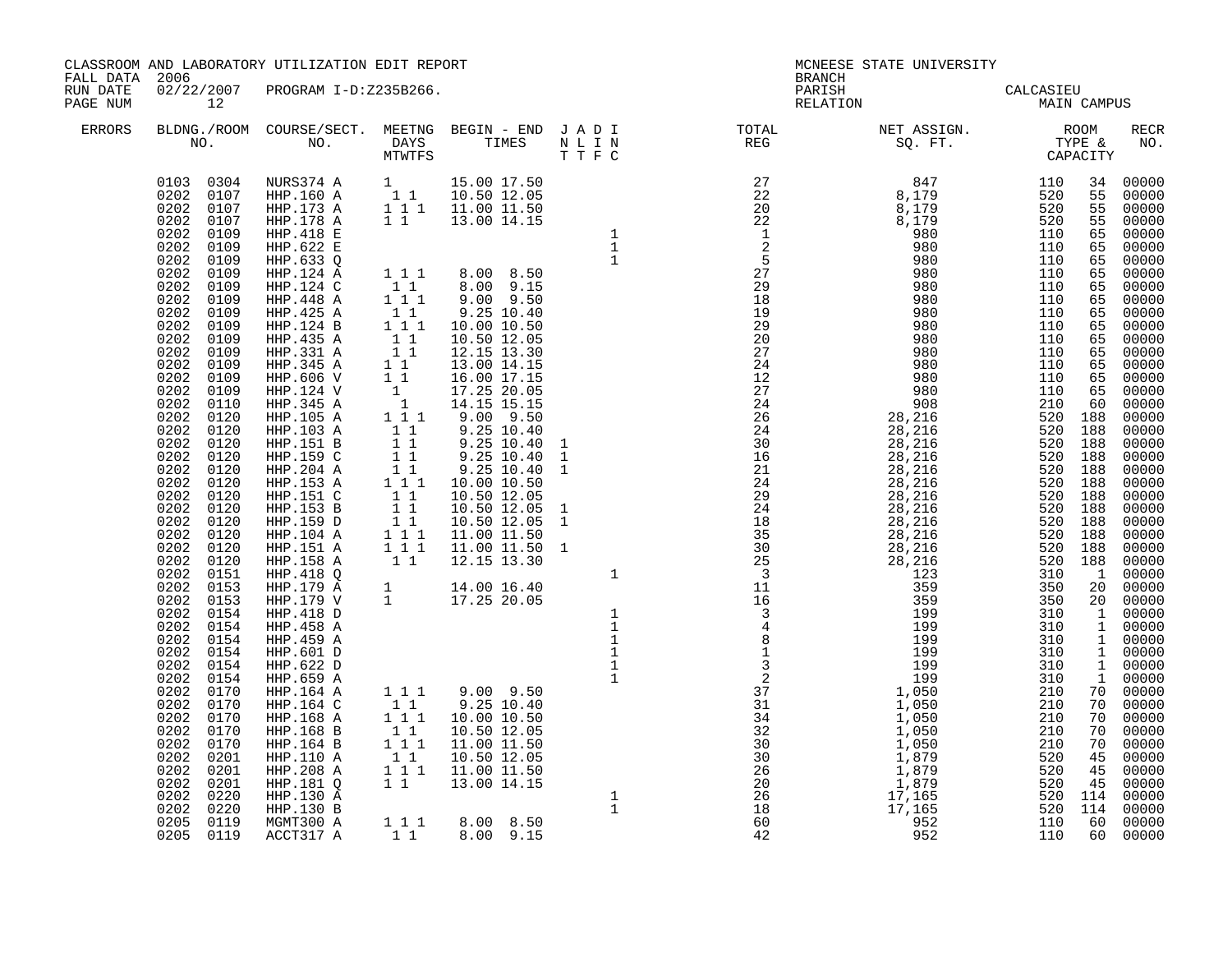| FALL DATA 2006       |                                                                                                                                                                                                                                                                                                                                                                                                                                                                                                                                                                                                                                                                   | CLASSROOM AND LABORATORY UTILIZATION EDIT REPORT                                                                                                                                                                                                                                  |           |  | <b>BRANCH</b> | MCNEESE STATE UNIVERSITY                                                                                                                                                                                                                                                                                                                                                                                                                    |  |                    |
|----------------------|-------------------------------------------------------------------------------------------------------------------------------------------------------------------------------------------------------------------------------------------------------------------------------------------------------------------------------------------------------------------------------------------------------------------------------------------------------------------------------------------------------------------------------------------------------------------------------------------------------------------------------------------------------------------|-----------------------------------------------------------------------------------------------------------------------------------------------------------------------------------------------------------------------------------------------------------------------------------|-----------|--|---------------|---------------------------------------------------------------------------------------------------------------------------------------------------------------------------------------------------------------------------------------------------------------------------------------------------------------------------------------------------------------------------------------------------------------------------------------------|--|--------------------|
| RUN DATE<br>PAGE NUM | 12                                                                                                                                                                                                                                                                                                                                                                                                                                                                                                                                                                                                                                                                | 02/22/2007 PROGRAM I-D:Z235B266.                                                                                                                                                                                                                                                  |           |  |               | PARISH CALCASIEU<br>RELATION MAIN CAMPUS                                                                                                                                                                                                                                                                                                                                                                                                    |  |                    |
| ERRORS               |                                                                                                                                                                                                                                                                                                                                                                                                                                                                                                                                                                                                                                                                   |                                                                                                                                                                                                                                                                                   |           |  |               | $\begin{tabular}{lllllllllllllllllllll} \textsc{BLDNG.} \textsc{ROOM} & \textsc{CUIRSE/SECT.} & \textsc{MEETNG} & \textsc{BEGIN} & - & \textsc{END} & \textsc{J} & \textsc{A} & \textsc{D} & \textsc{I} & & & \textsc{TCTAL} & & & \textsc{NET} & \textsc{ASSGN.} & & & \textsc{ROOM} \\ \textsc{NO.} & \textsc{NO.} & \textsc{DAYS} & \textsc{TIMES} & \textsc{N} & \textsc{L} & \textsc{I} & \textsc{N} & & \textsc{TEG} & & & \textsc{S$ |  | <b>RECR</b><br>NO. |
|                      | 0202 0109<br>0202 0109<br>0202 0109<br>0202 0109<br>0202 0109<br>0202 0109<br>0202 0109<br>0202<br>0109<br>0202 0109<br>$0202$ $0109$<br>0202 0109<br>0202<br>0109<br>0202 0109<br>0202 0110<br>0202 0120<br>0202<br>0120<br>0202 0120<br>0202 0120<br>0202 0120<br>0202 0120<br>0202 0120<br>0202 0120<br>0202 0120<br>0202 0120<br>0202 0120<br>0202 0120<br>0202 0151<br>0202 0153<br>0202<br>0153<br>0202 0154<br>0202 0154<br>0202 0154<br>0202<br>0154<br>0202<br>0154<br>0202 0154<br>0202 0170<br>0202 0170<br>0202<br>0170<br>0202 0170<br>0202 0170<br>0202 0201<br>0202<br>0201<br>0202 0201<br>0202<br>0220<br>0202<br>0220<br>0205 0119<br>0205 0119 | $\begin{array}{cccccc} 0103 & 0304 & \text{NURS374 A} & 1 & 15.00 & 17.50 \\ 0202 & 0107 & \text{HHP.160 A} & 1 & 1 & 10.50 & 12.05 \\ 0202 & 0107 & \text{HHP.173 A} & 1 & 1 & 11.00 & 11.50 \\ 0202 & 0107 & \text{HHP.178 A} & 1 & 1 & 13.00 & 14.15 \end{array}$<br>ACCT317 A | $1\quad1$ |  |               |                                                                                                                                                                                                                                                                                                                                                                                                                                             |  |                    |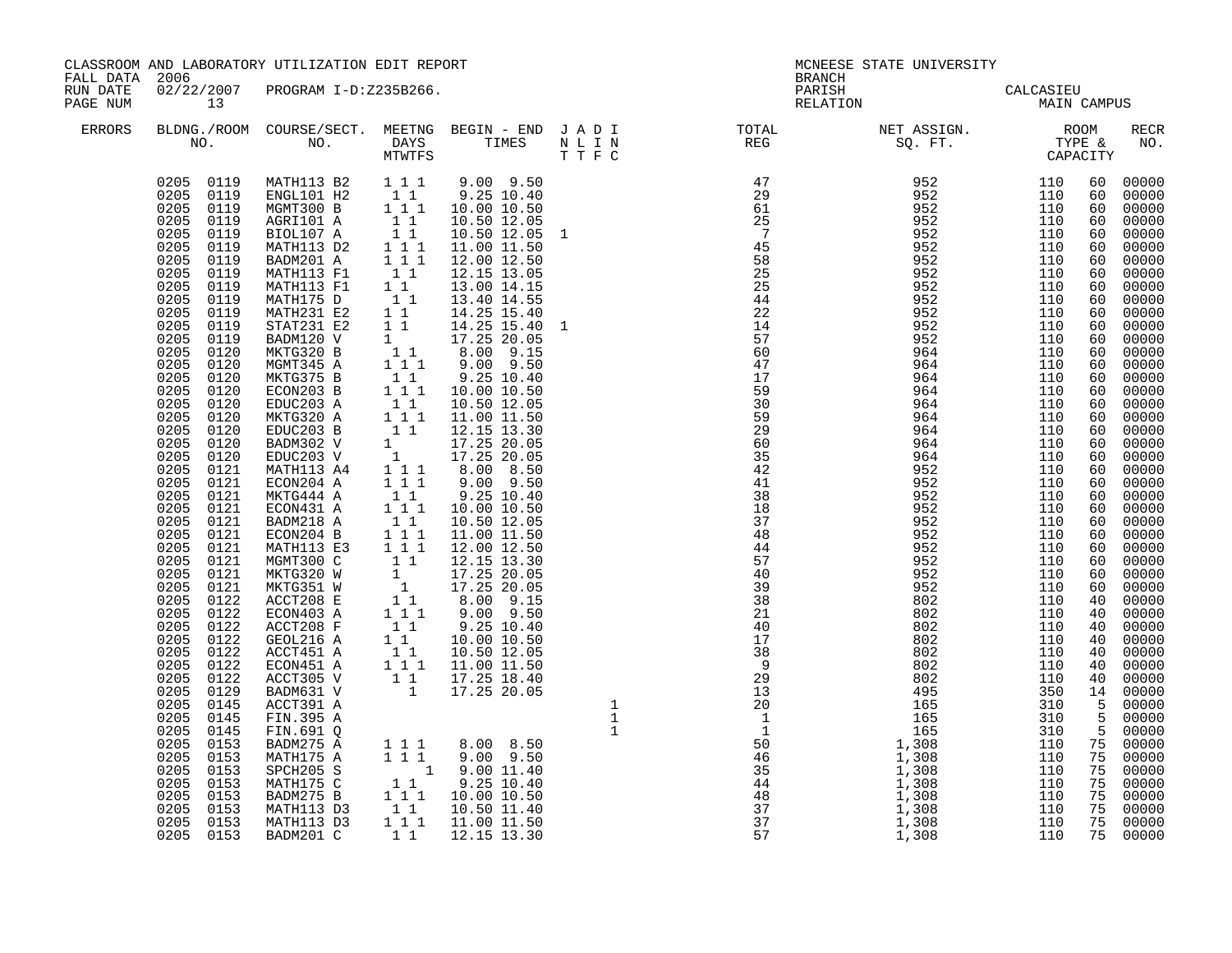| FALL DATA 2006       |                                                                                                                                                                                                                                                                                                                                                                                                                                                                                                                                                                                                                                                                                                                                                                                              | CLASSROOM AND LABORATORY UTILIZATION EDIT REPORT                                                                                                                                                                                                                                                                                                                                                                                                                                                                                                                                                                                                                                                                                                                                                                                                             |  |  |                                                                                                                                                                                                                                                                                                                                                                                                                                                |  |  |
|----------------------|----------------------------------------------------------------------------------------------------------------------------------------------------------------------------------------------------------------------------------------------------------------------------------------------------------------------------------------------------------------------------------------------------------------------------------------------------------------------------------------------------------------------------------------------------------------------------------------------------------------------------------------------------------------------------------------------------------------------------------------------------------------------------------------------|--------------------------------------------------------------------------------------------------------------------------------------------------------------------------------------------------------------------------------------------------------------------------------------------------------------------------------------------------------------------------------------------------------------------------------------------------------------------------------------------------------------------------------------------------------------------------------------------------------------------------------------------------------------------------------------------------------------------------------------------------------------------------------------------------------------------------------------------------------------|--|--|------------------------------------------------------------------------------------------------------------------------------------------------------------------------------------------------------------------------------------------------------------------------------------------------------------------------------------------------------------------------------------------------------------------------------------------------|--|--|
| RUN DATE<br>PAGE NUM | 13                                                                                                                                                                                                                                                                                                                                                                                                                                                                                                                                                                                                                                                                                                                                                                                           | 02/22/2007 PROGRAM I-D:Z235B266.                                                                                                                                                                                                                                                                                                                                                                                                                                                                                                                                                                                                                                                                                                                                                                                                                             |  |  |                                                                                                                                                                                                                                                                                                                                                                                                                                                |  |  |
| ERRORS               |                                                                                                                                                                                                                                                                                                                                                                                                                                                                                                                                                                                                                                                                                                                                                                                              |                                                                                                                                                                                                                                                                                                                                                                                                                                                                                                                                                                                                                                                                                                                                                                                                                                                              |  |  | $\begin{tabular}{lllllllllllllllllllll} \textsc{BLONG.} \textsc{F100M.} & \textsc{COURSE/SECT.} & \textsc{METNG.} & \textsc{BEGIN - END} & \textsc{J A D I} & \textsc{DTAT} & \textsc{NTGTL} & \textsc{NET ASSIGN.} & \textsc{ROOM} \\ \textsc{NO.} & \textsc{NO.} & \textsc{DAYS} & \textsc{TIMES} & \textsc{N L I N} & \textsc{REG} & \textsc{SEG.} & \textsc{ST.} & \textsc{CTPE & \& \\ \textsc{MO.} & \textsc{NO.} & \textsc{MTWTFS} & \$ |  |  |
|                      | 0205 0119<br>0205 0119<br>0205 0119<br>0205<br>0119<br>0205 0119<br>0205<br>0119<br>0205<br>0119<br>0205<br>0119<br>0205 0119<br>0205 0119<br>0205<br>0119<br>0205<br>0119<br>0205 0119<br>0205<br>0120<br>0205<br>0120<br>0205<br>0120<br>0205<br>0120<br>0205<br>0120<br>0205<br>0120<br>0205<br>0120<br>0205<br>0120<br>0205 0120<br>0205 0121<br>0205 0121<br>0205 0121<br>0205 0121<br>$0205$ $0121$<br>0205 0121<br>0205<br>0121<br>0205 0121<br>$0205$ $0121$<br>0205<br>0121<br>0205<br>0122<br>0205<br>0122<br>0205<br>0122<br>0205<br>0122<br>0205<br>0122<br>0205<br>0122<br>0205<br>0122<br>0205<br>0129<br>0205<br>0145<br>0205<br>0145<br>0205 0145<br>$0205$ $0153$<br>0205 0153<br>0205<br>0153<br>0205<br>0153<br>0205<br>0153<br>0153<br>0205<br>0205<br>0153<br>0205 0153 | MATH113 B2 1 1 1<br>MATHI3 B2<br>ENGLIOI H2<br>ENGLIOI A<br>1 1 1 9.25 10.50<br>AGNT300 B<br>1 1 1 10.50 12.05<br>BIOL107 A<br>1 1 10.50 12.05<br>MATH113 E1 1 1 12.00 12.50<br>MATH113 E1 1 1 12.00 12.50<br>MATH113 E1 1 1 12.00 12.50<br>MATH113 E1 1 1 12.00 14.05<br>MATH113 F1<br>MATH175 D<br>MATH231 E2<br>STAT231 E2<br>BADM120 V<br>MKTG320 B<br>MGMT345 A<br>MKTG375 B<br>ECON203 B<br>EDUC203 A<br>MKTG320 A<br>EDUC203 B<br>BADM302 V<br>EDUC203 V<br>MATH113 A4<br>ECON204 A<br>MKTG444 A<br>ECON431 A<br>BADM218 A<br>ECON204 B<br>MATH113 E3<br>MGMT300 C<br>MKTG320 W<br>MKTG351 W<br>ACCT208 E<br>ECON403 A<br>ACCT208 F<br>GEOL216 A<br>ACCT451 A<br>ECON451 A<br>ACCT305 V<br>BADM631 V<br>ACCT391 A<br>FIN.395 A<br>FIN.691 Q<br>BADM275 A<br>MATH175 A<br>SPCH205 S<br>MATH175 C<br>BADM275 B<br>MATH113 D3<br>MATH113 D3<br>BADM201 C |  |  | $\begin{smallmatrix} \textbf{1} & \textbf{2} & \textbf{3} & \textbf{2} & \textbf{3} & \textbf{3} & \textbf{3} & \textbf{3} & \textbf{3} & \textbf{3} & \textbf{3} & \textbf{3} & \textbf{3} & \textbf{3} & \textbf{3} & \textbf{3} & \textbf{3} & \textbf{3} & \textbf{3} & \textbf{3} & \textbf{3} & \textbf{3} & \textbf{3} & \textbf{3} & \textbf{3} & \textbf{3} & \textbf{3} & \textbf{3} & \textbf{3} & \textbf{3} & \textbf{$           |  |  |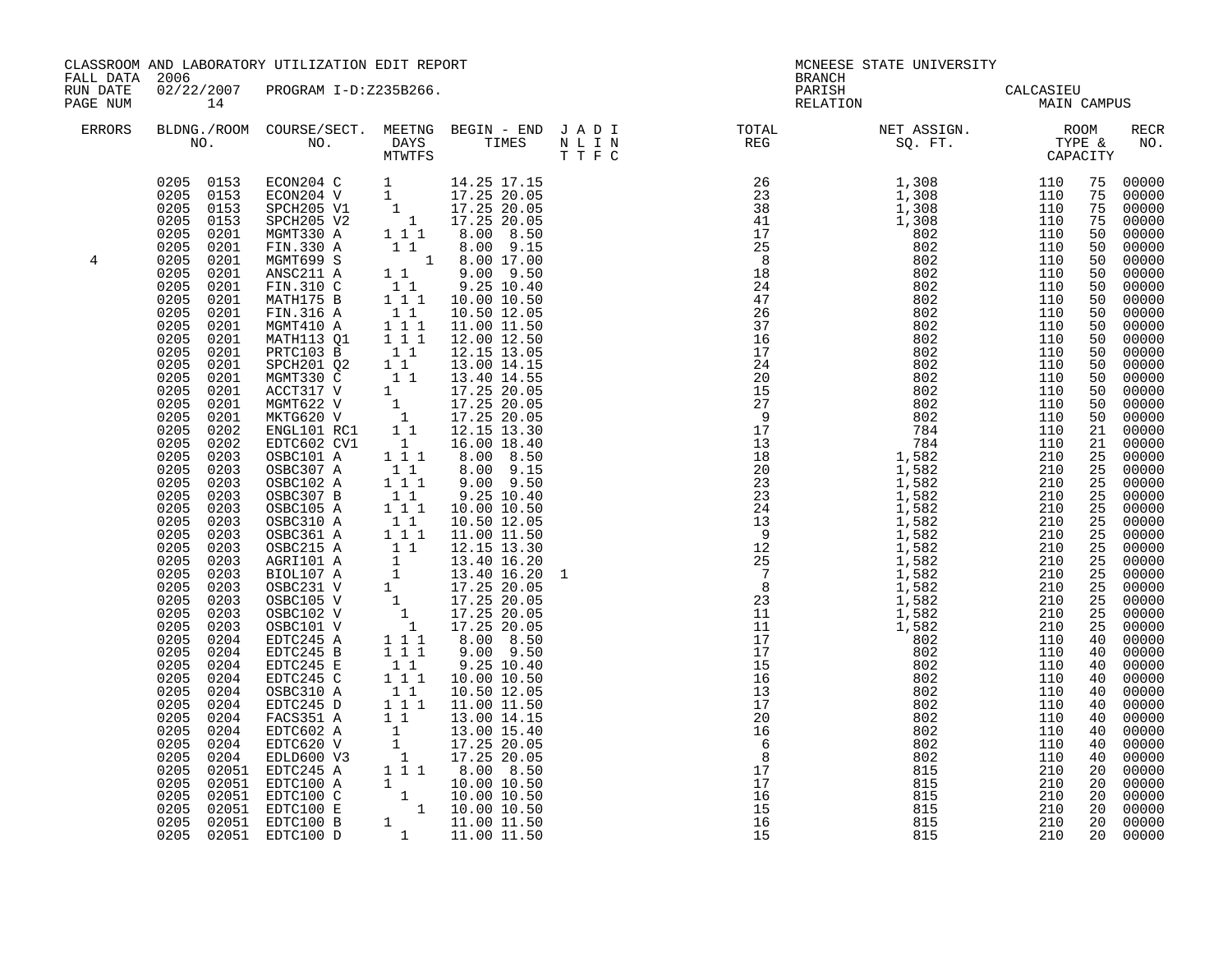| FALL DATA 2006       |                                                                                                                                                                                                                                                                                                                                                                                                                                                                                                                                                                                                                                     | CLASSROOM AND LABORATORY UTILIZATION EDIT REPORT                                                                                                                                                                                                                                                                                                                                                                                                                                                                                                                                                                                                                                                                                                                                                                                                                 |                                                                                                                                                                                                                                             |                                                                                                                                                                                                                                                                                                    | <b>BRANCH</b>                                                                                                                                                                                                                                                                                                                                                                                                                               | MCNEESE STATE UNIVERSITY                 |  |                                                                       |
|----------------------|-------------------------------------------------------------------------------------------------------------------------------------------------------------------------------------------------------------------------------------------------------------------------------------------------------------------------------------------------------------------------------------------------------------------------------------------------------------------------------------------------------------------------------------------------------------------------------------------------------------------------------------|------------------------------------------------------------------------------------------------------------------------------------------------------------------------------------------------------------------------------------------------------------------------------------------------------------------------------------------------------------------------------------------------------------------------------------------------------------------------------------------------------------------------------------------------------------------------------------------------------------------------------------------------------------------------------------------------------------------------------------------------------------------------------------------------------------------------------------------------------------------|---------------------------------------------------------------------------------------------------------------------------------------------------------------------------------------------------------------------------------------------|----------------------------------------------------------------------------------------------------------------------------------------------------------------------------------------------------------------------------------------------------------------------------------------------------|---------------------------------------------------------------------------------------------------------------------------------------------------------------------------------------------------------------------------------------------------------------------------------------------------------------------------------------------------------------------------------------------------------------------------------------------|------------------------------------------|--|-----------------------------------------------------------------------|
| RUN DATE<br>PAGE NUM | 14                                                                                                                                                                                                                                                                                                                                                                                                                                                                                                                                                                                                                                  | 02/22/2007 PROGRAM I-D:Z235B266.                                                                                                                                                                                                                                                                                                                                                                                                                                                                                                                                                                                                                                                                                                                                                                                                                                 |                                                                                                                                                                                                                                             |                                                                                                                                                                                                                                                                                                    |                                                                                                                                                                                                                                                                                                                                                                                                                                             | PARISH CALCASIEU<br>RELATION MAIN CAMPUS |  |                                                                       |
| ERRORS               |                                                                                                                                                                                                                                                                                                                                                                                                                                                                                                                                                                                                                                     |                                                                                                                                                                                                                                                                                                                                                                                                                                                                                                                                                                                                                                                                                                                                                                                                                                                                  |                                                                                                                                                                                                                                             |                                                                                                                                                                                                                                                                                                    | $\begin{tabular}{lllllllllllllllllllll} \textsc{BLONG.} \textsc{F100M.} & \textsc{CUIRSE/SECT.} & \textsc{METING.} & \textsc{BEGIN - END.} & \textsc{J A D I} & \textsc{DTQTAL} & \textsc{NET ASSIGN.} & \textsc{ROOM} \\ \textsc{NO.} & \textsc{NO.} & \textsc{DAYS} & \textsc{TIMES} & \textsc{N L I N} & \textsc{REG} & \textsc{SEG} & \textsc{ST.} & \textsc{STQ.} & \textsc{TTP E} & \textsc{CAPACITY} \\ & \textsc{MTVTFS} & \textsc$ |                                          |  | <b>RECR</b><br>NO.                                                    |
| 4                    | 0205 0153<br>0205 0153<br>0205 0153<br>0205<br>0153<br>0205<br>0201<br>0205<br>0201<br>0205<br>0201<br>0205<br>0201<br>0205<br>0201<br>0205<br>0201<br>0205<br>0201<br>0205<br>0201<br>0205<br>0201<br>0205<br>0201<br>0205<br>0201<br>0205<br>0201<br>0205<br>0201<br>0205<br>0201<br>0205<br>0201<br>0205<br>0202<br>0205<br>0202<br>0205<br>0203<br>0205<br>0203<br>0205<br>0203<br>0205<br>0203<br>0205<br>0203<br>0205<br>0203<br>0205<br>0203<br>0205<br>0203<br>0205<br>0203<br>0205<br>0203<br>0205<br>0203<br>0205<br>0203<br>0205<br>0203<br>0205<br>0203<br>0205<br>0204<br>0205<br>0204<br>0205<br>0204<br>0205<br>0204 | ECON204 C 1 14.25 17.15<br>ECON204 V 1 17.25 20.05<br>SPCH205 V1 1 17.25 20.05<br>SPCH205 V2 1 17.25 20.05<br>MGMT330 A<br>FIN.330 A<br>MGMT699 S<br>ANSC211 A<br>FIN.310 C<br>MATH175 B<br>FIN.316 A<br>MGMT410 A<br>MATH113 Q1<br>PRTC103 B<br>SPCH201 Q2<br>SPCH2012<br>NGMT330 C<br>NGMT330 C<br>ACCT317 V<br>1 17.25 20.05<br>NGMT622 V<br>1 17.25 20.05<br>MKTG620 V<br>1 17.25 20.05<br>ENGL101 RC1 1 1 12.15 13.30<br>EDTC602 CV1 1 16.00 18.40<br>OSBC101 A<br>EDTC245 B<br>EDTC245 E<br>EDTC245 C<br>$\begin{tabular}{@{}c@{}}0.205 & 0.204 & \multicolumn{1}{c}{\textbf{EDTC245 C}} & 1 & 1 & 1 & 10.00 & 10.50 \\ 0.205 & 0.204 & \multicolumn{1}{c}{\textbf{ODC245 D}} & 1 & 1 & 10.50 & 12.05 \\ 0.205 & 0.204 & \multicolumn{1}{c}{\textbf{EDTC6245 D}} & 1 & 1 & 11.00 & 11.50 \\ 0.205 & 0.204 & \multicolumn{1}{c}{\textbf{EDTC62A}} & 1 & 13$ | $\begin{bmatrix} 1 & 1 \\ 1 & 1 & 1 \\ 1 & 1 & 1 \\ 1 & 1 & 1 \end{bmatrix}$<br>$\begin{smallmatrix}1&1\\1&1\end{smallmatrix}$<br>$1 1 1$<br>$\overline{1}$ $\overline{1}$ $\overline{1}$<br>$\begin{bmatrix} 1 & 1 \\ 1 & 1 \end{bmatrix}$ | $1 \t1 \t3 \t.00 \t3 \t.50$<br>$\begin{array}{rrrr} 1&1&8.00&9.15\ 1&1&8.00&9.15\ 1&8.00&9.50\ 1&1&9.00&9.50\ 1&1&9.25&10.40\ 1&11&10.00&10.50\ \end{array}$<br>10.50 12.05<br>11.00 11.50<br>12.00 12.50<br>12.15 13.05<br>13.00 14.15<br>8.00 8.50<br>$9.00$ $9.50$<br>9.25 10.40<br>10.00 10.50 | $\begin{smallmatrix}\n\textbf{1}_{1} & \textbf{1}_{2} & \textbf{1}_{3} & \textbf{1}_{4} & \textbf{1}_{5} & \textbf{1}_{6} & \textbf{1}_{7} & \textbf{1}_{8} & \textbf{1}_{9} & \textbf{1}_{9} & \textbf{1}_{10} & \textbf{1}_{11} & \textbf{1}_{12} & \textbf{1}_{13} & \textbf{1}_{14} & \textbf{1}_{15} & \textbf{1}_{16} & \textbf{1}_{17} & \textbf{1}_{18} & \textbf{1}_{19} & \textbf{1}_{10} & \textbf{1}_{11} & \textbf$            |                                          |  | $\begin{array}{r} 25 & 00000 \ 25 & 00000 \ 25 & 00000 \ \end{array}$ |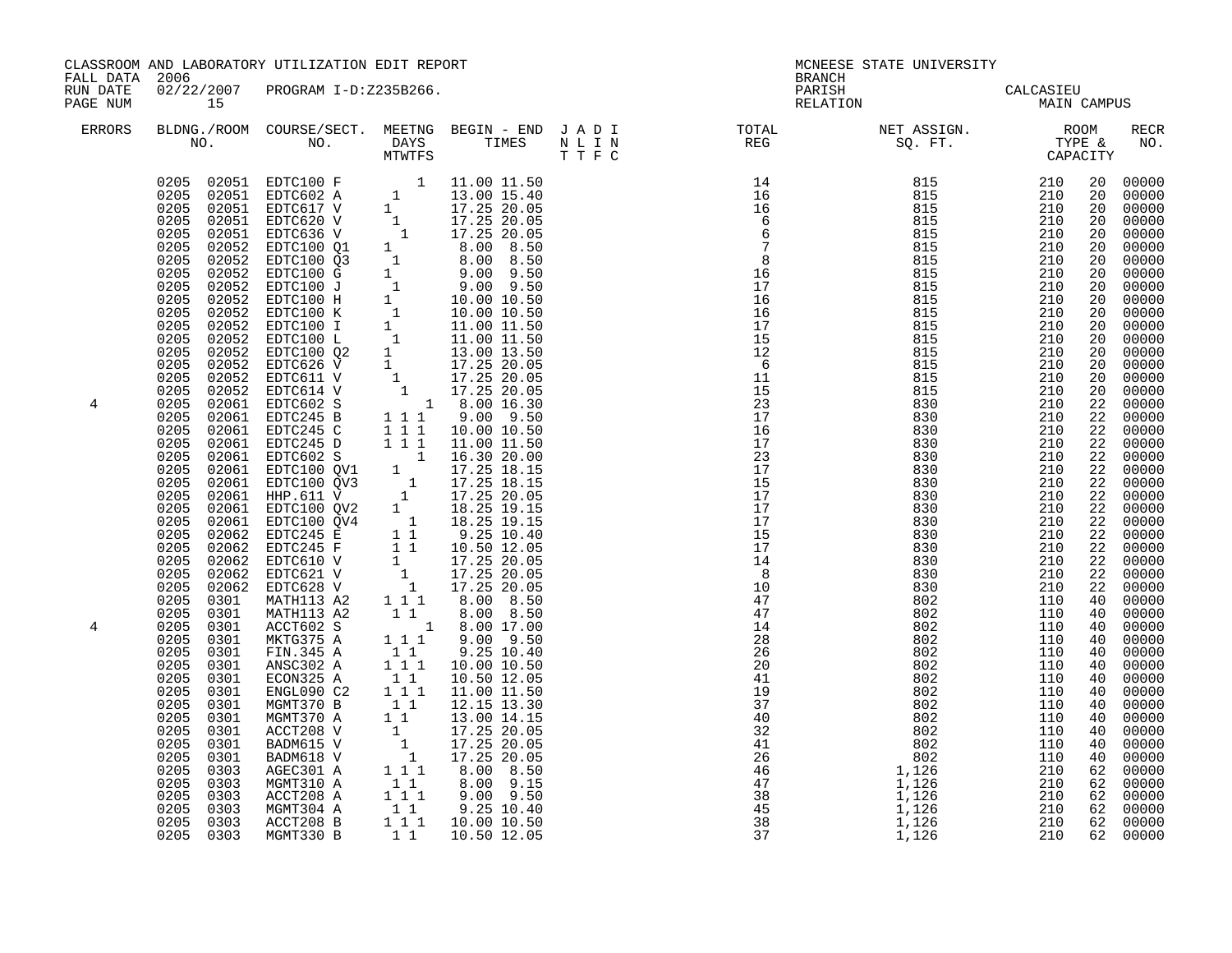| FALL DATA 2006       |                                                                                                                                                                                                                                                                                  | CLASSROOM AND LABORATORY UTILIZATION EDIT REPORT                                                                                                                                                                                         |                                                                     |                                                                                                                                                                                                                                                                                                                                                                                                                                                                                                                                                                                                                                | <b>BRANCH</b>                                                                                                                                                                                           | MCNEESE STATE UNIVERSITY                                                                                                                                                                                                                                                                                                                                                                                                                    |  |             |
|----------------------|----------------------------------------------------------------------------------------------------------------------------------------------------------------------------------------------------------------------------------------------------------------------------------|------------------------------------------------------------------------------------------------------------------------------------------------------------------------------------------------------------------------------------------|---------------------------------------------------------------------|--------------------------------------------------------------------------------------------------------------------------------------------------------------------------------------------------------------------------------------------------------------------------------------------------------------------------------------------------------------------------------------------------------------------------------------------------------------------------------------------------------------------------------------------------------------------------------------------------------------------------------|---------------------------------------------------------------------------------------------------------------------------------------------------------------------------------------------------------|---------------------------------------------------------------------------------------------------------------------------------------------------------------------------------------------------------------------------------------------------------------------------------------------------------------------------------------------------------------------------------------------------------------------------------------------|--|-------------|
| RUN DATE<br>PAGE NUM | 15                                                                                                                                                                                                                                                                               | 02/22/2007 PROGRAM I-D:Z235B266.                                                                                                                                                                                                         |                                                                     |                                                                                                                                                                                                                                                                                                                                                                                                                                                                                                                                                                                                                                | PARISH<br>RELATION                                                                                                                                                                                      | CALCASIEU<br>MAIN CAMPUS                                                                                                                                                                                                                                                                                                                                                                                                                    |  |             |
| ERRORS               |                                                                                                                                                                                                                                                                                  |                                                                                                                                                                                                                                          |                                                                     |                                                                                                                                                                                                                                                                                                                                                                                                                                                                                                                                                                                                                                |                                                                                                                                                                                                         | $\begin{tabular}{lllllllllllllllllllll} \textsc{BLONG.} \textsc{F100M.} & \textsc{CUIRSE/SECT.} & \textsc{METING.} & \textsc{BEGIN - END.} & \textsc{J A D I} & \textsc{DTQTAL} & \textsc{NET ASSIGN.} & \textsc{ROOM} \\ \textsc{NO.} & \textsc{NO.} & \textsc{DAYS} & \textsc{TIMES} & \textsc{N L I N} & \textsc{REG} & \textsc{SEG} & \textsc{ST.} & \textsc{STQ.} & \textsc{TTP E} & \textsc{CAPACITY} \\ & \textsc{MTVTFS} & \textsc$ |  | RECR<br>NO. |
| 4<br>4               | 0205<br>0301<br>0205<br>0301<br>0205 0301<br>0205 0301<br>0205<br>0301<br>0205<br>0301<br>0205<br>0301<br>0205<br>0301<br>0205<br>0301<br>0205<br>0301<br>0205<br>0301<br>0205<br>0301<br>0205<br>0303<br>0205<br>0303<br>0205<br>0303<br>0205<br>0303<br>0205 0303<br>0205 0303 | MATH113 A2<br>ACCT602 S<br>MKTG375 A<br>FIN.345 A<br>ANSC302 A<br>ECON325 A<br>ENGL090 C2<br>MGMT370 B<br>MGMT370 A<br>ACCT208 V<br>BADM615 V<br>BADM618 V<br>AGEC301 A<br>MGMT310 A<br>ACCT208 A<br>MGMT304 A<br>ACCT208 B<br>MGMT330 B | $\begin{smallmatrix}1&1\\1&1&1\end{smallmatrix}$<br>11<br>$1\quad1$ | 1 1 8.00 8.50<br>$\begin{array}{rrrr} 1 & 8.00 & 17.00 \\ 1 & 1 & 9.00 & 9.50 \end{array}$<br>$\begin{bmatrix} 1 & 1 \\ 1 & 1 \end{bmatrix}$ 9.25 10.40<br>1 1 1 10.00 10.50<br>10.50 12.05<br>11.00 11.50<br>$\begin{bmatrix} 1 & 1 \\ 1 & 1 \\ 1 & 1 \\ 3 & 0 \\ 0 & 1 \\ 4 & 15 \end{bmatrix}$<br>$\begin{array}{rrrr} 1 & 17.25 & 20.05 \ 1 & 17.25 & 20.05 \ 1 & 17.25 & 20.05 \ 1 & 17.25 & 20.05 \ 1 & 1 & 8.00 & 8.50 \end{array}$<br>8.00 9.15<br>$\begin{array}{rrrr} 1 & 1 & 9 & .00 & 9 & .50 \ 1 & 1 & 9 & .25 & 10 & .40 \ 1 & 1 & 10 & .00 & 10 & .50 \ 1 & 1 & 10 & .00 & 10 & .50 \end{array}$<br>10.50 12.05 | $\begin{array}{cccc} 1.7 \\ 1.7 \\ 1.4 \\ 8 \\ 1.0 \\ 4.7 \\ 4.7 \\ 1.4 \\ 2.8 \\ 2.6 \\ 2.6 \\ 2.0 \\ 4.1 \\ 1.9 \\ 3.7 \\ 4.0 \\ 2.6 \\ 4.6 \\ 4.6 \\ 4.7 \\ 3.8 \\ 4.5 \\ 3.8 \\ 3.7 \\ \end{array}$ |                                                                                                                                                                                                                                                                                                                                                                                                                                             |  |             |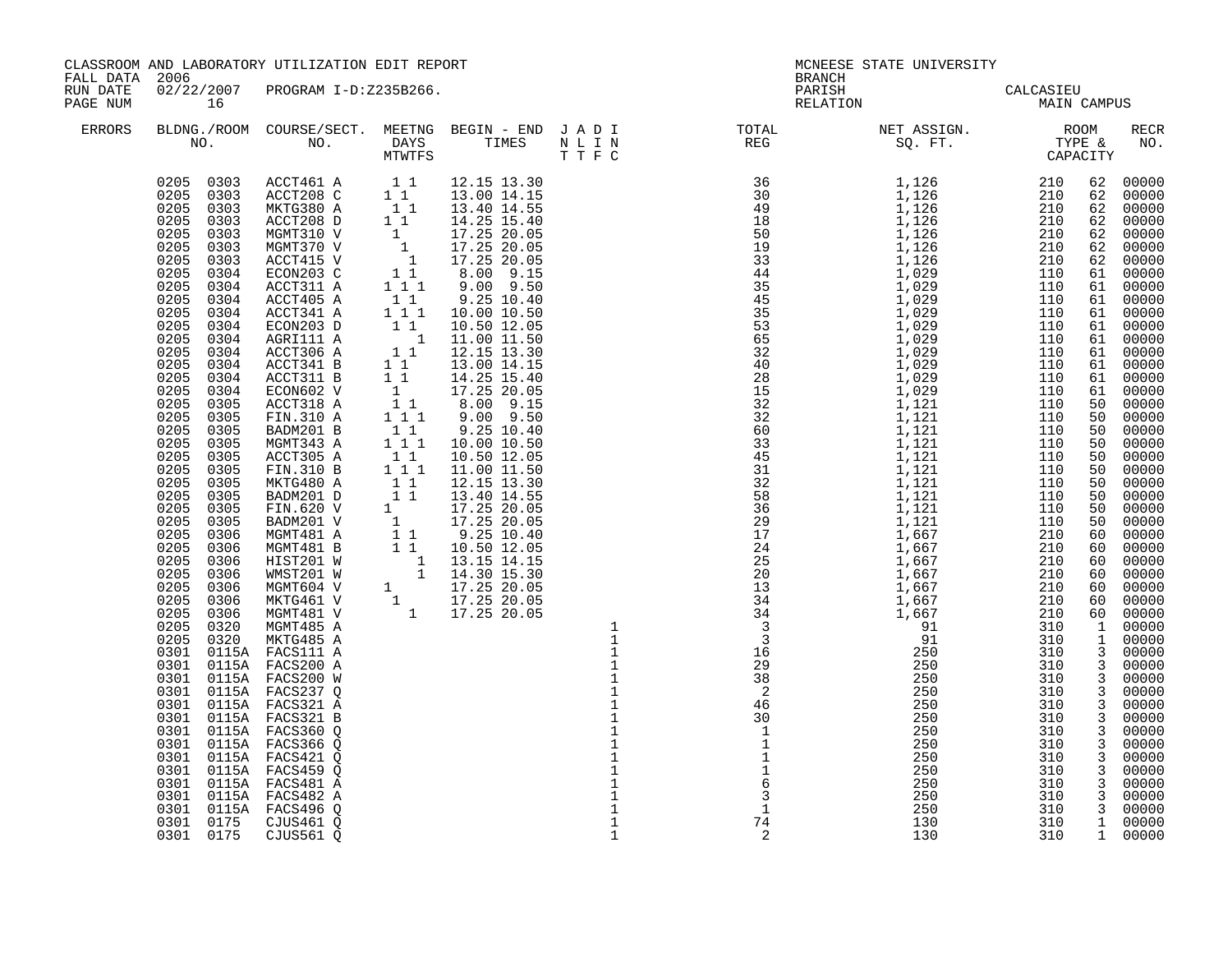|                                        |                                                                                                                                                                                                                                                                                                                                                                                                                                                                                                                                                                                                                                                                                                                                                                                                                                                            | CLASSROOM AND LABORATORY UTILIZATION EDIT REPORT                                                                                                                                                                                                                                                                                                                                                                                                                                                                                                                                                                                                                                                                                                                                                                                                                                                                                                    |                                                                                                                                                                                                                                                                                                                                                                                                                                                                                                                                                        |                                |                                                            | MCNEESE STATE UNIVERSITY                                                                                                                                                                                                                                                                                                                                                                                   |                                                                                                                                                                                                                  |                    |
|----------------------------------------|------------------------------------------------------------------------------------------------------------------------------------------------------------------------------------------------------------------------------------------------------------------------------------------------------------------------------------------------------------------------------------------------------------------------------------------------------------------------------------------------------------------------------------------------------------------------------------------------------------------------------------------------------------------------------------------------------------------------------------------------------------------------------------------------------------------------------------------------------------|-----------------------------------------------------------------------------------------------------------------------------------------------------------------------------------------------------------------------------------------------------------------------------------------------------------------------------------------------------------------------------------------------------------------------------------------------------------------------------------------------------------------------------------------------------------------------------------------------------------------------------------------------------------------------------------------------------------------------------------------------------------------------------------------------------------------------------------------------------------------------------------------------------------------------------------------------------|--------------------------------------------------------------------------------------------------------------------------------------------------------------------------------------------------------------------------------------------------------------------------------------------------------------------------------------------------------------------------------------------------------------------------------------------------------------------------------------------------------------------------------------------------------|--------------------------------|------------------------------------------------------------|------------------------------------------------------------------------------------------------------------------------------------------------------------------------------------------------------------------------------------------------------------------------------------------------------------------------------------------------------------------------------------------------------------|------------------------------------------------------------------------------------------------------------------------------------------------------------------------------------------------------------------|--------------------|
| FALL DATA 2006<br>RUN DATE<br>PAGE NUM | 16                                                                                                                                                                                                                                                                                                                                                                                                                                                                                                                                                                                                                                                                                                                                                                                                                                                         | 02/22/2007 PROGRAM I-D:Z235B266.                                                                                                                                                                                                                                                                                                                                                                                                                                                                                                                                                                                                                                                                                                                                                                                                                                                                                                                    |                                                                                                                                                                                                                                                                                                                                                                                                                                                                                                                                                        |                                | <b>BRANCH</b>                                              | PARISH CALCASIEU<br>RELATION MAIN CAMPUS                                                                                                                                                                                                                                                                                                                                                                   |                                                                                                                                                                                                                  |                    |
| ERRORS                                 |                                                                                                                                                                                                                                                                                                                                                                                                                                                                                                                                                                                                                                                                                                                                                                                                                                                            |                                                                                                                                                                                                                                                                                                                                                                                                                                                                                                                                                                                                                                                                                                                                                                                                                                                                                                                                                     |                                                                                                                                                                                                                                                                                                                                                                                                                                                                                                                                                        |                                |                                                            |                                                                                                                                                                                                                                                                                                                                                                                                            |                                                                                                                                                                                                                  | RECR<br>NO.        |
|                                        | 0205<br>0303<br>0205<br>0303<br>0205<br>0303<br>0205<br>0304<br>0205<br>0304<br>0205<br>0304<br>0205<br>0304<br>0205<br>0304<br>0205<br>0304<br>0205 0304<br>0205 0304<br>0205<br>0304<br>0205<br>0304<br>0205<br>0305<br>0205<br>0305<br>0205<br>0305<br>0205<br>0305<br>0205<br>0305<br>0205 0305<br>0205 0305<br>0205<br>0305<br>0205<br>0305<br>0205<br>0305<br>0205<br>0306<br>0205<br>0306<br>0205<br>0306<br>0205<br>0306<br>0205<br>0306<br>0205 0306<br>0205 0306<br>0205 0320<br>0205 0320<br>0301 0115A FACS111 A<br>0301 0115A FACS200 A<br>0301 0115A FACS200 W<br>0301 0115A FACS237 Q<br>0301 0115A FACS321 A<br>0301 0115A FACS321 B<br>0301 0115A FACS360 Q<br>0301 0115A FACS366 Q<br>0301 0115A FACS421 Q<br>0301 0115A FACS459 Q<br>0301 0115A FACS481 A<br>0301<br>0301 0115A FACS496 Q<br>0301 0175 CJUS461 Q<br>0301 0175 CJUS561 Q | $\begin{array}{cccccc} 0.205 & 0.303 & \text{A}\text{CCT461 A} & 1 & 1 & 12.15 & 13.30 \\ 0.205 & 0.303 & \text{A}\text{CCT208 C} & 1 & 1 & 13.00 & 14.15 \\ 0.205 & 0.303 & \text{MKTG380 A} & 1 & 1 & 13.40 & 14.55 \\ 0.205 & 0.303 & \text{A}\text{CCT208 D} & 1 & 1 & 14.25 & 15.40 \\ \end{array}$<br>MGMT310 V<br>MGMT370 V<br>ACCT415 V<br>ECON203 C<br>ACCT311 A<br>ACCT405 A<br>ACCT341 A<br>ECON203 D<br>AGRI111 A<br>ACCT306 A<br>ACCT341 B<br>ACCT311 B<br>ECON602 V<br>ACCT318 A<br>FIN.310 A<br>BADM201 B<br>MGMT343 A<br>ACCT305 A<br>FIN.310 B<br>$\begin{tabular}{l c c c} \texttt{FIN.310 B} & 1 & 1 & 11.00 & 11.50 \\ \texttt{MKTG480 A} & 1 & 1 & 12.15 & 13.30 \\ \texttt{BANDM201 D} & 1 & 1 & 13.40 & 14.55 \\ \texttt{FIN.620 V} & 1 & 17.25 & 20.05 \\ \texttt{BDM201 V} & 1 & 17.25 & 20.05 \\ \texttt{MGMT481 A} & 1 & 9.25 & 10.40 \\ \texttt{MGMT481 B} & 1 & 10.50 & $<br>MGMT485 A<br>MKTG485 A<br>0115A FACS482 A | $\begin{array}{rrrr} 1 & 17.25 & 20.05 \ 1 & 17.25 & 20.05 \ 1 & 17.25 & 20.05 \ 1 & 17.25 & 20.05 \ 1 & 1 & 8.00 & 9.15 \ 1 & 1 & 9.00 & 9.50 \end{array}$<br>$\begin{array}{cccc} 1&1&1&3.00&5.50\ 1&1&9.25&10.40\ 1&1&10.00&10.50\ 1&1&10.50&12.05\ 1&1&12.15&13.30\ 1&1&13.00&14.15\ \end{array}$<br>$1\ 1\ 1\ 14.25\ 15.40\ 1\ 17.25\ 20.05\ 1\ 1\ 8.00\ 9.15\ 1\ 1\ 1\ 9.00\ 9.50$<br>$\begin{array}{rrrr} 1 & 1 & 9.25 & 10.40 \ 1 & 1 & 1 & 10.00 & 10.50 \ 1 & 1 & 10.50 & 12.05 \ 1 & 1 & 11.00 & 11.50 \ 1 & 1 & 11.00 & 11.50 \end{array}$ | $1111$<br>$111$<br>$\mathbf 1$ | $\frac{1}{1}$<br>$\frac{1}{6}$<br>$\frac{3}{1}$<br>74<br>2 | $\begin{smallmatrix} \textbf{R}=\textbf{R}^T\textbf{S}^T\textbf{S}^T\textbf{S}^T\textbf{S}^T\textbf{S}^T\textbf{S}^T\textbf{S}^T\textbf{S}^T\textbf{S}^T\textbf{S}^T\textbf{S}^T\textbf{S}^T\textbf{S}^T\textbf{S}^T\textbf{S}^T\textbf{S}^T\textbf{S}^T\textbf{S}^T\textbf{S}^T\textbf{S}^T\textbf{S}^T\textbf{S}^T\textbf{S}^T\textbf{S}^T\textbf{S}^T$<br>250<br>250<br>250<br>250<br>250<br>130<br>130 | 310<br>310<br>$\begin{array}{cccc} 310 & 3 & 00000 \ 310 & 3 & 00000 \ 310 & 3 & 00000 \ \end{array}$<br>$\begin{array}{rrrr} 310 & 3 & 00000 \ 310 & 1 & 00000 \ 310 & 1 & 00000 \ 310 & 1 & 00000 \end{array}$ | 3 00000<br>3 00000 |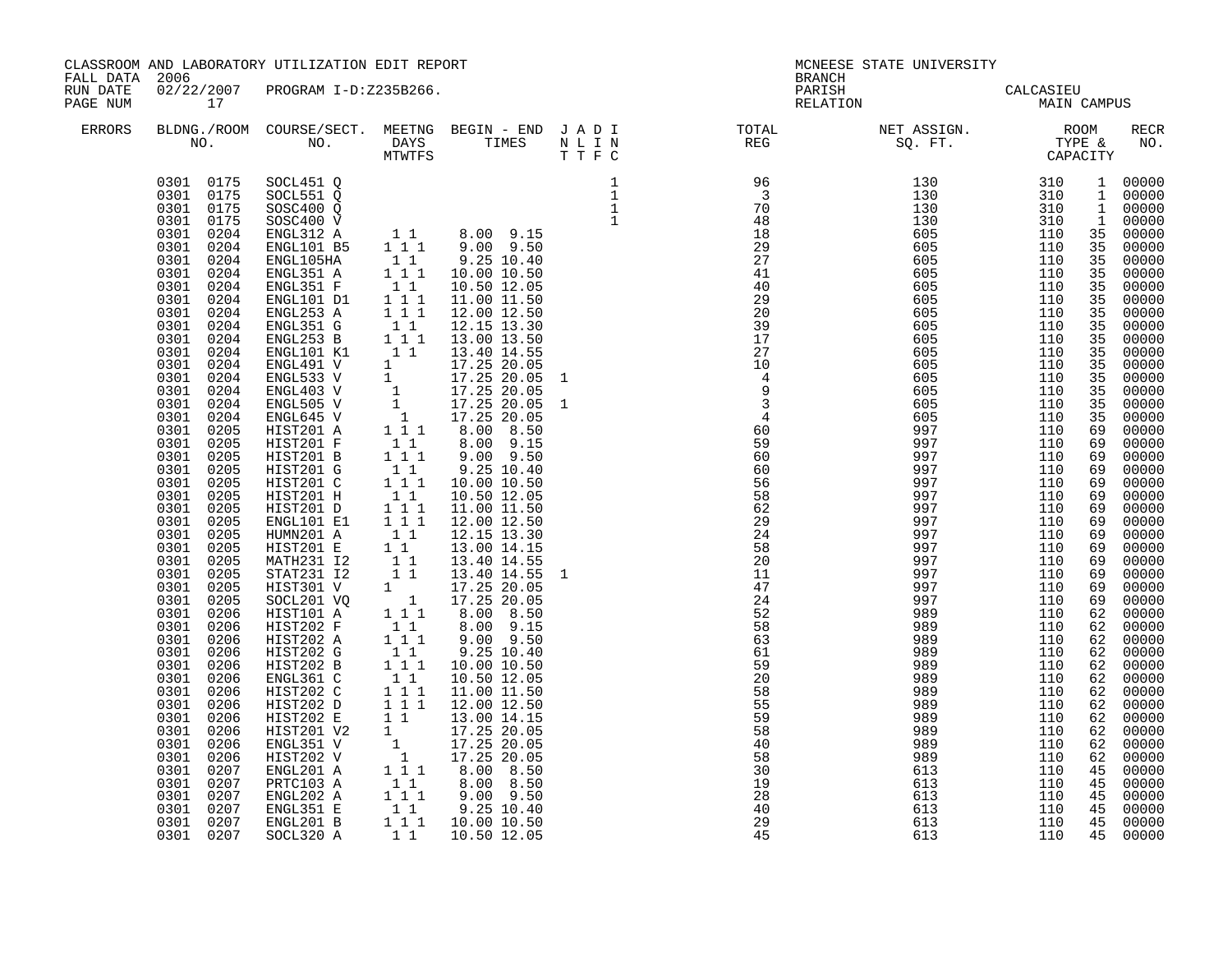| FALL DATA 2006       |                                                                                                                                                                                                                                                                                                                                                                                                                                                                                                                                                                                                                                                                                                                                                                                               | CLASSROOM AND LABORATORY UTILIZATION EDIT REPORT                                                                                                                                                                                                                                                                                                                                                                                                                                                                                                                                                                                                                                               |                        |                                                                                                                                                                                                                                                                                 | BRANCH                                                                                                                                                                                                                                                                                                                                                                                                                                                                                        | MCNEESE STATE UNIVERSITY                                    |                                                             |                                  |                                                                                        |
|----------------------|-----------------------------------------------------------------------------------------------------------------------------------------------------------------------------------------------------------------------------------------------------------------------------------------------------------------------------------------------------------------------------------------------------------------------------------------------------------------------------------------------------------------------------------------------------------------------------------------------------------------------------------------------------------------------------------------------------------------------------------------------------------------------------------------------|------------------------------------------------------------------------------------------------------------------------------------------------------------------------------------------------------------------------------------------------------------------------------------------------------------------------------------------------------------------------------------------------------------------------------------------------------------------------------------------------------------------------------------------------------------------------------------------------------------------------------------------------------------------------------------------------|------------------------|---------------------------------------------------------------------------------------------------------------------------------------------------------------------------------------------------------------------------------------------------------------------------------|-----------------------------------------------------------------------------------------------------------------------------------------------------------------------------------------------------------------------------------------------------------------------------------------------------------------------------------------------------------------------------------------------------------------------------------------------------------------------------------------------|-------------------------------------------------------------|-------------------------------------------------------------|----------------------------------|----------------------------------------------------------------------------------------|
| RUN DATE<br>PAGE NUM | 17                                                                                                                                                                                                                                                                                                                                                                                                                                                                                                                                                                                                                                                                                                                                                                                            | 02/22/2007 PROGRAM I-D:Z235B266.                                                                                                                                                                                                                                                                                                                                                                                                                                                                                                                                                                                                                                                               |                        |                                                                                                                                                                                                                                                                                 |                                                                                                                                                                                                                                                                                                                                                                                                                                                                                               | PARISH CALCASIEU<br>RELATION MAIN CAMPUS                    |                                                             |                                  |                                                                                        |
| ERRORS               |                                                                                                                                                                                                                                                                                                                                                                                                                                                                                                                                                                                                                                                                                                                                                                                               |                                                                                                                                                                                                                                                                                                                                                                                                                                                                                                                                                                                                                                                                                                |                        |                                                                                                                                                                                                                                                                                 | BLDNG./ROOM COURSE/SECT. MEETNG BEGIN – END JADI TOTAL NET ASSIGN. NO ROOM NO. DAYS TIMES NLIN REG REG SQ.FT. TYPE & CAPACITY                                                                                                                                                                                                                                                                                                                                                                 |                                                             |                                                             |                                  | <b>RECR</b><br>NO.                                                                     |
|                      | 0301 0175 SOCL451 Q<br>0301 0175<br>0301 0175<br>0301 0175<br>0301<br>0204<br>0301<br>0204<br>0301 0204<br>0301<br>0204<br>0301<br>0204<br>0301<br>0204<br>0301<br>0204<br>0301<br>0204<br>0301<br>0204<br>0301<br>0204<br>0301<br>0204<br>0301<br>0204<br>0301<br>0204<br>0301<br>0204<br>0301<br>0204<br>0301<br>0205<br>0301 0205<br>0301<br>0205<br>0301 0205<br>0301 0205<br>0301 0205<br>0301 0205<br>0301 0205<br>0301 0205<br>0301 0205<br>0301<br>0205<br>0301 0205<br>0301 0205<br>0301 0205<br>0301<br>0206<br>0301<br>0206<br>0301<br>0206<br>0301<br>0206<br>0301<br>0206<br>0301<br>0206<br>0301<br>0206<br>0301<br>0206<br>0301<br>0206<br>0301<br>0206<br>0301<br>0206<br>0301<br>0206<br>0301 0207<br>0301<br>0207<br>0301<br>0207<br>0301<br>0207<br>0301 0207<br>0301 0207 | SOCL551 Q<br>SOSC400 Q<br>$SOSC400$ $\widetilde{V}$<br>ENGL312 A<br>ENGL101 B5<br>ENGL105HA<br>ENGL351 A<br>ENGL351 F<br>ENGL101 D1<br>ENGL253 A<br>ENGL351 G<br>ENGL253 B<br>ENGL101 K1<br>ENGL491 V<br>ENGL533 V<br>ENGL403 V<br>ENGL505 V<br>ENGL645 V<br>HIST201 A<br>HIST201 F<br>HIST201 B<br>HIST201 G<br>HIST201 C<br>HIST201 H<br>HIST201 D<br>ENGL101 E1<br>HUMN201 A<br>HIST201 E<br>MATH231 I2<br>STAT231 I2<br>HIST301 V<br>SOCL201 VQ<br>HIST101 A<br>HIST202 F<br>HIST202 A<br>HIST202 G<br>HIST202 B<br>ENGL361 C<br>HIST202 C<br>HIST202 D<br>HIST202 E<br>HIST201 V2<br>ENGL351 V<br>HIST202 V<br>ENGL201 A<br>PRTC103 A<br>ENGL202 A<br>ENGL351 E<br>ENGL201 B<br>SOCL320 A | $1\quad1$<br>$1\quad1$ | $\begin{array}{rrrr} 1 & 17.25 & 20.05 \ 1 & 17.25 & 20.05 \ 1 & 17.25 & 20.05 \ 1 & 1 & 3.00 & 8.50 \ 1 & 1 & 8.00 & 8.50 \end{array}$<br>8.00 8.50<br>$\begin{array}{cccc} 1 & 1 & 1 & 9.00 & 9.50 \ 1 & 1 & 9.25 & 10.40 \ 1 & 1 & 10.00 & 10.50 \end{array}$<br>10.50 12.05 | $\begin{tabular}{c cccc} \textbf{1} & \textbf{1} & \textbf{1} & \textbf{1} & \textbf{1} & \textbf{1} & \textbf{1} & \textbf{1} & \textbf{1} & \textbf{1} & \textbf{1} & \textbf{1} & \textbf{1} & \textbf{1} & \textbf{1} & \textbf{1} & \textbf{1} & \textbf{1} & \textbf{1} & \textbf{1} & \textbf{1} & \textbf{1} & \textbf{1} & \textbf{1} & \textbf{1} & \textbf{1} & \textbf{1} & \textbf{1} & \textbf{1} & \textbf{1} &$<br>58<br>40<br>58<br>$\frac{32}{19}$<br>28<br>$\frac{40}{29}$ | 989<br>989<br>989<br>613<br>613<br>613<br>613<br>613<br>613 | 110<br>110<br>110<br>110<br>110<br>110<br>110<br>110<br>110 | 62<br>62<br>45<br>45<br>45<br>45 | 62 00000<br>00000<br>00000<br>00000<br>00000<br>00000<br>00000<br>45 00000<br>45 00000 |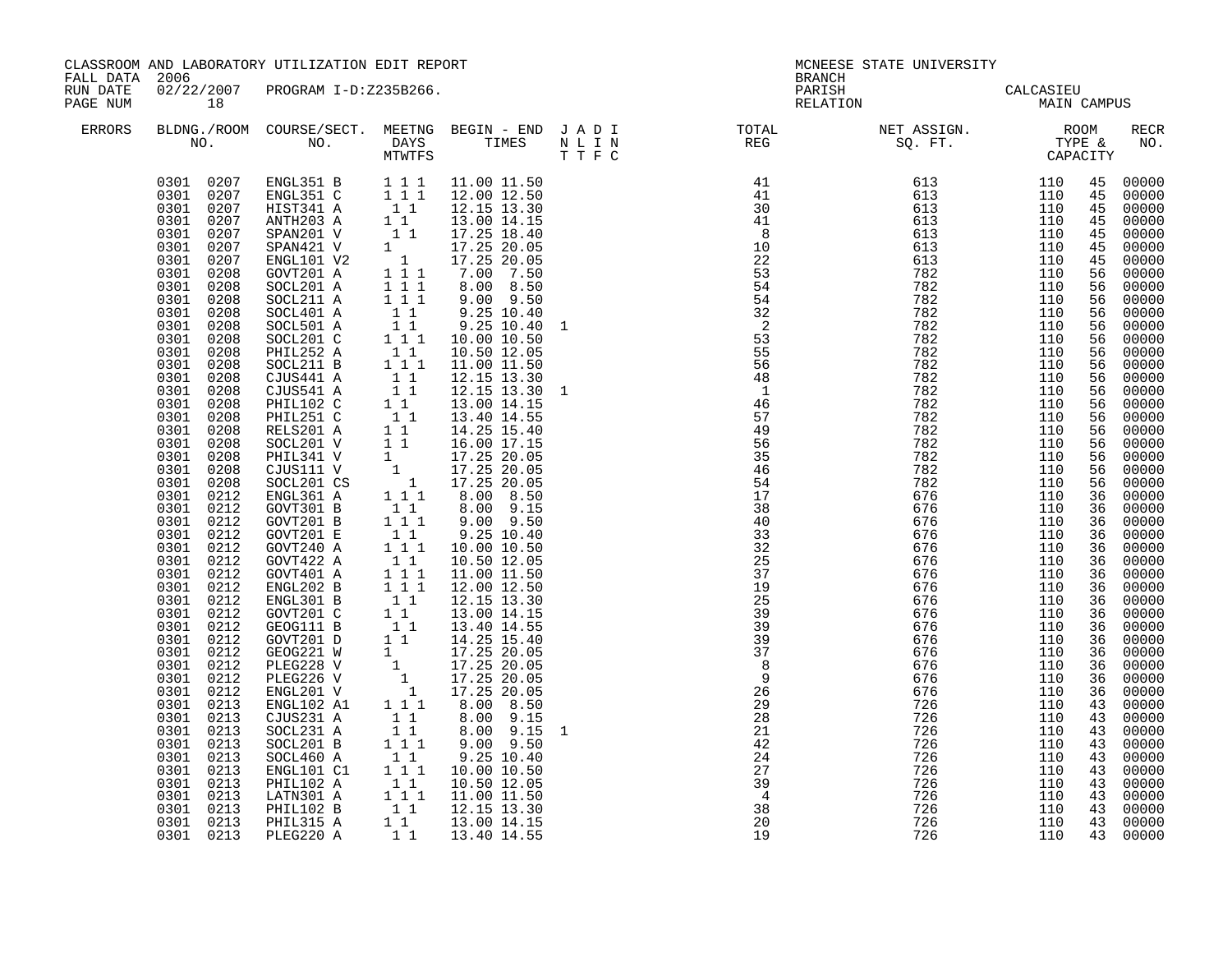| FALL DATA 2006       |                                                                                                                                                                                                                                                                                                                                                                                                                                                                                                                                                                                                                                                              | CLASSROOM AND LABORATORY UTILIZATION EDIT REPORT                                                                                                                                                                                                                                                                                                                                                                                                                                                                                                                                                                                                                                                                                                                                             |                                                                                                                                                                                                                                                                                                                                                                                                                                                                                                                                                                                                                                                                                                                                                                                                                                                                                                                                                                                                                                                                                                                                                                                                                                                                                                                                                                                                                                                                                                                                                                        |              | <b>BRANCH</b>                                                                                                                                                                                                                                                                                                                                                                                                                                                                               | MCNEESE STATE UNIVERSITY                                                                                                               |                                                                                                                                                                                                                                                                                                                                       |                                                                                                                                                                                                                                                                                                                                                                                        |                                                                                                                                                                                                                                                                                                                                  |
|----------------------|--------------------------------------------------------------------------------------------------------------------------------------------------------------------------------------------------------------------------------------------------------------------------------------------------------------------------------------------------------------------------------------------------------------------------------------------------------------------------------------------------------------------------------------------------------------------------------------------------------------------------------------------------------------|----------------------------------------------------------------------------------------------------------------------------------------------------------------------------------------------------------------------------------------------------------------------------------------------------------------------------------------------------------------------------------------------------------------------------------------------------------------------------------------------------------------------------------------------------------------------------------------------------------------------------------------------------------------------------------------------------------------------------------------------------------------------------------------------|------------------------------------------------------------------------------------------------------------------------------------------------------------------------------------------------------------------------------------------------------------------------------------------------------------------------------------------------------------------------------------------------------------------------------------------------------------------------------------------------------------------------------------------------------------------------------------------------------------------------------------------------------------------------------------------------------------------------------------------------------------------------------------------------------------------------------------------------------------------------------------------------------------------------------------------------------------------------------------------------------------------------------------------------------------------------------------------------------------------------------------------------------------------------------------------------------------------------------------------------------------------------------------------------------------------------------------------------------------------------------------------------------------------------------------------------------------------------------------------------------------------------------------------------------------------------|--------------|---------------------------------------------------------------------------------------------------------------------------------------------------------------------------------------------------------------------------------------------------------------------------------------------------------------------------------------------------------------------------------------------------------------------------------------------------------------------------------------------|----------------------------------------------------------------------------------------------------------------------------------------|---------------------------------------------------------------------------------------------------------------------------------------------------------------------------------------------------------------------------------------------------------------------------------------------------------------------------------------|----------------------------------------------------------------------------------------------------------------------------------------------------------------------------------------------------------------------------------------------------------------------------------------------------------------------------------------------------------------------------------------|----------------------------------------------------------------------------------------------------------------------------------------------------------------------------------------------------------------------------------------------------------------------------------------------------------------------------------|
| RUN DATE<br>PAGE NUM | 18                                                                                                                                                                                                                                                                                                                                                                                                                                                                                                                                                                                                                                                           | 02/22/2007 PROGRAM I-D:Z235B266.                                                                                                                                                                                                                                                                                                                                                                                                                                                                                                                                                                                                                                                                                                                                                             |                                                                                                                                                                                                                                                                                                                                                                                                                                                                                                                                                                                                                                                                                                                                                                                                                                                                                                                                                                                                                                                                                                                                                                                                                                                                                                                                                                                                                                                                                                                                                                        |              | PARISH<br>RELATION                                                                                                                                                                                                                                                                                                                                                                                                                                                                          | CALCASIEU<br>MAIN CAMPUS                                                                                                               |                                                                                                                                                                                                                                                                                                                                       |                                                                                                                                                                                                                                                                                                                                                                                        |                                                                                                                                                                                                                                                                                                                                  |
| ERRORS               |                                                                                                                                                                                                                                                                                                                                                                                                                                                                                                                                                                                                                                                              |                                                                                                                                                                                                                                                                                                                                                                                                                                                                                                                                                                                                                                                                                                                                                                                              |                                                                                                                                                                                                                                                                                                                                                                                                                                                                                                                                                                                                                                                                                                                                                                                                                                                                                                                                                                                                                                                                                                                                                                                                                                                                                                                                                                                                                                                                                                                                                                        |              |                                                                                                                                                                                                                                                                                                                                                                                                                                                                                             |                                                                                                                                        |                                                                                                                                                                                                                                                                                                                                       |                                                                                                                                                                                                                                                                                                                                                                                        | RECR<br>NO.                                                                                                                                                                                                                                                                                                                      |
|                      | 0301<br>0207<br>0301 0207<br>0301 0208<br>0301 0208<br>0301 0208<br>0301 0208<br>0301 0208<br>0301 0208<br>0301 0208<br>0301 0208<br>0301 0208<br>0301 0208<br>0301 0208<br>0301 0208<br>0301<br>0208<br>0301<br>0208<br>0301<br>0208<br>0301<br>0208<br>0301<br>0208<br>0301<br>0212<br>0301 0212<br>0301 0212<br>0301 0212<br>0301 0212<br>0301 0212<br>0301 0212<br>0301 0212<br>0301 0212<br>0301 0212<br>0301 0212<br>0301 0212<br>0301 0212<br>0301 0212<br>0301 0212<br>0301<br>0212<br>0213<br>0301<br>0301<br>0213<br>0301<br>0213<br>0301<br>0213<br>0301<br>0213<br>0301<br>0213<br>0301 0213<br>0301 0213<br>0301 0213<br>0301 0213<br>0301 0213 | SPAN421 V<br>ENGL101 V2<br>GOVT201 A<br>SOCL201 A<br>$1\quad1\quad1$<br>SOCL211 A<br>SOCL401 A<br>SOCL501 A<br>SOCL201 C<br>PHIL252 A<br>SOCL211 B<br>CJUS441 A<br>CJUS541 A<br>PHIL102 C<br>PHIL251 C<br>RELS201 A<br>SOCL201 V<br>PHIL341 V<br>CJUS111 V<br>SOCL201 CS<br>ENGL361 A<br>GOVT301 B<br>GOVT201 B<br>$\begin{bmatrix} 1 \\ 1 \\ 1 \end{bmatrix} \begin{bmatrix} 1 \\ 1 \end{bmatrix}$<br>GOVT201 E<br>GOVT240 A<br>GOVT422 A<br>GOVT401 A<br>ENGL202 B<br>ENGL301 B<br>GOVT201 C<br>GEOG111 B<br>GOVT201 D<br>GEOG221 W<br>PLEG228 V<br>PLEG226 V<br>ENGL201 V<br>ENGL102 A1<br>$\begin{bmatrix} 1 & 1 \\ 1 & 1 \end{bmatrix}$<br>CJUS231 A<br>SOCL231 A<br>SOCL201 B<br>SOCL460 A<br>$1\quad1$<br>ENGL101 C1<br>PHIL102 A<br>LATN301 A<br>PHIL102 B<br>PHIL315 A<br>PLEG220 A | $\begin{array}{cccc} 0301 & 0207 & \text{ENGL}351 \text{ B} & 1 & 1 & 11.00 \text{ } 11.50 \\ 0301 & 0207 & \text{ENGL}351 \text{ C} & 1 & 1 & 12.00 \text{ } 12.50 \\ 0301 & 0207 & \text{HIST}341 \text{ A} & 1 & 12.15 \text{ } 13.30 \\ 0301 & 0207 & \text{ANTH}203 \text{ A} & 1 & 13.00 \text{ } 14.15 \\ 0301 & 0207 & \text{SPAN}2$<br>$1 \t 1 \t 17.25 \t 18.40$<br>$1 \t 17.25 \t 18.40$<br>$1 \t 17.25 \t 20.05$<br>$1 \t 1 \t 1 \t 7.00 \t 7.50$<br>$\overline{1}$ $\overline{1}$ $\overline{1}$<br>8.00 8.50<br>9.00 9.50<br>$\begin{array}{cccc} 1 & 1 & 1 & 9.00 & 9.50 \\ 1 & 1 & 9.25 & 10.40 \\ 1 & 1 & 9.25 & 10.40 \\ 1 & 1 & 10.00 & 10.50 \\ 1 & 1 & 10.00 & 10.50 \\ 1 & 1 & 11.00 & 11.50 \\ 1 & 1 & 12.15 & 13.30 \\ 1 & 1 & 12.15 & 13.30 \\ 1 & 1 & 13.00 & 14.15 \\ 1 & 1 & 14.25 & 15.40 \\ 1 & 1 & 14.25 & $<br>9.25 10.40<br>9.25 10.40 1<br>12.15 13.30 1<br>$8.00$ $9.15$<br>$9.00$ $9.50$<br>$\begin{bmatrix} 1 & 1 \\ 1 & 1 \end{bmatrix}$ 9.25 10.40<br>1 1 1 10.00 10.50<br>$\begin{array}{cccc} 1 & 1 & 1 & 10.00 & 10.50 \\ 1 & 1 & 10.50 & 12.05 \\ 1 & 1 & 1 & 11.00 & 11.50 \\ 1 & 1 & 1 & 12.00 & 12.50 \\ 1 & 1 & 12.15 & 13.30 \\ 1 & 1 & 13.00 & 14.15 \\ 1 & 1 & 14.25 & 15.40 \\ 1 & 1 & 14.25 & 15.40 \\ 1 & 17.25 & 20.05 \\ 1 & 17.25 & 20.05 \\ 1 & 17.25 &$<br>$8.00$ 9.15<br>8.00 9.15<br>$1 1 1$<br>$9.00$ $9.50$<br>9.25 10.40<br>$1 1 1$<br>10.00 10.50<br>$\begin{bmatrix} 1 & 1 & 10.50 & 12.05 \\ 1 & 1 & 11.00 & 11.50 \\ 1 & 1 & 12.15 & 13.30 \end{bmatrix}$<br>11<br>13.00 14.15<br>1 1 1 13.40 14.55 | $\mathbf{1}$ | 41<br>41<br>$\frac{36}{41}$<br>$\frac{0}{10}$<br>22<br>53<br>54<br>54<br>32<br>$\overline{\phantom{a}}^2$<br>$\begin{array}{c} 53 \\ 55 \end{array}$<br>56<br>48<br>$\begin{array}{c}\n1 \\ 1 \\ 7\n\end{array}$<br>57<br>49<br>56<br>$\overline{35}$<br>46<br>54<br>17<br>38<br>40<br>33<br>32<br>25<br>37<br>19<br>25<br>39<br>$39$<br>$39$<br>$37$<br>$8$<br>$\overline{9}$<br>26<br>$\overline{29}$<br>$\frac{1}{28}$<br>21<br>42<br>24<br>27<br>39<br>$\overline{4}$<br>38<br>20<br>19 | $\begin{array}{cccc} 613 & 110 & 45 \\ 613 & 110 & 45 \\ 613 & 110 & 45 \\ 613 & 110 & 45 \\ 613 & 110 & 45 \end{array}$<br>726<br>726 | 110<br>110<br>110<br>110<br>110<br>110<br>110<br>110<br>110<br>110<br>110<br>110<br>110<br>110<br>110<br>110<br>110<br>110<br>110<br>110<br>110<br>110<br>110<br>110<br>110<br>110<br>110<br>110<br>110<br>110<br>110<br>110<br>110<br>110<br>110<br>110<br>110<br>110<br>110<br>110<br>110<br>110<br>110<br>110<br>110<br>110<br>110 | 45 00000<br>45<br>45<br>45<br>56<br>56<br>56<br>56<br>56<br>56 00000<br>56<br>56 00000<br>56<br>56 00000<br>56<br>56<br>56<br>56<br>56<br>56<br>56<br>36<br>36 00000<br>36<br>36<br>36<br>36 00000<br>36<br>36 00000<br>36 00000<br>36 00000<br>36<br>36 00000<br>36<br>36 00000<br>36<br>36<br>43<br>43<br>43<br>43<br>43<br>43 00000<br>43 00000<br>43<br>43 00000<br>43<br>43 00000 | 00000<br>00000<br>00000<br>00000<br>00000<br>00000<br>00000<br>00000<br>00000<br>00000<br>00000<br>00000<br>00000<br>00000<br>00000<br>00000<br>00000<br>00000<br>00000<br>00000<br>00000<br>00000<br>00000<br>00000<br>00000<br>00000<br>00000<br>00000<br>00000<br>00000<br>00000<br>00000<br>00000<br>00000<br>00000<br>00000 |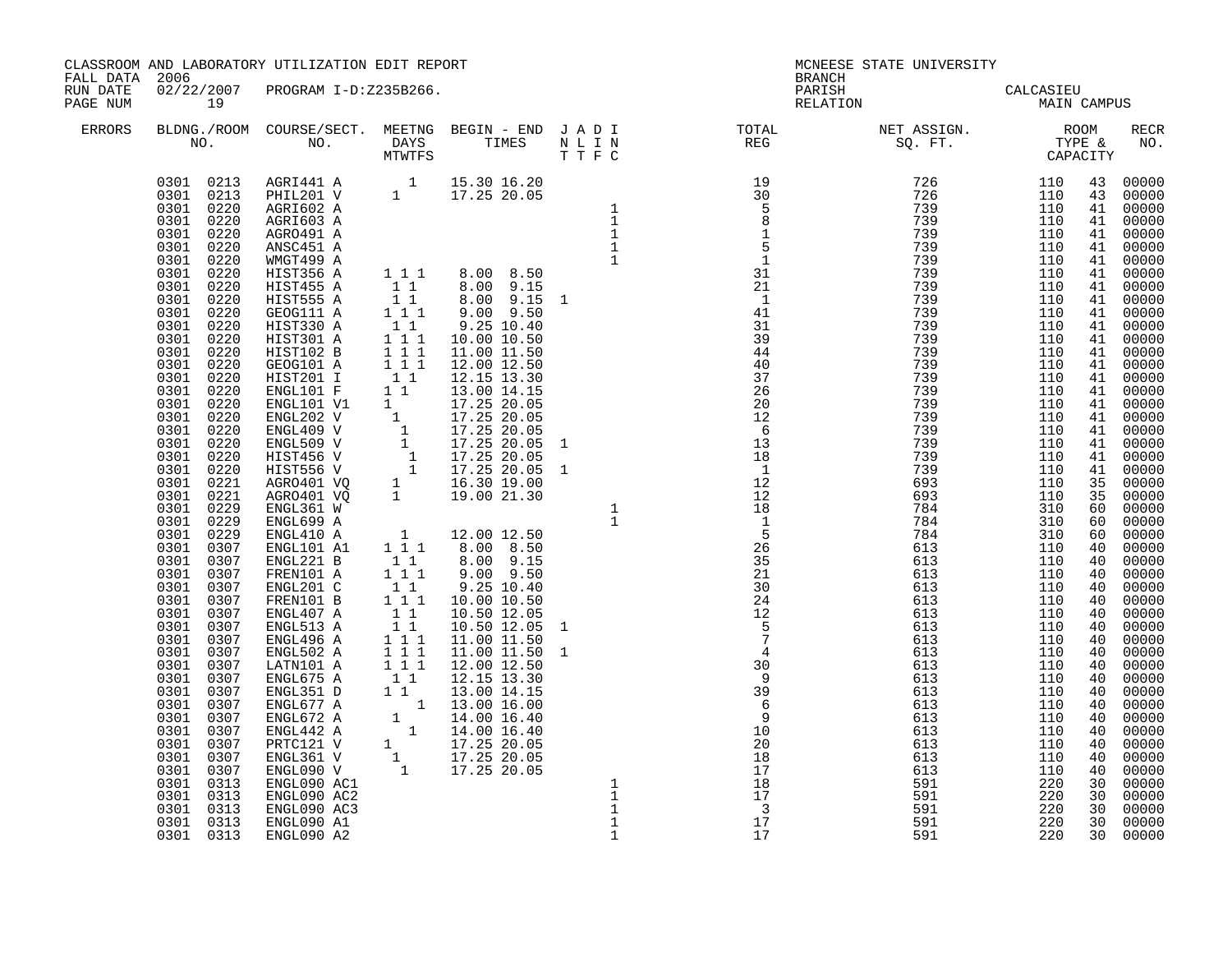| FALL DATA 2006       |                                                                                                                                                     | CLASSROOM AND LABORATORY UTILIZATION EDIT REPORT                                                                                                                                                                                                                                                            |  |                                                                                                                                                                                                                                                                           | <b>BRANCH</b>                                                                                                                                                                                                                                 | MCNEESE STATE UNIVERSITY                                                                                                                                                                                                                                                                                                                                                                                                                         |                                                                    |                      |                                                                                                          |
|----------------------|-----------------------------------------------------------------------------------------------------------------------------------------------------|-------------------------------------------------------------------------------------------------------------------------------------------------------------------------------------------------------------------------------------------------------------------------------------------------------------|--|---------------------------------------------------------------------------------------------------------------------------------------------------------------------------------------------------------------------------------------------------------------------------|-----------------------------------------------------------------------------------------------------------------------------------------------------------------------------------------------------------------------------------------------|--------------------------------------------------------------------------------------------------------------------------------------------------------------------------------------------------------------------------------------------------------------------------------------------------------------------------------------------------------------------------------------------------------------------------------------------------|--------------------------------------------------------------------|----------------------|----------------------------------------------------------------------------------------------------------|
| RUN DATE<br>PAGE NUM | 19                                                                                                                                                  | 02/22/2007 PROGRAM I-D:Z235B266.                                                                                                                                                                                                                                                                            |  |                                                                                                                                                                                                                                                                           |                                                                                                                                                                                                                                               | PARISH CALCASIEU<br>RELATION MAIN CAMPUS                                                                                                                                                                                                                                                                                                                                                                                                         |                                                                    |                      |                                                                                                          |
| ERRORS               |                                                                                                                                                     |                                                                                                                                                                                                                                                                                                             |  |                                                                                                                                                                                                                                                                           |                                                                                                                                                                                                                                               | $\begin{tabular}{lllllllllllllllllllll} \textsc{BLONG.} \textsc{F100M.} & \textsc{COURSE/SECT.} & \textsc{METING.} & \textsc{BEGIN - END.} & \textsc{J A D I} & \textsc{DTAT} & \textsc{NT10TAL} & \textsc{NET ASSIGN.} & \textsc{ROOM} \\ \textsc{NO.} & \textsc{NO.} & \textsc{DAYS} & \textsc{TIMES} & \textsc{N L I N} & \textsc{REG} & \textsc{SG. FT.} & \textsc{STP} & \textsc{CAPACITY} \\ & \textsc{MTVTFS} & \textsc{T T F C} & & & &$ |                                                                    |                      | RECR<br>NO.                                                                                              |
|                      | 0301 0307<br>0301 0307<br>0301 0307<br>0301<br>0307<br>0301<br>0307<br>0301<br>0307<br>0301<br>0307<br>0301<br>0313<br>0301<br>0313<br>0301<br>0313 | FRENIOI A<br>FRENIOI B<br>ENGL201 C<br>1 1 9.00 9.50<br>ENGL201 C<br>1 1 10.00 10.50<br>ENGL407 A<br>1 1 10.50 12.05<br>ENGL407 A<br>1 1 10.50 12.05<br>ENGL436 A<br>1 1 11.00 11.50<br>ENGL496 A<br>1 1 11.00 11.50<br>ENGL496 A<br>1 1 12.00 12.50<br>ENGL67<br>ENGL090 AC1<br>ENGL090 AC2<br>ENGL090 AC3 |  | $\begin{array}{cccccccc} 1&1&1&8.00&8.59&1\\ 1&1&8.00&9.15&1\\ 1&1&8.00&9.15&1\\ 1&1&9.00&9.15&1\\ 1&1&9.00&9.15&1\\ 1&1&9.00&1.00\\ 1&1&1&10.00&10.50\\ 1&1&1&10.00&11.50\\ 1&1&1&10.00&11.50\\ 1&1&1&12.00&12.50\\ 1&1&1&2.00&12.50\\ 1&1&1&2.00&14.1$<br>$\frac{1}{1}$ | $\begin{array}{c}\n 30 \\  9\n \end{array}$<br>$\begin{array}{c} 39 \\ 6 \\ 9 \end{array}$<br>$\overline{9}$<br>$\frac{10}{20}$<br>20<br>$\begin{array}{c} 1 \text{ } , \\ 18 \\ 1 \text{ } ^{\circ} \end{array}$<br>$\overline{\phantom{a}}$ | 613<br>613<br>613<br>613<br>613<br>613<br>613<br>591<br>591<br>591                                                                                                                                                                                                                                                                                                                                                                               | 110<br>110<br>110<br>110<br>110<br>110<br>110<br>220<br>220<br>220 | 40<br>40<br>40<br>30 | 00000<br>40 00000<br>40 00000<br>40 00000<br>00000<br>00000<br>40 00000<br>30 00000<br>30 00000<br>00000 |
|                      | 0301 0313<br>0301 0313                                                                                                                              | ENGL090 A1<br>ENGL090 A2                                                                                                                                                                                                                                                                                    |  | $1\,$<br>$\mathbf{1}$                                                                                                                                                                                                                                                     | 17<br>17                                                                                                                                                                                                                                      | 591<br>591                                                                                                                                                                                                                                                                                                                                                                                                                                       | 220<br>220                                                         |                      | 30 00000<br>30 00000                                                                                     |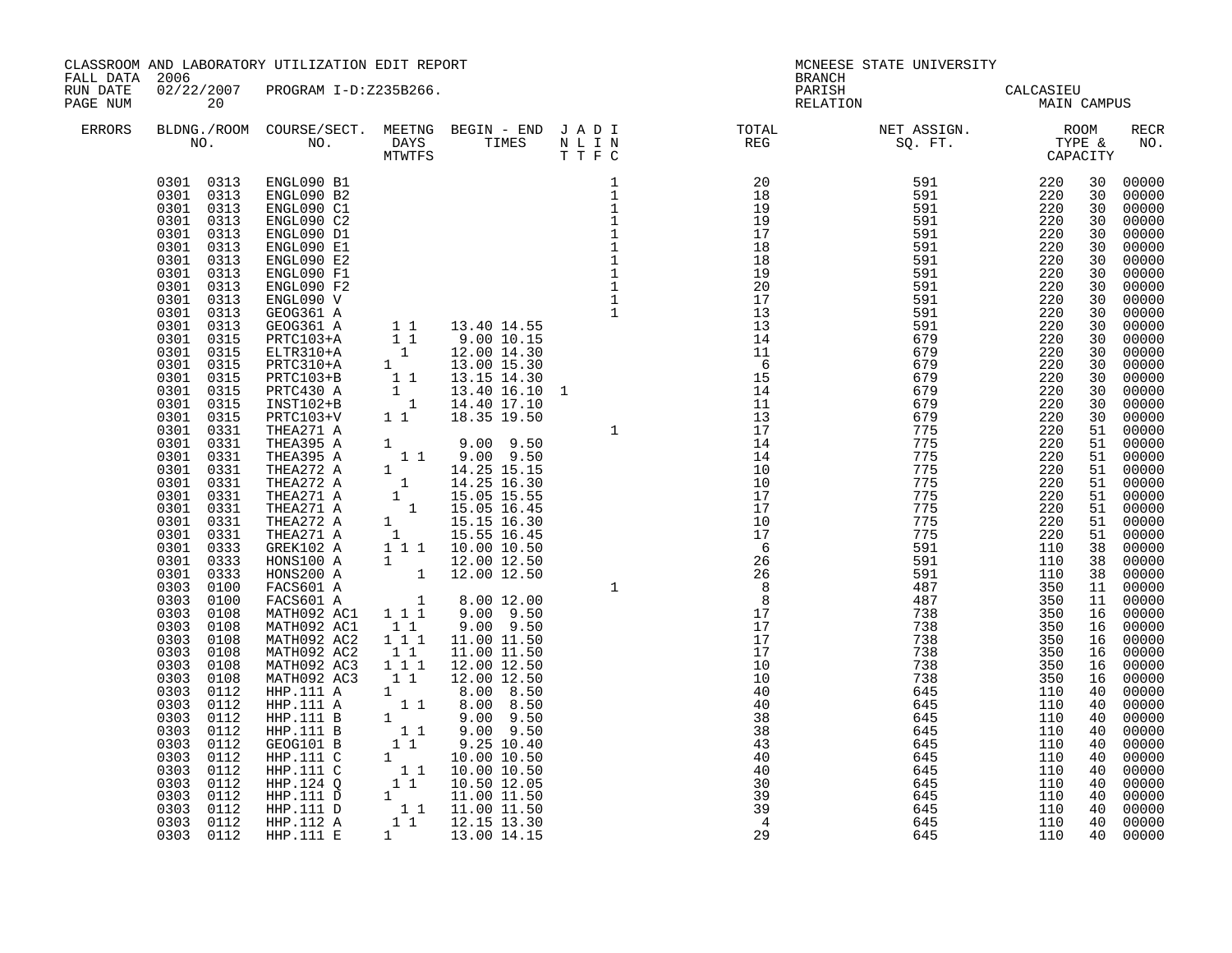| FALL DATA 2006       |                                                                                                                                                                                                                                                                                                                                                                                                                                                                                                                                                                                                                                                                                                                                                                                  | CLASSROOM AND LABORATORY UTILIZATION EDIT REPORT                                                                                                                                                                                                                                                                                                                                                                                                                                                                                                                                                                                                                                                                                                                                                                                                                                                                                                                                                                          |                                                                                  |                                                                                                   |                                                                                                                                                                                                                                | <b>BRANCH</b>                                                                                                                                                                                                                                                                                                                                                                                                                                                                      | MCNEESE STATE UNIVERSITY                                                                                     |                                                                                                              |                                              |                                                                                                                                                                                                                          |
|----------------------|----------------------------------------------------------------------------------------------------------------------------------------------------------------------------------------------------------------------------------------------------------------------------------------------------------------------------------------------------------------------------------------------------------------------------------------------------------------------------------------------------------------------------------------------------------------------------------------------------------------------------------------------------------------------------------------------------------------------------------------------------------------------------------|---------------------------------------------------------------------------------------------------------------------------------------------------------------------------------------------------------------------------------------------------------------------------------------------------------------------------------------------------------------------------------------------------------------------------------------------------------------------------------------------------------------------------------------------------------------------------------------------------------------------------------------------------------------------------------------------------------------------------------------------------------------------------------------------------------------------------------------------------------------------------------------------------------------------------------------------------------------------------------------------------------------------------|----------------------------------------------------------------------------------|---------------------------------------------------------------------------------------------------|--------------------------------------------------------------------------------------------------------------------------------------------------------------------------------------------------------------------------------|------------------------------------------------------------------------------------------------------------------------------------------------------------------------------------------------------------------------------------------------------------------------------------------------------------------------------------------------------------------------------------------------------------------------------------------------------------------------------------|--------------------------------------------------------------------------------------------------------------|--------------------------------------------------------------------------------------------------------------|----------------------------------------------|--------------------------------------------------------------------------------------------------------------------------------------------------------------------------------------------------------------------------|
| RUN DATE<br>PAGE NUM | 20                                                                                                                                                                                                                                                                                                                                                                                                                                                                                                                                                                                                                                                                                                                                                                               | 02/22/2007 PROGRAM I-D:Z235B266.                                                                                                                                                                                                                                                                                                                                                                                                                                                                                                                                                                                                                                                                                                                                                                                                                                                                                                                                                                                          |                                                                                  |                                                                                                   |                                                                                                                                                                                                                                |                                                                                                                                                                                                                                                                                                                                                                                                                                                                                    | PARISH<br>RELATION CALCASIEU MAIN CAMPUS                                                                     |                                                                                                              |                                              |                                                                                                                                                                                                                          |
| ERRORS               |                                                                                                                                                                                                                                                                                                                                                                                                                                                                                                                                                                                                                                                                                                                                                                                  |                                                                                                                                                                                                                                                                                                                                                                                                                                                                                                                                                                                                                                                                                                                                                                                                                                                                                                                                                                                                                           |                                                                                  |                                                                                                   |                                                                                                                                                                                                                                | $\begin{array}{cccccccccccccc} \texttt{BLDNG.} / \texttt{ROM} & \texttt{COURSE} / \texttt{SECTION:} & \texttt{MERTNG} & \texttt{BEGIN} & - & \texttt{END} & \texttt{J} & \texttt{A} & \texttt{D} & \texttt{I} & & & & & \texttt{TOTAL} & & & \texttt{NET} & \texttt{ASSIGN.} & & & \texttt{ROOM} \\ \texttt{NO.} & & & & & & & & & & \texttt{IMES} & & \texttt{N} & \texttt{I} & \texttt{N} & & & & \texttt{REG} & & & & \texttt{SQ. FT.} & & & \texttt{CTPE & &$                  |                                                                                                              |                                                                                                              |                                              | RECR<br>NO.                                                                                                                                                                                                              |
|                      | 0301 0313 ENGL090 B1<br>0301 0313<br>0301 0313<br>0301 0313<br>0301 0313<br>0301 0313<br>0301 0313<br>0301 0313<br>0301 0313<br>0301<br>0313<br>0313<br>0301<br>0301<br>0313<br>0301 0315<br>0301<br>0315<br>0301<br>0315<br>0301<br>0315<br>0301 0315<br>0301<br>0315<br>0301 0315<br>0301 0331<br>0301 0331<br>0301 0331<br>0301 0331<br>0301 0331<br>0301 0331<br>0301 0331<br>0301 0331<br>0301 0331<br>0301 0333<br>0301<br>0333<br>0301<br>0333<br>0303<br>0100<br>0303<br>0100<br>0303<br>0108<br>0303<br>0108<br>$0303$<br>$0303$<br>0108<br>0108<br>0303<br>0108<br>0303<br>0108<br>0303<br>0112<br>0303<br>0112<br>0303 0112<br>0303<br>0112<br>0303<br>0112<br>0303<br>0112<br>0303<br>0112<br>0303<br>0112<br>0303<br>0112<br>0303<br>0112<br>0303 0112<br>0303 0112 | ENGL090 B2<br>ENGL090 C1<br>ENGL090 C2<br>ENGL090 D1<br>ENGL090 E1<br>ENGL090 E2<br>ENGL090 F1<br>ENGL090 F2<br>ENGL090 V<br>GEOG361 A<br>GEOG361 A<br>PRTC103+A<br>ELTR310+A<br>$PRTC310+A$<br>PRTC103+B<br>PRTC430 A<br>INST102+B<br>PRTC103+V<br>THEA271 A<br>THEAZ71 A<br>THEA395 A<br>THEA395 A<br>1 1 9.00 9.50<br>THEA272 A<br>1 14.25 15.15<br>THEA272 A<br>1 14.25 15.15<br>THEA271 A<br>1 15.05 15.55<br>THEA271 A<br>1 15.05 16.45<br>THEA271 A<br>1 15.15 16.30<br>THEA271 A<br>1 15.55 16.45<br>THEA271 A<br>1 15.55<br>HONS200 A<br>FACS601 A<br>FACS601 A<br>MATH092 AC1 1 1 1 9.00 9.50<br>MATH092 AC1<br>MATH092 AC2<br>MATH092 AC2<br>MATH092 AC3<br>MATH092 AC3<br>$\begin{tabular}{l c c c} \texttt{MATH092 AC3} & 1 & 1 & 12.00 & 12.50 \\ \texttt{HHP.111 A} & 1 & 8.00 & 8.50 \\ \texttt{HHP.111 B} & 1 & 8.00 & 8.50 \\ \texttt{HHP.111 B} & 1 & 9.00 & 9.50 \\ \texttt{GEOG101 B} & 1 & 9.00 & 9.50 \\ \texttt{GEOG101 B} & 1 & 9.25 & 10.40 \\ \texttt{HHP.111 C} & 1 & 10.00 & 10.50 \\ \text$ | 11<br>$\begin{array}{c} 1 \\ 1 \end{array}$<br>$1\quad1$<br>$1 1 1$<br>$1\quad1$ | $1 \t 8.00 \t 12.00$<br>$9.00$ $9.50$<br>11.00 11.50<br>11.00 11.50<br>12.00 12.50<br>12.00 12.50 | $\begin{array}{cccc} 1 & & & & 11 \\ 11 & & & & 17 \\ 14 & & 14 \\ 14 & & & 10 \\ 10 & & 17 \\ 17 & & 17 \\ 10 & & 17 \\ 26 & & 26 \\ 26 & & 26 \\ 3 & & 8 \\ 17 & & 17 \\ 17 & & 17 \\ 10 & & 40 \\ 40 & & 40 \\ \end{array}$ | $[12pt] \begin{tabular}{lcccc} \bf{REG} & \bf{SC} & \bf{FT} & \bf{TPFE} & \bf{XOC} \\ \bf{XPEATE} & \bf{XOC} & \bf{FTE} & \bf{XOC} \\ \bf{XPEATE} & \bf{XOC} & \bf{XDEATE} \\ \bf{XOC} & \bf{XDCATE} \\ \bf{XOC} & \bf{XDCATE} \\ \bf{XOC} & \bf{XOC} \\ \bf{XOC} & \bf{XOC} \\ \bf{XOC} & \bf{XOC} \\ \bf{XOC} & \bf{XOC} \\ \bf{XOC} & \bf{XOC} \\ \bf{XOC} & \bf{XOC} \\ \bf{XOC} &$<br>40<br>38<br>38<br>43<br>40<br>40<br>30<br>39<br>$\overline{39}$<br>$\overline{4}$<br>29 | 738<br>738<br>738<br>738<br>645<br>645<br>645<br>645<br>645<br>645<br>645<br>645<br>645<br>645<br>645<br>645 | 350<br>350<br>350<br>350<br>110<br>110<br>110<br>110<br>110<br>110<br>110<br>110<br>110<br>110<br>110<br>110 | 16<br>16<br>40<br>40<br>40<br>40<br>40<br>40 | 16 00000<br>00000<br>16 00000<br>00000<br>00000<br>00000<br>00000<br>40 00000<br>40 00000<br>00000<br>$00000$<br>00000<br>$\begin{bmatrix} 10 & 00000 \\ 40 & 00000 \\ 40 & 00000 \end{bmatrix}$<br>40 00000<br>40 00000 |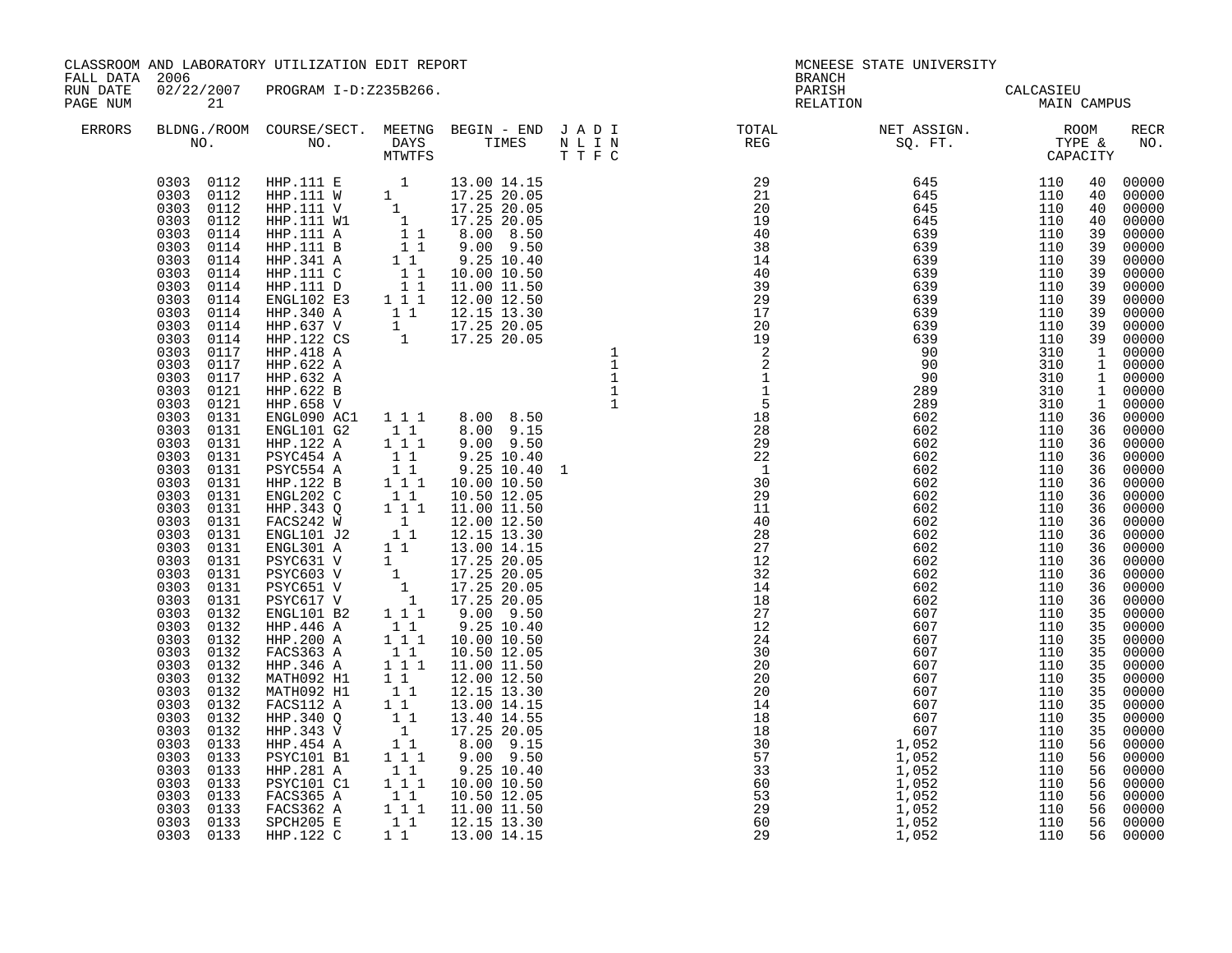| FALL DATA 2006       |                                                                                                                                                                                                                                                                                                                                                                                                                                                                                                                                                                                                                                                                                                                                                             | CLASSROOM AND LABORATORY UTILIZATION EDIT REPORT                                                                   |                                                                                                                                                                              |                                                                                                                                                                                                  | <b>BRANCH</b>                                                                                                                                                                                                                                                                                                                                                                                                                               | MCNEESE STATE UNIVERSITY                                                                                 |                                                                    |                |                                                                                                                                                                                     |
|----------------------|-------------------------------------------------------------------------------------------------------------------------------------------------------------------------------------------------------------------------------------------------------------------------------------------------------------------------------------------------------------------------------------------------------------------------------------------------------------------------------------------------------------------------------------------------------------------------------------------------------------------------------------------------------------------------------------------------------------------------------------------------------------|--------------------------------------------------------------------------------------------------------------------|------------------------------------------------------------------------------------------------------------------------------------------------------------------------------|--------------------------------------------------------------------------------------------------------------------------------------------------------------------------------------------------|---------------------------------------------------------------------------------------------------------------------------------------------------------------------------------------------------------------------------------------------------------------------------------------------------------------------------------------------------------------------------------------------------------------------------------------------|----------------------------------------------------------------------------------------------------------|--------------------------------------------------------------------|----------------|-------------------------------------------------------------------------------------------------------------------------------------------------------------------------------------|
| RUN DATE<br>PAGE NUM | 21                                                                                                                                                                                                                                                                                                                                                                                                                                                                                                                                                                                                                                                                                                                                                          | 02/22/2007 PROGRAM I-D:Z235B266.                                                                                   |                                                                                                                                                                              |                                                                                                                                                                                                  |                                                                                                                                                                                                                                                                                                                                                                                                                                             | PARISH CALCASIEU<br>RELATION MAIN CAMPUS                                                                 |                                                                    |                |                                                                                                                                                                                     |
| ERRORS               |                                                                                                                                                                                                                                                                                                                                                                                                                                                                                                                                                                                                                                                                                                                                                             |                                                                                                                    |                                                                                                                                                                              |                                                                                                                                                                                                  | $\begin{tabular}{lllllllllllllllllllll} \textsc{BLONG.} \textsc{F100M.} & \textsc{CUIRSE/SECT.} & \textsc{METING.} & \textsc{BEGIN - END.} & \textsc{J A D I} & \textsc{DTQTAL} & \textsc{NET ASSIGN.} & \textsc{ROOM} \\ \textsc{NO.} & \textsc{NO.} & \textsc{DAYS} & \textsc{TIMES} & \textsc{N L I N} & \textsc{REG} & \textsc{SEG} & \textsc{ST.} & \textsc{STQ.} & \textsc{TTP E} & \textsc{CAPACITY} \\ & \textsc{MTVTFS} & \textsc$ |                                                                                                          |                                                                    |                | RECR<br>NO.                                                                                                                                                                         |
|                      | 0303 0112<br>0303 0112<br>0303 0112<br>0303<br>0112<br>0303<br>0114<br>0303<br>0114<br>0303<br>0114<br>0303<br>0114<br>0303<br>0114<br>0303<br>0114<br>0303<br>0114<br>0303<br>0114<br>0303<br>0114<br>0303 0117<br>0303 0117<br>0303 0117<br>0303<br>0121<br>0303 0121<br>0303 0131<br>0303 0131<br>0303<br>0131<br>0303 0131<br>0303 0131<br>0303 0131<br>0303<br>0131<br>0303<br>0131<br>0303 0131<br>0303 0131<br>0303<br>0131<br>0303<br>0131<br>0303 0131<br>0303 0131<br>0303 0131<br>0303<br>0132<br>0303 0132<br>0303 0132<br>0303 0132<br>0303 0132<br>0303 0132<br>0303 0132<br>0303 0132<br>0303<br>0132<br>0303<br>0132<br>0303 0133<br>0303<br>0133<br>0303<br>0133<br>0303<br>0133<br>0303<br>0133<br>0303<br>0133<br>0303 0133<br>0303 0133 | HHP.343 V<br>HHP.454 A<br>PSYC101 B1<br>HHP.281 A<br>PSYC101 C1<br>FACS365 A<br>FACS362 A<br>SPCH205 E<br>HHP.122C | $\begin{array}{c} \begin{matrix} 1 \\ 1 \\ 1 \\ 1 \\ 1 \\ 1 \end{matrix} \\ \begin{matrix} 1 \\ 1 \\ 1 \\ 1 \end{matrix} \end{array}$<br>1 1 1<br>$1\quad1$<br>$1 1 1$<br>11 | 17.25 20.05<br>$8.00$ $9.15$<br>9.00 9.50<br>9.25 10.40<br>10.00 10.50<br>$\begin{bmatrix} 1 & 1 & 10.50 & 12.05 \\ 1 & 1 & 11.00 & 11.50 \\ 1 & 1 & 12.15 & 13.30 \end{bmatrix}$<br>13.00 14.15 |                                                                                                                                                                                                                                                                                                                                                                                                                                             | $602$<br>$602$<br>$607$<br>$607$<br>$607$<br>$607$<br>$607$<br>$607$<br>$607$<br>$607$<br>$607$<br>$052$ | 110<br>110<br>110<br>110<br>110<br>110<br>110<br>110<br>110<br>110 | 35<br>56<br>56 | 00000<br>35 00000<br>35 00000<br>35 00000<br>35 00000<br>35 00000<br>35 00000<br>35 00000<br>56 00000<br>00000<br>56 00000<br>56 00000<br>56 00000<br>00000<br>56 00000<br>56 00000 |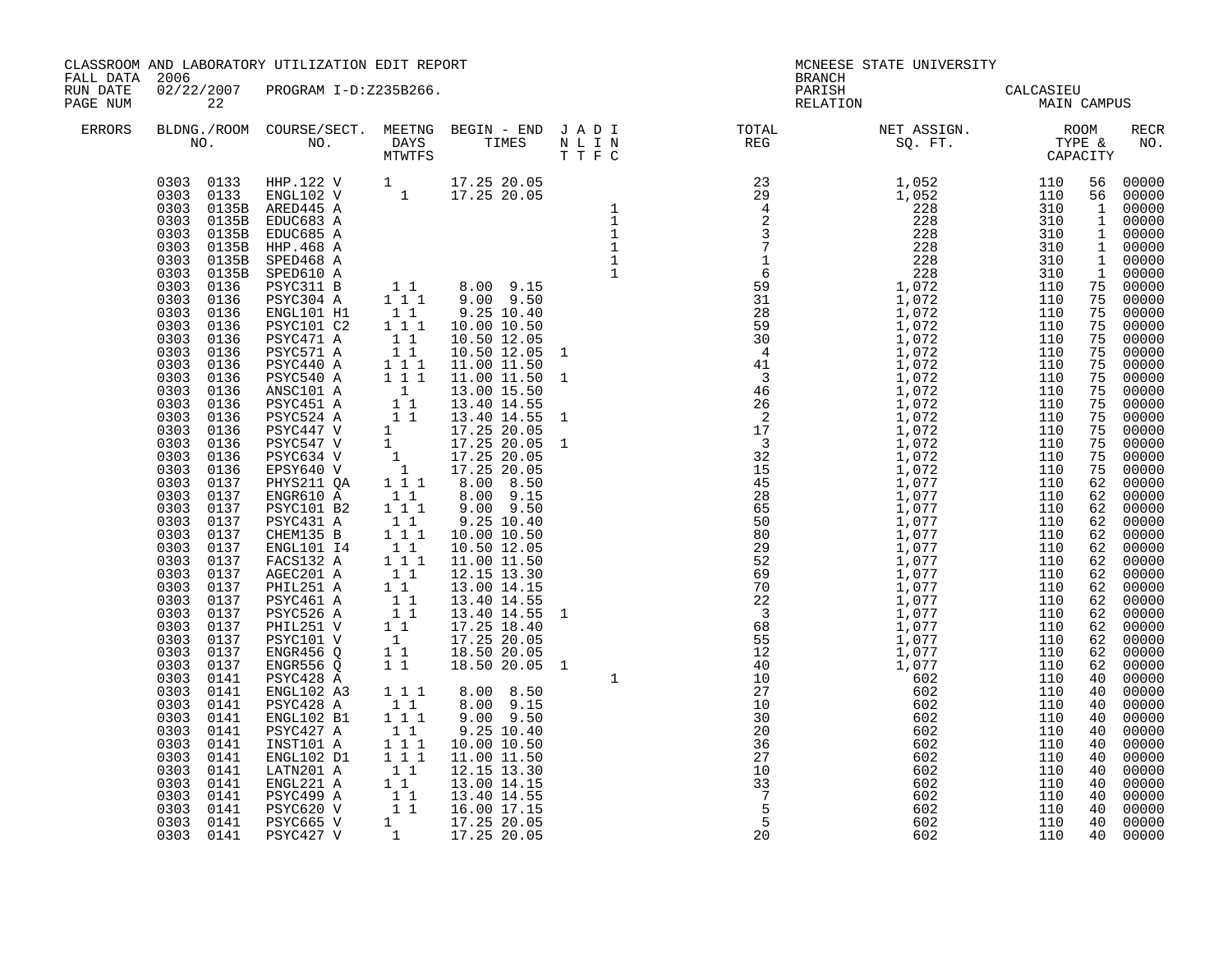| FALL DATA 2006       |    | CLASSROOM AND LABORATORY UTILIZATION EDIT REPORT                                                                                                                                                                                           |  | <b>BRANCH</b>        | MCNEESE STATE UNIVERSITY                 |  |                      |
|----------------------|----|--------------------------------------------------------------------------------------------------------------------------------------------------------------------------------------------------------------------------------------------|--|----------------------|------------------------------------------|--|----------------------|
| RUN DATE<br>PAGE NUM | 22 | 02/22/2007 PROGRAM I-D:Z235B266.                                                                                                                                                                                                           |  |                      | PARISH CALCASIEU<br>RELATION MAIN CAMPUS |  |                      |
| ERRORS               |    |                                                                                                                                                                                                                                            |  |                      |                                          |  | RECR<br>NO.          |
|                      |    | 0303 0141 ENGL102 DI 1 1 11.00 11.330<br>0303 0141 ENGL221 A 1 1 12.15 13.30<br>0303 0141 ENGL221 A 1 1 13.00 14.15<br>0303 0141 ESYC499 A 1 1 13.40 14.55<br>0303 0141 ESYC620 v 1 1 16.00 17.15<br>0303 0141 ESYC665 v 1 17.25 20.05<br> |  | $\overline{5}$<br>20 | 602<br>602                               |  | 40 00000<br>40 00000 |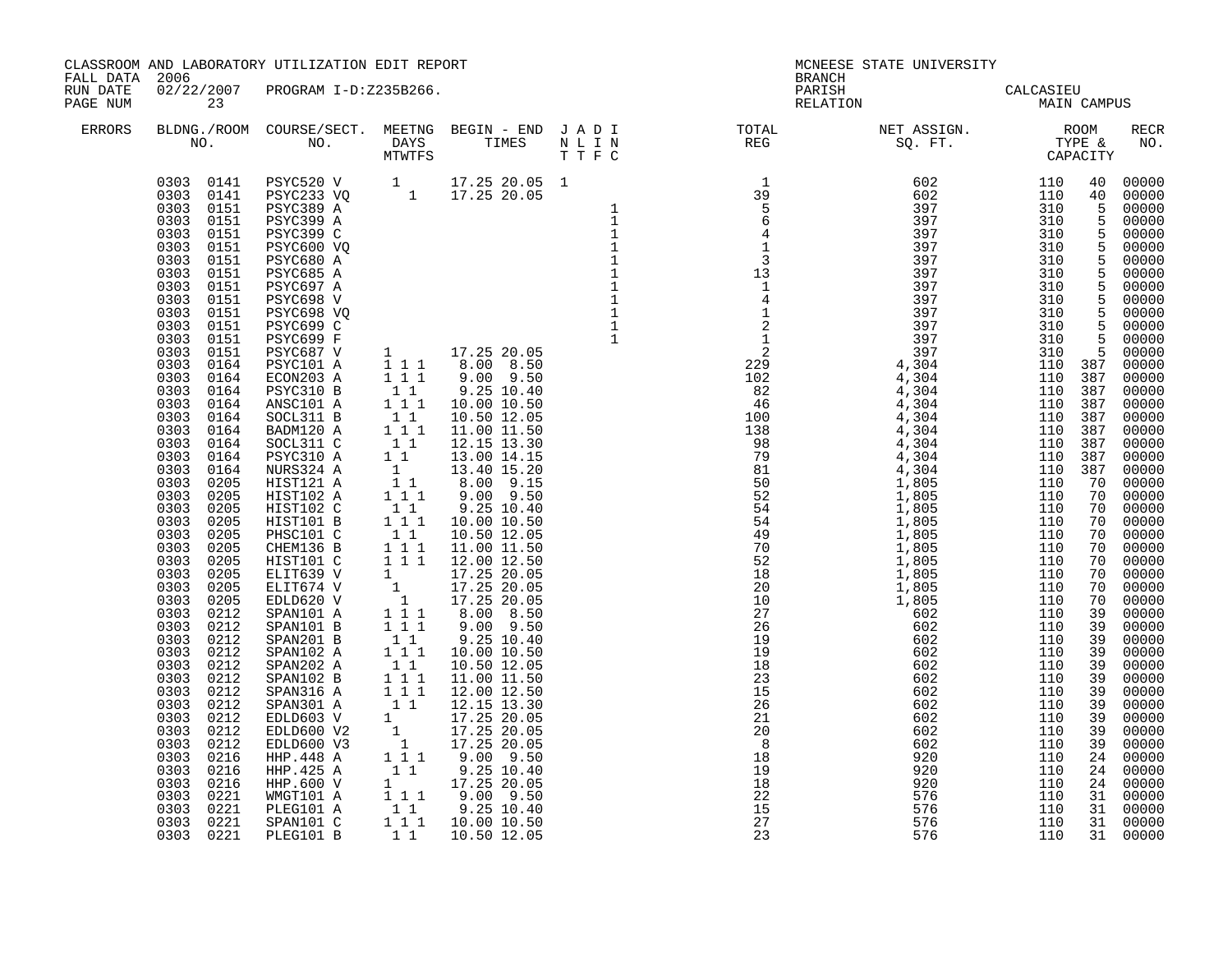| FALL DATA 2006<br>RUN DATE<br>PAGE NUM |                                                  | CLASSROOM AND LABORATORY UTILIZATION EDIT REPORT |  | <b>BRANCH</b>                                                                                                          | MCNEESE STATE UNIVERSITY                 |                                                                                                              |    |                               |
|----------------------------------------|--------------------------------------------------|--------------------------------------------------|--|------------------------------------------------------------------------------------------------------------------------|------------------------------------------|--------------------------------------------------------------------------------------------------------------|----|-------------------------------|
|                                        | 23                                               | 02/22/2007 PROGRAM I-D:Z235B266.                 |  |                                                                                                                        | PARISH<br>RELATION CALCASIEU MAIN CAMPUS |                                                                                                              |    |                               |
| ERRORS                                 |                                                  | NO. NO. DAYS TIMES                               |  | BLDNG./ROOM COURSE/SECT. MEETNG BEGIN – END JADI TOTAL TOTAL NET ASSIGN. NO ROOM NO. DAYS TIMES NLIN REG SQ.FT. TYPE & |                                          |                                                                                                              |    | RECR<br>NO.                   |
|                                        | 0303<br>0221<br>0303 0221<br>0303 0221 PLEG101 B | PLEG101 A<br>SPAN101 C                           |  | 15<br>27<br>23                                                                                                         | 576<br>576<br>576                        | $\begin{array}{cccc} 310 & 5 & 00000 \\ 310 & 5 & 00000 \\ 310 & 5 & 00000 \end{array}$<br>110<br>110<br>110 | 31 | 00000<br>31 00000<br>31 00000 |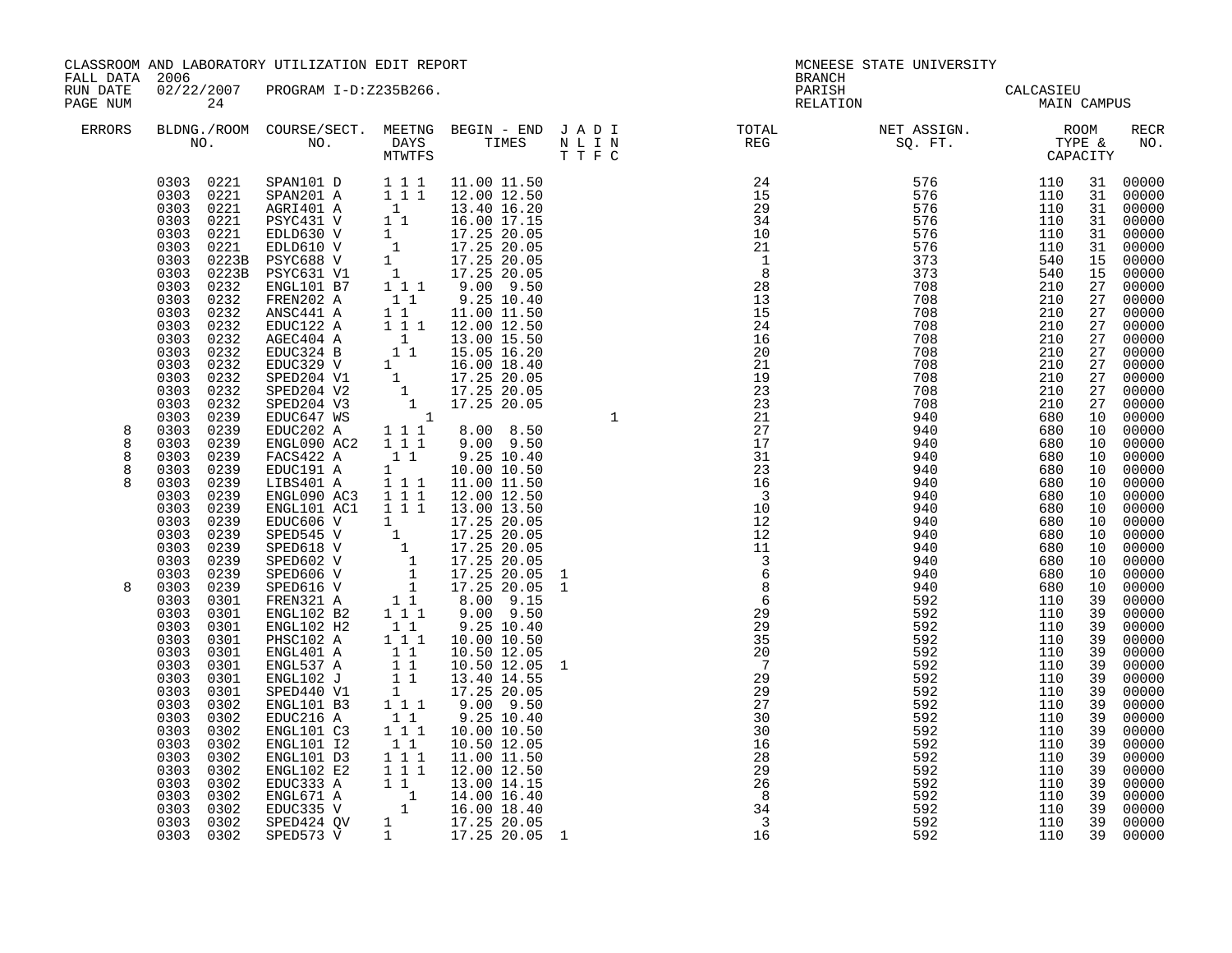| FALL DATA 2006       |                                                                                                                                                                                                                                                            | CLASSROOM AND LABORATORY UTILIZATION EDIT REPORT                                                                                                                                                                                                                                                                                                                                                                  |                                                                                                                                                                                                                                     |                                                                                                                                                                                |                                   | BRANCH                                                                                                                                                                                                                                                                                                   | MCNEESE STATE UNIVERSITY                                                                                                                                                                                                                                                                                                                                                                                                                       |                                                                                                                                                           |                                                                                                                |                                                                                                                                                                                                          |
|----------------------|------------------------------------------------------------------------------------------------------------------------------------------------------------------------------------------------------------------------------------------------------------|-------------------------------------------------------------------------------------------------------------------------------------------------------------------------------------------------------------------------------------------------------------------------------------------------------------------------------------------------------------------------------------------------------------------|-------------------------------------------------------------------------------------------------------------------------------------------------------------------------------------------------------------------------------------|--------------------------------------------------------------------------------------------------------------------------------------------------------------------------------|-----------------------------------|----------------------------------------------------------------------------------------------------------------------------------------------------------------------------------------------------------------------------------------------------------------------------------------------------------|------------------------------------------------------------------------------------------------------------------------------------------------------------------------------------------------------------------------------------------------------------------------------------------------------------------------------------------------------------------------------------------------------------------------------------------------|-----------------------------------------------------------------------------------------------------------------------------------------------------------|----------------------------------------------------------------------------------------------------------------|----------------------------------------------------------------------------------------------------------------------------------------------------------------------------------------------------------|
| RUN DATE<br>PAGE NUM | 24                                                                                                                                                                                                                                                         | 02/22/2007 PROGRAM I-D:Z235B266.                                                                                                                                                                                                                                                                                                                                                                                  |                                                                                                                                                                                                                                     |                                                                                                                                                                                |                                   |                                                                                                                                                                                                                                                                                                          | PARISH CALCASIEU<br>RELATION MAIN CAMPUS                                                                                                                                                                                                                                                                                                                                                                                                       |                                                                                                                                                           |                                                                                                                |                                                                                                                                                                                                          |
| ERRORS               |                                                                                                                                                                                                                                                            |                                                                                                                                                                                                                                                                                                                                                                                                                   |                                                                                                                                                                                                                                     |                                                                                                                                                                                |                                   |                                                                                                                                                                                                                                                                                                          | $\begin{tabular}{lllllllllllllllllllll} \textsc{BLONG.} \textsc{F100M.} & \textsc{COURSE/SECT.} & \textsc{METNG.} & \textsc{BEGIN - END.} & \textsc{J A D I} & \textsc{DTATM E} & \textsc{NET ASSIGN.} & \textsc{ROOM} \\ \textsc{NO.} & \textsc{NO.} & \textsc{DAYS} & \textsc{TIMES} & \textsc{N L I N} & \textsc{REG} & \textsc{SEG} & \textsc{ST.} & \textsc{STF.} & \textsc{CTPACITY} \\ & \textsc{MTVTFS} & \textsc{T T F C} & \textsc{$ |                                                                                                                                                           |                                                                                                                | RECR<br>NO.                                                                                                                                                                                              |
|                      | 0303 0221<br>0303 0221<br>0303 0221<br>0303 0221<br>0303 0221<br>0303 0223B PSYC688 V<br>0303 0223B<br>0303 0232<br>0303 0232<br>0303<br>0232<br>0303<br>0232<br>0303<br>0232<br>0303<br>0232<br>0303<br>0232<br>0303<br>0232<br>0303<br>0232              | 0303 0221 SPAN101 D 1 1 1 11.00 11.50<br>SPAN201 A<br>AGRI401 A<br>PSYC431 V<br>EDLD630 V<br>EDLD610 V<br>PSYC631 V1<br>ENGL101 B7<br>FREN202 A<br>11.00 11.50<br>AGEC404 A 1 1 1 12.00 12.50<br>EDUC324 B 1 1 15.05 16.20<br>EDUC329 V 1 16.00 18.40<br>SPED204 V2 1 17.25 20.05<br>SPED204 V3 1 17.25 20.05<br>SDED204 V3 1 17.25 20.05<br>SDED204 V3 1 17.25 20.05<br>SDED204 V3 1 17.25 20.05                 | $1\quad1$                                                                                                                                                                                                                           | $\begin{array}{rrrr} 1&1&1&2.00&12.50\ 1&1&13.40&16.20\ 1&1&16.00&17.15\ 1&17.25&20.05\ 1&17.25&20.05\ 1&17.25&20.05\ 1&17.25&20.05\ 1&1&9.09&9.50\ \end{array}$<br>9.25 10.40 |                                   |                                                                                                                                                                                                                                                                                                          |                                                                                                                                                                                                                                                                                                                                                                                                                                                |                                                                                                                                                           |                                                                                                                | 31 00000<br>00000<br>31 00000<br>00000<br>31 00000<br>00000<br>15 00000<br>15 00000<br>27 00000<br>00000<br>27 00000<br>27 00000<br>27 00000<br>00000<br>27 00000<br>27 00000<br>27 00000                |
| 8<br>8<br>8<br>8     | 0303<br>0232<br>0303<br>0239<br>0303<br>0239<br>0303<br>0239<br>0239<br>0303<br>0303<br>0239<br>0303<br>0239<br>0303<br>0239<br>0303<br>0239<br>0303<br>0239<br>0303<br>0239<br>0303<br>0239                                                               | FACS422 A 1 1 9.25 10.40<br>EDUC191 A<br>LIBS401 A 1 1 1<br>ENGL090 AC3 111<br>ENGL101 AC1 1 1 1 1 13.00 13.50                                                                                                                                                                                                                                                                                                    | $1 \qquad \qquad$                                                                                                                                                                                                                   | 10.00 10.50<br>11.00 11.50<br>12.00 12.50                                                                                                                                      |                                   |                                                                                                                                                                                                                                                                                                          |                                                                                                                                                                                                                                                                                                                                                                                                                                                |                                                                                                                                                           |                                                                                                                | 00000<br>10 00000<br>10 00000<br>10 00000<br>10 00000<br>00000<br>10 00000<br>00000<br>10 00000<br>00000<br>10 00000<br>00000                                                                            |
| 8                    | 0303<br>0239<br>0303 0239<br>0303 0239<br>0303 0301<br>0303 0301<br>0303 0301<br>0303 0301<br>0303<br>0301<br>0303<br>0301<br>0303<br>0301<br>0303<br>0301<br>0303<br>0302<br>0303<br>0302<br>0303<br>0302<br>0303<br>0302<br>0303<br>0302<br>0303<br>0302 | ENGLIOI ACI 1 1 1 1 3.00 13.50<br>EDUC606 V 1 17.25 20.05<br>SPED618 V 1 17.25 20.05<br>SPED602 V 1 17.25 20.05<br>SPED602 V 1 17.25 20.05<br>SPED606 V 1 17.25 20.05<br>SPED616 V 1 17.25 20.05<br>SPED616 V 1 17.25 20.05<br>SPED616 V 1 17.<br>ENGL102 H2<br>PHSC102 A<br>ENGL401 A<br>ENGL537 A<br>ENGL102 J<br>SPED440 V1<br>ENGL101 B3<br>EDUC216 A<br>ENGL101 C3<br>ENGL101 I2<br>ENGL101 D3<br>ENGL102 E2 | $1\quad1$<br>$\begin{bmatrix} 1 & 1 & 1 \\ 1 & 1 & 1 \\ 1 & 1 & 1 \\ 1 & 1 & 1 \\ 1 & 1 & 1 \\ 1 & 1 & 1 \end{bmatrix}$<br>1 1 1<br>$1\quad1$<br>$1 1 1$<br>$1\quad1$<br>$\begin{array}{cccc}\n1 & 1 & 1 \\ 1 & 1 & 1\n\end{array}$ | 9.25 10.40<br>10.00 10.50<br>10.50 12.05<br>10.50 12.05<br>13.40 14.55<br>17.25 20.05<br>9.00 9.50<br>9.25 10.40<br>10.00 10.50<br>10.50 12.05<br>11.00 11.50<br>12.00 12.50   | $\mathbf{1}$<br>$\mathbf{1}$<br>1 | $\frac{11}{3}$<br>$\frac{3}{6}$<br>$\frac{6}{29}$<br>$\frac{8}{29}$<br>$\frac{6}{29}$<br>$\frac{29}{29}$<br>$\frac{3}{29}$<br>$\frac{35}{20}$<br>$\frac{7}{25}$<br>$\frac{27}{27}$<br>30<br>30<br>16<br>$\begin{array}{c} 28 \\ 29 \\ 29 \\ 26 \end{array}$<br>8<br>34<br>$\overline{\phantom{a}}$<br>16 | 940<br>940<br>940<br>592<br>592<br>592<br>592<br>592<br>592<br>592<br>592<br>592<br>592<br>592<br>592<br>592<br>592<br>592<br>592<br>592<br>592<br>592                                                                                                                                                                                                                                                                                         | 680<br>680<br>680<br>110<br>110<br>110<br>110<br>110<br>110<br>110<br>110<br>110<br>110<br>110<br>110<br>110<br>110<br>110<br>110<br>110<br>110<br>110 39 | 10<br>10<br>39<br>39<br>39<br>39<br>39<br>39<br>39<br>39<br>39<br>39<br>39<br>39<br>39<br>39<br>39<br>39<br>39 | 10 00000<br>00000<br>00000<br>00000<br>39 00000<br>00000<br>00000<br>00000<br>00000<br>00000<br>00000<br>00000<br>00000<br>00000<br>00000<br>00000<br>00000<br>00000<br>00000<br>00000<br>00000<br>00000 |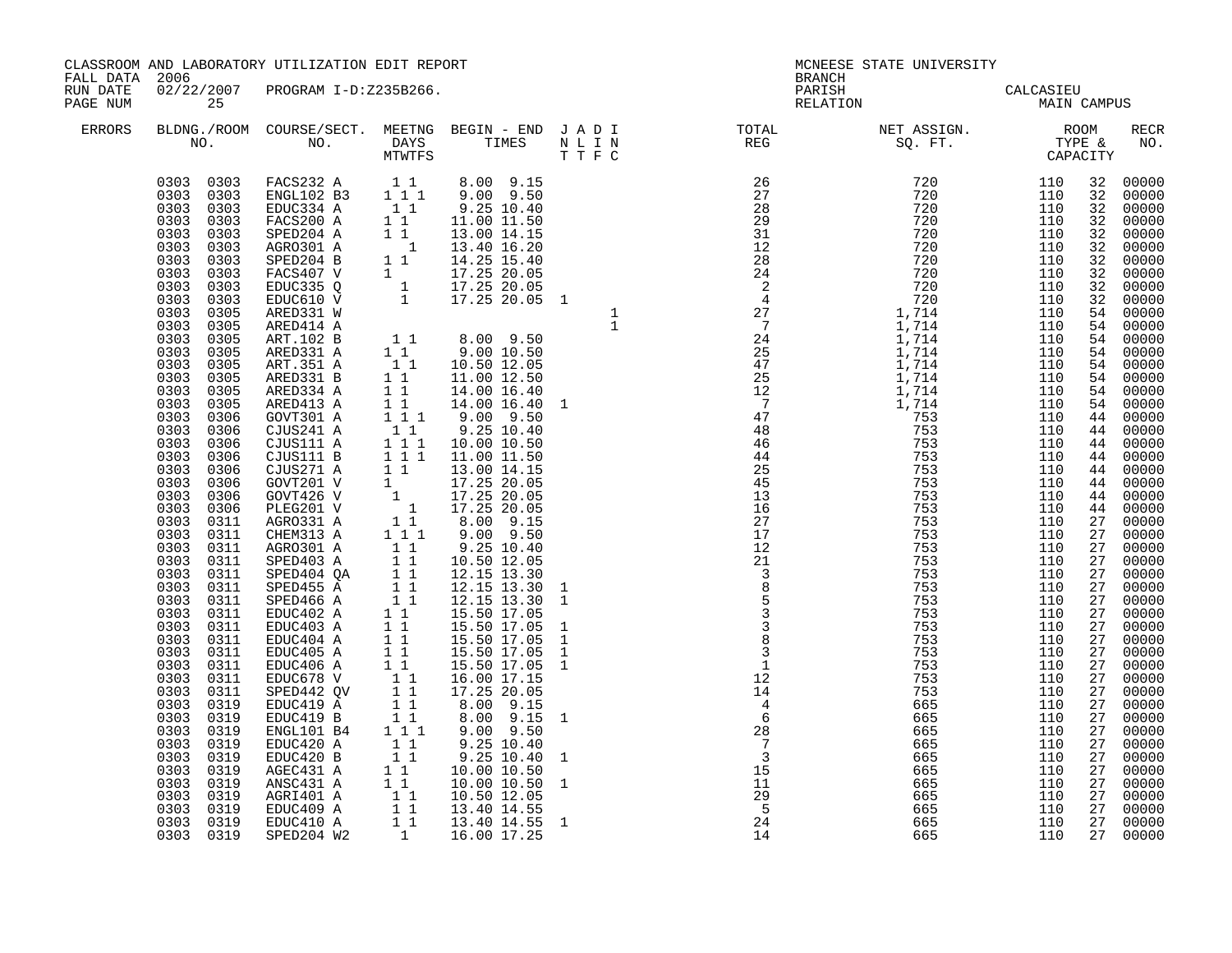| FALL DATA 2006<br><b>BRANCH</b><br>02/22/2007 PROGRAM I-D:Z235B266.<br>RUN DATE<br>PARISH CALCASIEU<br>RELATION MAIN CAMPUS<br>PAGE NUM<br>25                                                                                                                                                                                                                                                                                                                                                                                                                                                                                                                                                                                                                                                                                                                                                                                                                                                                                                                                                                                                                                                                                                                                                                               |                                                                                  |                                                                                                                                                                                                                                                                                                                                                                                                                                                                                                                                                                                        |
|-----------------------------------------------------------------------------------------------------------------------------------------------------------------------------------------------------------------------------------------------------------------------------------------------------------------------------------------------------------------------------------------------------------------------------------------------------------------------------------------------------------------------------------------------------------------------------------------------------------------------------------------------------------------------------------------------------------------------------------------------------------------------------------------------------------------------------------------------------------------------------------------------------------------------------------------------------------------------------------------------------------------------------------------------------------------------------------------------------------------------------------------------------------------------------------------------------------------------------------------------------------------------------------------------------------------------------|----------------------------------------------------------------------------------|----------------------------------------------------------------------------------------------------------------------------------------------------------------------------------------------------------------------------------------------------------------------------------------------------------------------------------------------------------------------------------------------------------------------------------------------------------------------------------------------------------------------------------------------------------------------------------------|
|                                                                                                                                                                                                                                                                                                                                                                                                                                                                                                                                                                                                                                                                                                                                                                                                                                                                                                                                                                                                                                                                                                                                                                                                                                                                                                                             |                                                                                  |                                                                                                                                                                                                                                                                                                                                                                                                                                                                                                                                                                                        |
| ERRORS                                                                                                                                                                                                                                                                                                                                                                                                                                                                                                                                                                                                                                                                                                                                                                                                                                                                                                                                                                                                                                                                                                                                                                                                                                                                                                                      |                                                                                  | RECR<br>NO.                                                                                                                                                                                                                                                                                                                                                                                                                                                                                                                                                                            |
| $\begin{smallmatrix} \textbf{1.1} & \textbf{0.1} & \textbf{0.1} & \textbf{0.1} & \textbf{0.1} & \textbf{0.1} & \textbf{0.1} & \textbf{0.1} & \textbf{0.1} & \textbf{0.1} & \textbf{0.1} & \textbf{0.1} & \textbf{0.1} & \textbf{0.1} & \textbf{0.1} & \textbf{0.1} & \textbf{0.1} & \textbf{0.1} & \textbf{0.1} & \textbf{0.1} & \textbf{0.1} & \textbf{0.1} & \textbf{0.1} & \textbf{0.1$<br>$\begin{array}{cccccc} 0303 & 0303 & \text{FACS232 A} & 1 & 1 & 8.00 & 9.15 \\ 0303 & 0303 & \text{ENGL102 B3} & 1 & 1 & 9.00 & 9.50 \end{array}$<br>0303 0303<br>0303<br>0303<br>0303 0303<br>0303<br>0303<br>0303<br>0303<br>0303<br>0303<br>0303<br>0303<br>0303<br>0303<br>0303<br>0305<br>0303<br>0305<br>0303<br>0305<br>0303<br>0305<br>0303<br>0305<br>0303<br>0305<br>0303<br>0305<br>0303<br>0305<br>0303<br>0306<br>0303<br>0306<br>0303<br>0306<br>0303<br>0306<br>0303<br>0306<br>0303<br>0306<br>0303<br>0306<br>0303 0306<br>0303 0311<br>0303 0311<br>0303<br>0311<br>0303 0311<br>0303 0311<br>0303 0311<br>0303<br>0311<br>0303<br>0311<br>0303<br>0311<br>0303<br>0311<br>0303<br>0311<br>0303<br>0311<br>0303<br>0311<br>0303<br>0311<br>0303<br>0319<br>0303<br>0319<br>0303<br>0319<br>0303<br>0319<br>0303<br>0319<br>0303<br>0319<br>0303 0319<br>0303<br>0319<br>0303 0319<br>0303 0319<br>0303 0319 | 32<br>32<br>44<br>27<br>27<br>27<br>27<br>27<br>27<br>27<br>27<br>27<br>27<br>27 | 32 00000<br>32 00000<br>32 00000<br>32 00000<br>32 00000<br>00000<br>32 00000<br>32 00000<br>32 00000<br>00000<br>54 00000<br>54 00000<br>54 00000<br>54 00000<br>54 00000<br>54 00000<br>54 00000<br>54 00000<br>44 00000<br>44 00000<br>44 00000<br>44 00000<br>00000<br>44 00000<br>44 00000<br>44 00000<br>00000<br>27 00000<br>27 00000<br>27 00000<br>00000<br>27 00000<br>27 00000<br>27 00000<br>00000<br>00000<br>27 00000<br>27 00000<br>00000<br>00000<br>27 00000<br>00000<br>00000<br>00000<br>00000<br>27 00000<br>27 00000<br>00000<br>27 00000<br>27 00000<br>27 00000 |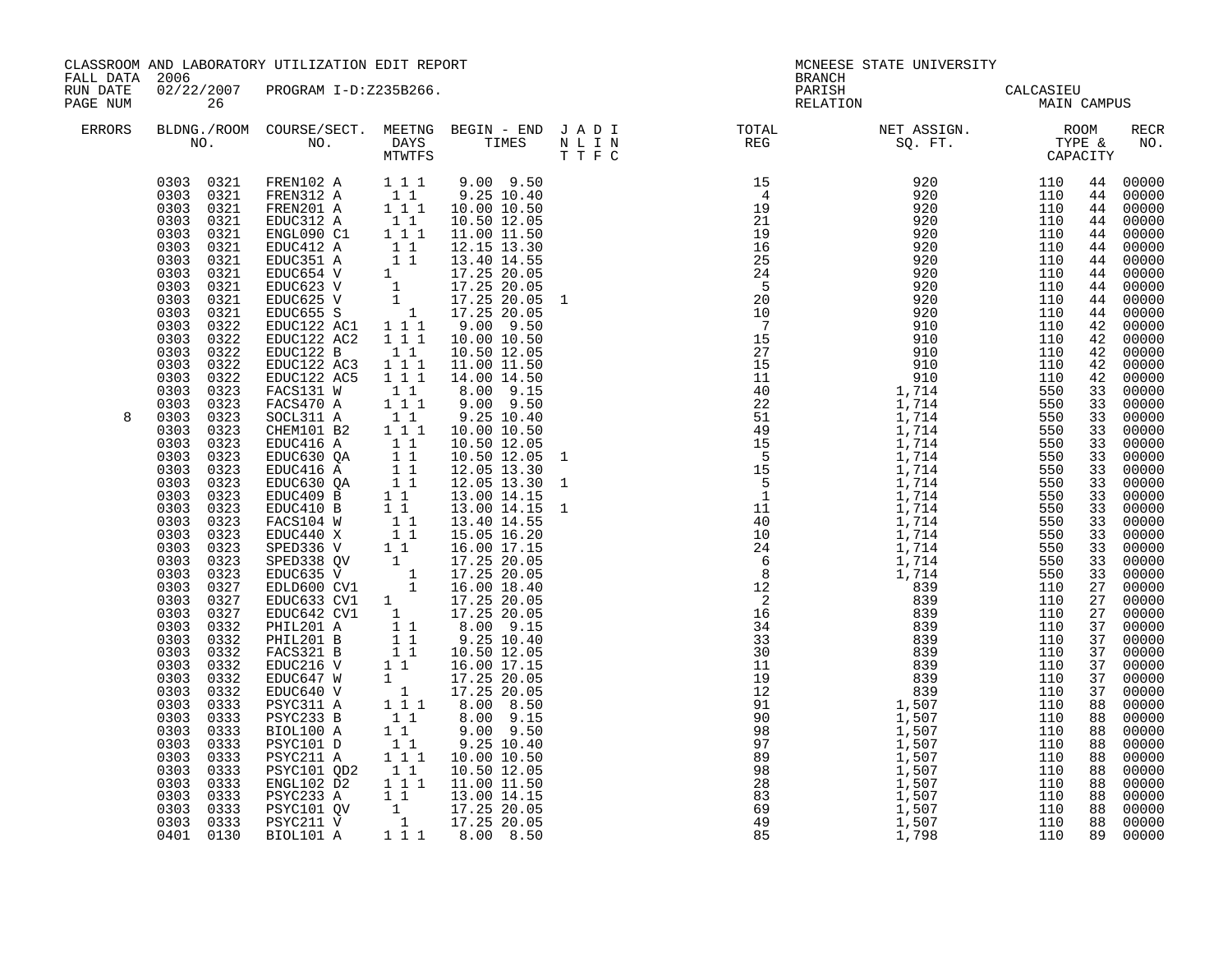| FALL DATA 2006       |                                                                                                                                                                                                                                                                                                                                                                                                                                                   | CLASSROOM AND LABORATORY UTILIZATION EDIT REPORT                                                                                                                                                                                                |                                                                                                                                                                                                                                                                                                                                                                                                                                                                                                                                                                                                                                                                                                                                                                                                                                                                                                                                                                                                                                                                                                                                                                         |  | MCNEESE STATE UNIVERSITY<br><b>BRANCH</b>                                                                                                                                                                                                                                 |                                          |  |  |             |
|----------------------|---------------------------------------------------------------------------------------------------------------------------------------------------------------------------------------------------------------------------------------------------------------------------------------------------------------------------------------------------------------------------------------------------------------------------------------------------|-------------------------------------------------------------------------------------------------------------------------------------------------------------------------------------------------------------------------------------------------|-------------------------------------------------------------------------------------------------------------------------------------------------------------------------------------------------------------------------------------------------------------------------------------------------------------------------------------------------------------------------------------------------------------------------------------------------------------------------------------------------------------------------------------------------------------------------------------------------------------------------------------------------------------------------------------------------------------------------------------------------------------------------------------------------------------------------------------------------------------------------------------------------------------------------------------------------------------------------------------------------------------------------------------------------------------------------------------------------------------------------------------------------------------------------|--|---------------------------------------------------------------------------------------------------------------------------------------------------------------------------------------------------------------------------------------------------------------------------|------------------------------------------|--|--|-------------|
| RUN DATE<br>PAGE NUM | 26                                                                                                                                                                                                                                                                                                                                                                                                                                                | 02/22/2007 PROGRAM I-D:Z235B266.                                                                                                                                                                                                                |                                                                                                                                                                                                                                                                                                                                                                                                                                                                                                                                                                                                                                                                                                                                                                                                                                                                                                                                                                                                                                                                                                                                                                         |  |                                                                                                                                                                                                                                                                           | PARISH CALCASIEU<br>RELATION MAIN CAMPUS |  |  |             |
| ERRORS               |                                                                                                                                                                                                                                                                                                                                                                                                                                                   |                                                                                                                                                                                                                                                 |                                                                                                                                                                                                                                                                                                                                                                                                                                                                                                                                                                                                                                                                                                                                                                                                                                                                                                                                                                                                                                                                                                                                                                         |  |                                                                                                                                                                                                                                                                           |                                          |  |  | RECR<br>NO. |
|                      | 0303 0322<br>0303 0322<br>0303 0322<br>0303 0322<br>0303<br>0323<br>0303 0323                                                                                                                                                                                                                                                                                                                                                                     | EDUC122 AC2<br>EDUC122 B<br>EDUC122 AC3    1    1    1<br>EDUC122 AC5    1    1    1<br>FACS131 W<br>FACS470 A                                                                                                                                  | 1 1 1<br>10.00 10.50<br>$\begin{bmatrix} 1 \\ 1 \end{bmatrix}$<br>10.50 12.05<br>11.00 11.50<br>14.00 14.50<br>$\begin{smallmatrix}&&1\\&&1\\1&&1\\1&&1\end{smallmatrix}$<br>8.00 9.15<br>9.00 9.50                                                                                                                                                                                                                                                                                                                                                                                                                                                                                                                                                                                                                                                                                                                                                                                                                                                                                                                                                                     |  |                                                                                                                                                                                                                                                                           |                                          |  |  |             |
| 8                    | 0303<br>0323<br>0303<br>0323<br>0303<br>0323<br>0303<br>0323<br>0303<br>0323<br>0303<br>0323<br>0303<br>0323<br>0303 0323<br>0303 0323<br>0303 0323<br>0303 0323<br>0303 0323<br>0303 0323<br>0303 0327<br>0303<br>0327<br>0303 0327<br>0303 0332<br>0303<br>0332<br>0332<br>0303<br>0303<br>0332<br>0303<br>0332<br>0303<br>0332<br>0303<br>0333<br>0303<br>0333<br>0303<br>0333<br>0303<br>0333<br>0303<br>0333<br>0303<br>0333<br>0303<br>0333 | SOCL311 A<br>CHEM101 B2<br>EDUC416 A<br>EDUC630 QA<br>EDUC416 A<br>EDUC630 QA<br>EDUC409 B<br>EDUC409 B<br>EDUC410 B<br>FACS104 W<br>1 1<br>EDUC440 X<br>1 1<br>SPED336 V<br>1<br>PSYC233 B<br>BIOL100 A<br>PSYC101 D<br>$ENGL102$ $\tilde{D}2$ | $\begin{bmatrix} 1 \\ 1 \\ 1 \end{bmatrix} \begin{bmatrix} 1 \\ 1 \end{bmatrix}$<br>$9.25$ $10.40$<br>10.00 10.50<br>$\begin{array}{cccc}\n & 1 & 1 \\  & & 1 & 1 \\  & & 1 & 1 \\  & & 1 & 1 \\  & & & 1 & 1\n\end{array}$<br>10.50 12.05<br>10.50 12.05<br>12.05 13.30<br>12.05 13.30<br>13.00 14.15<br>13.00 14.15<br>13.40 14.55<br>15.05 16.20<br>16.00 17.15<br>$\begin{tabular}{l c c c} \texttt{SPED336 $V$} & 1 & 1 & 16.00 & 17.15 \\ \texttt{SPED338 $QV$} & 1 & 17.25 & 20.05 \\ \texttt{EDUC635 $V$} & 1 & 17.25 & 20.05 \\ \texttt{EDLD600 $CV1$} & 1 & 16.00 & 18.40 \\ \texttt{EDUC643 $CV1$} & 17.25 & 20.05 \\ \texttt{EDUC642 $CV1$} & 17.25 & 20.05 \\ \texttt{PHIL201 $A$} & 1 & $<br>$\begin{bmatrix} 1 \\ 1 \\ 1 \end{bmatrix}$<br>$8.00$ $9.15$<br>$9.00$ $9.50$<br>$9.25$ $10.40$<br>$1\quad1$<br>PSYC211 A 1 1 10.00 10.50<br>PSYC211 A 1 1 10.00 10.50<br>PSYC101 QD2 1 1 10.50 12.05<br>1 1 1 11.00 11.50<br>$0.303$ $0.333$ $0.333$ $0.333$ $0.333$ $0.333$ $0.333$ $0.333$ $0.333$ $0.333$ $0.333$ $0.333$ $0.333$ $0.333$ $0.333$ $0.333$ $0.333$ $0.333$ $0.333$ $0.333$ $0.333$ $0.333$ $0.333$ $0.333$ $0.333$ $0.333$ $0.333$ $0.33$ |  | $\begin{smallmatrix}11&1\\ 12&16\\ 13&18\\ 15&18\\ 16&18\\ 18&18\\ 18&18\\ 19&18\\ 19&18\\ 19&18\\ 19&18\\ 19&18\\ 19&18\\ 19&18\\ 19&18\\ 19&18\\ 19&18\\ 19&18\\ 19&18\\ 19&18\\ 19&18\\ 19&18\\ 19&18\\ 19&18\\ 19&18\\ 19&18\\ 19&19\\ 19&19\\ 19&19\\ 19&19\\ 19&19$ |                                          |  |  |             |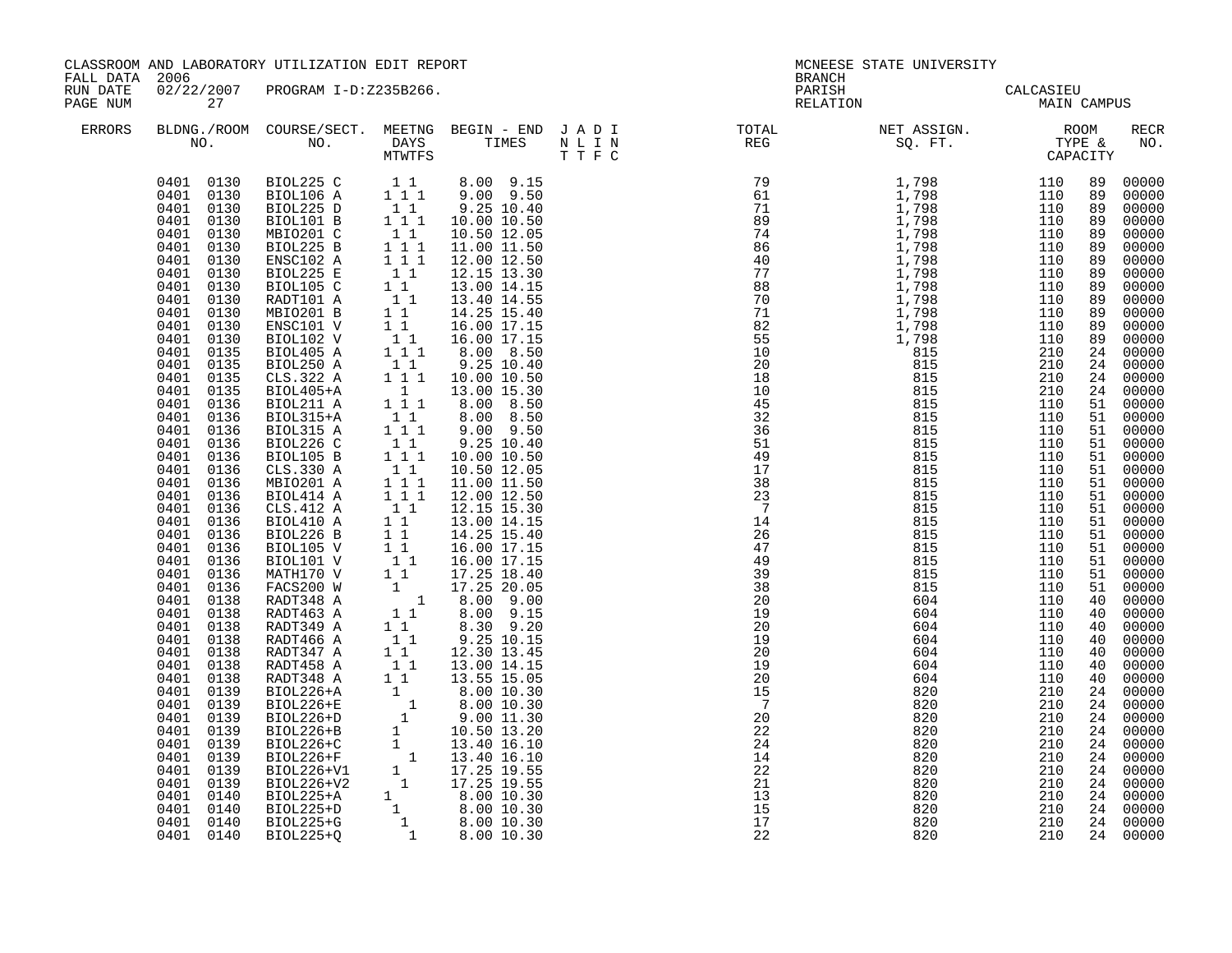| RUN DATE<br>02/22/2007 PROGRAM I-D:Z235B266.<br>PARISH CALCASIEU<br>RELATION MAIN CAMPUS<br>PAGE NUM<br>27<br>BLDNG./ROOM COURSE/SECT. MEETNG BEGIN – END JADI TOTAL NET ASSIGN. NET ASSIGN. ROOM NO. DAYS TIMES NLIN REG SQ.FT. TYPE &<br>ERRORS<br><b>RECR</b><br>NO.<br>MTWTFS T T F C<br>$\begin{tabular}{cccc} 0401 & 0130 & BIOL225 C & 11 & 8.00 & 9.15 \\ 0401 & 0130 & BIOL106 A & 111 & 9.00 & 9.50 \\ 0401 & 0130 & BIOL225 D & 11 & 9.25 & 10.40 \\ 0401 & 0130 & BIOL101 B & 111 & 10.00 & 10.50 \\ 0401 & 0130 & MEO201 C & 11 & 10.50 & 12.05 \\ 0401 & 0130 & MEO201 C & 11 & 10$<br>00000<br>00000<br>00000<br>00000<br>00000<br>BIOL225 B<br>$\begin{array}{rrrr} & 1 & 1 \\ & 1 & 1 \\ & & 1 & 1 \end{array}$<br>0401<br>0130<br>11.00 11.50<br>00000<br>ENSC102 A<br>0401<br>0130<br>12.00 12.50<br>89 00000<br>$\begin{bmatrix} 1 \\ 1 \end{bmatrix}$<br>0401<br>BIOL225 E<br>12.15 13.30<br>89 00000<br>0130<br>BIOL105 C<br>89 00000<br>0401<br>0130<br>13.00 14.15<br>$\begin{array}{rrrr} 1 & 1 & 13.40 & 14.55 \ 1 & 1 & 14.25 & 15.40 \ 1 & 1 & 16.00 & 17.15 \ 1 & 1 & 16.00 & 17.15 \ 1 & 1 & 8.00 & 8.50 \end{array}$<br>RADT101 A<br>00000<br>0401<br>0130<br>0401<br>0130<br>MBIO201 B<br>00000<br>ENSC101 V<br>00000<br>0401<br>0130<br>89 00000<br>0401<br>0130<br>BIOL102 V<br>0401 0135<br>BIOL405 A<br>00000<br>BIOL250 A<br>$\begin{array}{cccc} 1 & 1 & & 9.25 & 10.40 \\ 1 & 1 & 1 & 10.00 & 10.50 \end{array}$<br>24 00000<br>0401 0135<br>CLS.322 A<br>0401<br>0135<br>24 00000<br>24 00000<br>$\begin{array}{rrrr} 1 & 13.00 & 15.30 \\ 1 & 1 & 8.00 & 8.50 \end{array}$<br>0401 0135<br>BIOL405+A<br>0401 0136<br>BIOL211 A<br>00000<br>$\begin{bmatrix} 1 & 1 \\ 1 & 1 \end{bmatrix}$<br>0401 0136<br>BIOL315+A<br>8.00 8.50<br>9.00 9.50<br>51 00000<br>51 00000<br>0401<br>0136<br>BIOL315 A<br>51 00000<br>BIOL226 C<br>$\begin{smallmatrix}&&1\\&&1\\1&&1\\1&&1\end{smallmatrix}$<br>9.25 10.40<br>0401<br>0136<br>BIOL105 B<br>51 00000<br>0401<br>0136<br>10.00 10.50<br>$\begin{smallmatrix}1&1\\1&1&1\end{smallmatrix}$<br>00000<br>0401<br>0136<br>CLS.330 A<br>10.50 12.05<br>0401<br>MBIO201 A<br>11.00 11.50<br>51 00000<br>0136<br>$\begin{array}{cccc} 1 & 1 & 1 & 11.00 & 11.50 \\ 1 & 1 & 12.00 & 12.50 \\ 1 & 1 & 12.15 & 15.30 \\ 1 & 1 & 13.00 & 14.15 \\ 1 & 1 & 14.25 & 15.40 \\ 1 & 1 & 16.00 & 17.15 \\ 1 & 1 & 16.00 & 17.15 \\ 1 & 1 & 17.25 & 18.40 \\ 1 & 17.25 & 20.05 \\ 1 & 8.00 & 9.00 \\ 1 & 1 & 8.00 & 9.01 \\$<br>51 00000<br>0401<br>0136<br>BIOL414 A<br>CLS.412 A<br>51 00000<br>0401<br>0136<br>0401<br>0136<br>BIOL410 A<br>00000<br>0401<br>BIOL226 B<br>51 00000<br>0136<br>0401<br>0136<br>BIOL105 V<br>00000<br>51 00000<br>0401<br>0136<br>BIOL101 V<br>MATH170 V<br>0401<br>0136<br>00000<br>0401 0136<br>FACS200 W<br>00000<br>00000<br>0401<br>0138<br>RADT348 A<br>40 00000<br>0401 0138<br>RADT463 A<br>$\begin{array}{ccc} 1 & 1 \\ 1 & 1 \end{array} \hspace{1.5cm} \begin{array}{ccc} 8.00 & 9.15 \\ 8.30 & 9.20 \end{array}$<br>0401<br>0138<br>RADT349 A<br>00000<br>$\begin{smallmatrix}&&1\\&&1\\1&&1\end{smallmatrix}$<br>0401<br>0138<br>RADT466 A<br>9.25 10.15<br>12.30 13.45<br>40 00000<br>00000<br>0401<br>0138<br>RADT347 A<br>40 00000<br>0401<br>0138<br>$\begin{tabular}{l c c c} \multicolumn{1}{c}{\text{RADT347 A}} & $1$ & $1$ & $12.30$ & $1.45$ \\ \text{RADT458 A} & $1$ & $1$ & $13.00$ & $14.15$ \\ \text{RADT348 A} & $1$ & $1$ & $13.05$ & $15.05$ \\ \text{BIOL226+A} & $1$ & $8.00$ & $10.30$ \\ \text{BIOL226+E} & $1$ & $8.00$ & $10.30$ \\ \text{BIOL226+E} & $1$ & $9.00$ & $11.3$<br>00000<br>0401<br>0138<br>0401<br>0139<br>00000<br>0401<br>24 00000<br>0139<br>24 00000<br>0401<br>0139<br>24 00000<br>0401<br>0139<br>0139<br>24 00000<br>0401<br>0401<br>0139<br>24 00000<br>0401<br>0139<br>24 00000 | FALL DATA 2006 | CLASSROOM AND LABORATORY UTILIZATION EDIT REPORT |  | MCNEESE STATE UNIVERSITY<br><b>BRANCH</b> |  |  |  |  |  |
|-----------------------------------------------------------------------------------------------------------------------------------------------------------------------------------------------------------------------------------------------------------------------------------------------------------------------------------------------------------------------------------------------------------------------------------------------------------------------------------------------------------------------------------------------------------------------------------------------------------------------------------------------------------------------------------------------------------------------------------------------------------------------------------------------------------------------------------------------------------------------------------------------------------------------------------------------------------------------------------------------------------------------------------------------------------------------------------------------------------------------------------------------------------------------------------------------------------------------------------------------------------------------------------------------------------------------------------------------------------------------------------------------------------------------------------------------------------------------------------------------------------------------------------------------------------------------------------------------------------------------------------------------------------------------------------------------------------------------------------------------------------------------------------------------------------------------------------------------------------------------------------------------------------------------------------------------------------------------------------------------------------------------------------------------------------------------------------------------------------------------------------------------------------------------------------------------------------------------------------------------------------------------------------------------------------------------------------------------------------------------------------------------------------------------------------------------------------------------------------------------------------------------------------------------------------------------------------------------------------------------------------------------------------------------------------------------------------------------------------------------------------------------------------------------------------------------------------------------------------------------------------------------------------------------------------------------------------------------------------------------------------------------------------------------------------------------------------------------------------------------------------------------------------------------------------------------------------------------------------------------------------------------------------------------------------------------------------------------------------------------------------------------------------------------------------------------------------------------------------------------------------------------------------------------------------------------------------------------------------------------------------------------------------------------------------------------------------------------------------------------------------------------------------------------------------------------------------------------|----------------|--------------------------------------------------|--|-------------------------------------------|--|--|--|--|--|
|                                                                                                                                                                                                                                                                                                                                                                                                                                                                                                                                                                                                                                                                                                                                                                                                                                                                                                                                                                                                                                                                                                                                                                                                                                                                                                                                                                                                                                                                                                                                                                                                                                                                                                                                                                                                                                                                                                                                                                                                                                                                                                                                                                                                                                                                                                                                                                                                                                                                                                                                                                                                                                                                                                                                                                                                                                                                                                                                                                                                                                                                                                                                                                                                                                                                                                                                                                                                                                                                                                                                                                                                                                                                                                                                                                                                                                               |                |                                                  |  |                                           |  |  |  |  |  |
|                                                                                                                                                                                                                                                                                                                                                                                                                                                                                                                                                                                                                                                                                                                                                                                                                                                                                                                                                                                                                                                                                                                                                                                                                                                                                                                                                                                                                                                                                                                                                                                                                                                                                                                                                                                                                                                                                                                                                                                                                                                                                                                                                                                                                                                                                                                                                                                                                                                                                                                                                                                                                                                                                                                                                                                                                                                                                                                                                                                                                                                                                                                                                                                                                                                                                                                                                                                                                                                                                                                                                                                                                                                                                                                                                                                                                                               |                |                                                  |  |                                           |  |  |  |  |  |
| 24 00000<br>0401<br>0139<br>0140<br>24 00000<br>0401<br>0401 0140<br>24 00000<br>0401 0140<br>24 00000<br>24 00000<br>0401 0140                                                                                                                                                                                                                                                                                                                                                                                                                                                                                                                                                                                                                                                                                                                                                                                                                                                                                                                                                                                                                                                                                                                                                                                                                                                                                                                                                                                                                                                                                                                                                                                                                                                                                                                                                                                                                                                                                                                                                                                                                                                                                                                                                                                                                                                                                                                                                                                                                                                                                                                                                                                                                                                                                                                                                                                                                                                                                                                                                                                                                                                                                                                                                                                                                                                                                                                                                                                                                                                                                                                                                                                                                                                                                                               |                |                                                  |  |                                           |  |  |  |  |  |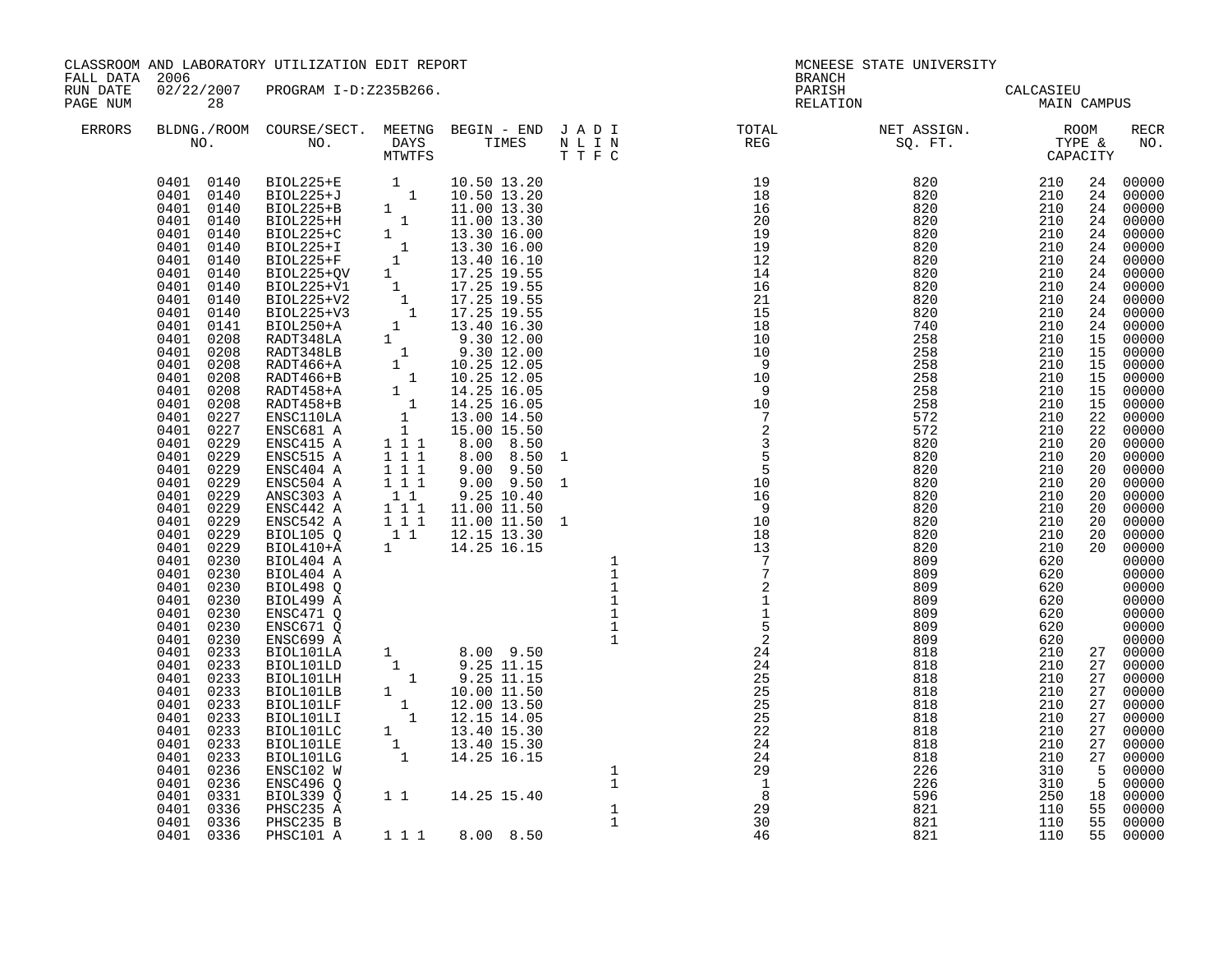| FALL DATA 2006       |                                                                                                                                                                                                                                                                                                                                                                                                                                               | CLASSROOM AND LABORATORY UTILIZATION EDIT REPORT                                                                                                                                                                                                                                                                                                                         |                                                                                     |                                                                                                                                                                                                                                                                                                                                                                                                                                                        |                                                                                                                                                                                                                                                                                                                                                                                                                                                                                       | MCNEESE STATE UNIVERSITY<br>BRANCH                                                                                     |                                                                                                                                                                                                                                                                                                                                                                                                                                                                                                                          |                                                                                                                                                                                                                       |                |                                                                                                                                                                                                                                                                                                                                                      |
|----------------------|-----------------------------------------------------------------------------------------------------------------------------------------------------------------------------------------------------------------------------------------------------------------------------------------------------------------------------------------------------------------------------------------------------------------------------------------------|--------------------------------------------------------------------------------------------------------------------------------------------------------------------------------------------------------------------------------------------------------------------------------------------------------------------------------------------------------------------------|-------------------------------------------------------------------------------------|--------------------------------------------------------------------------------------------------------------------------------------------------------------------------------------------------------------------------------------------------------------------------------------------------------------------------------------------------------------------------------------------------------------------------------------------------------|---------------------------------------------------------------------------------------------------------------------------------------------------------------------------------------------------------------------------------------------------------------------------------------------------------------------------------------------------------------------------------------------------------------------------------------------------------------------------------------|------------------------------------------------------------------------------------------------------------------------|--------------------------------------------------------------------------------------------------------------------------------------------------------------------------------------------------------------------------------------------------------------------------------------------------------------------------------------------------------------------------------------------------------------------------------------------------------------------------------------------------------------------------|-----------------------------------------------------------------------------------------------------------------------------------------------------------------------------------------------------------------------|----------------|------------------------------------------------------------------------------------------------------------------------------------------------------------------------------------------------------------------------------------------------------------------------------------------------------------------------------------------------------|
| RUN DATE<br>PAGE NUM | 28                                                                                                                                                                                                                                                                                                                                                                                                                                            | 02/22/2007 PROGRAM I-D:Z235B266.                                                                                                                                                                                                                                                                                                                                         |                                                                                     |                                                                                                                                                                                                                                                                                                                                                                                                                                                        |                                                                                                                                                                                                                                                                                                                                                                                                                                                                                       |                                                                                                                        | PARISH CALCASIEU<br>RELATION MAIN CAMPUS                                                                                                                                                                                                                                                                                                                                                                                                                                                                                 |                                                                                                                                                                                                                       |                |                                                                                                                                                                                                                                                                                                                                                      |
| ERRORS               |                                                                                                                                                                                                                                                                                                                                                                                                                                               |                                                                                                                                                                                                                                                                                                                                                                          |                                                                                     |                                                                                                                                                                                                                                                                                                                                                                                                                                                        |                                                                                                                                                                                                                                                                                                                                                                                                                                                                                       |                                                                                                                        |                                                                                                                                                                                                                                                                                                                                                                                                                                                                                                                          |                                                                                                                                                                                                                       |                | RECR<br>NO.                                                                                                                                                                                                                                                                                                                                          |
|                      | 0401<br>0229<br>0401<br>0229<br>0401 0229<br>0401<br>0229<br>0401<br>0229<br>0401<br>0229<br>0401<br>0229<br>0401<br>0229<br>0401<br>0230<br>0401<br>0230<br>0401<br>0230<br>0401<br>0230<br>0401<br>0230<br>0401<br>0230<br>0401<br>0230<br>0401<br>0233<br>0401<br>0233<br>0401<br>0233<br>0401<br>0233<br>0401<br>0233<br>0401<br>0233<br>0401<br>0233<br>0401<br>0233<br>0401 0233<br>0401<br>0236<br>0401 0236<br>0401 0331<br>0401 0336 | ENSC515 A<br>ENSC404 A<br>ENSC504 A<br>ANSC303 A<br>ENSC442 A<br>ENSC542 A<br>BIOL105 Q<br>BIOL410+A<br>BIOL404 A<br>BIOL404 A<br>BIOL498 Q<br>BIOL499 A<br>ENSC471 Q<br>ENSC671 Q<br>ENSC699 A<br>BIOL101LA<br>BIOL101LD<br>BIOL101LH<br>BIOL101LB<br>BIOL101LF<br>BIOL101LI<br>BIOL101LC<br>BIOL101LE<br>BIOL101LG<br>ENSC102 W<br>ENSC496 Q<br>BIOL339 Q<br>PHSC235 A | 111<br>$1 1 1$<br>$1 1 1$<br>$\begin{array}{c} 1\\ 1\\ 1\\ 1\\ 1\\ 1\\ \end{array}$ | 8.00 8.50<br>$9.00$ $9.50$<br>$9.00$ $9.50$<br>$9.25$ $10.40$<br>11.00 11.50<br>11.00 11.50 1<br>$\begin{array}{cccc} 1 & 1 & & 12.15 & 13.30 \\ 1 & & 14.25 & 16.15 \end{array}$<br>$\begin{array}{cccc} 1 & & 14.25 & 16.15 \\ & & 1 & 8.00 & 9.50 \\ 1 & & 9.25 & 11.15 \\ 1 & & 9.25 & 11.15 \\ 1 & & 10.00 & 11.50 \\ 1 & & 12.00 & 13.50 \\ 1 & & 12.15 & 14.05 \\ 1 & & 13.40 & 15.30 \\ 1 & & 14.25 & 16.15 \\ \end{array}$<br>1 1 14.25 15.40 | 1<br>$\begin{array}{cccc} 1 & & & & & & & 5 \\ 1 & & & & & & & 10 \\ 1 & & & & & & & 10 \\ 1 & & & & & & & 16 \\ 1 & & & & & & & 10 \\ 1 & & & & & & & 13 \\ 1 & & & & & & & 7 \\ 1 & & & & & & & 7 \\ 1 & & & & & & & 7 \\ \end{array}$<br>$\begin{array}{c}\n1 \\ 1 \\ 1 \\ 1\n\end{array}$<br>$\mathbf 1$<br>$\begin{array}{cccc} 1 & & & & 1\\ 1 & & & & 5\\ 1 & & & & 2\\ 24 & & 24\\ 25 & & 25\\ 25 & & 25\\ 25 & & 25\\ 26 & & 24\\ 1\\ 1\\ 1\\ 1\\ 29\\ 1\\ 30\\ \end{array}$ | $\frac{10}{7}$<br>$\frac{2}{3}$<br>$\frac{3}{5}$<br>$\frac{5}{5}$<br>$\begin{array}{c} \n 2 \\  1 \\  1\n \end{array}$ | $\begin{array}{cccccccc} 19 & 820 & 210 & 24 & 00000 \\ 18 & 820 & 210 & 24 & 00000 \\ 16 & 820 & 210 & 24 & 00000 \\ 20 & 820 & 210 & 24 & 00000 \\ 19 & 820 & 210 & 24 & 00000 \\ 19 & 820 & 210 & 24 & 00000 \\ 12 & 820 & 210 & 24 & 00000 \\ 14 & 820 & 210 & 24 & 00000 \\ 16 & 820 & 21$<br>572<br>572<br>820<br>820<br>820<br>820<br>820<br>820<br>820<br>820<br>820<br>809<br>809<br>809<br>809<br>809<br>809<br>809<br>818<br>818<br>818<br>818<br>818<br>818<br>818<br>818<br>818<br>226<br>226<br>596<br>821 | 210<br>210<br>210<br>210<br>210<br>210<br>210<br>210<br>210<br>210<br>210<br>620<br>620<br>620<br>620<br>620<br>620<br>620<br>210<br>210<br>210<br>210<br>210<br>210<br>210<br>210<br>210<br>310<br>310<br>250<br>110 | 20<br>20<br>27 | 22 00000<br>22 00000<br>20 00000<br>20 00000<br>00000<br>20 00000<br>20 00000<br>20 00000<br>00000<br>20 00000<br>20 00000<br>$00000$<br>$00000$<br>00000<br>00000<br>00000<br>00000<br>00000<br>27 00000<br>27 00000<br>27 00000<br>27 00000<br>27 00000<br>27 00000<br>27 00000<br>00000<br>27 00000<br>5 00000<br>5 00000<br>18 00000<br>55 00000 |
|                      | 0401 0336<br>0401 0336                                                                                                                                                                                                                                                                                                                                                                                                                        | PHSC235 B<br>PHSC101 A                                                                                                                                                                                                                                                                                                                                                   |                                                                                     | 1 1 1 8.00 8.50                                                                                                                                                                                                                                                                                                                                                                                                                                        | 1                                                                                                                                                                                                                                                                                                                                                                                                                                                                                     | 30<br>46                                                                                                               | 821<br>821                                                                                                                                                                                                                                                                                                                                                                                                                                                                                                               | 110<br>110                                                                                                                                                                                                            |                | 55 00000<br>55 00000                                                                                                                                                                                                                                                                                                                                 |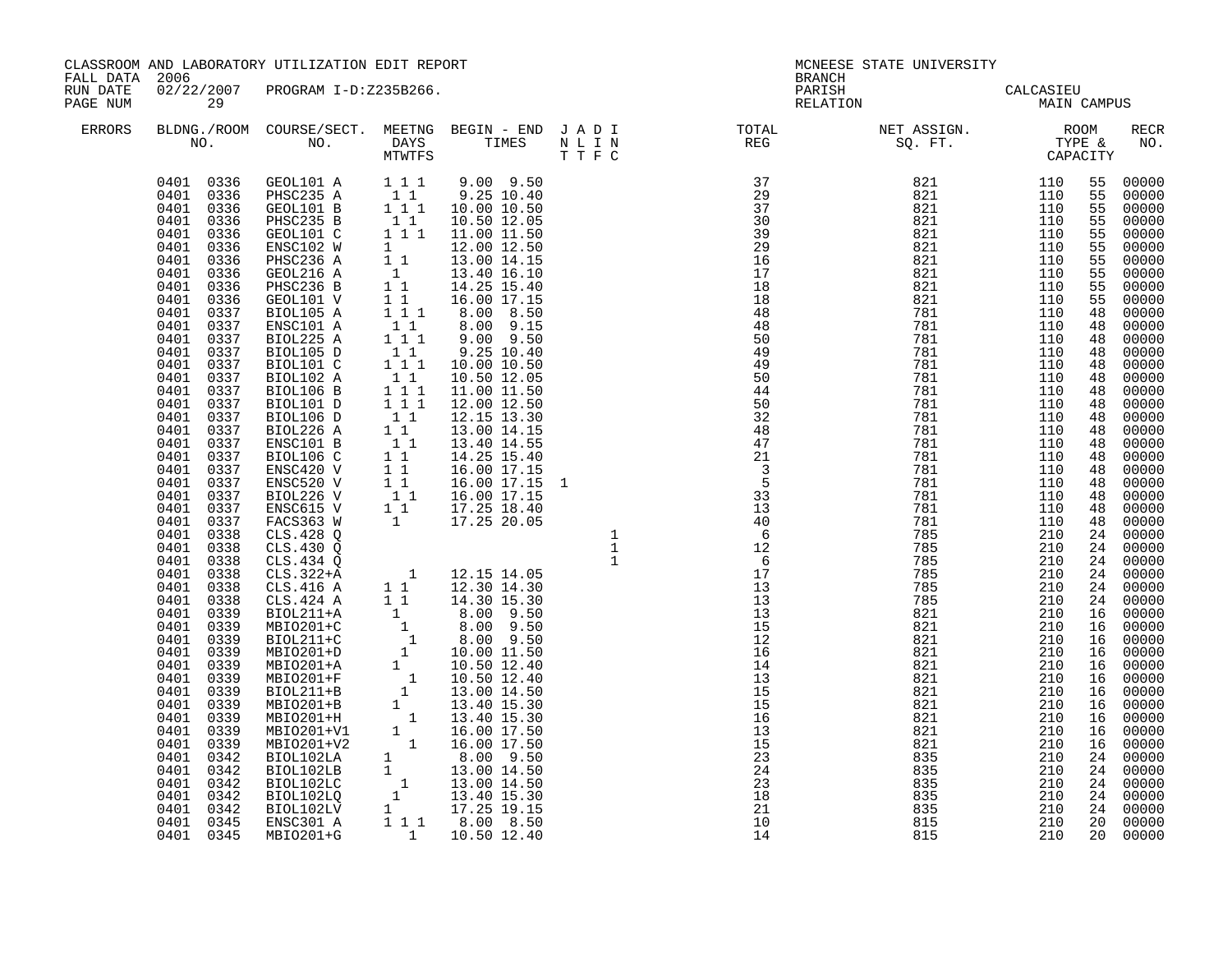| CLASSROOM AND LABORATORY UTILIZATION EDIT REPORT<br>FALL DATA 2006 |                                                                                                                                                                                                                                                                                                                                                                                                                                                                                                                                                                                                                                                                                                                                                    |                                                                                                                                                                                                                                  |  | <b>BRANCH</b> | MCNEESE STATE UNIVERSITY                                                                                                                                                                                                                                                                                                                                                                                                                        |                                                      |    |                                                                                           |
|--------------------------------------------------------------------|----------------------------------------------------------------------------------------------------------------------------------------------------------------------------------------------------------------------------------------------------------------------------------------------------------------------------------------------------------------------------------------------------------------------------------------------------------------------------------------------------------------------------------------------------------------------------------------------------------------------------------------------------------------------------------------------------------------------------------------------------|----------------------------------------------------------------------------------------------------------------------------------------------------------------------------------------------------------------------------------|--|---------------|-------------------------------------------------------------------------------------------------------------------------------------------------------------------------------------------------------------------------------------------------------------------------------------------------------------------------------------------------------------------------------------------------------------------------------------------------|------------------------------------------------------|----|-------------------------------------------------------------------------------------------|
| RUN DATE<br>PAGE NUM                                               | 29                                                                                                                                                                                                                                                                                                                                                                                                                                                                                                                                                                                                                                                                                                                                                 | 02/22/2007 PROGRAM I-D:Z235B266.                                                                                                                                                                                                 |  |               | PARISH CALCASIEU<br>RELATION MAIN CAMPUS                                                                                                                                                                                                                                                                                                                                                                                                        |                                                      |    |                                                                                           |
| ERRORS                                                             |                                                                                                                                                                                                                                                                                                                                                                                                                                                                                                                                                                                                                                                                                                                                                    |                                                                                                                                                                                                                                  |  |               | $\begin{tabular}{lllllllllllllllllllll} \textsc{BLONG.} \textsc{F0OM} & \textsc{COURSE/SECT.} & \textsc{METING} & \textsc{BEGIN} & - & \textsc{END} & \textsc{J} & \textsc{A} & \textsc{D} & \textsc{I} & & & \textsc{TCTAL} & & \textsc{NET} & \textsc{ASSIGN.} & & \textsc{ROOM} \\ \textsc{NO.} & \textsc{NO.} & \textsc{DAYS} & \textsc{TIMES} & \textsc{N} & \textsc{L} & \textsc{I} & \textsc{N} & & \textsc{TEG} & & \textsc{SEG} & & \$ |                                                      |    | RECR<br>NO.                                                                               |
|                                                                    | 0401<br>0336<br>0401<br>0336<br>0401<br>0336<br>0401 0336<br>0336<br>0401<br>0401<br>0336<br>0401<br>0336<br>0401 0337<br>0401<br>0337<br>0401 0337<br>0401 0337<br>0401<br>0337<br>0401<br>0337<br>0401<br>0337<br>0401 0337<br>0401<br>0337<br>0401<br>0337<br>0401<br>0337<br>0401<br>0337<br>0401<br>0337<br>0401<br>0337<br>0401<br>0337<br>0401 0337<br>0401 0337<br>0401 0338<br>0401<br>0338<br>0401 0338<br>0401 0338<br>0401 0338<br>0401<br>0338<br>0401<br>0339<br>0401<br>0339<br>0401<br>0339<br>0401<br>0339<br>0401<br>0339<br>0401<br>0339<br>0401<br>0339<br>0401<br>0339<br>0401<br>0339<br>0401<br>0339<br>0401<br>0339<br>0401<br>0342<br>0401<br>0342<br>0401<br>0342<br>0401<br>0342<br>0401 0342<br>0401 0345<br>0401 0345 | $\begin{array}{cccccc} 0401 & 0336 & \texttt{GEOL101 A} & 1 & 1 & 9 & 00 & 9 & 50 \\ 0401 & 0336 & \texttt{PHSC235 A} & 1 & 1 & 9 & 25 & 10 & 40 \\ 0401 & 0336 & \texttt{GEOL101 B} & 1 & 1 & 10 & 00 & 10 & 50 \\ \end{array}$ |  |               | 821<br>835<br>835<br>835<br>835<br>835<br>815<br>815                                                                                                                                                                                                                                                                                                                                                                                            | 210<br>210<br>210<br>210<br>210<br>210<br>210<br>210 | 16 | 00000<br>24 00000<br>24 00000<br>24 00000<br>24 00000<br>24 00000<br>20 00000<br>20 00000 |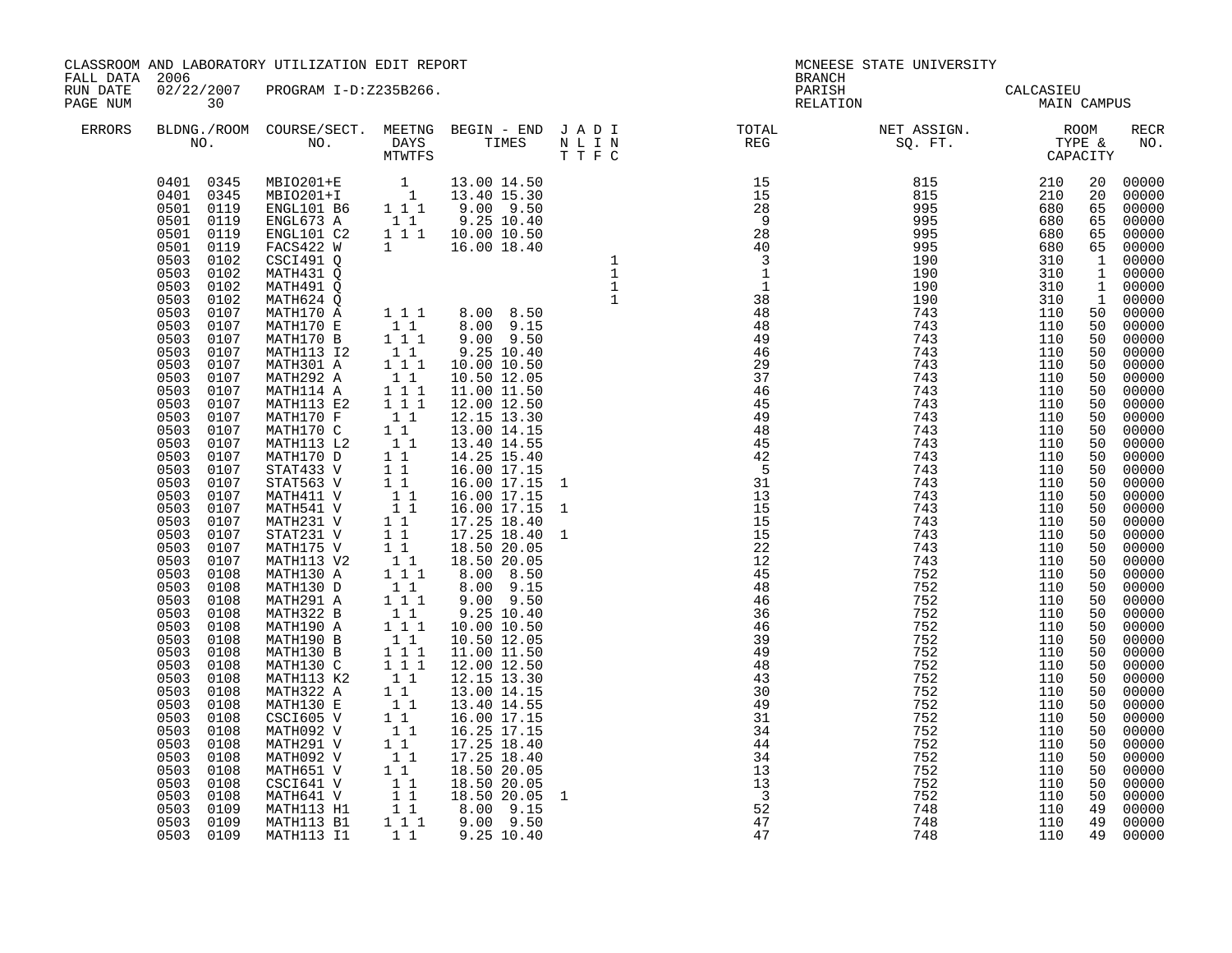| CLASSROOM AND LABORATORY UTILIZATION EDIT REPORT<br>FALL DATA 2006 |                                                                                                                                                                                                                                                                                                                                                                                                                                                                                                 |                                  |  |  |  |  |  |  |
|--------------------------------------------------------------------|-------------------------------------------------------------------------------------------------------------------------------------------------------------------------------------------------------------------------------------------------------------------------------------------------------------------------------------------------------------------------------------------------------------------------------------------------------------------------------------------------|----------------------------------|--|--|--|--|--|--|
| RUN DATE<br>PAGE NUM                                               | 30                                                                                                                                                                                                                                                                                                                                                                                                                                                                                              | 02/22/2007 PROGRAM I-D:Z235B266. |  |  |  |  |  |  |
| ERRORS                                                             |                                                                                                                                                                                                                                                                                                                                                                                                                                                                                                 |                                  |  |  |  |  |  |  |
|                                                                    | 0401 0345<br>0401 0345<br>0501 0119<br>0501 0119<br>0501<br>0501 0119<br>0503<br>0503 0102<br>0503 0102<br>0503 0102<br>0503 0107<br>0503 0107<br>0503<br>0503 0107<br>0503<br>0503<br>0503<br>0503<br>0503<br>0503<br>0503<br>0503<br>0503<br>0503<br>0503<br>0503<br>0503<br>0503<br>0503<br>0503<br>0503 0108<br>0503 0108<br>0503<br>0503<br>0503<br>0503<br>0503<br>0503<br>0503<br>0503<br>0503<br>0503<br>0503<br>0503<br>0503<br>0503<br>0503<br>0503<br>0503<br>0503 0109<br>0503 0109 |                                  |  |  |  |  |  |  |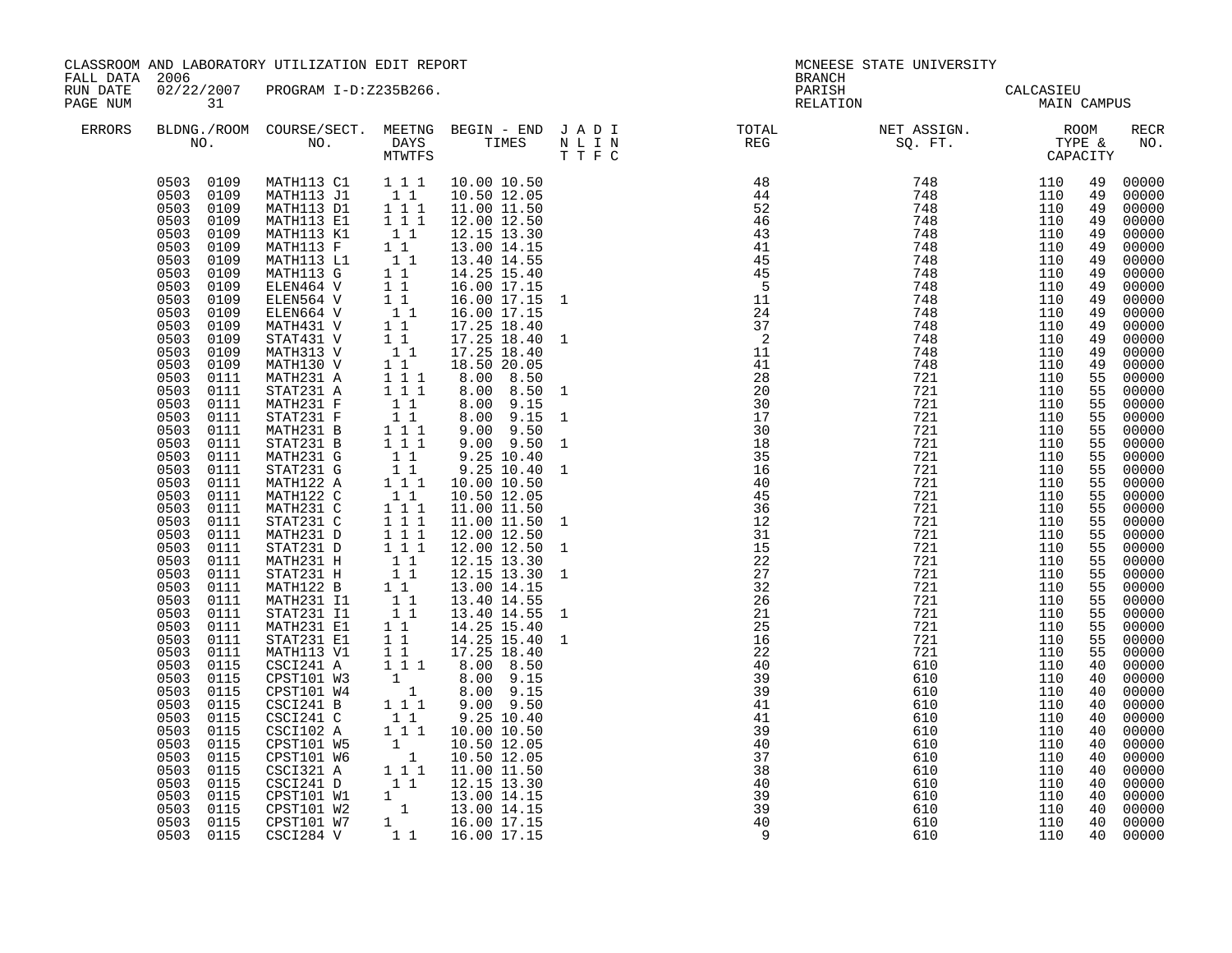| CLASSROOM AND LABORATORY UTILIZATION EDIT REPORT<br>FALL DATA 2006 |                                                                                                                                                                                                                                                                                                                                                                                                                                                                                                                                                                                                                                |                                                                                                                                                                                                                                                                                                                                                                                                                                                                                                                                                                                                                                                                                                                                                                                                                                                                                                            |                                                                                                                                                                                                                                                                                            |                                                                                                                                                                                                                                                                                                                                                                                                                                                                                                                                                                                                                                                                                                                                                                                                                                  | <b>BRANCH</b>                                                                                                                                                                                                                                                                                                                                                                                                                      | MCNEESE STATE UNIVERSITY                 |  |                                                                                                                                                                                                                                                                                                                                                                                                                                                                        |
|--------------------------------------------------------------------|--------------------------------------------------------------------------------------------------------------------------------------------------------------------------------------------------------------------------------------------------------------------------------------------------------------------------------------------------------------------------------------------------------------------------------------------------------------------------------------------------------------------------------------------------------------------------------------------------------------------------------|------------------------------------------------------------------------------------------------------------------------------------------------------------------------------------------------------------------------------------------------------------------------------------------------------------------------------------------------------------------------------------------------------------------------------------------------------------------------------------------------------------------------------------------------------------------------------------------------------------------------------------------------------------------------------------------------------------------------------------------------------------------------------------------------------------------------------------------------------------------------------------------------------------|--------------------------------------------------------------------------------------------------------------------------------------------------------------------------------------------------------------------------------------------------------------------------------------------|----------------------------------------------------------------------------------------------------------------------------------------------------------------------------------------------------------------------------------------------------------------------------------------------------------------------------------------------------------------------------------------------------------------------------------------------------------------------------------------------------------------------------------------------------------------------------------------------------------------------------------------------------------------------------------------------------------------------------------------------------------------------------------------------------------------------------------|------------------------------------------------------------------------------------------------------------------------------------------------------------------------------------------------------------------------------------------------------------------------------------------------------------------------------------------------------------------------------------------------------------------------------------|------------------------------------------|--|------------------------------------------------------------------------------------------------------------------------------------------------------------------------------------------------------------------------------------------------------------------------------------------------------------------------------------------------------------------------------------------------------------------------------------------------------------------------|
| RUN DATE<br>PAGE NUM                                               | 31                                                                                                                                                                                                                                                                                                                                                                                                                                                                                                                                                                                                                             | 02/22/2007 PROGRAM I-D:Z235B266.                                                                                                                                                                                                                                                                                                                                                                                                                                                                                                                                                                                                                                                                                                                                                                                                                                                                           |                                                                                                                                                                                                                                                                                            |                                                                                                                                                                                                                                                                                                                                                                                                                                                                                                                                                                                                                                                                                                                                                                                                                                  |                                                                                                                                                                                                                                                                                                                                                                                                                                    | PARISH CALCASIEU<br>RELATION MAIN CAMPUS |  |                                                                                                                                                                                                                                                                                                                                                                                                                                                                        |
| ERRORS                                                             |                                                                                                                                                                                                                                                                                                                                                                                                                                                                                                                                                                                                                                |                                                                                                                                                                                                                                                                                                                                                                                                                                                                                                                                                                                                                                                                                                                                                                                                                                                                                                            |                                                                                                                                                                                                                                                                                            |                                                                                                                                                                                                                                                                                                                                                                                                                                                                                                                                                                                                                                                                                                                                                                                                                                  |                                                                                                                                                                                                                                                                                                                                                                                                                                    |                                          |  | RECR<br>NO.                                                                                                                                                                                                                                                                                                                                                                                                                                                            |
|                                                                    | 0503 0109<br>0503 0109<br>0503 0109<br>0503<br>0109<br>0503 0109<br>0503<br>0109<br>0503 0109<br>0503<br>0109<br>0503 0109<br>0503 0109<br>0503<br>0109<br>0503<br>0109<br>0503 0109<br>0503 0109<br>0503 0109<br>0503<br>0111<br>0503 0111<br>0503 0111<br>0503 0111<br>0503<br>0111<br>0503<br>0111<br>0503 0111<br>0503 0111<br>0503<br>0111<br>0503<br>0111<br>0503 0111<br>0503 0111<br>0503 0111<br>0503<br>0111<br>0503 0111<br>0503 0111<br>0503 0111<br>0503 0111<br>0503 0111<br>0503 0111<br>0503 0111<br>0503<br>0111<br>0503<br>0115<br>0503 0115<br>0503<br>0115<br>0503<br>0115<br>0503<br>0115<br>0503<br>0115 | MATH113 K1<br>MATH113 F<br>MATH113 L1<br>MATH113 G<br>ELEN464 V<br>ELEN564 V<br>ELEN664 V<br>MATH431 V<br>STAT431 V<br>MATH313 V<br>MATH130 V<br>MATH231 A<br>STAT231 A<br>MATH231 F<br>STAT231 F<br>MATH231 B<br>STAT231 B<br>MATH231 G<br>STAT231 G<br>MATH122 A<br>MATH122 A 1 1 1<br>MATH122 C 1 1<br>MATH231 C 1 1 1<br>STAT231 C 1 1 1<br>STAT231 D 1 1 1<br>STAT231 D 1 1 1<br>STAT231 H 1 1<br>STAT231 H 1 1<br>MATH122 B 1 1<br>MATH231 I1 1 1<br>STAT231 I1 1 1<br>STAT231 I1 1 1<br>MATH231 I1 1 1<br>MATH231 E1<br>STAT231 E1<br>MATH113 V1<br>CSCI241 A<br>CPST101 W3<br>CPST101 W4<br>CSCI241 B<br>CSCI241 C<br>CSCI102 A<br>CPST101 W5<br>0503 0115 CPST101 W5<br>0503 0115 CPST101 W5<br>0503 0115 CPST101 W6<br>0503 0115 CPST101 W6<br>0503 0115 CSC1321 A<br>0503 0115 CSC1241 D<br>0503 0115 CPST101 W1<br>1 12.15 13.30<br>0503 0115 CPST101 W1<br>1 13.00 14.15<br>0503 0115 CPST101 | $\begin{bmatrix} 1 & 1 \\ 1 & 1 \\ 1 & 1 \end{bmatrix}$<br>$1\quad1$<br>11<br>11<br>$\begin{array}{ccc} 1 & 1 \\ 1 & 1 \end{array}$<br>$1\quad 1\quad \bar{1}$<br>$\begin{bmatrix} 1 & 1 \\ 1 & 1 \end{bmatrix}$<br>$1 1 1$<br>$1\quad1$<br>$\begin{bmatrix} 1 & 1 \\ 1 & 1 \end{bmatrix}$ | 12.15 13.30<br>13.00 14.15<br>13.40 14.55<br>14.25 15.40<br>16.00 17.15<br>16.00 17.15<br>$\begin{array}{ccccc} & 1 & 1 & & 16.00 & 17.15 \\ 1 & 1 & & 17.25 & 18.40 \end{array}$<br>$\begin{array}{cccc} 1 & 1 & 17.25 & 18.40 \\ 1 & 1 & 17.25 & 18.40 \end{array}$<br>18.50 20.05<br>8.00 8.50<br>8.00 8.50<br>8.00 9.15<br>8.00 9.15<br>$9.00$ $9.50$<br>$\begin{array}{cccc} 1&1&1&9.00&9.50\ 1&1&1&9.00&9.50\ 1&1&9.25&10.40\ 1&1&9.25&10.40\ 1&1&10.00&10.50\ \end{array}$<br>10.50 12.05<br>11.00 11.50<br>11.00 11.50<br>12.00 12.50<br>12.00 12.50<br>12.15 13.30<br>12.15 13.30<br>13.00 14.15<br>13.40 14.55<br>13.40 14.55<br>14.25 15.40<br>$11$ $14.25$ $15.40$<br>$11$ $17.25$ $18.40$<br>$11$ $17.25$ $18.40$<br>$11$ $8.00$ $8.50$<br>$1$ $8.00$ $9.15$<br>$11$ $1$ $9.00$ $9.50$<br>9.25 10.40<br>10.00 10.50 | $\begin{array}{cccccccc} \text{N} & \text{T} & \text{T} & \text{R} & \text{R} & \text{R} & \text{R} & \text{R} & \text{R} & \text{R} & \text{R} & \text{R} & \text{R} & \text{R} & \text{R} & \text{R} & \text{R} & \text{R} & \text{R} & \text{R} & \text{R} & \text{R} & \text{R} & \text{R} & \text{R} & \text{R} & \text{R} & \text{R} & \text{R} & \text{R} & \text{R} & \text{R} & \text{R} & \text{R} & \text{R} & \text{R$ |                                          |  | 00000<br>00000<br>00000<br>00000<br>00000<br>00000<br>00000<br>00000<br>00000<br>00000<br>00000<br>00000<br>49 00000<br>00000<br>00000<br>00000<br>00000<br>00000<br>00000<br>00000<br>00000<br>00000<br>00000<br>00000<br>00000<br>00000<br>00000<br>00000<br>00000<br>00000<br>00000<br>00000<br>00000<br>00000<br>00000<br>00000<br>00000<br>40 00000<br>00000<br>00000<br>00000<br>00000<br>00000<br>00000<br>00000<br>$00000$<br>00000<br>00000<br>00000<br>00000 |
|                                                                    |                                                                                                                                                                                                                                                                                                                                                                                                                                                                                                                                                                                                                                |                                                                                                                                                                                                                                                                                                                                                                                                                                                                                                                                                                                                                                                                                                                                                                                                                                                                                                            |                                                                                                                                                                                                                                                                                            |                                                                                                                                                                                                                                                                                                                                                                                                                                                                                                                                                                                                                                                                                                                                                                                                                                  |                                                                                                                                                                                                                                                                                                                                                                                                                                    |                                          |  | 00000                                                                                                                                                                                                                                                                                                                                                                                                                                                                  |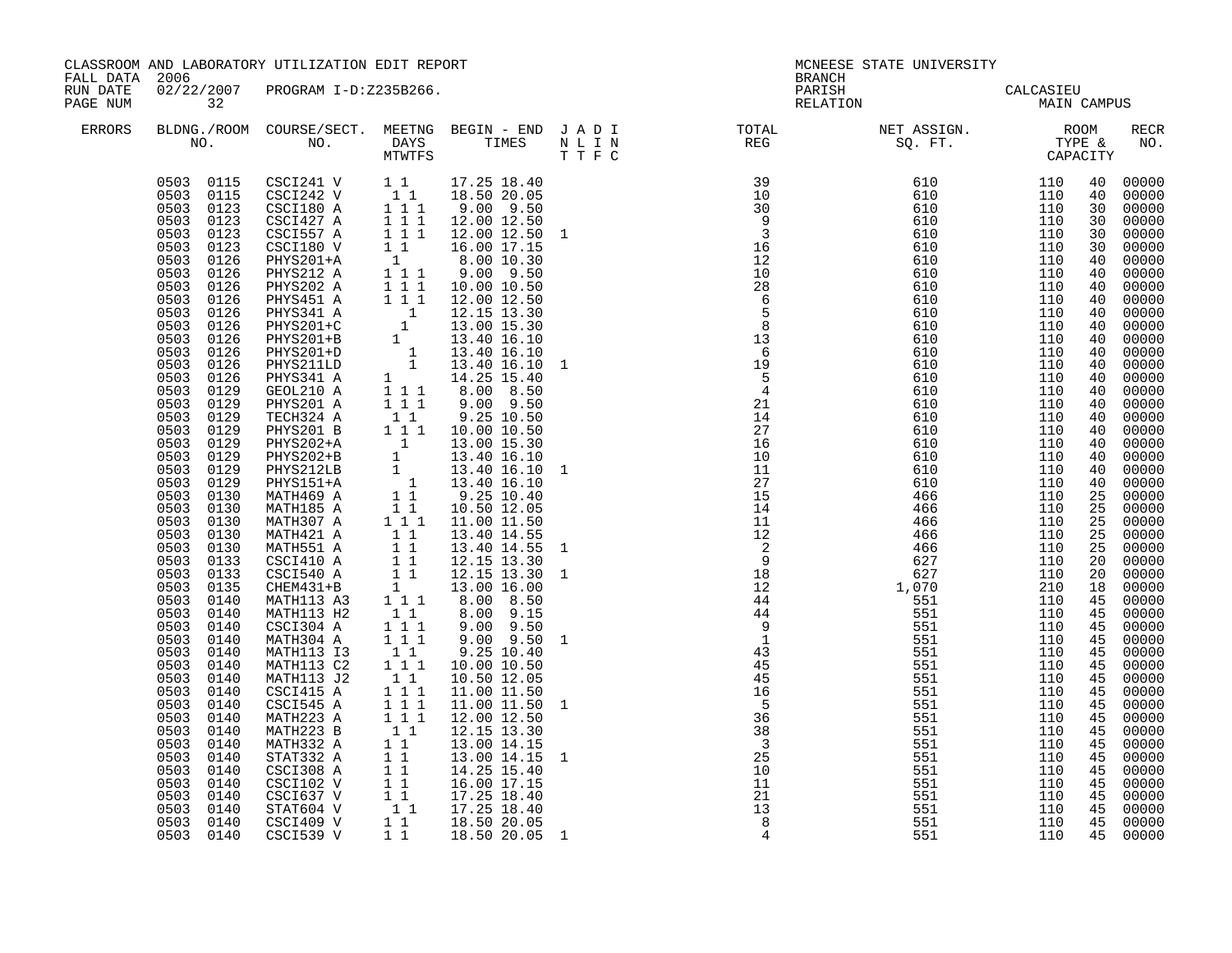| CLASSROOM AND LABORATORY UTILIZATION EDIT REPORT<br>FALL DATA 2006 |                                                                                                                                                                                                                                                                                                                                                                                                                                                                                                                                                                                                                                                                                                                  |                                                                                                                                                                                                                                                                                                                                                                                                                                                                                                                                                                                                                                                                                                                                           |                                                                                                                                                                                                                         |                                                                                                                                                                                                                                                                                   | MCNEESE STATE UNIVERSITY<br><b>BRANCH</b> |                                                                                                                                                                                                                                                                                                                                                                                                                                                 |                                          |  |  |                                                                                                                                                                                                                                                                                                                                                                                                                                                                                                                                                                      |
|--------------------------------------------------------------------|------------------------------------------------------------------------------------------------------------------------------------------------------------------------------------------------------------------------------------------------------------------------------------------------------------------------------------------------------------------------------------------------------------------------------------------------------------------------------------------------------------------------------------------------------------------------------------------------------------------------------------------------------------------------------------------------------------------|-------------------------------------------------------------------------------------------------------------------------------------------------------------------------------------------------------------------------------------------------------------------------------------------------------------------------------------------------------------------------------------------------------------------------------------------------------------------------------------------------------------------------------------------------------------------------------------------------------------------------------------------------------------------------------------------------------------------------------------------|-------------------------------------------------------------------------------------------------------------------------------------------------------------------------------------------------------------------------|-----------------------------------------------------------------------------------------------------------------------------------------------------------------------------------------------------------------------------------------------------------------------------------|-------------------------------------------|-------------------------------------------------------------------------------------------------------------------------------------------------------------------------------------------------------------------------------------------------------------------------------------------------------------------------------------------------------------------------------------------------------------------------------------------------|------------------------------------------|--|--|----------------------------------------------------------------------------------------------------------------------------------------------------------------------------------------------------------------------------------------------------------------------------------------------------------------------------------------------------------------------------------------------------------------------------------------------------------------------------------------------------------------------------------------------------------------------|
| RUN DATE<br>PAGE NUM                                               | 32                                                                                                                                                                                                                                                                                                                                                                                                                                                                                                                                                                                                                                                                                                               | 02/22/2007 PROGRAM I-D:Z235B266.                                                                                                                                                                                                                                                                                                                                                                                                                                                                                                                                                                                                                                                                                                          |                                                                                                                                                                                                                         |                                                                                                                                                                                                                                                                                   |                                           |                                                                                                                                                                                                                                                                                                                                                                                                                                                 | PARISH CALCASIEU<br>RELATION MAIN CAMPUS |  |  |                                                                                                                                                                                                                                                                                                                                                                                                                                                                                                                                                                      |
| ERRORS                                                             |                                                                                                                                                                                                                                                                                                                                                                                                                                                                                                                                                                                                                                                                                                                  |                                                                                                                                                                                                                                                                                                                                                                                                                                                                                                                                                                                                                                                                                                                                           |                                                                                                                                                                                                                         |                                                                                                                                                                                                                                                                                   |                                           | $\begin{tabular}{lllllllllllllllllllll} \textsc{BLONG.} \textsc{F0OM} & \textsc{COURSE/SECT.} & \textsc{METING} & \textsc{BEGIN} & - & \textsc{END} & \textsc{J} & \textsc{A} & \textsc{D} & \textsc{I} & & & \textsc{TCTAL} & & \textsc{NET} & \textsc{ASSIGN.} & & \textsc{ROOM} \\ \textsc{NO.} & \textsc{NO.} & \textsc{DAYS} & \textsc{TIMES} & \textsc{N} & \textsc{L} & \textsc{I} & \textsc{N} & & \textsc{TEG} & & \textsc{SEG} & & \$ |                                          |  |  | RECR<br>NO.                                                                                                                                                                                                                                                                                                                                                                                                                                                                                                                                                          |
|                                                                    | 0503 0123<br>0503 0123<br>0503 0123<br>0503 0123<br>0503 0126<br>0503 0126<br>0503 0126<br>0503 0126<br>0503 0126<br>0503 0126<br>0503 0126<br>$0503$ $0126$<br>0503 0126<br>0503<br>0126<br>0503 0129<br>0503 0129<br>0503 0129<br>0503<br>0129<br>0503<br>0129<br>0503 0129<br>0503 0129<br>0503 0129<br>0503 0130<br>0503 0130<br>0503 0130<br>0503 0130<br>0503 0130<br>0503 0133<br>0503 0133<br>0503 0135<br>0503<br>0140<br>0503<br>0140<br>0503<br>0140<br>0503<br>0140<br>0503<br>0140<br>0503<br>0140<br>0503<br>0140<br>0503<br>0140<br>0503<br>0140<br>0503<br>0140<br>0503<br>0140<br>0503<br>0140<br>0503<br>0140<br>0503<br>0140<br>0503 0140<br>0503 0140<br>0503 0140<br>0503 0140<br>0503 0140 | $\begin{array}{cccccc} 0503 & 0115 & \text{CSC1241 V} & & 1 & 1 & 17.25 & 18.40 \\ 0503 & 0115 & \text{CSC1242 V} & & 1 & 1 & 18.50 & 20.05 \\ 0503 & 0123 & \text{CSC1180 A} & & 1 & 1 & 9.00 & 9.50 \\ \end{array}$<br>$CSCI427$ A<br>CSCI557 A<br>CSCI180 V<br>PHYS201 A<br>$\begin{tabular}{l c c c} \multicolumn{1}{c}{PHYS201 A} & 1 & 1 & 9 & .00 & 9 & .50 \\ \hline \text{TECH324 A} & 1 & 1 & 9 & .25 & 10 & .50 \\ \text{PHYS201 B} & 1 & 1 & 10 & .00 & 10 & .50 \\ \text{PHYS202+A} & 1 & 13 & .00 & 16 & .30 \\ \text{PHYS202+B} & 1 & 13 & .40 & 16 & .10 \\ \text{PHYS151+A} & 1 & 13 & .40 & 16 & .10 \\ \text{MATH469 A$<br>MATH113 H2<br>CSCI304 A<br>MATH304 A<br>MATH113 I3<br>MATH113 C2<br>MATH113 J2<br>CSCI415 A | $1\quad 1\quad 1$<br>$1\quad1$<br>$\begin{array}{rrrr} & 1 & 1 & 1 \\ 1 & 1 & 1 & 1 \\ & & 1 & 1 & \end{array}$<br>$1 1 1$<br>11<br>$\begin{array}{c} 1 \\ 1 \\ 1 \end{array} \begin{array}{c} 1 \\ 1 \\ 1 \end{array}$ | $\begin{array}{rrrr} 1&1&1&12.00&12.50 \ 1&1&1&12.00&12.50 \ 1&1&1&12.00&12.50&1 \end{array}$<br>$9.00$ $9.50$<br>13.40 14.55 1<br>$8.00$ $9.15$<br>$9.00$ $9.50$<br>$9.00$ $9.50$<br>$9.25$ 10.40<br>10.00 10.50<br>10.50 12.05<br>11.00 11.50<br>13.00 14.15 1<br>18.50 20.05 1 |                                           | $\begin{array}{cccccccc} \text{R} & \text{R} & \text{R} & \text{R} & \text{R} & \text{R} & \text{R} & \text{R} & \text{R} & \text{R} & \text{R} & \text{R} & \text{R} & \text{R} & \text{R} & \text{R} & \text{R} & \text{R} & \text{R} & \text{R} & \text{R} & \text{R} & \text{R} & \text{R} & \text{R} & \text{R} & \text{R} & \text{R} & \text{R} & \text{R} & \text{R} & \text{R} & \text{R} & \text{R} & \text{R} & \text$                |                                          |  |  | 00000<br>00000<br>30 00000<br>00000<br>30 00000<br>00000<br>40 00000<br>00000<br>40 00000<br>00000<br>40 00000<br>40 00000<br>40 00000<br>00000<br>40 00000<br>00000<br>40 00000<br>00000<br>00000<br>00000<br>40 00000<br>40 00000<br>00000<br>40 00000<br>25 00000<br>25 00000<br>00000<br>25 00000<br>25 00000<br>20 00000<br>00000<br>18 00000<br>45 00000<br>45 00000<br>45 00000<br>45 00000<br>00000<br>00000<br>45 00000<br>00000<br>45 00000<br>00000<br>45 00000<br>00000<br>45 00000<br>45 00000<br>45 00000<br>00000<br>45 00000<br>45 00000<br>45 00000 |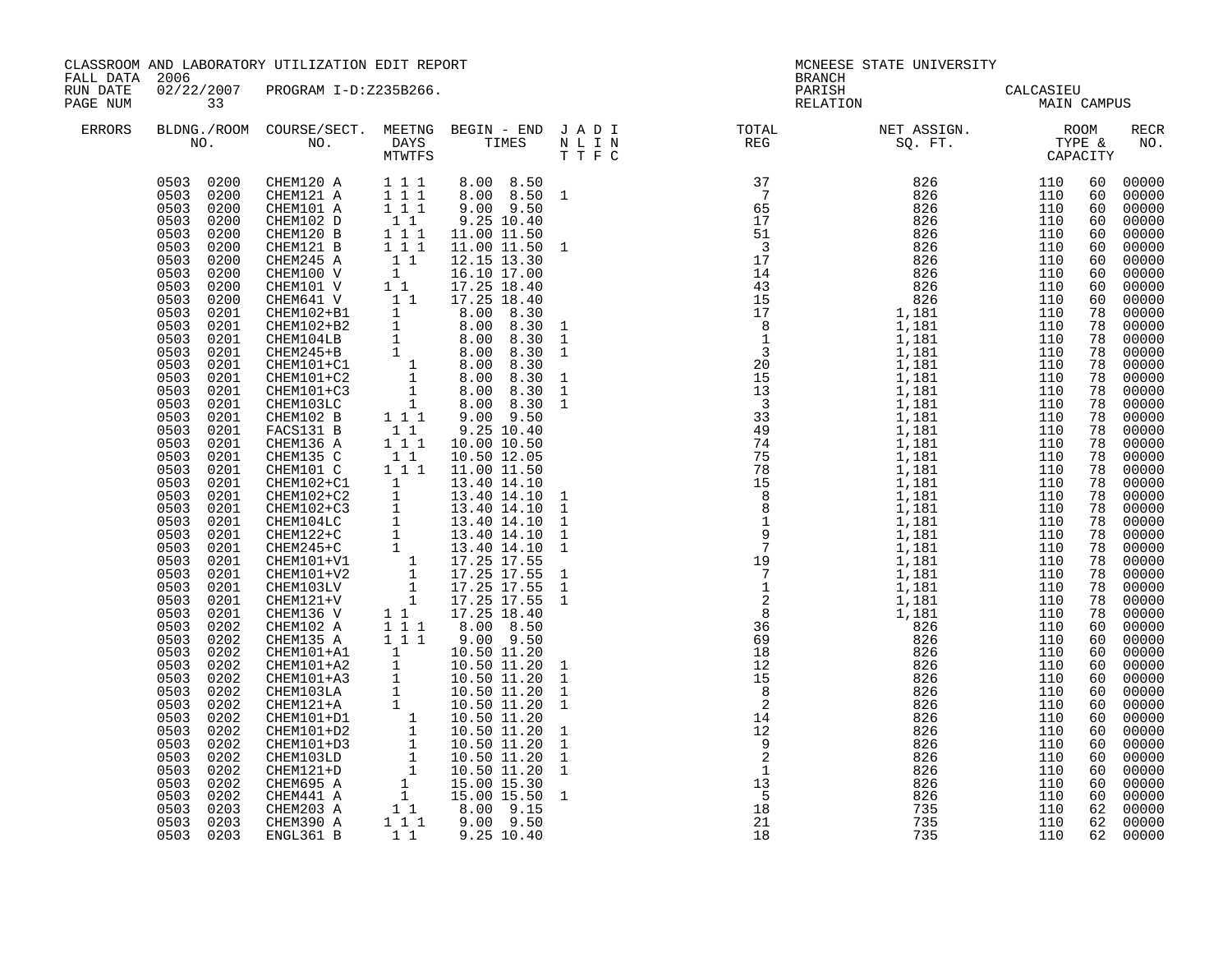| FALL DATA 2006       |                                                                                                                                                                                                                                                                                                                                                                                                                                                                                                                                                                                                                                                                | CLASSROOM AND LABORATORY UTILIZATION EDIT REPORT                                                                                                                                                                                                                                                                                                                                                                                                                                                                                                                                                                                                            |  | <b>BRANCH</b>                                                                                                                                                                                                                                                                                                                                                                                                                               | MCNEESE STATE UNIVERSITY |             |                                                                                                                                                                                                                                                                                                    |                                                                                                                                                                                                                                                                                                                                                                                                                                                                               |
|----------------------|----------------------------------------------------------------------------------------------------------------------------------------------------------------------------------------------------------------------------------------------------------------------------------------------------------------------------------------------------------------------------------------------------------------------------------------------------------------------------------------------------------------------------------------------------------------------------------------------------------------------------------------------------------------|-------------------------------------------------------------------------------------------------------------------------------------------------------------------------------------------------------------------------------------------------------------------------------------------------------------------------------------------------------------------------------------------------------------------------------------------------------------------------------------------------------------------------------------------------------------------------------------------------------------------------------------------------------------|--|---------------------------------------------------------------------------------------------------------------------------------------------------------------------------------------------------------------------------------------------------------------------------------------------------------------------------------------------------------------------------------------------------------------------------------------------|--------------------------|-------------|----------------------------------------------------------------------------------------------------------------------------------------------------------------------------------------------------------------------------------------------------------------------------------------------------|-------------------------------------------------------------------------------------------------------------------------------------------------------------------------------------------------------------------------------------------------------------------------------------------------------------------------------------------------------------------------------------------------------------------------------------------------------------------------------|
| RUN DATE<br>PAGE NUM | 33                                                                                                                                                                                                                                                                                                                                                                                                                                                                                                                                                                                                                                                             | 02/22/2007 PROGRAM I-D:Z235B266.                                                                                                                                                                                                                                                                                                                                                                                                                                                                                                                                                                                                                            |  | PARISH<br>RELATION                                                                                                                                                                                                                                                                                                                                                                                                                          | CALCASIEU<br>MAIN C      | MAIN CAMPUS |                                                                                                                                                                                                                                                                                                    |                                                                                                                                                                                                                                                                                                                                                                                                                                                                               |
| <b>ERRORS</b>        |                                                                                                                                                                                                                                                                                                                                                                                                                                                                                                                                                                                                                                                                |                                                                                                                                                                                                                                                                                                                                                                                                                                                                                                                                                                                                                                                             |  | $\begin{tabular}{lllllllllllllllllllllllllllllllllll} \textsc{BLONG.} & \textsc{ROURSE/SECT.} & \textsc{METNG} & \textsc{BEGIN} & - & \textsc{END} & \textsc{J} & \textsc{A} & \textsc{D} & \textsc{I} & & & \textsc{TOTAL} & & \textsc{NET} & \textsc{ASIGN.} & & \textsc{ROOM} \\ \textsc{NO.} & \textsc{NO.} & \textsc{DAYS} & \textsc{TIMES} & \textsc{N} & \textsc{L} & \textsc{I} & \textsc{NEG} & & \textsc{SEG} & & \textsc{ST.} &$ |                          |             |                                                                                                                                                                                                                                                                                                    | <b>RECR</b><br>NO.                                                                                                                                                                                                                                                                                                                                                                                                                                                            |
|                      | 0503<br>0200<br>0503<br>0200<br>0503<br>0200<br>0503<br>0200<br>0503<br>0201<br>0503<br>0201<br>0503<br>0201<br>0503 0201<br>0503<br>0201<br>0503 0201<br>0503 0201<br>0503 0201<br>0503 0201<br>0503 0201<br>0503<br>0201<br>0503 0201<br>0503 0201<br>0503 0201<br>0503<br>0201<br>0503 0201<br>0503 0201<br>0503 0201<br>0503 0201<br>0503 0201<br>0503 0201<br>0503 0201<br>0503 0201<br>0503<br>0201<br>0503 0202<br>0503 0202<br>0503<br>0202<br>0503<br>0202<br>0503<br>0202<br>0503<br>0202<br>0503<br>0202<br>0503 0202<br>0503 0202<br>0503 0202<br>0503 0202<br>0503 0202<br>0503<br>0202<br>0503<br>0202<br>0203<br>0503<br>0503 0203<br>0503 0203 | $\begin{tabular}{cccc} 0503 & 0200 & \text{CHEM120 A} & 111 & 8.00 & 8.50 \\ 0503 & 0200 & \text{CHEM121 A} & 111 & 8.00 & 8.50 & 1 \\ 0503 & 0200 & \text{CHEM101 A} & 111 & 9.00 & 9.50 \\ 0503 & 0200 & \text{CHEM102 B} & 11 & 9.25 & 10.40 \\ 0503 & 0200 & \text{CHEM120 B} & 111 & 11.00 & 11.50 \\ 0503 & $<br>$\begin{tabular}{cccc} \texttt{CHEM112D} & 1 & 9.25 & 10.49 \\ \texttt{CHEM12D} & 1 & 1 & 1.00 & 11.50 \\ \texttt{CHEM12D} & 1 & 1 & 1.10 & 11.50 \\ \texttt{CHEM12D} & 1 & 1 & 1.10 & 11.50 \\ \texttt{CHEM12D} & 1 & 1 & 1.21 & 15 & 13.30 \\ \texttt{CHEM13D} & 1 & 1 & 12.15 & 13.30 \\ \texttt{CHEM13D} & 1 & 1 & 17.25 & 18.4$ |  |                                                                                                                                                                                                                                                                                                                                                                                                                                             |                          |             | 60<br>60<br>60<br>60<br>60<br>60<br>60<br>60<br>60<br>60<br>78<br>78<br>78<br>78<br>78<br>78<br>78<br>78<br>78<br>78<br>78<br>78<br>78<br>78<br>78<br>78<br>78<br>78<br>78<br>78<br>78<br>78<br>78<br>78<br>60<br>60<br>60<br>60<br>60<br>60<br>60<br>60<br>60<br>60<br>60<br>60<br>60<br>60<br>62 | 00000<br>00000<br>00000<br>00000<br>00000<br>00000<br>00000<br>00000<br>00000<br>00000<br>00000<br>00000<br>00000<br>00000<br>00000<br>00000<br>00000<br>00000<br>00000<br>00000<br>00000<br>00000<br>00000<br>00000<br>00000<br>00000<br>00000<br>00000<br>00000<br>00000<br>00000<br>00000<br>00000<br>00000<br>00000<br>00000<br>00000<br>00000<br>00000<br>00000<br>00000<br>00000<br>00000<br>00000<br>00000<br>00000<br>00000<br>00000<br>00000<br>62 00000<br>62 00000 |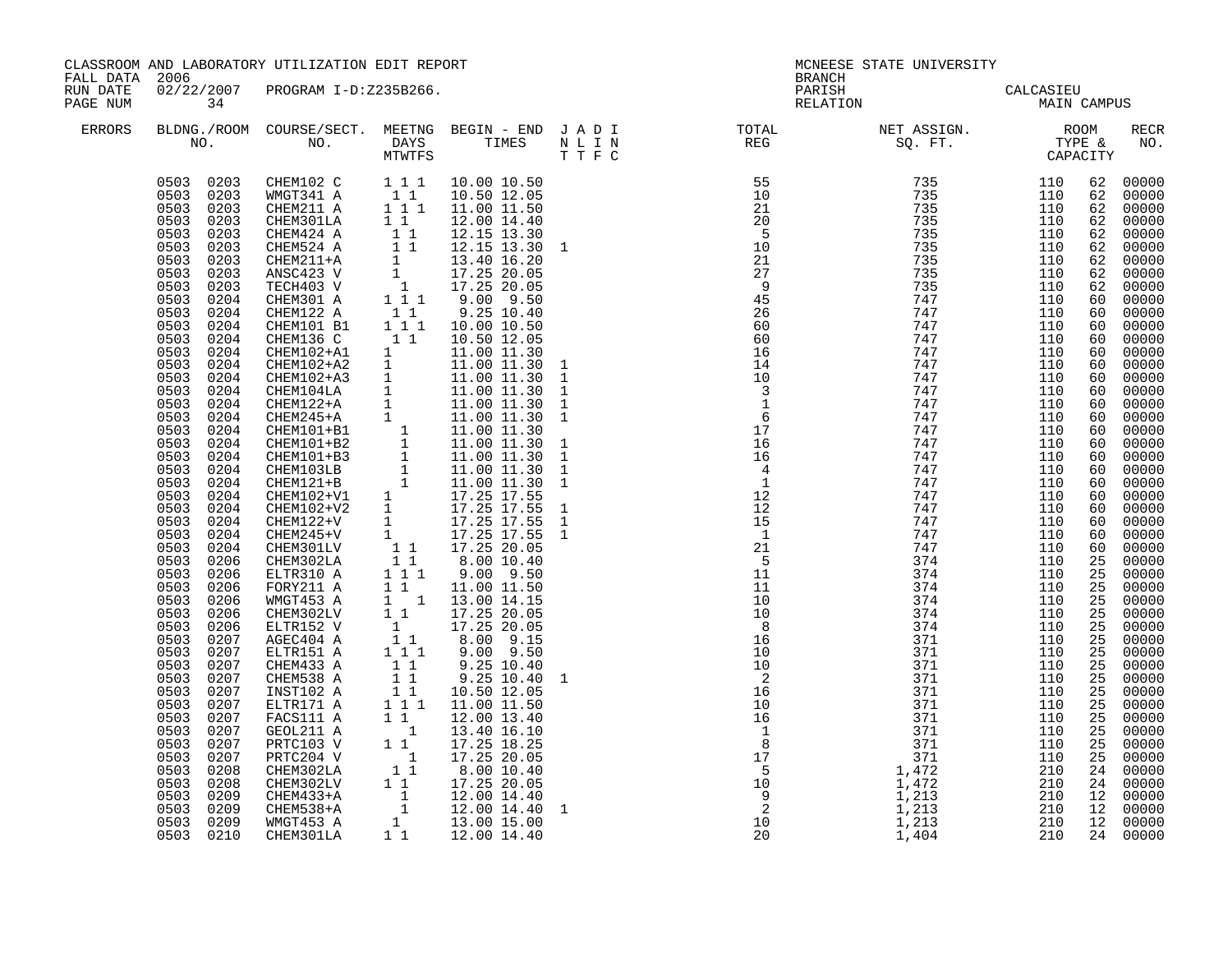| FALL DATA 2006       |                                                                                                                                                                                                                                                                                                                                                                                                                                                                                                                                                                                                                                                        | CLASSROOM AND LABORATORY UTILIZATION EDIT REPORT                                                                                                                                                                                                                                                                                                                                                                                                                                                                                                                                                                                                                                    |                                                                                                                                                                                                                                                                                                                                                                                          | <b>BRANCH</b>                                                                                                                                                                                                                                                                                                                                                                                                | MCNEESE STATE UNIVERSITY                 |  |             |
|----------------------|--------------------------------------------------------------------------------------------------------------------------------------------------------------------------------------------------------------------------------------------------------------------------------------------------------------------------------------------------------------------------------------------------------------------------------------------------------------------------------------------------------------------------------------------------------------------------------------------------------------------------------------------------------|-------------------------------------------------------------------------------------------------------------------------------------------------------------------------------------------------------------------------------------------------------------------------------------------------------------------------------------------------------------------------------------------------------------------------------------------------------------------------------------------------------------------------------------------------------------------------------------------------------------------------------------------------------------------------------------|------------------------------------------------------------------------------------------------------------------------------------------------------------------------------------------------------------------------------------------------------------------------------------------------------------------------------------------------------------------------------------------|--------------------------------------------------------------------------------------------------------------------------------------------------------------------------------------------------------------------------------------------------------------------------------------------------------------------------------------------------------------------------------------------------------------|------------------------------------------|--|-------------|
| RUN DATE<br>PAGE NUM | 34                                                                                                                                                                                                                                                                                                                                                                                                                                                                                                                                                                                                                                                     | 02/22/2007 PROGRAM I-D:Z235B266.                                                                                                                                                                                                                                                                                                                                                                                                                                                                                                                                                                                                                                                    |                                                                                                                                                                                                                                                                                                                                                                                          |                                                                                                                                                                                                                                                                                                                                                                                                              | PARISH CALCASIEU<br>RELATION MAIN CAMPUS |  |             |
| ERRORS               |                                                                                                                                                                                                                                                                                                                                                                                                                                                                                                                                                                                                                                                        |                                                                                                                                                                                                                                                                                                                                                                                                                                                                                                                                                                                                                                                                                     |                                                                                                                                                                                                                                                                                                                                                                                          |                                                                                                                                                                                                                                                                                                                                                                                                              |                                          |  | RECR<br>NO. |
|                      | 0503<br>0204<br>0503<br>0204<br>0503<br>0204<br>0503<br>0204<br>0503<br>0204<br>0503<br>0204<br>0503<br>0204<br>0503<br>0204<br>0503<br>0204<br>0503<br>0204<br>0503<br>0204<br>0503<br>0204<br>0503<br>0204<br>0503<br>0204<br>0503<br>0204<br>0503<br>0204<br>0503<br>0204<br>0503<br>0204<br>0503<br>0204<br>0503<br>0206<br>0503<br>0206<br>0503<br>0206<br>0503<br>0206<br>0503<br>0206<br>0503<br>0206<br>0503<br>0207<br>0503<br>0207<br>0503<br>0207<br>0503<br>0207<br>0503<br>0207<br>0503<br>0207<br>0503<br>0207<br>0503<br>0207<br>0503<br>0207<br>0503<br>0207<br>0503<br>0208<br>0503<br>0208<br>0503<br>0209<br>0503 0209<br>0503 0209 | CHEM122 A $1\overline{1}$<br>CHEM101 B1 1 1 1<br>CHEMI01 B1 111 10.00 10.50<br>CHEMI36 C 11 10.50 12.05<br>CHEMI02+A1 1 11.00 11.30 1<br>CHEMI02+A2 1 11.00 11.30 1<br>CHEMI02+A2 1 11.00 11.30 1<br>CHEMI04LA 1 11.00 11.30 1<br>CHEMI24+A 1 11.00 11.30 1<br>CHEMI24+A 1 11.00 11.30 1<br>CHE<br>FORY211 A<br>WMGT453 A<br>CHEM302LV<br>ELTR152 V<br>AGEC404 A<br>ELTR151 A<br>CHEM433 A<br>CHEM538 A<br>INST102 A<br>ELTR171 A<br>ELTR171 A 1 1 11.00 11.50<br>FACS111 A 1 1 12.00 13.40<br>GEOL211 A 1 13.40 16.10<br>PRTC103 V 1 17.25 18.25<br>PRTC204 V 1 17.25 20.05<br>CHEM302LA 1 1 8.00 10.40<br>CHEM302LV 1 17.25 20.05<br>CHEM433+A 1 12.00 14.40<br>CHEM433+A 1 12.00 | 9.25 10.40<br>10.00 10.50<br>$\begin{array}{cccc} 1 & 1 & 9.00 & 9.50 \ 1 & 1 & 1.00 & 11.50 \ 1 & 1 & 13.00 & 14.15 \ 1 & 1 & 17.25 & 20.05 \ 1 & 1 & 8.00 & 9.15 \ 1 & 1 & 8.00 & 9.15 \ 1 & 1 & 9.00 & 9.50 \end{array}$<br>$\begin{array}{cccc} 1 & 1 & 9.25 & 10.40 \ 1 & 1 & 9.25 & 10.40 \ 1 & 1 & 10.50 & 12.05 \ 1 & 1 & 11.00 & 11.50 \end{array}$<br>9.25 10.40<br>9.25 10.40 | $\begin{smallmatrix} \textbf{11} & \textbf{12} & \textbf{13} & \textbf{14} & \textbf{15} & \textbf{16} & \textbf{18} & \textbf{18} & \textbf{18} & \textbf{18} & \textbf{18} & \textbf{18} & \textbf{18} & \textbf{18} & \textbf{18} & \textbf{18} & \textbf{18} & \textbf{18} & \textbf{18} & \textbf{18} & \textbf{18} & \textbf{18} & \textbf{18} & \textbf{18} & \textbf{18} & \textbf{18} & \textbf{18$ |                                          |  |             |
|                      | 0503 0210                                                                                                                                                                                                                                                                                                                                                                                                                                                                                                                                                                                                                                              |                                                                                                                                                                                                                                                                                                                                                                                                                                                                                                                                                                                                                                                                                     |                                                                                                                                                                                                                                                                                                                                                                                          |                                                                                                                                                                                                                                                                                                                                                                                                              |                                          |  |             |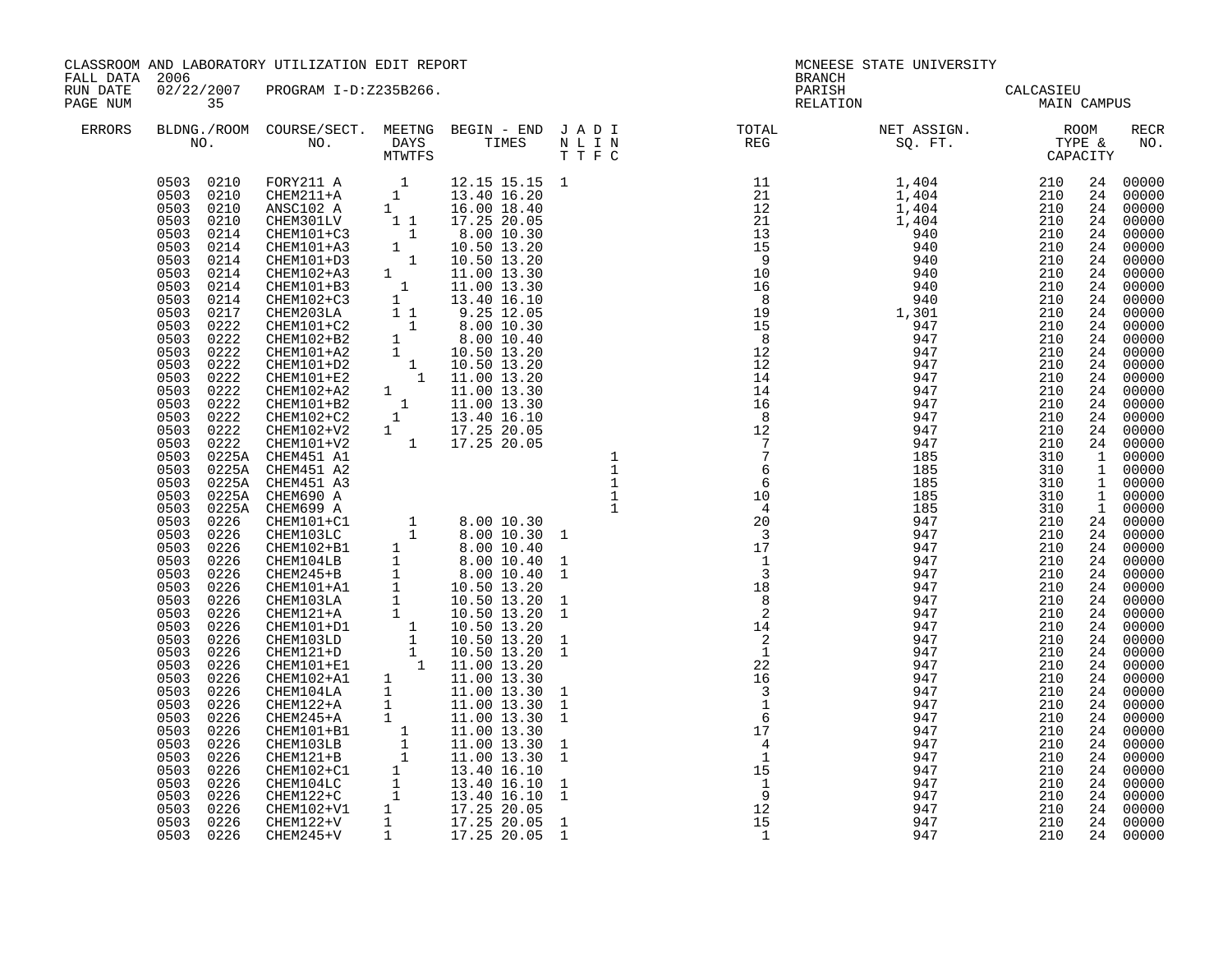| FALL DATA 2006       |    | CLASSROOM AND LABORATORY UTILIZATION EDIT REPORT |  |                                                                                                                                                                                                                                               | BRANCH | MCNEESE STATE UNIVERSITY                                                                                                                                                                         |  |             |
|----------------------|----|--------------------------------------------------|--|-----------------------------------------------------------------------------------------------------------------------------------------------------------------------------------------------------------------------------------------------|--------|--------------------------------------------------------------------------------------------------------------------------------------------------------------------------------------------------|--|-------------|
| RUN DATE<br>PAGE NUM | 35 | 02/22/2007 PROGRAM I-D:Z235B266.                 |  |                                                                                                                                                                                                                                               |        | PARISH<br>PARISH CALCASIEU<br>RELATION MAIN CAMPUS                                                                                                                                               |  |             |
| ERRORS               |    |                                                  |  |                                                                                                                                                                                                                                               |        | BLDNG./ROOM COURSE/SECT. MEETNG BEGIN – END JADI TOTAL NET ASSIGN. NET ASSIGN. NO. NOOM COURSE/SECT. MEETNG BEGIN – END JADI TOTAL TOTAL NET ASSIGN. NO. NO. DAYS TIMES NLIN REG SQ.FT. CAPACITY |  | RECR<br>NO. |
|                      |    |                                                  |  | $\begin{array}{cccccccc} 06003&0.622&0.628&0.628&0.628&0.628&0.628&0.628&0.628&0.628&0.628&0.628&0.628&0.628&0.628&0.628&0.628&0.628&0.628&0.628&0.628&0.628&0.628&0.628&0.628&0.628&0.628&0.628&0.628&0.628&0.628&0.628&0.628&0.628&0.628&0$ |        |                                                                                                                                                                                                  |  |             |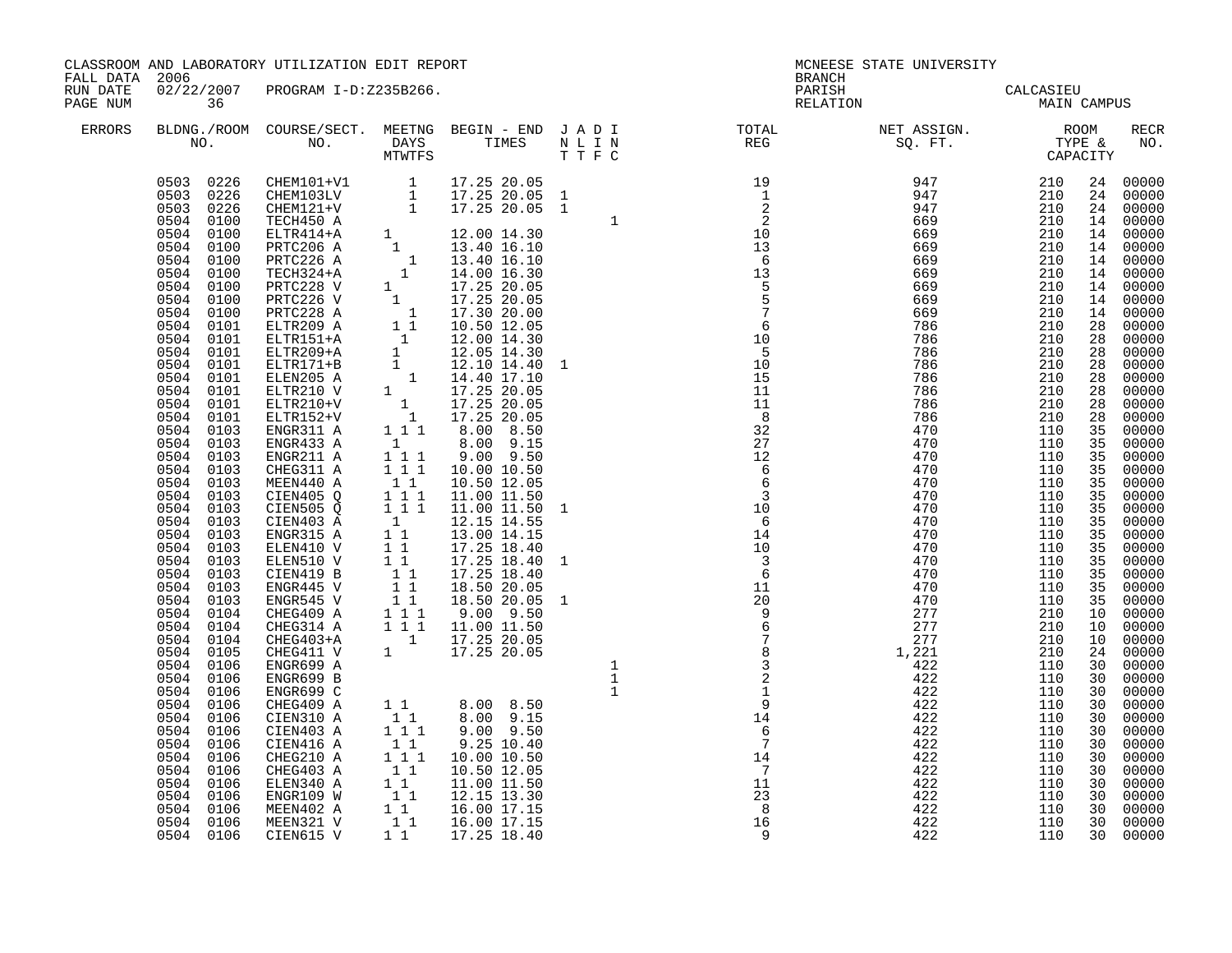|                      | CLASSROOM AND LABORATORY UTILIZATION EDIT REPORT<br>FALL DATA 2006<br>02/22/2007 PROGRAM I-D:Z235B266.                                                                                                                                                                                                                                                                                                                                                                                                                                                                                                                                                                     |                                                                                                                                                                                                                                                                                                                                                                                                                                                                                                                                                                                                                                                                                                                                                                                                                                                                                                                         |                                                                                                                                                                              |                                                                                                                                                                                                                                                 |                                                                                                                                                                                                                                                                              | <b>BRANCH</b>                                                                                                                                                                                                                                                                                                                                                                                                                              | MCNEESE STATE UNIVERSITY                                                                       |                                                                                                |                                                          |                                                                                                                                        |
|----------------------|----------------------------------------------------------------------------------------------------------------------------------------------------------------------------------------------------------------------------------------------------------------------------------------------------------------------------------------------------------------------------------------------------------------------------------------------------------------------------------------------------------------------------------------------------------------------------------------------------------------------------------------------------------------------------|-------------------------------------------------------------------------------------------------------------------------------------------------------------------------------------------------------------------------------------------------------------------------------------------------------------------------------------------------------------------------------------------------------------------------------------------------------------------------------------------------------------------------------------------------------------------------------------------------------------------------------------------------------------------------------------------------------------------------------------------------------------------------------------------------------------------------------------------------------------------------------------------------------------------------|------------------------------------------------------------------------------------------------------------------------------------------------------------------------------|-------------------------------------------------------------------------------------------------------------------------------------------------------------------------------------------------------------------------------------------------|------------------------------------------------------------------------------------------------------------------------------------------------------------------------------------------------------------------------------------------------------------------------------|--------------------------------------------------------------------------------------------------------------------------------------------------------------------------------------------------------------------------------------------------------------------------------------------------------------------------------------------------------------------------------------------------------------------------------------------|------------------------------------------------------------------------------------------------|------------------------------------------------------------------------------------------------|----------------------------------------------------------|----------------------------------------------------------------------------------------------------------------------------------------|
| RUN DATE<br>PAGE NUM | 36                                                                                                                                                                                                                                                                                                                                                                                                                                                                                                                                                                                                                                                                         |                                                                                                                                                                                                                                                                                                                                                                                                                                                                                                                                                                                                                                                                                                                                                                                                                                                                                                                         |                                                                                                                                                                              |                                                                                                                                                                                                                                                 |                                                                                                                                                                                                                                                                              |                                                                                                                                                                                                                                                                                                                                                                                                                                            | PARISH CALCASIEU<br>RELATION MAIN CAMPUS                                                       |                                                                                                |                                                          |                                                                                                                                        |
| ERRORS               |                                                                                                                                                                                                                                                                                                                                                                                                                                                                                                                                                                                                                                                                            |                                                                                                                                                                                                                                                                                                                                                                                                                                                                                                                                                                                                                                                                                                                                                                                                                                                                                                                         |                                                                                                                                                                              |                                                                                                                                                                                                                                                 |                                                                                                                                                                                                                                                                              | $\begin{tabular}{lllllllllllllllllllll} \textsc{BLDNG.} \textsc{ROOM} & \textsc{CUIRSE/SECT.} & \textsc{MEETNG} & \textsc{BEGIN} & - & \textsc{END} & \textsc{J} & \textsc{A} & \textsc{D} & \textsc{I} & & & \textsc{TCTAL} & & \textsc{NET} & \textsc{ASSGN.} & & \textsc{ROOM} \\ \textsc{NO.} & \textsc{NO.} & \textsc{DAYS} & \textsc{TIMES} & \textsc{N} & \textsc{L} & \textsc{I} & \textsc{N} & & \textsc{TEG} & & \textsc{SQ. FT$ |                                                                                                |                                                                                                |                                                          | RECR<br>NO.                                                                                                                            |
|                      | 0504<br>0100<br>0504<br>0100<br>0504 0100<br>0504 0100<br>0504 0100<br>0504 0100<br>0504 0100<br>0504 0101<br>0504 0101<br>0504 0101<br>0504 0101<br>0504 0101<br>0504 0101<br>0504 0101<br>0504 0101<br>0504<br>0103<br>0504 0103<br>0504 0103<br>0504 0103<br>0504 0103<br>0504 0103<br>0504 0103<br>0504 0103<br>0504 0103<br>$0504$ $0103$<br>0504 0103<br>0504 0103<br>0504 0103<br>0504<br>0103<br>0504<br>0104<br>0504<br>0104<br>0504<br>0104<br>0504<br>0105<br>0504<br>0106<br>0504<br>0106<br>0504<br>0106<br>0504<br>0106<br>0504<br>0106<br>0504 0106<br>0504 0106<br>0504 0106<br>0504 0106<br>0504 0106<br>0504 0106<br>0504 0106<br>0504 0106<br>0504 0106 | $\begin{array}{cccc} 0503 & 0226 & \textrm{CHEM101+V1} & 1 & 17.25\ 20.05 & 0503 & 0226 & \textrm{CHEM103LV} & 1 & 17.25\ 20.05 & 1 & 0503 & 0226 & \textrm{CHEM121+V} & 1 & 17.25\ 20.05 & 1 & 0504 & 0100 & \textrm{TECH450 A} \end{array}$<br>FECH450 A<br>ELTR414+A<br>PRTC206 A<br>1 13.40 16.10<br>PRTC226 A<br>1 13.40 16.10<br>TECH450 A<br>1 13.40 16.10<br>PRTC226 A<br>1 14.00 16.30<br>PRTC228 V<br>1 17.25 20.05<br>PRTC228 A<br>1 17.25 20.05<br>PRTC228 A<br>1 17.30 20.05<br>PRTC228 A<br>1 17.30<br>ENGR211 A<br>CHEG311 A<br>MEEN440 A<br>CIEN405 Q<br>CIEN505 Q<br>CIEN403 A<br>ENGR315 A<br>ELEN410 V<br>ELEN510 V<br>CIEN419 B<br>ENGR445 V<br>ENGR545 V<br>CHEG409 A<br>CHEG314 A<br>CHEG403+A<br>CHEG411 V<br>ENGR699 A<br>ENGR699 B<br>ENGR699 C<br>CHEG409 A<br>CIEN310 A<br>CIEN403 A<br>CIEN416 A<br>CHEG210 A<br>CHEG403 A<br>ELEN340 A<br>ENGR109 W<br>MEEN402 A<br>MEEN321 V<br>CIEN615 V | $\begin{smallmatrix}1\1\1\end{smallmatrix}$ 1<br>$\begin{bmatrix} 1 & 1 \\ 1 & 1 \end{bmatrix}$<br>$\begin{bmatrix} 1 & 1 \\ 1 & 1 \\ 1 & 1 \\ 1 & 1 \\ 1 & 1 \end{bmatrix}$ | $9.00$ $9.50$<br>1 1 1 1 10.00 10.50<br>10.50 12.05<br>11.00 11.50<br>$\begin{array}{rrrr} 1&1&1&11.00&11.50&1 \ 1&12.15&14.55&1 \ 1&1&13.00&14.15 \ 1&1&17.25&18.40 \end{array}$<br>17.25 18.40<br>17.25 18.40<br>18.50 20.05<br>18.50 20.05 1 | $\begin{array}{cccc} 1 & & & & & 19 \\ 1 & & & & & 1 \\ 1 & & & & & 2 \\ 1 & & & & & 2 \\ 10 & & & & & 10 \\ 13 & & & 6 & & 1 \\ 14 & & & 15 & & 5 \\ 10 & & & 5 & & 7 \\ 11 & & & 11 & & 1 \\ 12 & & & 16 & & 6 \\ 13 & & & 22 & & 12 \\ 14 & & & 6 & & 6 \\ 1 \end{array}$ |                                                                                                                                                                                                                                                                                                                                                                                                                                            | 422<br>422<br>422<br>422<br>422<br>422<br>422<br>422<br>422<br>422<br>422<br>422<br>422<br>422 | 110<br>110<br>110<br>110<br>110<br>110<br>110<br>110<br>110<br>110<br>110<br>110<br>110<br>110 | 30<br>30<br>30<br>30<br>30<br>30<br>30<br>30<br>30<br>30 | 30 00000<br>30 00000<br>00000<br>00000<br>00000<br>00000<br>00000<br>00000<br>00000<br>30 00000<br>00000<br>00000<br>00000<br>30 00000 |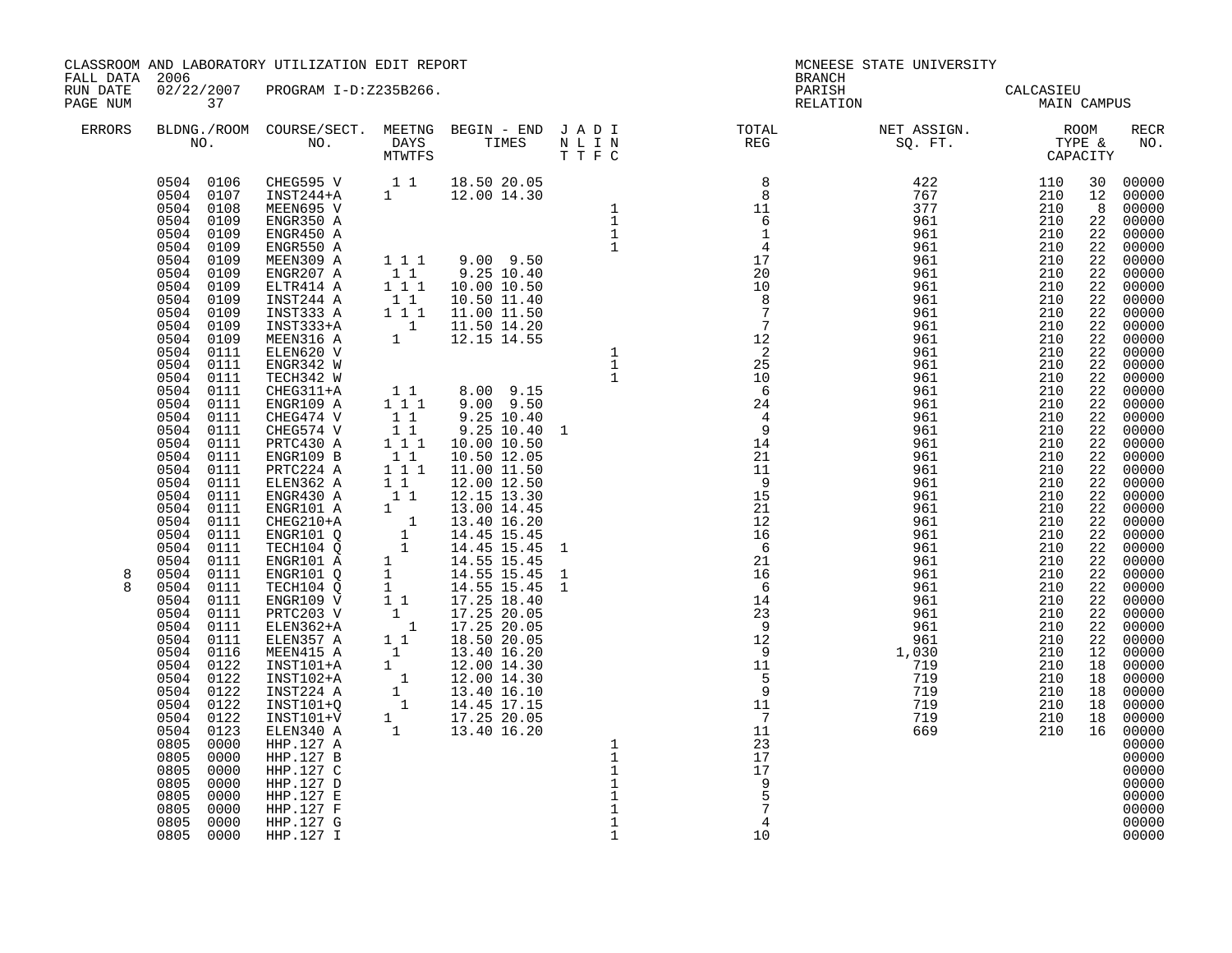| FALL DATA 2006       |                                                                                                                                                                                                                                                                                                                                                                                                                                                                                                                                                                                                                                                                                          | CLASSROOM AND LABORATORY UTILIZATION EDIT REPORT                                                                                                                                                                                                                                                                                                                                                                                                                                                                                                                                                                                                                                                                                                                             |  |                                                                               | <b>BRANCH</b>                         | MCNEESE STATE UNIVERSITY                                                                                                                                                                                                                                                                                                                                                                                                                        |  |                                                             |
|----------------------|------------------------------------------------------------------------------------------------------------------------------------------------------------------------------------------------------------------------------------------------------------------------------------------------------------------------------------------------------------------------------------------------------------------------------------------------------------------------------------------------------------------------------------------------------------------------------------------------------------------------------------------------------------------------------------------|------------------------------------------------------------------------------------------------------------------------------------------------------------------------------------------------------------------------------------------------------------------------------------------------------------------------------------------------------------------------------------------------------------------------------------------------------------------------------------------------------------------------------------------------------------------------------------------------------------------------------------------------------------------------------------------------------------------------------------------------------------------------------|--|-------------------------------------------------------------------------------|---------------------------------------|-------------------------------------------------------------------------------------------------------------------------------------------------------------------------------------------------------------------------------------------------------------------------------------------------------------------------------------------------------------------------------------------------------------------------------------------------|--|-------------------------------------------------------------|
| RUN DATE<br>PAGE NUM | 37                                                                                                                                                                                                                                                                                                                                                                                                                                                                                                                                                                                                                                                                                       | 02/22/2007 PROGRAM I-D:Z235B266.                                                                                                                                                                                                                                                                                                                                                                                                                                                                                                                                                                                                                                                                                                                                             |  |                                                                               |                                       | PARISH CALCASIEU<br>RELATION MAIN CAMPUS                                                                                                                                                                                                                                                                                                                                                                                                        |  |                                                             |
| ERRORS               |                                                                                                                                                                                                                                                                                                                                                                                                                                                                                                                                                                                                                                                                                          |                                                                                                                                                                                                                                                                                                                                                                                                                                                                                                                                                                                                                                                                                                                                                                              |  |                                                                               |                                       | $\begin{tabular}{lllllllllllllllllllll} \textsc{BLONG.} \textsc{F0OM} & \textsc{COURSE/SECT.} & \textsc{METING} & \textsc{BEGIN} & - & \textsc{END} & \textsc{J} & \textsc{A} & \textsc{D} & \textsc{I} & & & \textsc{TCTAL} & & \textsc{NET} & \textsc{ASSIGN.} & & \textsc{ROOM} \\ \textsc{NO.} & \textsc{NO.} & \textsc{DAYS} & \textsc{TIMES} & \textsc{N} & \textsc{L} & \textsc{I} & \textsc{N} & & \textsc{TEG} & & \textsc{SEG} & & \$ |  | RECR<br>NO.                                                 |
| 8                    | 0504 0108<br>0504 0109<br>0504 0109<br>0504 0109<br>0504 0109<br>0504 0109<br>0504 0109<br>0504 0109<br>0504 0109<br>0504 0109<br>0504 0109<br>0504 0111<br>0504 0111<br>0504 0111<br>0504 0111<br>0504 0111<br>0504 0111<br>0504 0111<br>0504 0111<br>0504 0111<br>0504 0111<br>0504 0111<br>0504 0111<br>0504 0111<br>0504 0111<br>0504 0111<br>0504 0111<br>0504 0111<br>0504 0111<br>0504 0111<br>0504 0111<br>0504<br>0111<br>0504 0111<br>0504 0111<br>0504 0116<br>0504 0122<br>0504 0122<br>0504 0122<br>0504 0122<br>0504<br>0122<br>0504 0123<br>0805<br>0000<br>0805<br>0000<br>0805<br>0000<br>0805<br>0000<br>$0805$<br>$0805$<br>0000<br>0000<br>0805<br>0000<br>0805 0000 | 0504 0106 CHEG595 V 1 1 18.50 20.05<br>0504 0107 INST244+A 1 12.00 14.30<br>MEEN695 V<br>ENGR350 A<br>ENGR450 A<br>ENGR550 A<br>MEEN309 A<br>ENGR207 A 1 1 9.00 9.35<br>ENGR207 A 1 1 9.25 10.40<br>ELTR414 A 1 1 10.00 10.50<br>INST244 A 1 1 10.50 11.40<br>INST333 A 1 1 11.00 11.50<br>INST333+A 1 11.50 14.20<br>MEENS16 A 1 12.15 14.55<br>ELEN620 V<br>ENGR342 W<br>TECH342 W<br>CHEG311+A<br>ENGR109 A<br>CHEG311+A<br>ENGR109 A 1 1 9.00 9.15<br>CHEG474 V 11 9.25 10.40 1<br>CHEG574 V 11 9.25 10.40 1<br>PRTC430 A 1 1 10.00 10.50<br>ENGR109 B 11 11.00 11.50<br>ENGR109 B 11 11.00 11.50<br>ENGR109 B 11 11.00 11.50<br>ENGR430 A 1 1 12.00 12.50<br><br>HHP.127 A<br>HHP.127 B<br>HHP.127 C<br>HHP.127 D<br>HHP.127 $E$<br>HHP.127 F<br>HHP.127 G<br>HHP.127 I |  | $\frac{1}{1}$<br>$\mathbf 1$<br>$1\,$<br>$\mathbf 1$<br>$1\,$<br>$\mathbf{1}$ | 17<br>17<br>9<br>$\overline{4}$<br>10 |                                                                                                                                                                                                                                                                                                                                                                                                                                                 |  | 00000<br>00000<br>00000<br>00000<br>00000<br>00000<br>00000 |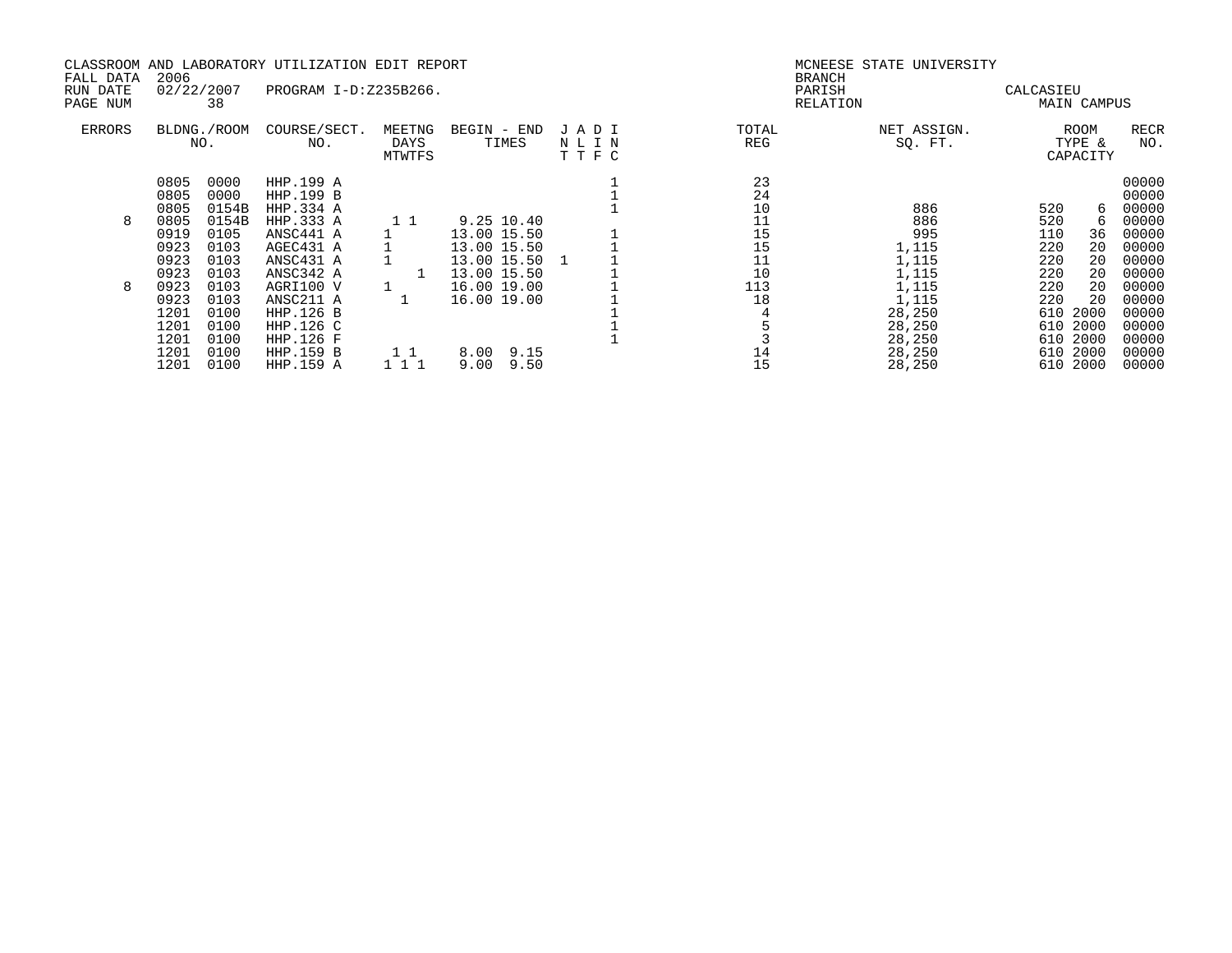|               |      |             | CLASSROOM AND LABORATORY UTILIZATION EDIT REPORT |                       |              |              |       | MCNEESE STATE UNIVERSITY |                    |             |
|---------------|------|-------------|--------------------------------------------------|-----------------------|--------------|--------------|-------|--------------------------|--------------------|-------------|
| FALL DATA     | 2006 |             |                                                  |                       |              |              |       | <b>BRANCH</b>            |                    |             |
| RUN DATE      |      | 02/22/2007  | PROGRAM I-D:Z235B266.                            |                       |              |              |       | PARISH                   | CALCASIEU          |             |
| PAGE NUM      |      | 38          |                                                  |                       |              |              |       | RELATION                 | MAIN CAMPUS        |             |
| <b>ERRORS</b> |      | BLDNG./ROOM | COURSE/SECT.                                     | MEETNG                | BEGIN - END  | JADI         | TOTAL | NET ASSIGN.              | ROOM               | <b>RECR</b> |
|               |      | NO.         | NO.                                              | DAYS<br><b>MTWTFS</b> | TIMES        | NLIN<br>TTFC | REG   | SQ. FT.                  | TYPE &<br>CAPACITY | NO.         |
|               | 0805 | 0000        | HHP.199 A                                        |                       |              |              | 23    |                          |                    | 00000       |
|               | 0805 | 0000        | HHP.199 B                                        |                       |              |              | 24    |                          |                    | 00000       |
|               | 0805 | 0154B       | HHP.334 A                                        |                       |              |              | 10    | 886                      | 520<br>6           | 00000       |
| 8             | 0805 | 0154B       | HHP.333 A                                        |                       | 9.25 10.40   |              | 11    | 886                      | 520<br>6           | 00000       |
|               | 0919 | 0105        | ANSC441 A                                        |                       | 13.00 15.50  |              | 15    | 995                      | 110<br>36          | 00000       |
|               | 0923 | 0103        | AGEC431 A                                        |                       | 13.00 15.50  |              | 15    | 1,115                    | 20<br>220          | 00000       |
|               | 0923 | 0103        | ANSC431 A                                        |                       | 13.00 15.50  |              | 11    | 1,115                    | 220<br>20          | 00000       |
|               | 0923 | 0103        | ANSC342 A                                        |                       | 13.00 15.50  |              | 10    | 1,115                    | 220<br>20          | 00000       |
| 8             | 0923 | 0103        | AGRI100 V                                        |                       | 16.00 19.00  |              | 113   | 1,115                    | 220<br>20          | 00000       |
|               | 0923 | 0103        | ANSC211 A                                        |                       | 16.00 19.00  |              | 18    | 1,115                    | 220<br>20          | 00000       |
|               | 1201 | 0100        | HHP.126 B                                        |                       |              |              |       | 28,250                   | 610<br>2000        | 00000       |
|               | 1201 | 0100        | HHP.126 C                                        |                       |              |              |       | 28,250                   | 2000<br>610        | 00000       |
|               | 1201 | 0100        | HHP.126 F                                        |                       |              |              |       | 28,250                   | 2000<br>610        | 00000       |
|               | 1201 | 0100        | HHP.159 B                                        | 1 1                   | 8.00 9.15    |              | 14    | 28,250                   | 2000<br>610        | 00000       |
|               | 1201 | 0100        | HHP.159 A                                        | 111                   | 9.00<br>9.50 |              | 15    | 28,250                   | 2000<br>610        | 00000       |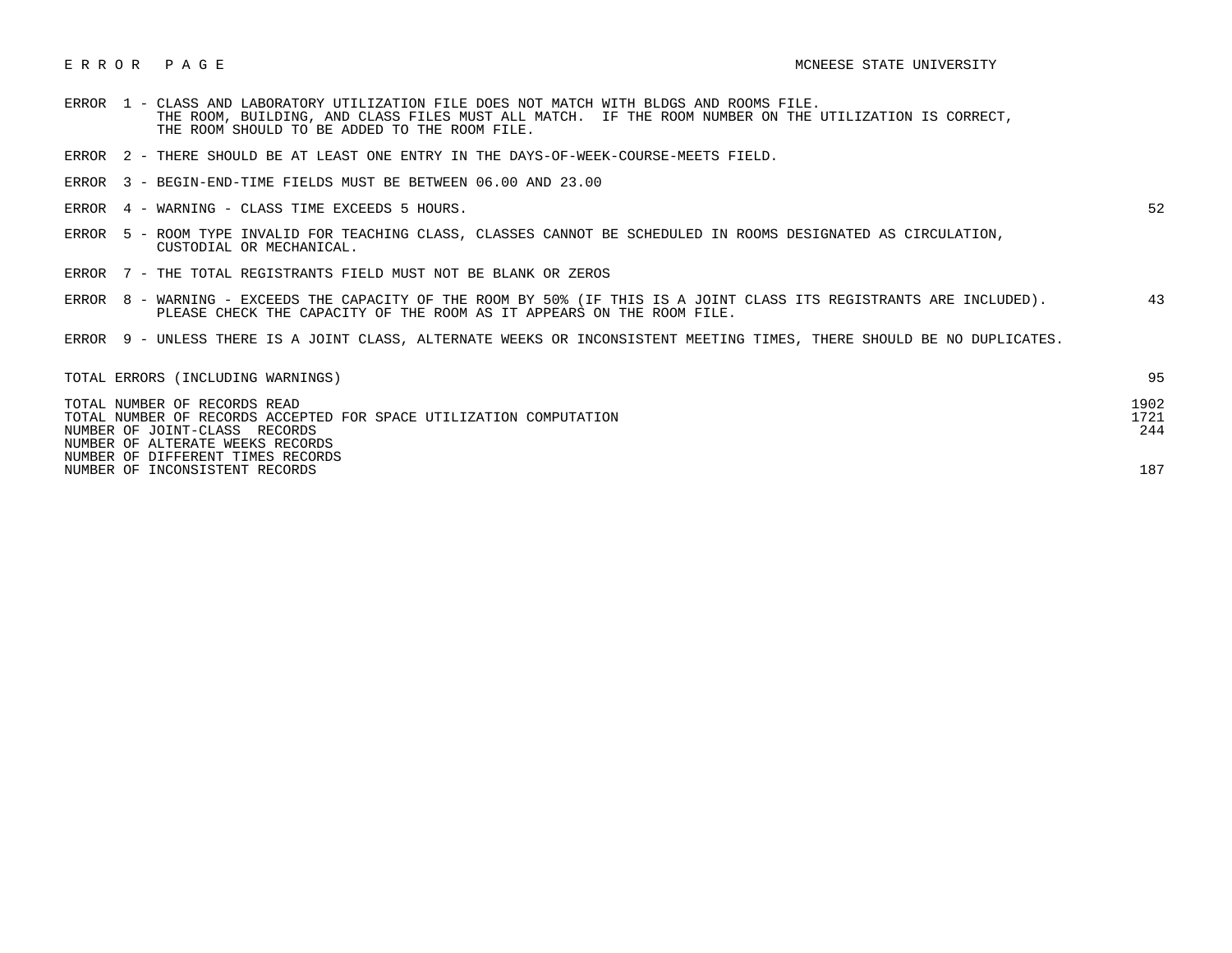- ERROR 1 CLASS AND LABORATORY UTILIZATION FILE DOES NOT MATCH WITH BLDGS AND ROOMS FILE. THE ROOM, BUILDING, AND CLASS FILES MUST ALL MATCH. IF THE ROOM NUMBER ON THE UTILIZATION IS CORRECT, THE ROOM SHOULD TO BE ADDED TO THE ROOM FILE.
- ERROR 2 THERE SHOULD BE AT LEAST ONE ENTRY IN THE DAYS-OF-WEEK-COURSE-MEETS FIELD.
- ERROR 3 BEGIN-END-TIME FIELDS MUST BE BETWEEN 06.00 AND 23.00
- ERROR 4 WARNING CLASS TIME EXCEEDS 5 HOURS. 52

- ERROR 5 ROOM TYPE INVALID FOR TEACHING CLASS, CLASSES CANNOT BE SCHEDULED IN ROOMS DESIGNATED AS CIRCULATION, CUSTODIAL OR MECHANICAL.
- ERROR 7 THE TOTAL REGISTRANTS FIELD MUST NOT BE BLANK OR ZEROS
- ERROR 8 WARNING EXCEEDS THE CAPACITY OF THE ROOM BY 50% (IF THIS IS A JOINT CLASS ITS REGISTRANTS ARE INCLUDED). 43 PLEASE CHECK THE CAPACITY OF THE ROOM AS IT APPEARS ON THE ROOM FILE.
- ERROR 9 UNLESS THERE IS A JOINT CLASS, ALTERNATE WEEKS OR INCONSISTENT MEETING TIMES, THERE SHOULD BE NO DUPLICATES.

| TOTAL ERRORS (INCLUDING WARNINGS)                                  | 95   |
|--------------------------------------------------------------------|------|
| TOTAL NUMBER OF RECORDS READ                                       | 1902 |
| TOTAL NUMBER OF RECORDS ACCEPTED FOR SPACE UTILIZATION COMPUTATION | 1721 |
| NUMBER OF JOINT-CLASS RECORDS                                      | 244  |
| NUMBER OF ALTERATE WEEKS RECORDS                                   |      |
| NUMBER OF DIFFERENT TIMES RECORDS                                  |      |
| NUMBER OF INCONSISTENT RECORDS                                     | 187  |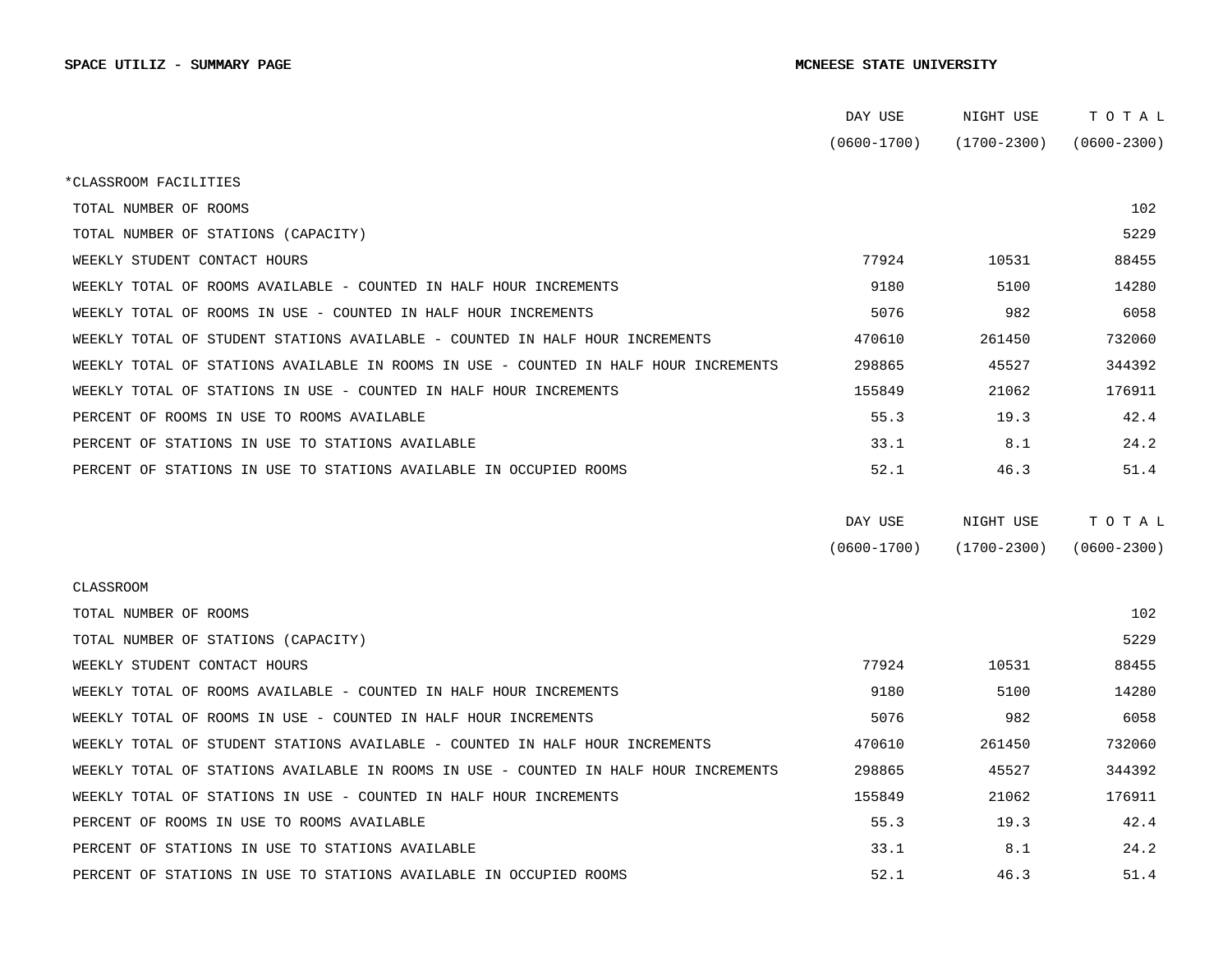|                                                                                      | DAY USE         | NIGHT USE       | TOTAL           |  |
|--------------------------------------------------------------------------------------|-----------------|-----------------|-----------------|--|
|                                                                                      | $(0600 - 1700)$ | (1700-2300)     | $(0600 - 2300)$ |  |
| *CLASSROOM FACILITIES                                                                |                 |                 |                 |  |
| TOTAL NUMBER OF ROOMS                                                                |                 |                 | 102             |  |
| TOTAL NUMBER OF STATIONS (CAPACITY)                                                  |                 |                 | 5229            |  |
| WEEKLY STUDENT CONTACT HOURS                                                         | 77924           | 10531           | 88455           |  |
| WEEKLY TOTAL OF ROOMS AVAILABLE - COUNTED IN HALF HOUR INCREMENTS                    | 9180            | 5100            | 14280           |  |
| WEEKLY TOTAL OF ROOMS IN USE - COUNTED IN HALF HOUR INCREMENTS                       | 5076            | 982             | 6058            |  |
| WEEKLY TOTAL OF STUDENT STATIONS AVAILABLE - COUNTED IN HALF HOUR INCREMENTS         | 470610          | 261450          | 732060          |  |
| WEEKLY TOTAL OF STATIONS AVAILABLE IN ROOMS IN USE - COUNTED IN HALF HOUR INCREMENTS | 298865          | 45527           | 344392          |  |
| WEEKLY TOTAL OF STATIONS IN USE - COUNTED IN HALF HOUR INCREMENTS                    | 155849          | 21062           | 176911          |  |
| PERCENT OF ROOMS IN USE TO ROOMS AVAILABLE                                           | 55.3            | 19.3            | 42.4            |  |
| PERCENT OF STATIONS IN USE TO STATIONS AVAILABLE                                     | 33.1            | 8.1             | 24.2            |  |
| PERCENT OF STATIONS IN USE TO STATIONS AVAILABLE IN OCCUPIED ROOMS                   | 52.1            | 46.3            | 51.4            |  |
|                                                                                      |                 |                 |                 |  |
|                                                                                      | DAY USE         | NIGHT USE       | TOTAL           |  |
|                                                                                      | $(0600 - 1700)$ | $(1700 - 2300)$ | $(0600 - 2300)$ |  |
| <b>CLASSROOM</b>                                                                     |                 |                 |                 |  |
| TOTAL NUMBER OF ROOMS                                                                |                 |                 | 102             |  |
| TOTAL NUMBER OF STATIONS (CAPACITY)                                                  |                 |                 | 5229            |  |
| WEEKLY STUDENT CONTACT HOURS                                                         | 77924           | 10531           | 88455           |  |
| WEEKLY TOTAL OF ROOMS AVAILABLE - COUNTED IN HALF HOUR INCREMENTS                    | 9180            | 5100            | 14280           |  |
| WEEKLY TOTAL OF ROOMS IN USE - COUNTED IN HALF HOUR INCREMENTS                       | 5076            | 982             | 6058            |  |
| WEEKLY TOTAL OF STUDENT STATIONS AVAILABLE - COUNTED IN HALF HOUR INCREMENTS         | 470610          | 261450          | 732060          |  |
| WEEKLY TOTAL OF STATIONS AVAILABLE IN ROOMS IN USE - COUNTED IN HALF HOUR INCREMENTS | 298865          | 45527           | 344392          |  |
| WEEKLY TOTAL OF STATIONS IN USE - COUNTED IN HALF HOUR INCREMENTS                    | 155849          | 21062           | 176911          |  |
| PERCENT OF ROOMS IN USE TO ROOMS AVAILABLE                                           | 55.3            | 19.3            | 42.4            |  |
| PERCENT OF STATIONS IN USE TO STATIONS AVAILABLE                                     | 33.1            | 8.1             | 24.2            |  |
| PERCENT OF STATIONS IN USE TO STATIONS AVAILABLE IN OCCUPIED ROOMS                   | 52.1            | 46.3            | 51.4            |  |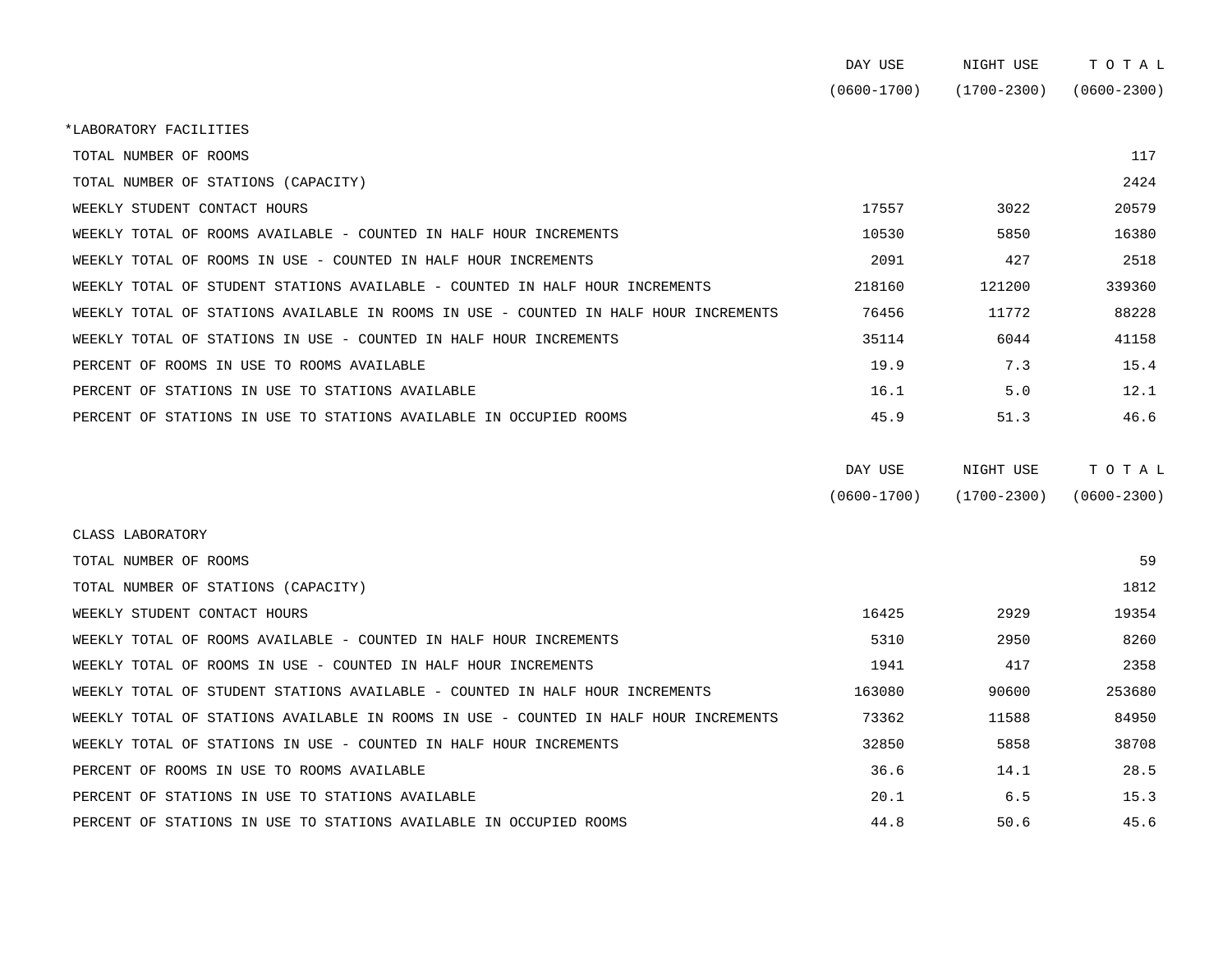|                                                                                      | DAY USE         | NIGHT USE       | TOTAL           |
|--------------------------------------------------------------------------------------|-----------------|-----------------|-----------------|
|                                                                                      | $(0600 - 1700)$ | $(1700 - 2300)$ | $(0600 - 2300)$ |
| *LABORATORY FACILITIES                                                               |                 |                 |                 |
| TOTAL NUMBER OF ROOMS                                                                |                 |                 | 117             |
| TOTAL NUMBER OF STATIONS (CAPACITY)                                                  |                 |                 | 2424            |
| WEEKLY STUDENT CONTACT HOURS                                                         | 17557           | 3022            | 20579           |
| WEEKLY TOTAL OF ROOMS AVAILABLE - COUNTED IN HALF HOUR INCREMENTS                    | 10530           | 5850            | 16380           |
| WEEKLY TOTAL OF ROOMS IN USE - COUNTED IN HALF HOUR INCREMENTS                       | 2091            | 427             | 2518            |
| WEEKLY TOTAL OF STUDENT STATIONS AVAILABLE - COUNTED IN HALF HOUR INCREMENTS         | 218160          | 121200          | 339360          |
| WEEKLY TOTAL OF STATIONS AVAILABLE IN ROOMS IN USE - COUNTED IN HALF HOUR INCREMENTS | 76456           | 11772           | 88228           |
| WEEKLY TOTAL OF STATIONS IN USE - COUNTED IN HALF HOUR INCREMENTS                    | 35114           | 6044            | 41158           |
| PERCENT OF ROOMS IN USE TO ROOMS AVAILABLE                                           | 19.9            | 7.3             | 15.4            |
| PERCENT OF STATIONS IN USE TO STATIONS AVAILABLE                                     | 16.1            | 5.0             | 12.1            |
| PERCENT OF STATIONS IN USE TO STATIONS AVAILABLE IN OCCUPIED ROOMS                   | 45.9            | 51.3            | 46.6            |
|                                                                                      | DAY USE         | NIGHT USE       | TOTAL           |
|                                                                                      | $(0600 - 1700)$ | $(1700 - 2300)$ | $(0600 - 2300)$ |
| CLASS LABORATORY                                                                     |                 |                 |                 |
| TOTAL NUMBER OF ROOMS                                                                |                 |                 | 59              |
| TOTAL NUMBER OF STATIONS (CAPACITY)                                                  |                 |                 | 1812            |
| WEEKLY STUDENT CONTACT HOURS                                                         | 16425           | 2929            | 19354           |
| WEEKLY TOTAL OF ROOMS AVAILABLE - COUNTED IN HALF HOUR INCREMENTS                    | 5310            | 2950            | 8260            |
| WEEKLY TOTAL OF ROOMS IN USE - COUNTED IN HALF HOUR INCREMENTS                       | 1941            | 417             | 2358            |
| WEEKLY TOTAL OF STUDENT STATIONS AVAILABLE - COUNTED IN HALF HOUR INCREMENTS         | 163080          | 90600           | 253680          |
| WEEKLY TOTAL OF STATIONS AVAILABLE IN ROOMS IN USE - COUNTED IN HALF HOUR INCREMENTS | 73362           | 11588           | 84950           |
| WEEKLY TOTAL OF STATIONS IN USE - COUNTED IN HALF HOUR INCREMENTS                    | 32850           | 5858            | 38708           |

| WEEKLY TOTAL OF STATIONS IN USE - COUNTED IN HALF HOUR INCREMENTS  | 32850 | 5858 | 38708 |
|--------------------------------------------------------------------|-------|------|-------|
| PERCENT OF ROOMS IN USE TO ROOMS AVAILABLE                         | 36.6  | 14.1 | 28.5  |
| PERCENT OF STATIONS IN USE TO STATIONS AVAILABLE                   | 20.1  | 65   | 15.3  |
| PERCENT OF STATIONS IN USE TO STATIONS AVAILABLE IN OCCUPIED ROOMS | 44 R  | 50.6 | 45.6  |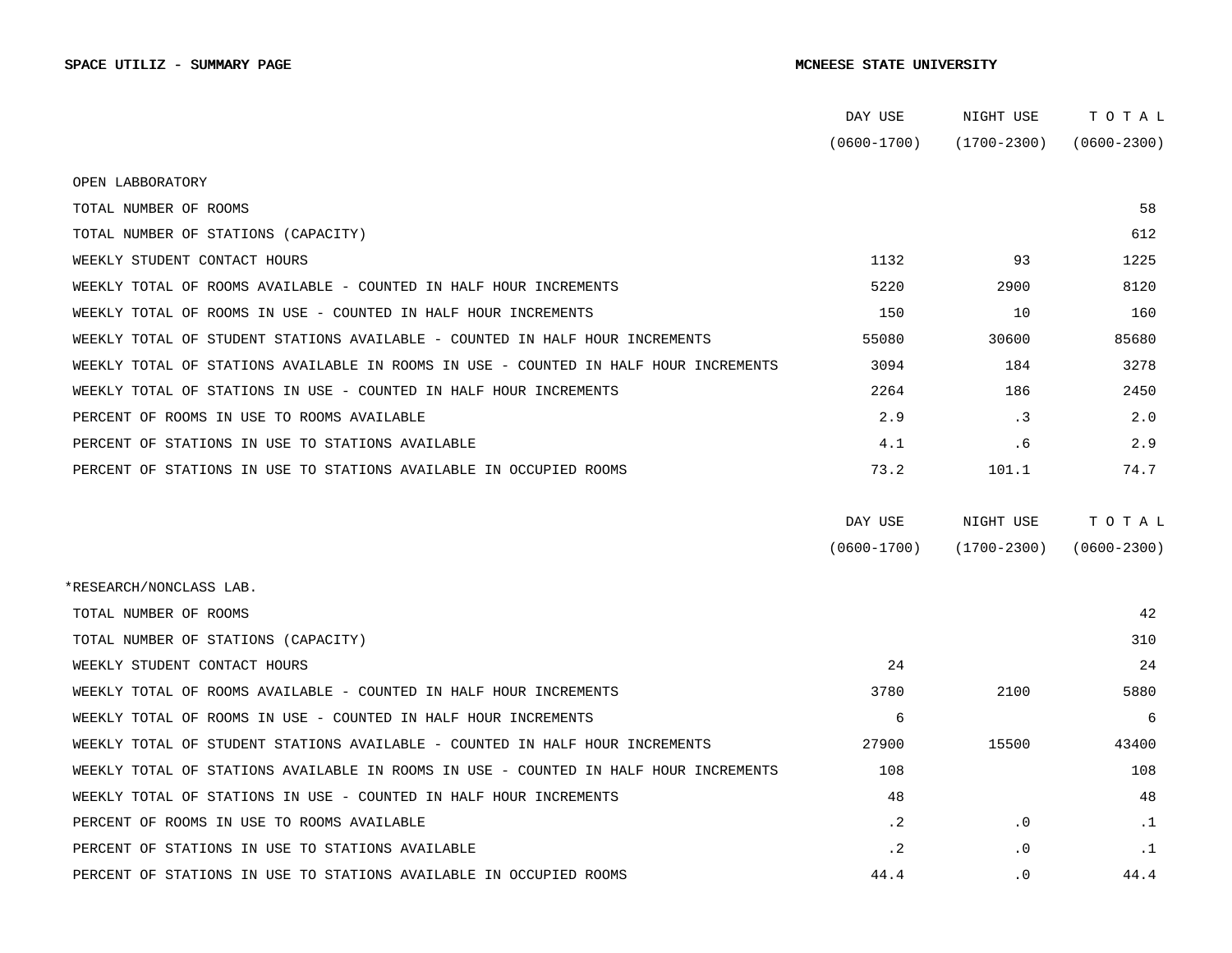|                                                                                      | DAY USE         | NIGHT USE       | ТОТАЬ           |
|--------------------------------------------------------------------------------------|-----------------|-----------------|-----------------|
|                                                                                      | $(0600 - 1700)$ | $(1700 - 2300)$ | $(0600 - 2300)$ |
| OPEN LABBORATORY                                                                     |                 |                 |                 |
| TOTAL NUMBER OF ROOMS                                                                |                 |                 | 58              |
| TOTAL NUMBER OF STATIONS (CAPACITY)                                                  |                 |                 | 612             |
| WEEKLY STUDENT CONTACT HOURS                                                         | 1132            | 93              | 1225            |
| WEEKLY TOTAL OF ROOMS AVAILABLE - COUNTED IN HALF HOUR INCREMENTS                    | 5220            | 2900            | 8120            |
| WEEKLY TOTAL OF ROOMS IN USE - COUNTED IN HALF HOUR INCREMENTS                       | 150             | 10              | 160             |
| WEEKLY TOTAL OF STUDENT STATIONS AVAILABLE - COUNTED IN HALF HOUR INCREMENTS         | 55080           | 30600           | 85680           |
| WEEKLY TOTAL OF STATIONS AVAILABLE IN ROOMS IN USE - COUNTED IN HALF HOUR INCREMENTS | 3094            | 184             | 3278            |
| WEEKLY TOTAL OF STATIONS IN USE - COUNTED IN HALF HOUR INCREMENTS                    | 2264            | 186             | 2450            |
| PERCENT OF ROOMS IN USE TO ROOMS AVAILABLE                                           | 2.9             | . 3             | 2.0             |
| PERCENT OF STATIONS IN USE TO STATIONS AVAILABLE                                     | 4.1             | .6              | 2.9             |
| PERCENT OF STATIONS IN USE TO STATIONS AVAILABLE IN OCCUPIED ROOMS                   | 73.2            | 101.1           | 74.7            |
|                                                                                      |                 |                 |                 |
|                                                                                      | DAY USE         | NIGHT USE       | TOTAL           |
|                                                                                      |                 |                 |                 |
|                                                                                      | $(0600 - 1700)$ | $(1700 - 2300)$ | $(0600 - 2300)$ |
| *RESEARCH/NONCLASS LAB.                                                              |                 |                 |                 |
| TOTAL NUMBER OF ROOMS                                                                |                 |                 | 42              |
| TOTAL NUMBER OF STATIONS (CAPACITY)                                                  |                 |                 | 310             |
| WEEKLY STUDENT CONTACT HOURS                                                         | 24              |                 | 24              |
| WEEKLY TOTAL OF ROOMS AVAILABLE - COUNTED IN HALF HOUR INCREMENTS                    | 3780            | 2100            | 5880            |
| WEEKLY TOTAL OF ROOMS IN USE - COUNTED IN HALF HOUR INCREMENTS                       | 6               |                 | 6               |
| WEEKLY TOTAL OF STUDENT STATIONS AVAILABLE - COUNTED IN HALF HOUR INCREMENTS         | 27900           | 15500           | 43400           |
| WEEKLY TOTAL OF STATIONS AVAILABLE IN ROOMS IN USE - COUNTED IN HALF HOUR INCREMENTS | 108             |                 | 108             |
| WEEKLY TOTAL OF STATIONS IN USE - COUNTED IN HALF HOUR INCREMENTS                    | 48              |                 | 48              |
| PERCENT OF ROOMS IN USE TO ROOMS AVAILABLE                                           | $\cdot$ 2       | $\cdot$ 0       | $\cdot$ 1       |
| PERCENT OF STATIONS IN USE TO STATIONS AVAILABLE                                     | $\cdot$ 2       | $\cdot$ 0       | $\cdot$ 1       |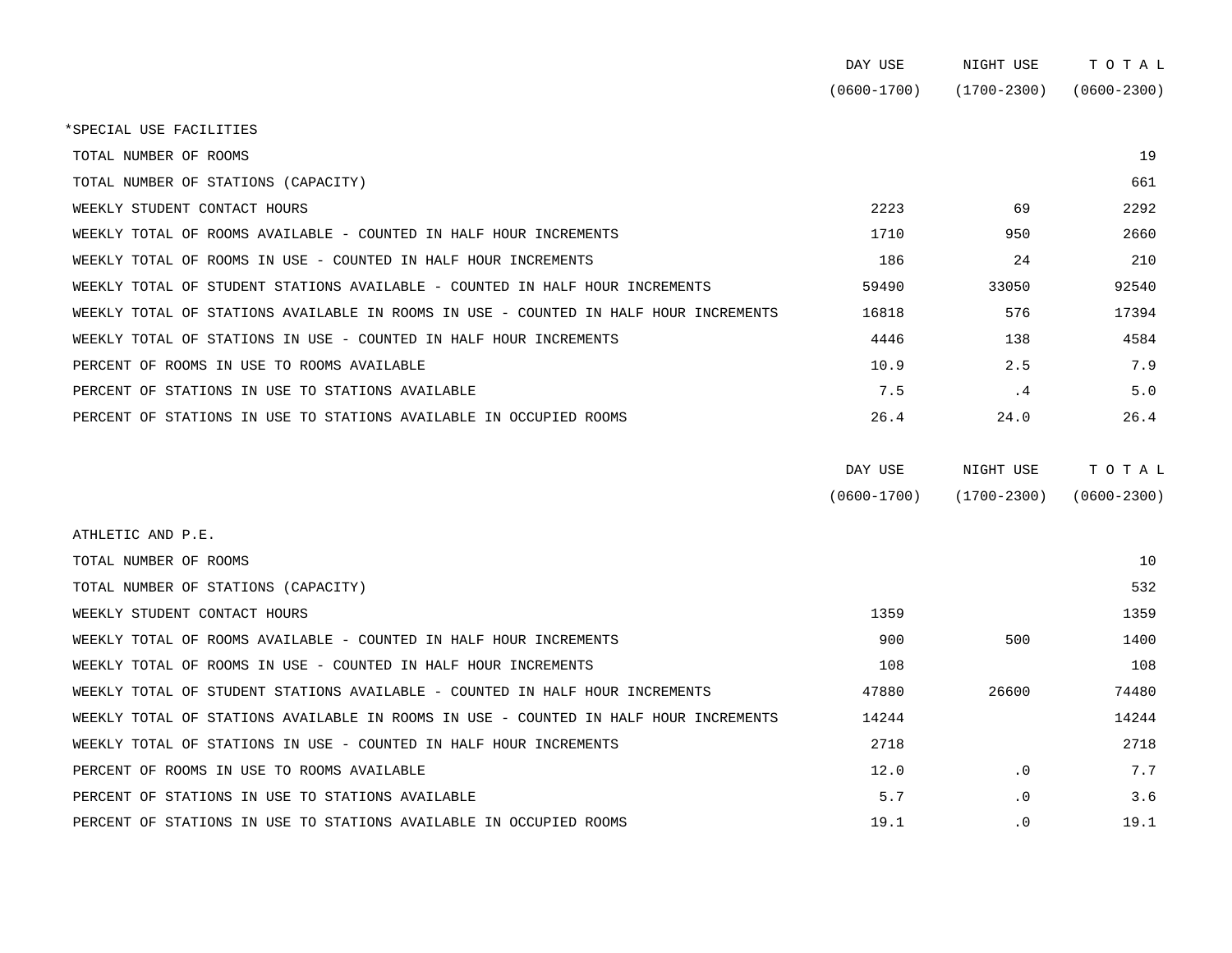| DAY USE         | NIGHT USE       | тотаг           |
|-----------------|-----------------|-----------------|
| $(0600 - 1700)$ | $(1700 - 2300)$ | $(0600 - 2300)$ |

\*SPECIAL USE FACILITIES

TOTAL NUMBER OF ROOMS 29

| TOTAL NUMBER OF STATIONS (CAPACITY)                                                  |       |       | 661   |
|--------------------------------------------------------------------------------------|-------|-------|-------|
| WEEKLY STUDENT CONTACT HOURS                                                         | 2223  | 69    | 2292  |
| WEEKLY TOTAL OF ROOMS AVAILABLE - COUNTED IN HALF HOUR INCREMENTS                    | 1710  | 950   | 2660  |
| WEEKLY TOTAL OF ROOMS IN USE - COUNTED IN HALF HOUR INCREMENTS                       | 186   | 24    | 210   |
| WEEKLY TOTAL OF STUDENT STATIONS AVAILABLE - COUNTED IN HALF HOUR INCREMENTS         | 59490 | 33050 | 92540 |
| WEEKLY TOTAL OF STATIONS AVAILABLE IN ROOMS IN USE - COUNTED IN HALF HOUR INCREMENTS | 16818 | 576   | 17394 |
| WEEKLY TOTAL OF STATIONS IN USE - COUNTED IN HALF HOUR INCREMENTS                    | 4446  | 138   | 4584  |
| PERCENT OF ROOMS IN USE TO ROOMS AVAILABLE                                           | 10.9  | 2.5   | 7.9   |
| PERCENT OF STATIONS IN USE TO STATIONS AVAILABLE                                     | 7.5   | . 4   | 5.0   |
| PERCENT OF STATIONS IN USE TO STATIONS AVAILABLE IN OCCUPIED ROOMS                   | 26.4  | 24.0  | 26.4  |

| DAY USE         | NIGHT USE       | тотаь       |
|-----------------|-----------------|-------------|
| $(0600 - 1700)$ | $(1700 - 2300)$ | (0600-2300) |

| ATHLETIC AND P.E.                                                                    |       |           |       |
|--------------------------------------------------------------------------------------|-------|-----------|-------|
| TOTAL NUMBER OF ROOMS                                                                |       |           | 10    |
| TOTAL NUMBER OF STATIONS (CAPACITY)                                                  |       |           | 532   |
| WEEKLY STUDENT CONTACT HOURS                                                         | 1359  |           | 1359  |
| WEEKLY TOTAL OF ROOMS AVAILABLE - COUNTED IN HALF HOUR INCREMENTS                    | 900   | 500       | 1400  |
| WEEKLY TOTAL OF ROOMS IN USE - COUNTED IN HALF HOUR INCREMENTS                       | 108   |           | 108   |
| WEEKLY TOTAL OF STUDENT STATIONS AVAILABLE - COUNTED IN HALF HOUR INCREMENTS         | 47880 | 26600     | 74480 |
| WEEKLY TOTAL OF STATIONS AVAILABLE IN ROOMS IN USE - COUNTED IN HALF HOUR INCREMENTS | 14244 |           | 14244 |
| WEEKLY TOTAL OF STATIONS IN USE - COUNTED IN HALF HOUR INCREMENTS                    | 2718  |           | 2718  |
| PERCENT OF ROOMS IN USE TO ROOMS AVAILABLE                                           | 12.0  | $\cdot$ 0 | 7.7   |
| PERCENT OF STATIONS IN USE TO STATIONS AVAILABLE                                     | 5.7   | $\cdot$ 0 | 3.6   |
| PERCENT OF STATIONS IN USE TO STATIONS AVAILABLE IN OCCUPIED ROOMS                   | 19.1  | $\cdot$ 0 | 19.1  |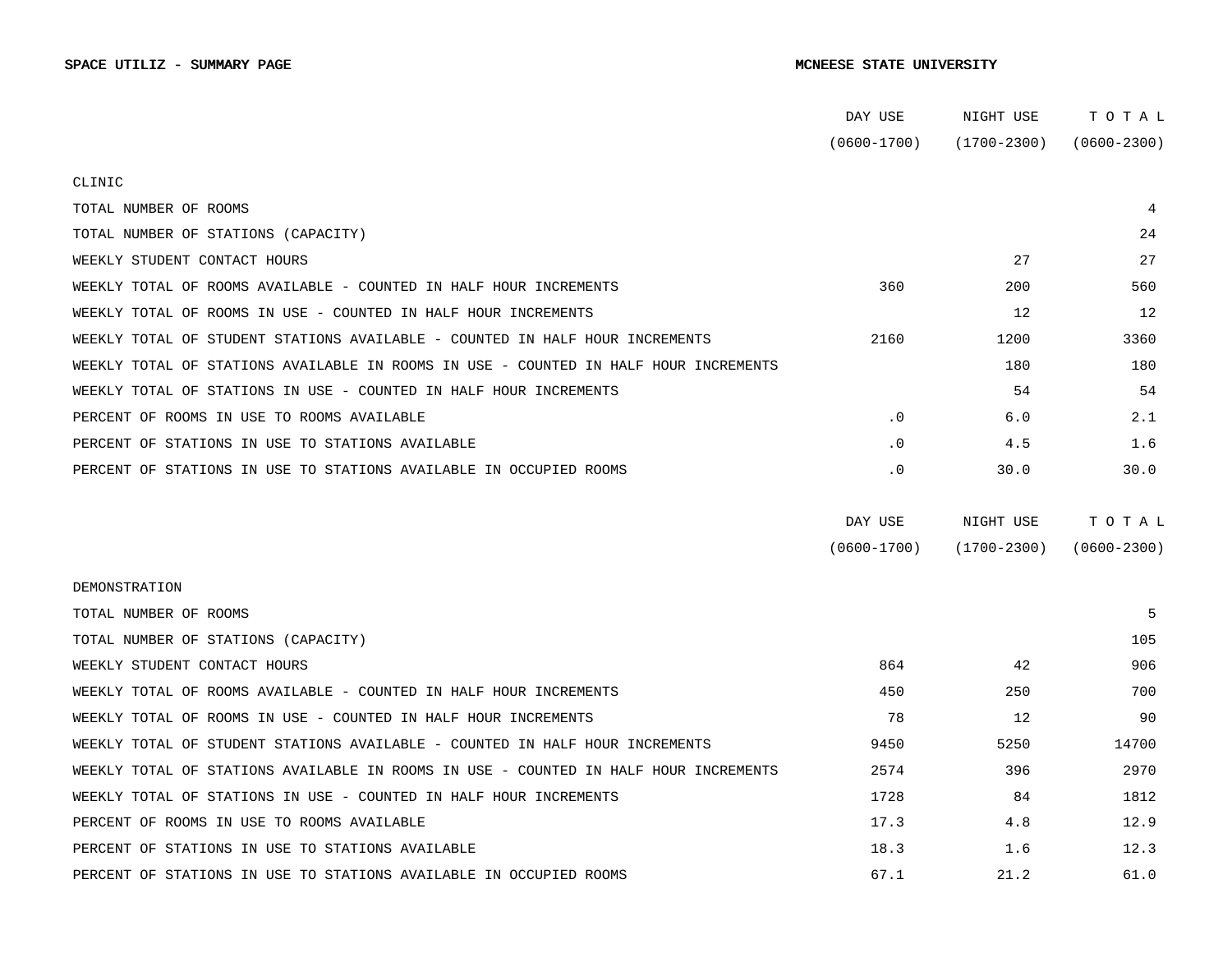|                                                                                      | DAY USE         | NIGHT USE       | TOTAL           |  |
|--------------------------------------------------------------------------------------|-----------------|-----------------|-----------------|--|
|                                                                                      | $(0600 - 1700)$ | $(1700 - 2300)$ | $(0600 - 2300)$ |  |
| CLINIC                                                                               |                 |                 |                 |  |
| TOTAL NUMBER OF ROOMS                                                                |                 |                 | 4               |  |
| TOTAL NUMBER OF STATIONS (CAPACITY)                                                  |                 |                 | 24              |  |
| WEEKLY STUDENT CONTACT HOURS                                                         |                 | 27              | 27              |  |
| WEEKLY TOTAL OF ROOMS AVAILABLE - COUNTED IN HALF HOUR INCREMENTS                    | 360             | 200             | 560             |  |
| WEEKLY TOTAL OF ROOMS IN USE - COUNTED IN HALF HOUR INCREMENTS                       |                 | 12              | 12              |  |
| WEEKLY TOTAL OF STUDENT STATIONS AVAILABLE - COUNTED IN HALF HOUR INCREMENTS         | 2160            | 1200            | 3360            |  |
| WEEKLY TOTAL OF STATIONS AVAILABLE IN ROOMS IN USE - COUNTED IN HALF HOUR INCREMENTS |                 | 180             | 180             |  |
| WEEKLY TOTAL OF STATIONS IN USE - COUNTED IN HALF HOUR INCREMENTS                    |                 | 54              | 54              |  |
| PERCENT OF ROOMS IN USE TO ROOMS AVAILABLE                                           | $\cdot$ 0       | 6.0             | 2.1             |  |
| PERCENT OF STATIONS IN USE TO STATIONS AVAILABLE                                     | $\cdot$ 0       | 4.5             | 1.6             |  |
| PERCENT OF STATIONS IN USE TO STATIONS AVAILABLE IN OCCUPIED ROOMS                   | $\cdot$ 0       | 30.0            | 30.0            |  |
|                                                                                      |                 |                 |                 |  |
|                                                                                      | DAY USE         | NIGHT USE       | TOTAL           |  |
|                                                                                      | $(0600 - 1700)$ | (1700-2300)     | $(0600 - 2300)$ |  |
| DEMONSTRATION                                                                        |                 |                 |                 |  |
| TOTAL NUMBER OF ROOMS                                                                |                 |                 | 5               |  |
| TOTAL NUMBER OF STATIONS (CAPACITY)                                                  |                 |                 | 105             |  |
| WEEKLY STUDENT CONTACT HOURS                                                         | 864             | 42              | 906             |  |
| WEEKLY TOTAL OF ROOMS AVAILABLE - COUNTED IN HALF HOUR INCREMENTS                    | 450             | 250             | 700             |  |
| WEEKLY TOTAL OF ROOMS IN USE - COUNTED IN HALF HOUR INCREMENTS                       | 78              | 12              | 90              |  |
| WEEKLY TOTAL OF STUDENT STATIONS AVAILABLE - COUNTED IN HALF HOUR INCREMENTS         | 9450            | 5250            | 14700           |  |
| WEEKLY TOTAL OF STATIONS AVAILABLE IN ROOMS IN USE - COUNTED IN HALF HOUR INCREMENTS | 2574            | 396             | 2970            |  |
| WEEKLY TOTAL OF STATIONS IN USE - COUNTED IN HALF HOUR INCREMENTS                    | 1728            | 84              | 1812            |  |
|                                                                                      |                 |                 |                 |  |
| PERCENT OF ROOMS IN USE TO ROOMS AVAILABLE                                           | 17.3            | 4.8             | 12.9            |  |
| PERCENT OF STATIONS IN USE TO STATIONS AVAILABLE                                     | 18.3            | 1.6             | 12.3            |  |